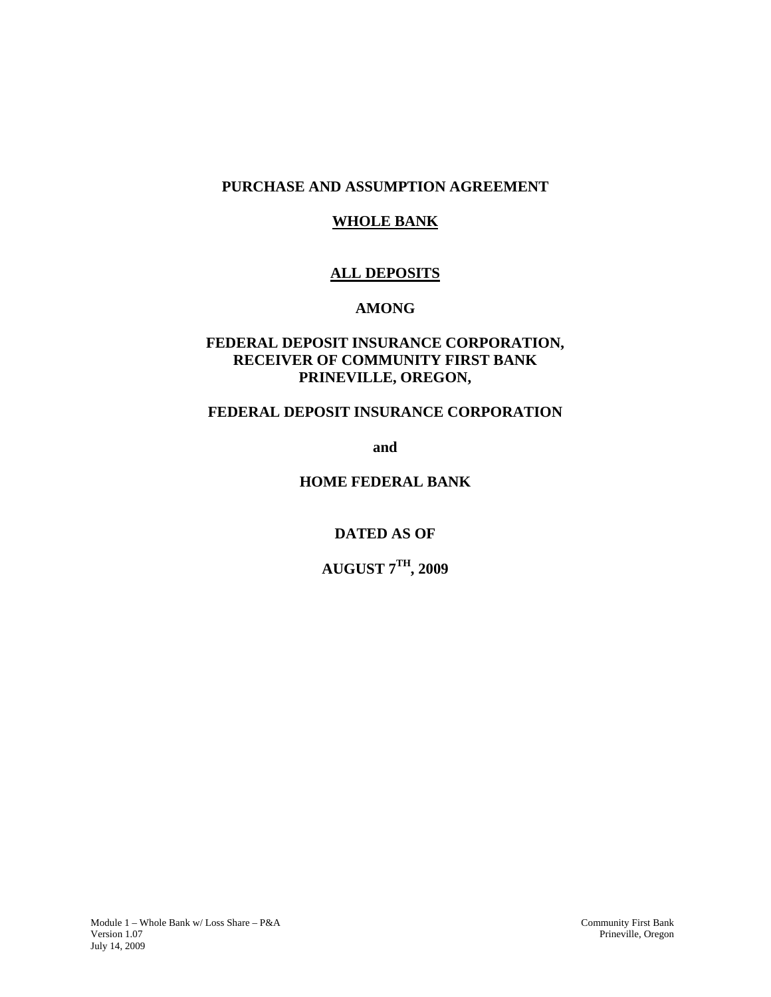#### **PURCHASE AND ASSUMPTION AGREEMENT**

#### **WHOLE BANK**

### **ALL DEPOSITS**

#### **AMONG**

#### **FEDERAL DEPOSIT INSURANCE CORPORATION, RECEIVER OF COMMUNITY FIRST BANK PRINEVILLE, OREGON,**

#### **FEDERAL DEPOSIT INSURANCE CORPORATION**

**and** 

#### **HOME FEDERAL BANK**

**DATED AS OF**

 **AUGUST 7TH, 2009**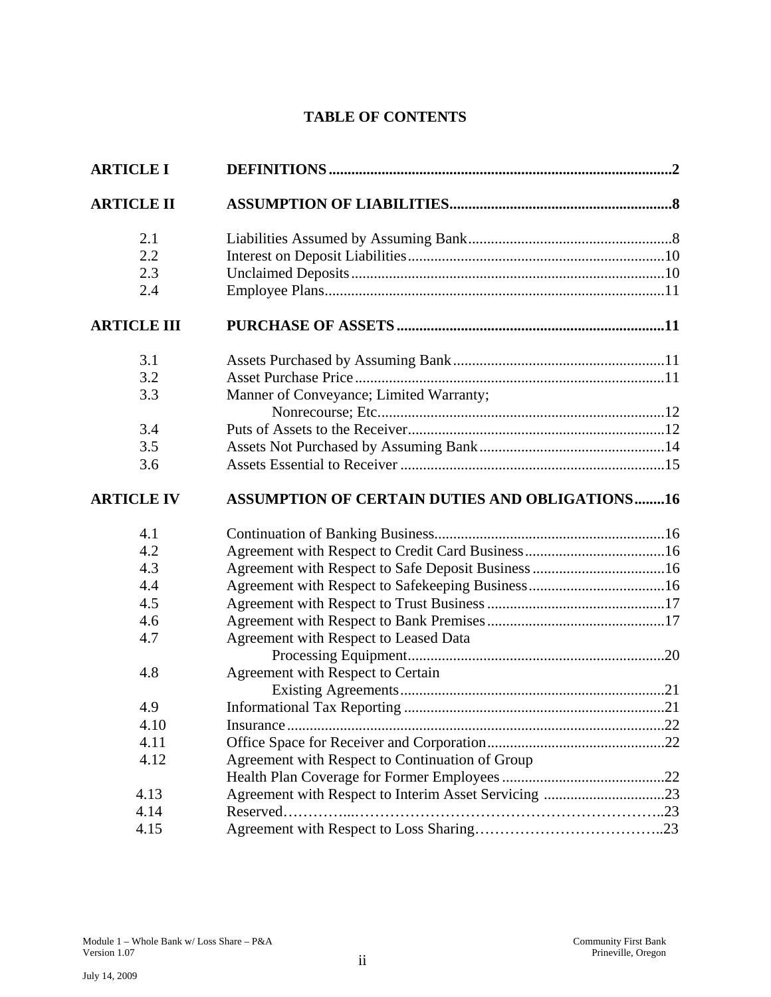## **TABLE OF CONTENTS**

| <b>ARTICLE I</b>   |                                                       |  |
|--------------------|-------------------------------------------------------|--|
| <b>ARTICLE II</b>  |                                                       |  |
| 2.1                |                                                       |  |
| 2.2                |                                                       |  |
| 2.3                |                                                       |  |
| 2.4                |                                                       |  |
| <b>ARTICLE III</b> |                                                       |  |
| 3.1                |                                                       |  |
| 3.2                |                                                       |  |
| 3.3                | Manner of Conveyance; Limited Warranty;               |  |
|                    |                                                       |  |
| 3.4                |                                                       |  |
| 3.5                |                                                       |  |
| 3.6                |                                                       |  |
| <b>ARTICLE IV</b>  | <b>ASSUMPTION OF CERTAIN DUTIES AND OBLIGATIONS16</b> |  |
| 4.1                |                                                       |  |
| 4.2                |                                                       |  |
| 4.3                |                                                       |  |
| 4.4                |                                                       |  |
| 4.5                |                                                       |  |
| 4.6                |                                                       |  |
| 4.7                | Agreement with Respect to Leased Data                 |  |
|                    |                                                       |  |
| 4.8                | Agreement with Respect to Certain                     |  |
|                    |                                                       |  |
| 4.9                |                                                       |  |
| 4.10               |                                                       |  |
| 4.11               |                                                       |  |
| 4.12               | Agreement with Respect to Continuation of Group       |  |
|                    |                                                       |  |
| 4.13               |                                                       |  |
| 4.14               |                                                       |  |
| 4.15               |                                                       |  |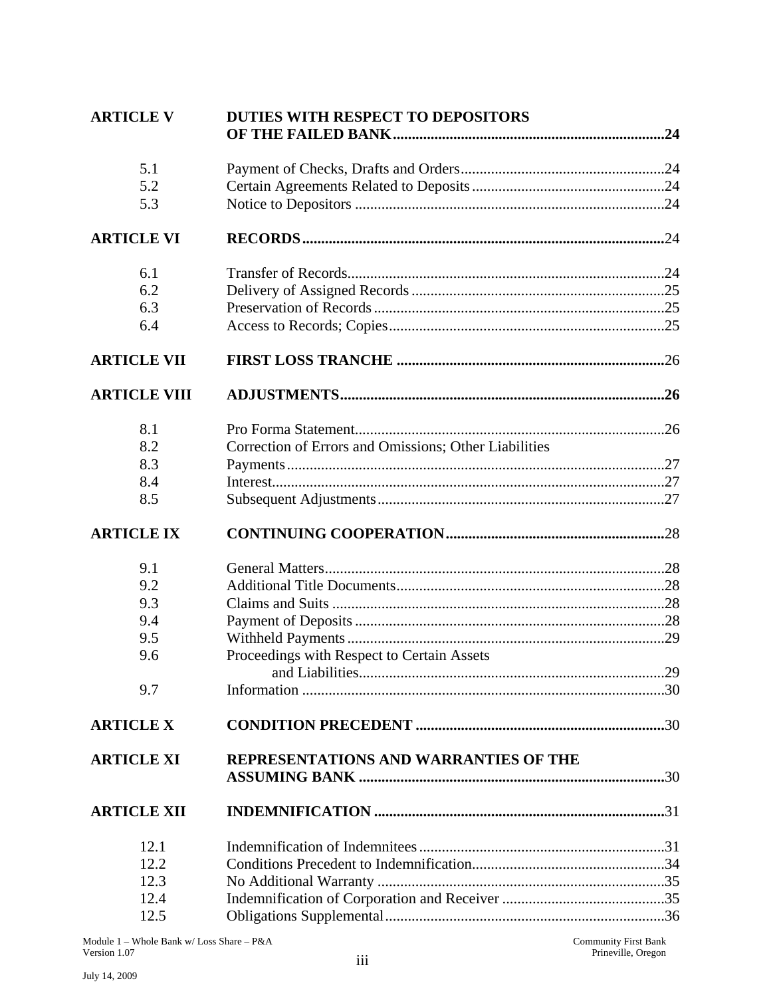| <b>ARTICLE V</b>    | DUTIES WITH RESPECT TO DEPOSITORS                     |  |  |
|---------------------|-------------------------------------------------------|--|--|
|                     |                                                       |  |  |
| 5.1                 |                                                       |  |  |
| 5.2                 |                                                       |  |  |
| 5.3                 |                                                       |  |  |
| <b>ARTICLE VI</b>   |                                                       |  |  |
| 6.1                 |                                                       |  |  |
| 6.2                 |                                                       |  |  |
| 6.3                 |                                                       |  |  |
| 6.4                 |                                                       |  |  |
| <b>ARTICLE VII</b>  |                                                       |  |  |
| <b>ARTICLE VIII</b> |                                                       |  |  |
| 8.1                 |                                                       |  |  |
| 8.2                 | Correction of Errors and Omissions; Other Liabilities |  |  |
| 8.3                 |                                                       |  |  |
| 8.4                 |                                                       |  |  |
| 8.5                 |                                                       |  |  |
| <b>ARTICLE IX</b>   |                                                       |  |  |
| 9.1                 |                                                       |  |  |
| 9.2                 |                                                       |  |  |
| 9.3                 |                                                       |  |  |
| 9.4                 |                                                       |  |  |
| 9.5                 |                                                       |  |  |
| 9.6                 | Proceedings with Respect to Certain Assets            |  |  |
|                     |                                                       |  |  |
| 9.7                 |                                                       |  |  |
| <b>ARTICLE X</b>    |                                                       |  |  |
| <b>ARTICLE XI</b>   | <b>REPRESENTATIONS AND WARRANTIES OF THE</b>          |  |  |
| <b>ARTICLE XII</b>  |                                                       |  |  |
| 12.1                |                                                       |  |  |
| 12.2                |                                                       |  |  |
| 12.3                |                                                       |  |  |
| 12.4                |                                                       |  |  |
| 12.5                |                                                       |  |  |
|                     |                                                       |  |  |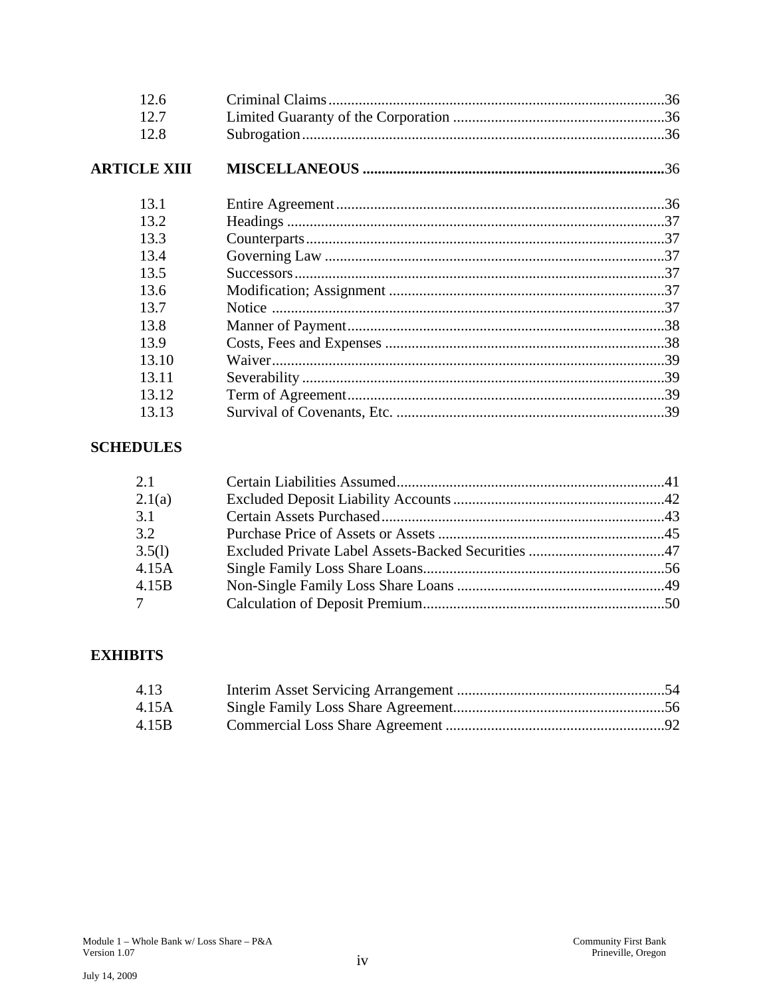| 12.6                |
|---------------------|
| 12.7                |
| 12.8                |
| <b>ARTICLE XIII</b> |
| 13.1                |
| 13.2                |
| 13.3                |
| 13.4                |
| 13.5                |
| 13.6                |
| 13.7                |
| 13.8                |
| 13.9                |
| 13.10               |
| 13.11               |
| 13.12               |
| 13.13               |
|                     |

### **SCHEDULES**

| 2.1    |  |
|--------|--|
| 2.1(a) |  |
| 3.1    |  |
| 3.2    |  |
| 3.5(l) |  |
| 4.15A  |  |
| 4.15B  |  |
| 7      |  |
|        |  |

# **EXHIBITS**

| 4.13  |  |
|-------|--|
| 4.15A |  |
| 4.15B |  |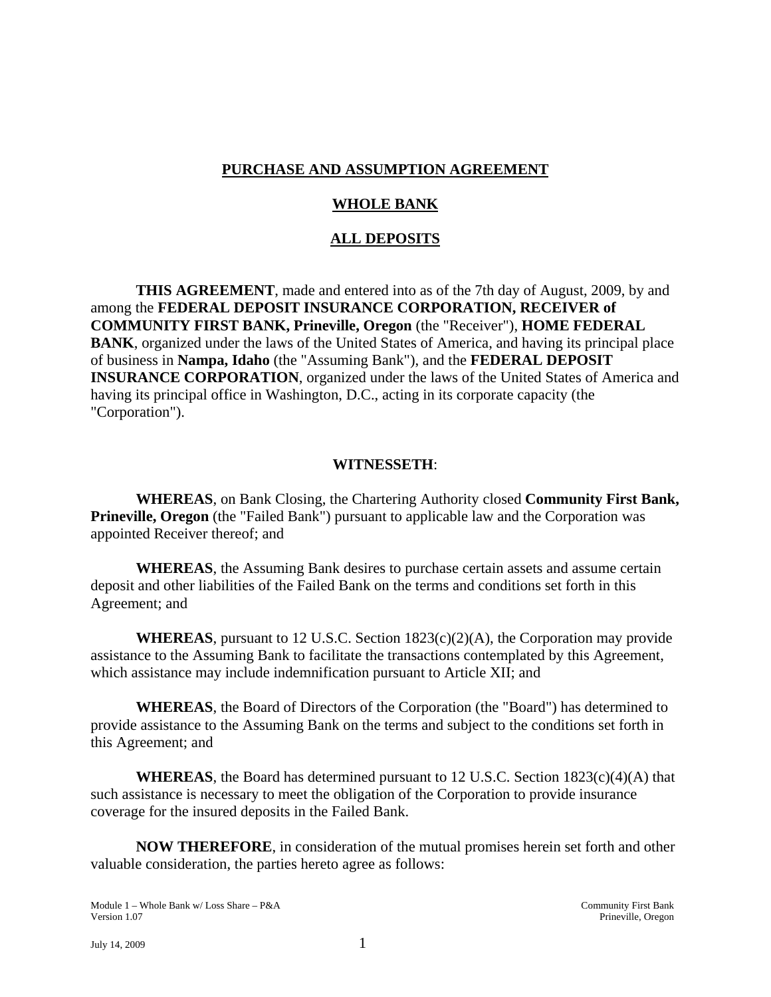#### **PURCHASE AND ASSUMPTION AGREEMENT**

#### **WHOLE BANK**

#### **ALL DEPOSITS**

 **THIS AGREEMENT**, made and entered into as of the 7th day of August, 2009, by and among the **FEDERAL DEPOSIT INSURANCE CORPORATION, RECEIVER of COMMUNITY FIRST BANK, Prineville, Oregon** (the "Receiver"), **HOME FEDERAL BANK**, organized under the laws of the United States of America, and having its principal place of business in **Nampa, Idaho** (the "Assuming Bank"), and the **FEDERAL DEPOSIT INSURANCE CORPORATION**, organized under the laws of the United States of America and having its principal office in Washington, D.C., acting in its corporate capacity (the "Corporation").

#### **WITNESSETH**:

**WHEREAS**, on Bank Closing, the Chartering Authority closed **Community First Bank, Prineville, Oregon** (the "Failed Bank") pursuant to applicable law and the Corporation was appointed Receiver thereof; and

**WHEREAS**, the Assuming Bank desires to purchase certain assets and assume certain deposit and other liabilities of the Failed Bank on the terms and conditions set forth in this Agreement; and

**WHEREAS**, pursuant to 12 U.S.C. Section 1823(c)(2)(A), the Corporation may provide assistance to the Assuming Bank to facilitate the transactions contemplated by this Agreement, which assistance may include indemnification pursuant to Article XII; and

**WHEREAS**, the Board of Directors of the Corporation (the "Board") has determined to provide assistance to the Assuming Bank on the terms and subject to the conditions set forth in this Agreement; and

**WHEREAS**, the Board has determined pursuant to 12 U.S.C. Section 1823(c)(4)(A) that such assistance is necessary to meet the obligation of the Corporation to provide insurance coverage for the insured deposits in the Failed Bank.

 **NOW THEREFORE**, in consideration of the mutual promises herein set forth and other valuable consideration, the parties hereto agree as follows: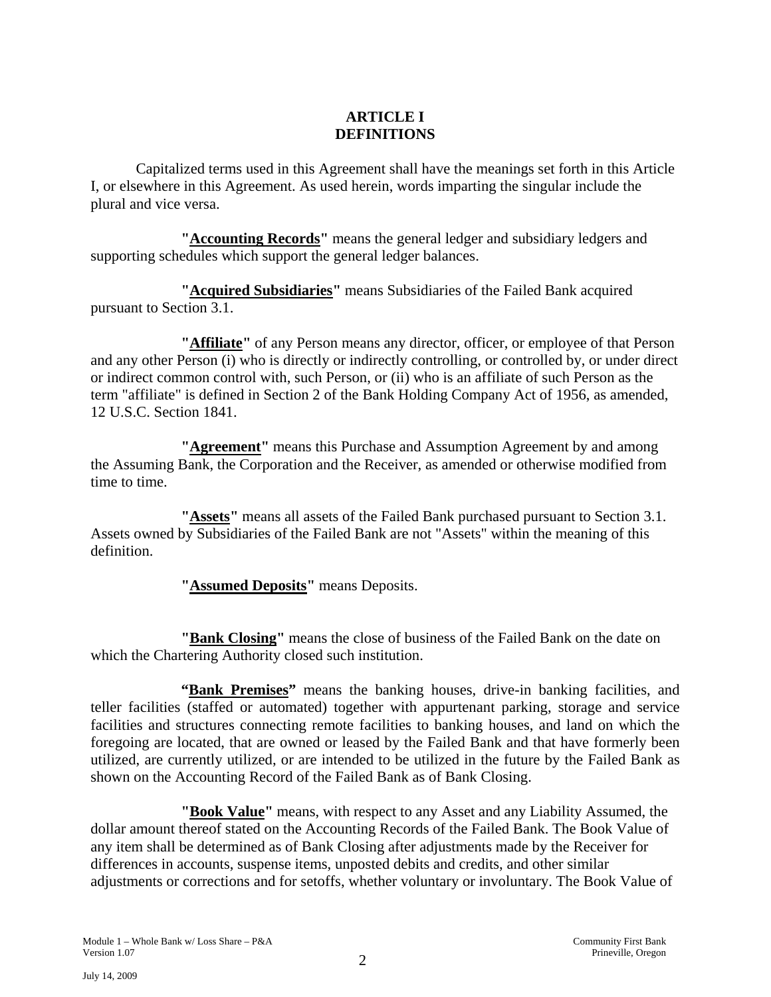## **ARTICLE I DEFINITIONS**

Capitalized terms used in this Agreement shall have the meanings set forth in this Article I, or elsewhere in this Agreement. As used herein, words imparting the singular include the plural and vice versa.

**"Accounting Records"** means the general ledger and subsidiary ledgers and supporting schedules which support the general ledger balances.

**"Acquired Subsidiaries"** means Subsidiaries of the Failed Bank acquired pursuant to Section 3.1.

**"Affiliate"** of any Person means any director, officer, or employee of that Person and any other Person (i) who is directly or indirectly controlling, or controlled by, or under direct or indirect common control with, such Person, or (ii) who is an affiliate of such Person as the term "affiliate" is defined in Section 2 of the Bank Holding Company Act of 1956, as amended, 12 U.S.C. Section 1841.

**"Agreement"** means this Purchase and Assumption Agreement by and among the Assuming Bank, the Corporation and the Receiver, as amended or otherwise modified from time to time.

**"Assets"** means all assets of the Failed Bank purchased pursuant to Section 3.1. Assets owned by Subsidiaries of the Failed Bank are not "Assets" within the meaning of this definition.

**"Assumed Deposits"** means Deposits.

**"Bank Closing"** means the close of business of the Failed Bank on the date on which the Chartering Authority closed such institution.

**"Bank Premises"** means the banking houses, drive-in banking facilities, and teller facilities (staffed or automated) together with appurtenant parking, storage and service facilities and structures connecting remote facilities to banking houses, and land on which the foregoing are located, that are owned or leased by the Failed Bank and that have formerly been utilized, are currently utilized, or are intended to be utilized in the future by the Failed Bank as shown on the Accounting Record of the Failed Bank as of Bank Closing.

**"Book Value"** means, with respect to any Asset and any Liability Assumed, the dollar amount thereof stated on the Accounting Records of the Failed Bank. The Book Value of any item shall be determined as of Bank Closing after adjustments made by the Receiver for differences in accounts, suspense items, unposted debits and credits, and other similar adjustments or corrections and for setoffs, whether voluntary or involuntary. The Book Value of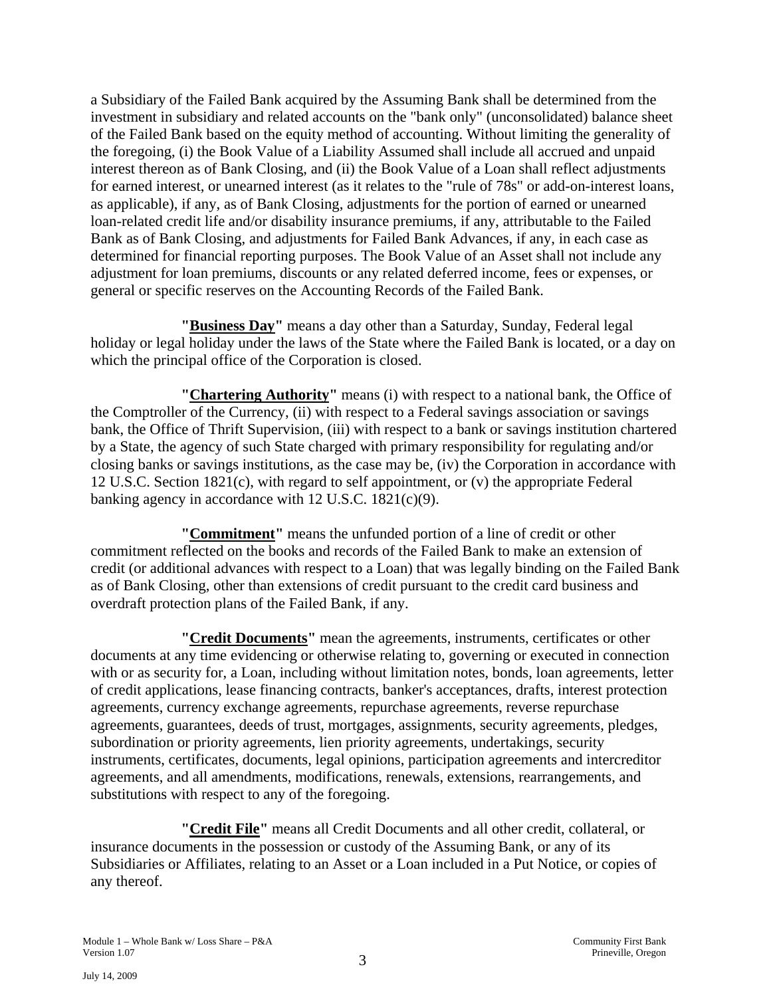a Subsidiary of the Failed Bank acquired by the Assuming Bank shall be determined from the investment in subsidiary and related accounts on the "bank only" (unconsolidated) balance sheet of the Failed Bank based on the equity method of accounting. Without limiting the generality of the foregoing, (i) the Book Value of a Liability Assumed shall include all accrued and unpaid interest thereon as of Bank Closing, and (ii) the Book Value of a Loan shall reflect adjustments for earned interest, or unearned interest (as it relates to the "rule of 78s" or add-on-interest loans, as applicable), if any, as of Bank Closing, adjustments for the portion of earned or unearned loan-related credit life and/or disability insurance premiums, if any, attributable to the Failed Bank as of Bank Closing, and adjustments for Failed Bank Advances, if any, in each case as determined for financial reporting purposes. The Book Value of an Asset shall not include any adjustment for loan premiums, discounts or any related deferred income, fees or expenses, or general or specific reserves on the Accounting Records of the Failed Bank.

**"Business Day"** means a day other than a Saturday, Sunday, Federal legal holiday or legal holiday under the laws of the State where the Failed Bank is located, or a day on which the principal office of the Corporation is closed.

**"Chartering Authority"** means (i) with respect to a national bank, the Office of the Comptroller of the Currency, (ii) with respect to a Federal savings association or savings bank, the Office of Thrift Supervision, (iii) with respect to a bank or savings institution chartered by a State, the agency of such State charged with primary responsibility for regulating and/or closing banks or savings institutions, as the case may be, (iv) the Corporation in accordance with 12 U.S.C. Section 1821(c), with regard to self appointment, or (v) the appropriate Federal banking agency in accordance with 12 U.S.C. 1821(c)(9).

**"Commitment"** means the unfunded portion of a line of credit or other commitment reflected on the books and records of the Failed Bank to make an extension of credit (or additional advances with respect to a Loan) that was legally binding on the Failed Bank as of Bank Closing, other than extensions of credit pursuant to the credit card business and overdraft protection plans of the Failed Bank, if any.

**"Credit Documents"** mean the agreements, instruments, certificates or other documents at any time evidencing or otherwise relating to, governing or executed in connection with or as security for, a Loan, including without limitation notes, bonds, loan agreements, letter of credit applications, lease financing contracts, banker's acceptances, drafts, interest protection agreements, currency exchange agreements, repurchase agreements, reverse repurchase agreements, guarantees, deeds of trust, mortgages, assignments, security agreements, pledges, subordination or priority agreements, lien priority agreements, undertakings, security instruments, certificates, documents, legal opinions, participation agreements and intercreditor agreements, and all amendments, modifications, renewals, extensions, rearrangements, and substitutions with respect to any of the foregoing.

**"Credit File"** means all Credit Documents and all other credit, collateral, or insurance documents in the possession or custody of the Assuming Bank, or any of its Subsidiaries or Affiliates, relating to an Asset or a Loan included in a Put Notice, or copies of any thereof.

July 14, 2009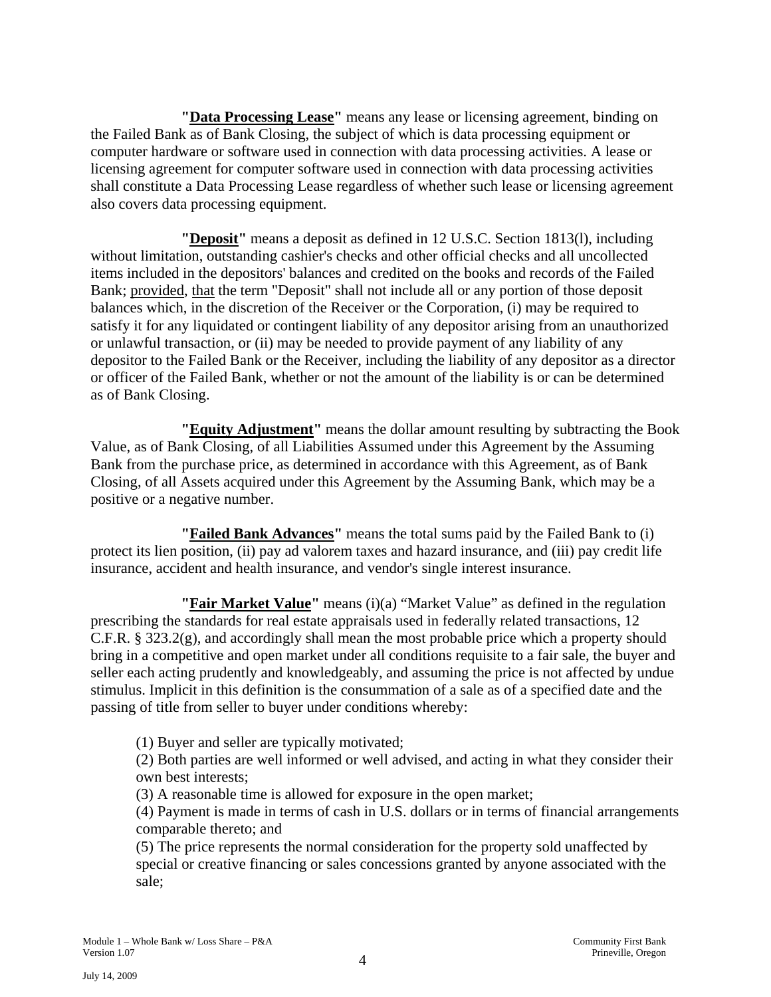**"Data Processing Lease"** means any lease or licensing agreement, binding on the Failed Bank as of Bank Closing, the subject of which is data processing equipment or computer hardware or software used in connection with data processing activities. A lease or licensing agreement for computer software used in connection with data processing activities shall constitute a Data Processing Lease regardless of whether such lease or licensing agreement also covers data processing equipment.

**"Deposit"** means a deposit as defined in 12 U.S.C. Section 1813(l), including without limitation, outstanding cashier's checks and other official checks and all uncollected items included in the depositors' balances and credited on the books and records of the Failed Bank; provided, that the term "Deposit" shall not include all or any portion of those deposit balances which, in the discretion of the Receiver or the Corporation, (i) may be required to satisfy it for any liquidated or contingent liability of any depositor arising from an unauthorized or unlawful transaction, or (ii) may be needed to provide payment of any liability of any depositor to the Failed Bank or the Receiver, including the liability of any depositor as a director or officer of the Failed Bank, whether or not the amount of the liability is or can be determined as of Bank Closing.

**"Equity Adjustment"** means the dollar amount resulting by subtracting the Book Value, as of Bank Closing, of all Liabilities Assumed under this Agreement by the Assuming Bank from the purchase price, as determined in accordance with this Agreement, as of Bank Closing, of all Assets acquired under this Agreement by the Assuming Bank, which may be a positive or a negative number.

**"Failed Bank Advances"** means the total sums paid by the Failed Bank to (i) protect its lien position, (ii) pay ad valorem taxes and hazard insurance, and (iii) pay credit life insurance, accident and health insurance, and vendor's single interest insurance.

**"Fair Market Value"** means (i)(a) "Market Value" as defined in the regulation prescribing the standards for real estate appraisals used in federally related transactions, 12 C.F.R. § 323.2(g), and accordingly shall mean the most probable price which a property should bring in a competitive and open market under all conditions requisite to a fair sale, the buyer and seller each acting prudently and knowledgeably, and assuming the price is not affected by undue stimulus. Implicit in this definition is the consummation of a sale as of a specified date and the passing of title from seller to buyer under conditions whereby:

(1) Buyer and seller are typically motivated;

(2) Both parties are well informed or well advised, and acting in what they consider their own best interests;

(3) A reasonable time is allowed for exposure in the open market;

(4) Payment is made in terms of cash in U.S. dollars or in terms of financial arrangements comparable thereto; and

(5) The price represents the normal consideration for the property sold unaffected by special or creative financing or sales concessions granted by anyone associated with the sale;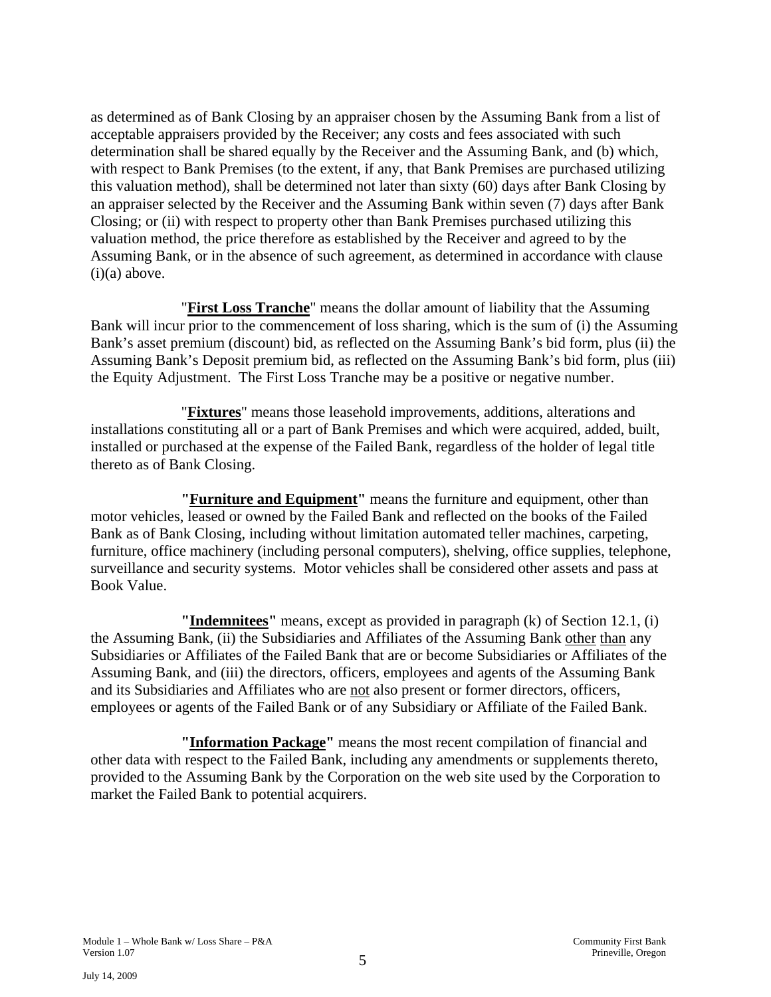as determined as of Bank Closing by an appraiser chosen by the Assuming Bank from a list of acceptable appraisers provided by the Receiver; any costs and fees associated with such determination shall be shared equally by the Receiver and the Assuming Bank, and (b) which, with respect to Bank Premises (to the extent, if any, that Bank Premises are purchased utilizing this valuation method), shall be determined not later than sixty (60) days after Bank Closing by an appraiser selected by the Receiver and the Assuming Bank within seven (7) days after Bank Closing; or (ii) with respect to property other than Bank Premises purchased utilizing this valuation method, the price therefore as established by the Receiver and agreed to by the Assuming Bank, or in the absence of such agreement, as determined in accordance with clause  $(i)(a)$  above.

"**First Loss Tranche**" means the dollar amount of liability that the Assuming Bank will incur prior to the commencement of loss sharing, which is the sum of (i) the Assuming Bank's asset premium (discount) bid, as reflected on the Assuming Bank's bid form, plus (ii) the Assuming Bank's Deposit premium bid, as reflected on the Assuming Bank's bid form, plus (iii) the Equity Adjustment. The First Loss Tranche may be a positive or negative number.

"**Fixtures**" means those leasehold improvements, additions, alterations and installations constituting all or a part of Bank Premises and which were acquired, added, built, installed or purchased at the expense of the Failed Bank, regardless of the holder of legal title thereto as of Bank Closing.

**"Furniture and Equipment"** means the furniture and equipment, other than motor vehicles, leased or owned by the Failed Bank and reflected on the books of the Failed Bank as of Bank Closing, including without limitation automated teller machines, carpeting, furniture, office machinery (including personal computers), shelving, office supplies, telephone, surveillance and security systems. Motor vehicles shall be considered other assets and pass at Book Value.

**"Indemnitees"** means, except as provided in paragraph (k) of Section 12.1, (i) the Assuming Bank, (ii) the Subsidiaries and Affiliates of the Assuming Bank other than any Subsidiaries or Affiliates of the Failed Bank that are or become Subsidiaries or Affiliates of the Assuming Bank, and (iii) the directors, officers, employees and agents of the Assuming Bank and its Subsidiaries and Affiliates who are not also present or former directors, officers, employees or agents of the Failed Bank or of any Subsidiary or Affiliate of the Failed Bank.

**"Information Package"** means the most recent compilation of financial and other data with respect to the Failed Bank, including any amendments or supplements thereto, provided to the Assuming Bank by the Corporation on the web site used by the Corporation to market the Failed Bank to potential acquirers.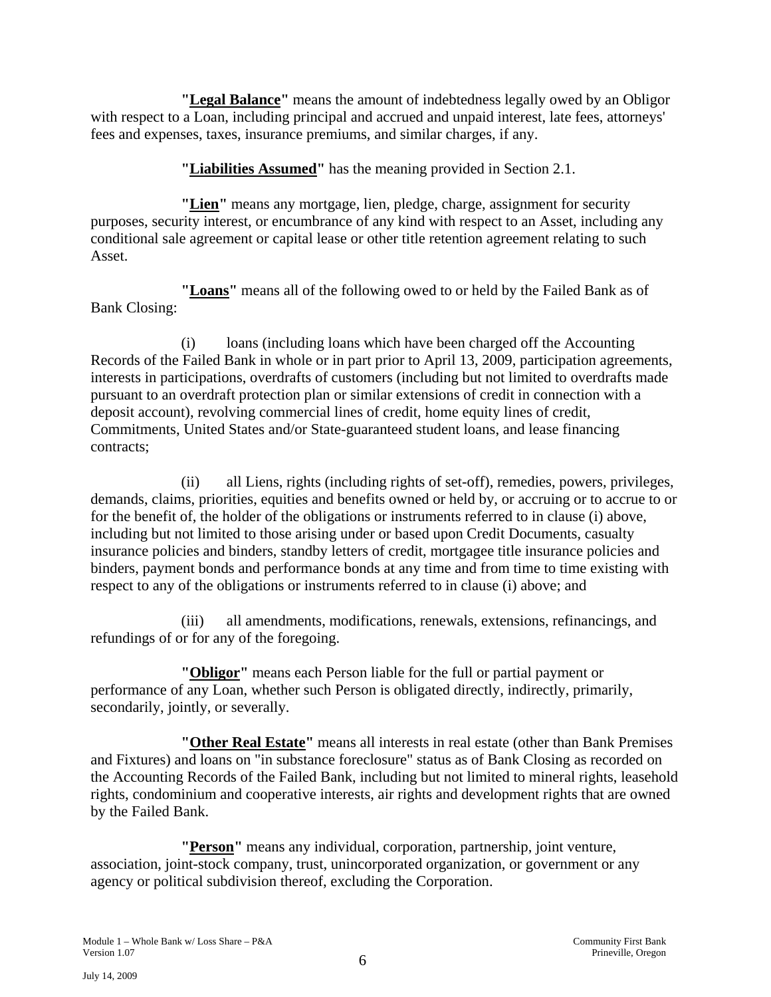**"Legal Balance"** means the amount of indebtedness legally owed by an Obligor with respect to a Loan, including principal and accrued and unpaid interest, late fees, attorneys' fees and expenses, taxes, insurance premiums, and similar charges, if any.

**"Liabilities Assumed"** has the meaning provided in Section 2.1.

**"Lien"** means any mortgage, lien, pledge, charge, assignment for security purposes, security interest, or encumbrance of any kind with respect to an Asset, including any conditional sale agreement or capital lease or other title retention agreement relating to such Asset.

**"Loans"** means all of the following owed to or held by the Failed Bank as of Bank Closing:

(i) loans (including loans which have been charged off the Accounting Records of the Failed Bank in whole or in part prior to April 13, 2009, participation agreements, interests in participations, overdrafts of customers (including but not limited to overdrafts made pursuant to an overdraft protection plan or similar extensions of credit in connection with a deposit account), revolving commercial lines of credit, home equity lines of credit, Commitments, United States and/or State-guaranteed student loans, and lease financing contracts;

(ii) all Liens, rights (including rights of set-off), remedies, powers, privileges, demands, claims, priorities, equities and benefits owned or held by, or accruing or to accrue to or for the benefit of, the holder of the obligations or instruments referred to in clause (i) above, including but not limited to those arising under or based upon Credit Documents, casualty insurance policies and binders, standby letters of credit, mortgagee title insurance policies and binders, payment bonds and performance bonds at any time and from time to time existing with respect to any of the obligations or instruments referred to in clause (i) above; and

(iii) all amendments, modifications, renewals, extensions, refinancings, and refundings of or for any of the foregoing.

**"Obligor"** means each Person liable for the full or partial payment or performance of any Loan, whether such Person is obligated directly, indirectly, primarily, secondarily, jointly, or severally.

**"Other Real Estate"** means all interests in real estate (other than Bank Premises and Fixtures) and loans on "in substance foreclosure" status as of Bank Closing as recorded on the Accounting Records of the Failed Bank, including but not limited to mineral rights, leasehold rights, condominium and cooperative interests, air rights and development rights that are owned by the Failed Bank.

**"Person"** means any individual, corporation, partnership, joint venture, association, joint-stock company, trust, unincorporated organization, or government or any agency or political subdivision thereof, excluding the Corporation.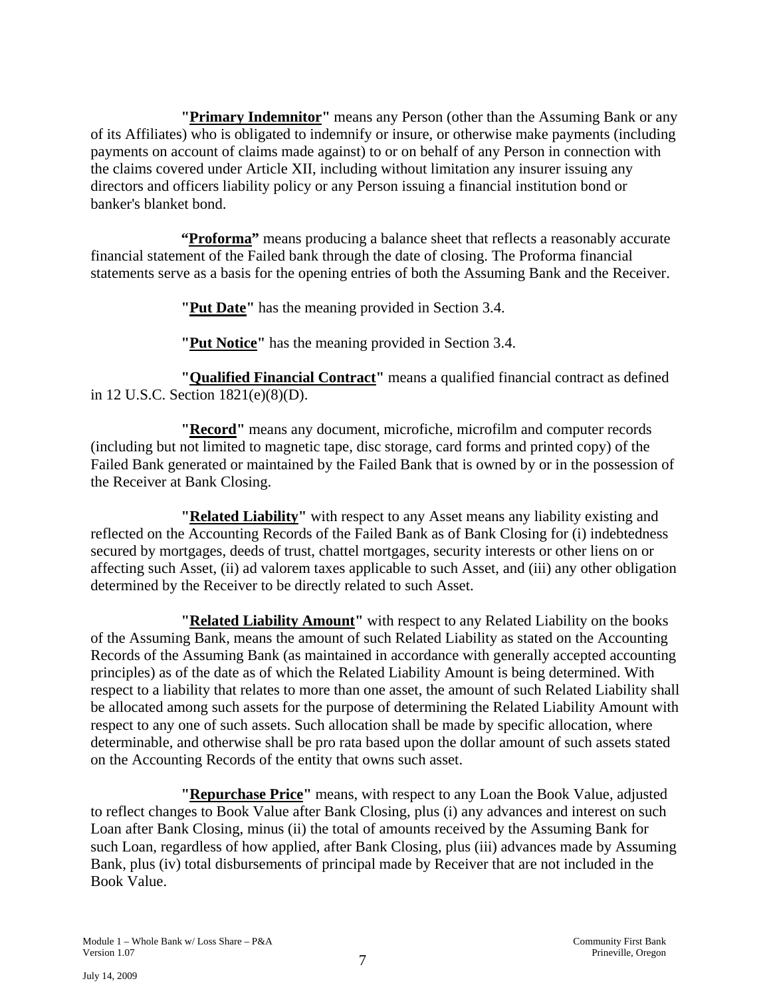**"Primary Indemnitor"** means any Person (other than the Assuming Bank or any of its Affiliates) who is obligated to indemnify or insure, or otherwise make payments (including payments on account of claims made against) to or on behalf of any Person in connection with the claims covered under Article XII, including without limitation any insurer issuing any directors and officers liability policy or any Person issuing a financial institution bond or banker's blanket bond.

**"Proforma"** means producing a balance sheet that reflects a reasonably accurate financial statement of the Failed bank through the date of closing. The Proforma financial statements serve as a basis for the opening entries of both the Assuming Bank and the Receiver.

**"Put Date"** has the meaning provided in Section 3.4.

**"Put Notice"** has the meaning provided in Section 3.4.

**"Qualified Financial Contract"** means a qualified financial contract as defined in 12 U.S.C. Section 1821(e)(8)(D).

**"Record"** means any document, microfiche, microfilm and computer records (including but not limited to magnetic tape, disc storage, card forms and printed copy) of the Failed Bank generated or maintained by the Failed Bank that is owned by or in the possession of the Receiver at Bank Closing.

**"Related Liability"** with respect to any Asset means any liability existing and reflected on the Accounting Records of the Failed Bank as of Bank Closing for (i) indebtedness secured by mortgages, deeds of trust, chattel mortgages, security interests or other liens on or affecting such Asset, (ii) ad valorem taxes applicable to such Asset, and (iii) any other obligation determined by the Receiver to be directly related to such Asset.

**"Related Liability Amount"** with respect to any Related Liability on the books of the Assuming Bank, means the amount of such Related Liability as stated on the Accounting Records of the Assuming Bank (as maintained in accordance with generally accepted accounting principles) as of the date as of which the Related Liability Amount is being determined. With respect to a liability that relates to more than one asset, the amount of such Related Liability shall be allocated among such assets for the purpose of determining the Related Liability Amount with respect to any one of such assets. Such allocation shall be made by specific allocation, where determinable, and otherwise shall be pro rata based upon the dollar amount of such assets stated on the Accounting Records of the entity that owns such asset.

 **"Repurchase Price"** means, with respect to any Loan the Book Value, adjusted to reflect changes to Book Value after Bank Closing, plus (i) any advances and interest on such Loan after Bank Closing, minus (ii) the total of amounts received by the Assuming Bank for such Loan, regardless of how applied, after Bank Closing, plus (iii) advances made by Assuming Bank, plus (iv) total disbursements of principal made by Receiver that are not included in the Book Value.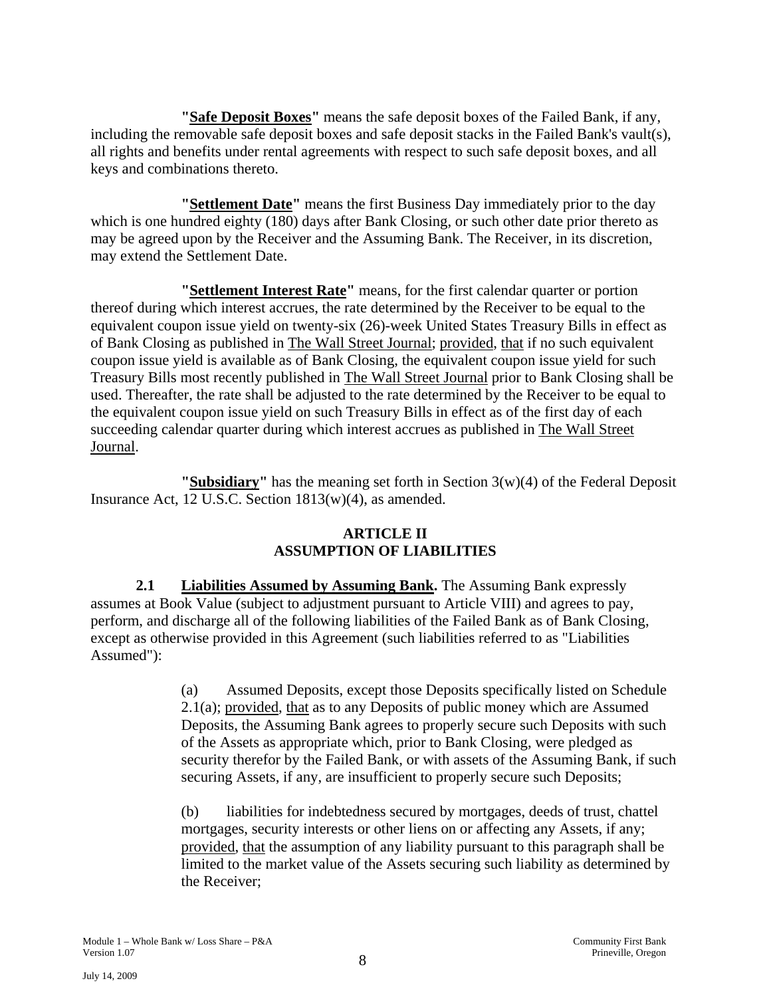**"Safe Deposit Boxes"** means the safe deposit boxes of the Failed Bank, if any, including the removable safe deposit boxes and safe deposit stacks in the Failed Bank's vault(s), all rights and benefits under rental agreements with respect to such safe deposit boxes, and all keys and combinations thereto.

**"Settlement Date"** means the first Business Day immediately prior to the day which is one hundred eighty (180) days after Bank Closing, or such other date prior thereto as may be agreed upon by the Receiver and the Assuming Bank. The Receiver, in its discretion, may extend the Settlement Date.

**"Settlement Interest Rate"** means, for the first calendar quarter or portion thereof during which interest accrues, the rate determined by the Receiver to be equal to the equivalent coupon issue yield on twenty-six (26)-week United States Treasury Bills in effect as of Bank Closing as published in The Wall Street Journal; provided, that if no such equivalent coupon issue yield is available as of Bank Closing, the equivalent coupon issue yield for such Treasury Bills most recently published in The Wall Street Journal prior to Bank Closing shall be used. Thereafter, the rate shall be adjusted to the rate determined by the Receiver to be equal to the equivalent coupon issue yield on such Treasury Bills in effect as of the first day of each succeeding calendar quarter during which interest accrues as published in The Wall Street Journal.

**"Subsidiary"** has the meaning set forth in Section 3(w)(4) of the Federal Deposit Insurance Act, 12 U.S.C. Section 1813(w)(4), as amended.

### **ARTICLE II ASSUMPTION OF LIABILITIES**

**2.1** Liabilities Assumed by Assuming Bank. The Assuming Bank expressly assumes at Book Value (subject to adjustment pursuant to Article VIII) and agrees to pay, perform, and discharge all of the following liabilities of the Failed Bank as of Bank Closing, except as otherwise provided in this Agreement (such liabilities referred to as "Liabilities Assumed"):

> (a) Assumed Deposits, except those Deposits specifically listed on Schedule 2.1(a); provided, that as to any Deposits of public money which are Assumed Deposits, the Assuming Bank agrees to properly secure such Deposits with such of the Assets as appropriate which, prior to Bank Closing, were pledged as security therefor by the Failed Bank, or with assets of the Assuming Bank, if such securing Assets, if any, are insufficient to properly secure such Deposits;

(b) liabilities for indebtedness secured by mortgages, deeds of trust, chattel mortgages, security interests or other liens on or affecting any Assets, if any; provided, that the assumption of any liability pursuant to this paragraph shall be limited to the market value of the Assets securing such liability as determined by the Receiver;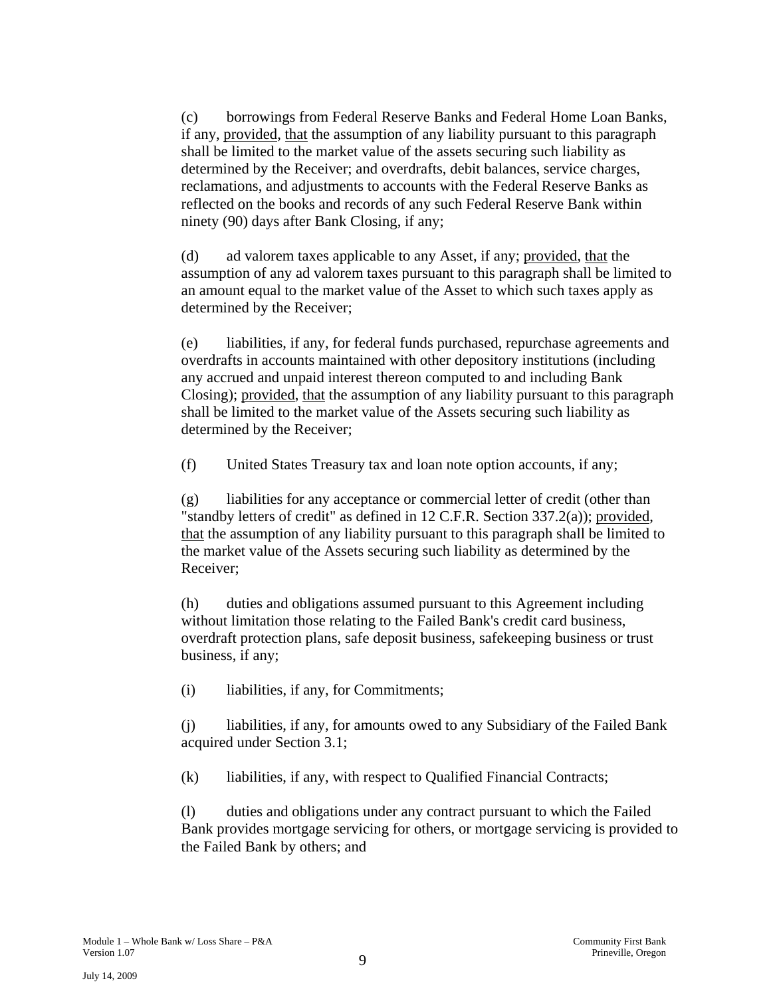(c) borrowings from Federal Reserve Banks and Federal Home Loan Banks, if any, provided, that the assumption of any liability pursuant to this paragraph shall be limited to the market value of the assets securing such liability as determined by the Receiver; and overdrafts, debit balances, service charges, reclamations, and adjustments to accounts with the Federal Reserve Banks as reflected on the books and records of any such Federal Reserve Bank within ninety (90) days after Bank Closing, if any;

(d) ad valorem taxes applicable to any Asset, if any; provided, that the assumption of any ad valorem taxes pursuant to this paragraph shall be limited to an amount equal to the market value of the Asset to which such taxes apply as determined by the Receiver;

(e) liabilities, if any, for federal funds purchased, repurchase agreements and overdrafts in accounts maintained with other depository institutions (including any accrued and unpaid interest thereon computed to and including Bank Closing); provided, that the assumption of any liability pursuant to this paragraph shall be limited to the market value of the Assets securing such liability as determined by the Receiver;

(f) United States Treasury tax and loan note option accounts, if any;

(g) liabilities for any acceptance or commercial letter of credit (other than "standby letters of credit" as defined in 12 C.F.R. Section 337.2(a)); provided, that the assumption of any liability pursuant to this paragraph shall be limited to the market value of the Assets securing such liability as determined by the Receiver;

(h) duties and obligations assumed pursuant to this Agreement including without limitation those relating to the Failed Bank's credit card business, overdraft protection plans, safe deposit business, safekeeping business or trust business, if any;

(i) liabilities, if any, for Commitments;

(j) liabilities, if any, for amounts owed to any Subsidiary of the Failed Bank acquired under Section 3.1;

(k) liabilities, if any, with respect to Qualified Financial Contracts;

(l) duties and obligations under any contract pursuant to which the Failed Bank provides mortgage servicing for others, or mortgage servicing is provided to the Failed Bank by others; and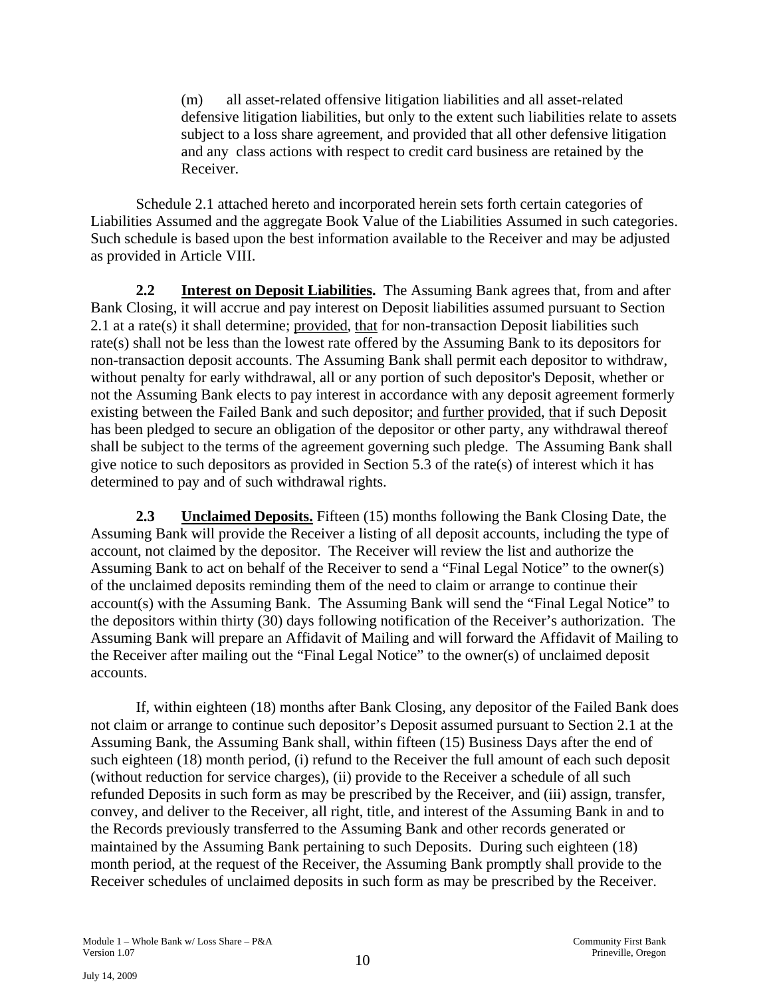(m) all asset-related offensive litigation liabilities and all asset-related defensive litigation liabilities, but only to the extent such liabilities relate to assets subject to a loss share agreement, and provided that all other defensive litigation and any class actions with respect to credit card business are retained by the Receiver.

Schedule 2.1 attached hereto and incorporated herein sets forth certain categories of Liabilities Assumed and the aggregate Book Value of the Liabilities Assumed in such categories. Such schedule is based upon the best information available to the Receiver and may be adjusted as provided in Article VIII.

**2.2 Interest on Deposit Liabilities.** The Assuming Bank agrees that, from and after Bank Closing, it will accrue and pay interest on Deposit liabilities assumed pursuant to Section 2.1 at a rate(s) it shall determine; provided, that for non-transaction Deposit liabilities such rate(s) shall not be less than the lowest rate offered by the Assuming Bank to its depositors for non-transaction deposit accounts. The Assuming Bank shall permit each depositor to withdraw, without penalty for early withdrawal, all or any portion of such depositor's Deposit, whether or not the Assuming Bank elects to pay interest in accordance with any deposit agreement formerly existing between the Failed Bank and such depositor; and further provided, that if such Deposit has been pledged to secure an obligation of the depositor or other party, any withdrawal thereof shall be subject to the terms of the agreement governing such pledge. The Assuming Bank shall give notice to such depositors as provided in Section 5.3 of the rate(s) of interest which it has determined to pay and of such withdrawal rights.

**2.3 Unclaimed Deposits.** Fifteen (15) months following the Bank Closing Date, the Assuming Bank will provide the Receiver a listing of all deposit accounts, including the type of account, not claimed by the depositor. The Receiver will review the list and authorize the Assuming Bank to act on behalf of the Receiver to send a "Final Legal Notice" to the owner(s) of the unclaimed deposits reminding them of the need to claim or arrange to continue their account(s) with the Assuming Bank. The Assuming Bank will send the "Final Legal Notice" to the depositors within thirty (30) days following notification of the Receiver's authorization. The Assuming Bank will prepare an Affidavit of Mailing and will forward the Affidavit of Mailing to the Receiver after mailing out the "Final Legal Notice" to the owner(s) of unclaimed deposit accounts.

If, within eighteen (18) months after Bank Closing, any depositor of the Failed Bank does not claim or arrange to continue such depositor's Deposit assumed pursuant to Section 2.1 at the Assuming Bank, the Assuming Bank shall, within fifteen (15) Business Days after the end of such eighteen (18) month period, (i) refund to the Receiver the full amount of each such deposit (without reduction for service charges), (ii) provide to the Receiver a schedule of all such refunded Deposits in such form as may be prescribed by the Receiver, and (iii) assign, transfer, convey, and deliver to the Receiver, all right, title, and interest of the Assuming Bank in and to the Records previously transferred to the Assuming Bank and other records generated or maintained by the Assuming Bank pertaining to such Deposits. During such eighteen (18) month period, at the request of the Receiver, the Assuming Bank promptly shall provide to the Receiver schedules of unclaimed deposits in such form as may be prescribed by the Receiver.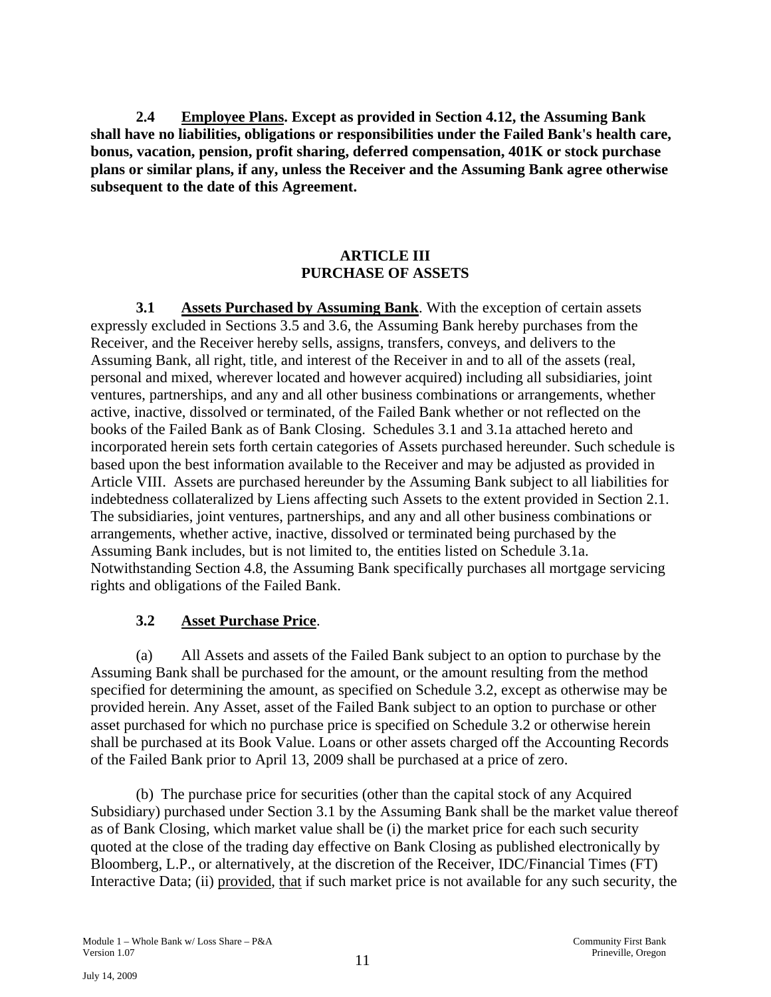**2.4 Employee Plans. Except as provided in Section 4.12, the Assuming Bank shall have no liabilities, obligations or responsibilities under the Failed Bank's health care, bonus, vacation, pension, profit sharing, deferred compensation, 401K or stock purchase plans or similar plans, if any, unless the Receiver and the Assuming Bank agree otherwise subsequent to the date of this Agreement.** 

## **ARTICLE III PURCHASE OF ASSETS**

Assuming Bank includes, but is not limited to, the entities listed on Schedule 3.1a.  **3.1 Assets Purchased by Assuming Bank**. With the exception of certain assets expressly excluded in Sections 3.5 and 3.6, the Assuming Bank hereby purchases from the Receiver, and the Receiver hereby sells, assigns, transfers, conveys, and delivers to the Assuming Bank, all right, title, and interest of the Receiver in and to all of the assets (real, personal and mixed, wherever located and however acquired) including all subsidiaries, joint ventures, partnerships, and any and all other business combinations or arrangements, whether active, inactive, dissolved or terminated, of the Failed Bank whether or not reflected on the books of the Failed Bank as of Bank Closing. Schedules 3.1 and 3.1a attached hereto and incorporated herein sets forth certain categories of Assets purchased hereunder. Such schedule is based upon the best information available to the Receiver and may be adjusted as provided in Article VIII. Assets are purchased hereunder by the Assuming Bank subject to all liabilities for indebtedness collateralized by Liens affecting such Assets to the extent provided in Section 2.1. The subsidiaries, joint ventures, partnerships, and any and all other business combinations or arrangements, whether active, inactive, dissolved or terminated being purchased by the Notwithstanding Section 4.8, the Assuming Bank specifically purchases all mortgage servicing rights and obligations of the Failed Bank.

## **3.2 Asset Purchase Price**.

(a) All Assets and assets of the Failed Bank subject to an option to purchase by the Assuming Bank shall be purchased for the amount, or the amount resulting from the method specified for determining the amount, as specified on Schedule 3.2, except as otherwise may be provided herein. Any Asset, asset of the Failed Bank subject to an option to purchase or other asset purchased for which no purchase price is specified on Schedule 3.2 or otherwise herein shall be purchased at its Book Value. Loans or other assets charged off the Accounting Records of the Failed Bank prior to April 13, 2009 shall be purchased at a price of zero.

(b) The purchase price for securities (other than the capital stock of any Acquired Subsidiary) purchased under Section 3.1 by the Assuming Bank shall be the market value thereof as of Bank Closing, which market value shall be (i) the market price for each such security quoted at the close of the trading day effective on Bank Closing as published electronically by Bloomberg, L.P., or alternatively, at the discretion of the Receiver, IDC/Financial Times (FT) Interactive Data; (ii) provided, that if such market price is not available for any such security, the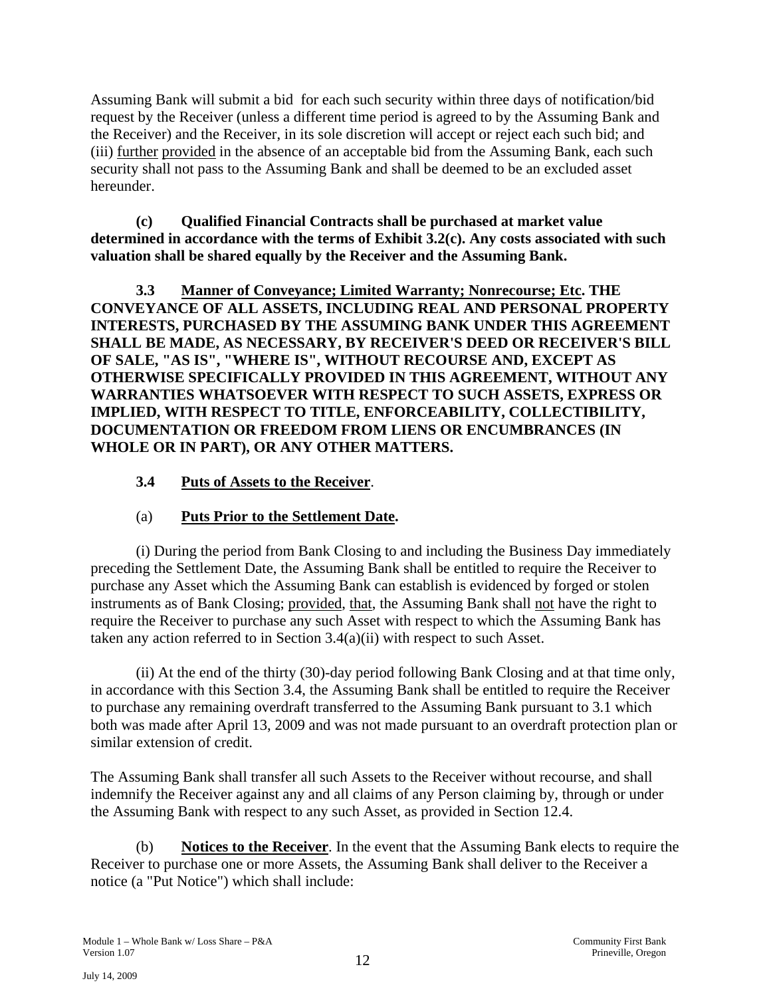Assuming Bank will submit a bid for each such security within three days of notification/bid request by the Receiver (unless a different time period is agreed to by the Assuming Bank and the Receiver) and the Receiver, in its sole discretion will accept or reject each such bid; and (iii) further provided in the absence of an acceptable bid from the Assuming Bank, each such security shall not pass to the Assuming Bank and shall be deemed to be an excluded asset hereunder.

**(c) Qualified Financial Contracts shall be purchased at market value determined in accordance with the terms of Exhibit 3.2(c). Any costs associated with such valuation shall be shared equally by the Receiver and the Assuming Bank.** 

**3.3 Manner of Conveyance; Limited Warranty; Nonrecourse; Etc. THE CONVEYANCE OF ALL ASSETS, INCLUDING REAL AND PERSONAL PROPERTY INTERESTS, PURCHASED BY THE ASSUMING BANK UNDER THIS AGREEMENT SHALL BE MADE, AS NECESSARY, BY RECEIVER'S DEED OR RECEIVER'S BILL OF SALE, "AS IS", "WHERE IS", WITHOUT RECOURSE AND, EXCEPT AS OTHERWISE SPECIFICALLY PROVIDED IN THIS AGREEMENT, WITHOUT ANY WARRANTIES WHATSOEVER WITH RESPECT TO SUCH ASSETS, EXPRESS OR IMPLIED, WITH RESPECT TO TITLE, ENFORCEABILITY, COLLECTIBILITY, DOCUMENTATION OR FREEDOM FROM LIENS OR ENCUMBRANCES (IN WHOLE OR IN PART), OR ANY OTHER MATTERS.** 

### **3.4 Puts of Assets to the Receiver**.

## (a) **Puts Prior to the Settlement Date.**

(i) During the period from Bank Closing to and including the Business Day immediately preceding the Settlement Date, the Assuming Bank shall be entitled to require the Receiver to purchase any Asset which the Assuming Bank can establish is evidenced by forged or stolen instruments as of Bank Closing; provided, that, the Assuming Bank shall not have the right to require the Receiver to purchase any such Asset with respect to which the Assuming Bank has taken any action referred to in Section 3.4(a)(ii) with respect to such Asset.

(ii) At the end of the thirty (30)-day period following Bank Closing and at that time only, in accordance with this Section 3.4, the Assuming Bank shall be entitled to require the Receiver to purchase any remaining overdraft transferred to the Assuming Bank pursuant to 3.1 which both was made after April 13, 2009 and was not made pursuant to an overdraft protection plan or similar extension of credit.

The Assuming Bank shall transfer all such Assets to the Receiver without recourse, and shall indemnify the Receiver against any and all claims of any Person claiming by, through or under the Assuming Bank with respect to any such Asset, as provided in Section 12.4.

(b) **Notices to the Receiver**. In the event that the Assuming Bank elects to require the Receiver to purchase one or more Assets, the Assuming Bank shall deliver to the Receiver a notice (a "Put Notice") which shall include: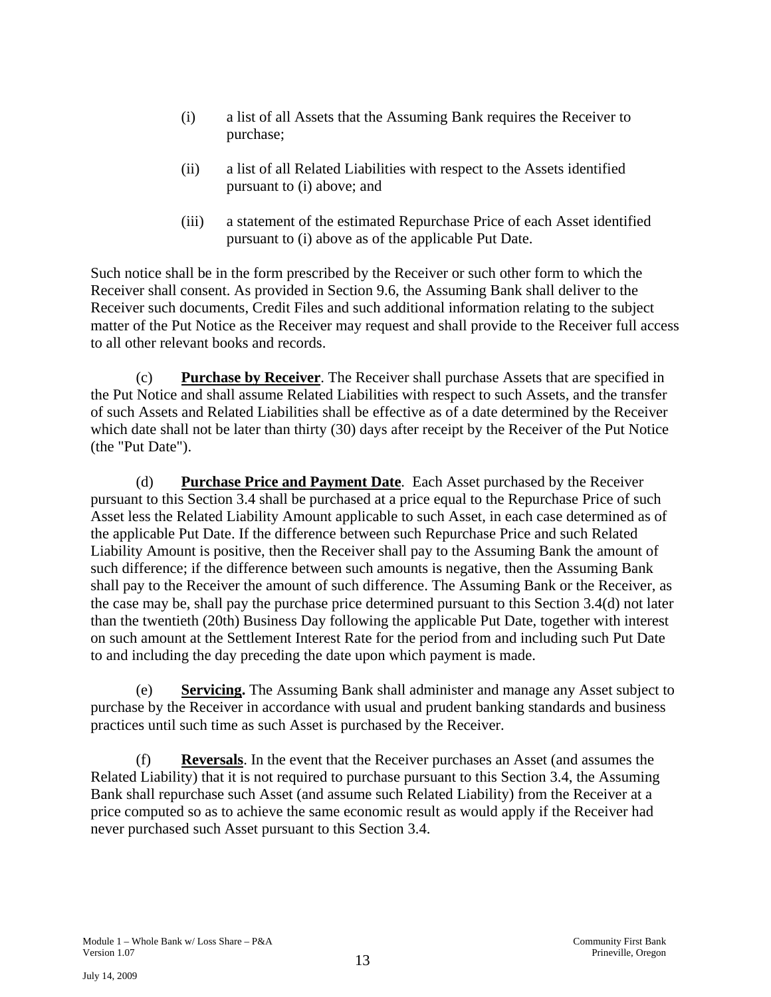- (i) a list of all Assets that the Assuming Bank requires the Receiver to purchase;
- (ii) a list of all Related Liabilities with respect to the Assets identified pursuant to (i) above; and
- (iii) a statement of the estimated Repurchase Price of each Asset identified pursuant to (i) above as of the applicable Put Date.

Such notice shall be in the form prescribed by the Receiver or such other form to which the Receiver shall consent. As provided in Section 9.6, the Assuming Bank shall deliver to the Receiver such documents, Credit Files and such additional information relating to the subject matter of the Put Notice as the Receiver may request and shall provide to the Receiver full access to all other relevant books and records.

(c) **Purchase by Receiver**. The Receiver shall purchase Assets that are specified in the Put Notice and shall assume Related Liabilities with respect to such Assets, and the transfer of such Assets and Related Liabilities shall be effective as of a date determined by the Receiver which date shall not be later than thirty (30) days after receipt by the Receiver of the Put Notice (the "Put Date").

(d) **Purchase Price and Payment Date**. Each Asset purchased by the Receiver pursuant to this Section 3.4 shall be purchased at a price equal to the Repurchase Price of such Asset less the Related Liability Amount applicable to such Asset, in each case determined as of the applicable Put Date. If the difference between such Repurchase Price and such Related Liability Amount is positive, then the Receiver shall pay to the Assuming Bank the amount of such difference; if the difference between such amounts is negative, then the Assuming Bank shall pay to the Receiver the amount of such difference. The Assuming Bank or the Receiver, as the case may be, shall pay the purchase price determined pursuant to this Section 3.4(d) not later than the twentieth (20th) Business Day following the applicable Put Date, together with interest on such amount at the Settlement Interest Rate for the period from and including such Put Date to and including the day preceding the date upon which payment is made.

(e) **Servicing.** The Assuming Bank shall administer and manage any Asset subject to purchase by the Receiver in accordance with usual and prudent banking standards and business practices until such time as such Asset is purchased by the Receiver.

(f) **Reversals**. In the event that the Receiver purchases an Asset (and assumes the Related Liability) that it is not required to purchase pursuant to this Section 3.4, the Assuming Bank shall repurchase such Asset (and assume such Related Liability) from the Receiver at a price computed so as to achieve the same economic result as would apply if the Receiver had never purchased such Asset pursuant to this Section 3.4.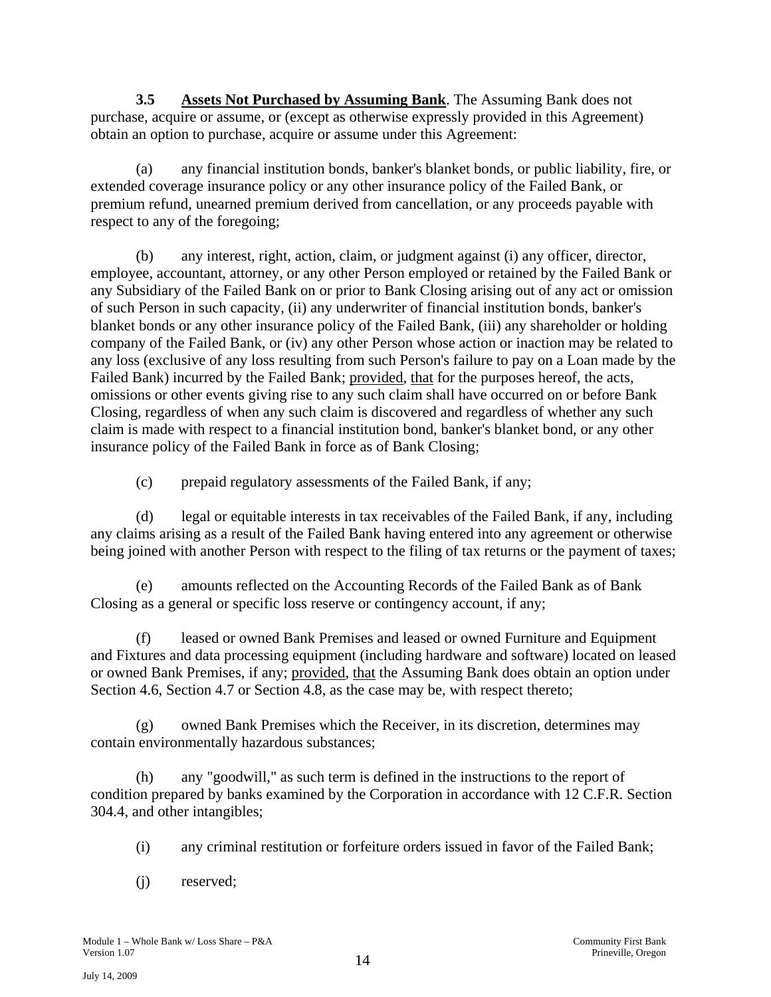**3.5 Assets Not Purchased by Assuming Bank**. The Assuming Bank does not purchase, acquire or assume, or (except as otherwise expressly provided in this Agreement) obtain an option to purchase, acquire or assume under this Agreement:

(a) any financial institution bonds, banker's blanket bonds, or public liability, fire, or extended coverage insurance policy or any other insurance policy of the Failed Bank, or premium refund, unearned premium derived from cancellation, or any proceeds payable with respect to any of the foregoing;

(b) any interest, right, action, claim, or judgment against (i) any officer, director, employee, accountant, attorney, or any other Person employed or retained by the Failed Bank or any Subsidiary of the Failed Bank on or prior to Bank Closing arising out of any act or omission of such Person in such capacity, (ii) any underwriter of financial institution bonds, banker's blanket bonds or any other insurance policy of the Failed Bank, (iii) any shareholder or holding company of the Failed Bank, or (iv) any other Person whose action or inaction may be related to any loss (exclusive of any loss resulting from such Person's failure to pay on a Loan made by the Failed Bank) incurred by the Failed Bank; provided, that for the purposes hereof, the acts, omissions or other events giving rise to any such claim shall have occurred on or before Bank Closing, regardless of when any such claim is discovered and regardless of whether any such claim is made with respect to a financial institution bond, banker's blanket bond, or any other insurance policy of the Failed Bank in force as of Bank Closing;

(c) prepaid regulatory assessments of the Failed Bank, if any;

(d) legal or equitable interests in tax receivables of the Failed Bank, if any, including any claims arising as a result of the Failed Bank having entered into any agreement or otherwise being joined with another Person with respect to the filing of tax returns or the payment of taxes;

(e) amounts reflected on the Accounting Records of the Failed Bank as of Bank Closing as a general or specific loss reserve or contingency account, if any;

(f) leased or owned Bank Premises and leased or owned Furniture and Equipment and Fixtures and data processing equipment (including hardware and software) located on leased or owned Bank Premises, if any; provided, that the Assuming Bank does obtain an option under Section 4.6, Section 4.7 or Section 4.8, as the case may be, with respect thereto;

(g) owned Bank Premises which the Receiver, in its discretion, determines may contain environmentally hazardous substances;

(h) any "goodwill," as such term is defined in the instructions to the report of condition prepared by banks examined by the Corporation in accordance with 12 C.F.R. Section 304.4, and other intangibles;

- (i) any criminal restitution or forfeiture orders issued in favor of the Failed Bank;
- (j) reserved;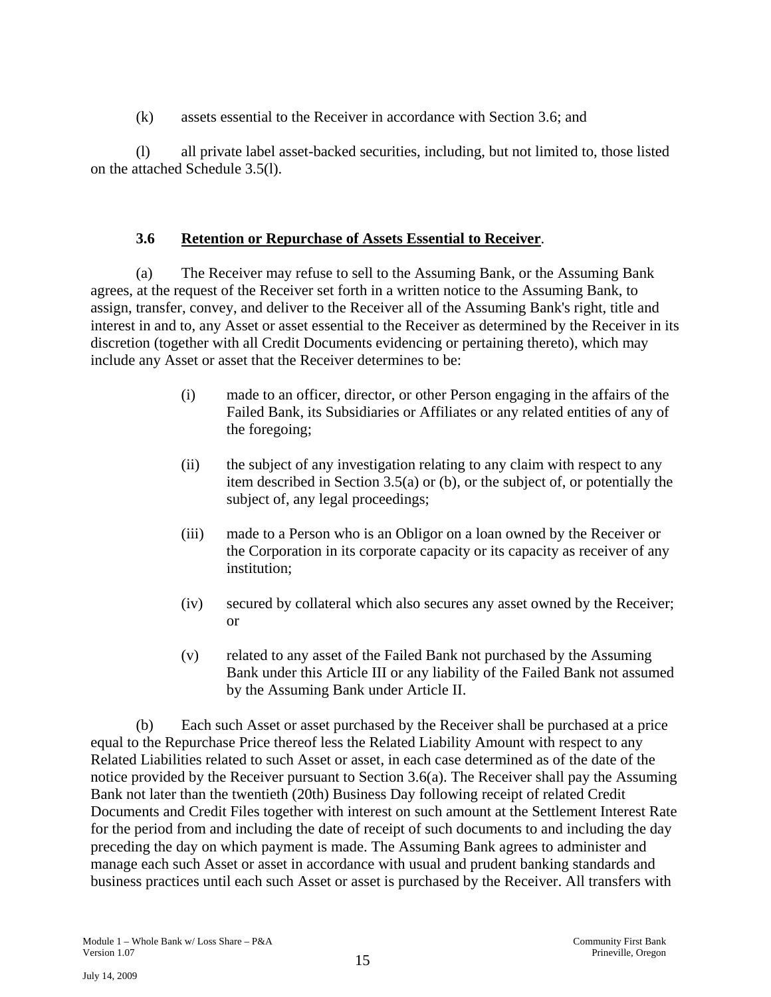(k) assets essential to the Receiver in accordance with Section 3.6; and

(l) all private label asset-backed securities, including, but not limited to, those listed on the attached Schedule 3.5(l).

## **3.6 Retention or Repurchase of Assets Essential to Receiver**.

(a) The Receiver may refuse to sell to the Assuming Bank, or the Assuming Bank agrees, at the request of the Receiver set forth in a written notice to the Assuming Bank, to assign, transfer, convey, and deliver to the Receiver all of the Assuming Bank's right, title and interest in and to, any Asset or asset essential to the Receiver as determined by the Receiver in its discretion (together with all Credit Documents evidencing or pertaining thereto), which may include any Asset or asset that the Receiver determines to be:

- (i) made to an officer, director, or other Person engaging in the affairs of the Failed Bank, its Subsidiaries or Affiliates or any related entities of any of the foregoing;
- (ii) the subject of any investigation relating to any claim with respect to any item described in Section 3.5(a) or (b), or the subject of, or potentially the subject of, any legal proceedings;
- (iii) made to a Person who is an Obligor on a loan owned by the Receiver or the Corporation in its corporate capacity or its capacity as receiver of any institution;
- (iv) secured by collateral which also secures any asset owned by the Receiver; or
- (v) related to any asset of the Failed Bank not purchased by the Assuming Bank under this Article III or any liability of the Failed Bank not assumed by the Assuming Bank under Article II.

(b) Each such Asset or asset purchased by the Receiver shall be purchased at a price equal to the Repurchase Price thereof less the Related Liability Amount with respect to any Related Liabilities related to such Asset or asset, in each case determined as of the date of the notice provided by the Receiver pursuant to Section 3.6(a). The Receiver shall pay the Assuming Bank not later than the twentieth (20th) Business Day following receipt of related Credit Documents and Credit Files together with interest on such amount at the Settlement Interest Rate for the period from and including the date of receipt of such documents to and including the day preceding the day on which payment is made. The Assuming Bank agrees to administer and manage each such Asset or asset in accordance with usual and prudent banking standards and business practices until each such Asset or asset is purchased by the Receiver. All transfers with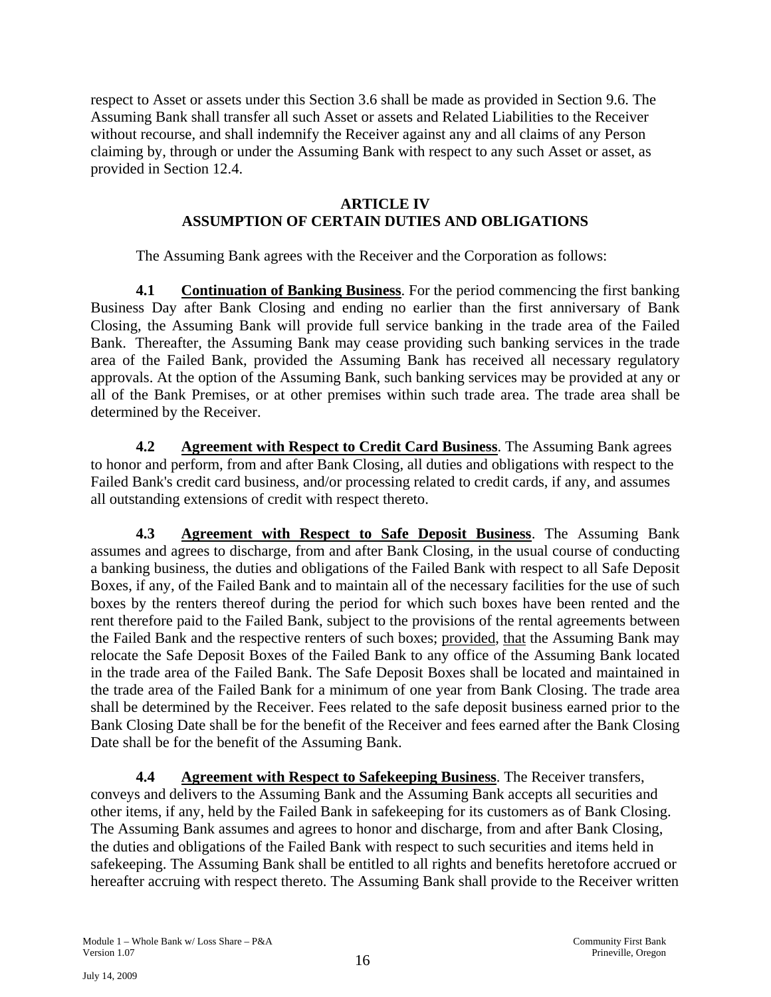respect to Asset or assets under this Section 3.6 shall be made as provided in Section 9.6. The Assuming Bank shall transfer all such Asset or assets and Related Liabilities to the Receiver without recourse, and shall indemnify the Receiver against any and all claims of any Person claiming by, through or under the Assuming Bank with respect to any such Asset or asset, as provided in Section 12.4.

#### **ARTICLE IV ASSUMPTION OF CERTAIN DUTIES AND OBLIGATIONS**

The Assuming Bank agrees with the Receiver and the Corporation as follows:

**4.1** Continuation of Banking Business. For the period commencing the first banking Business Day after Bank Closing and ending no earlier than the first anniversary of Bank Closing, the Assuming Bank will provide full service banking in the trade area of the Failed Bank. Thereafter, the Assuming Bank may cease providing such banking services in the trade area of the Failed Bank, provided the Assuming Bank has received all necessary regulatory approvals. At the option of the Assuming Bank, such banking services may be provided at any or all of the Bank Premises, or at other premises within such trade area. The trade area shall be determined by the Receiver.

**4.2 Agreement with Respect to Credit Card Business**. The Assuming Bank agrees to honor and perform, from and after Bank Closing, all duties and obligations with respect to the Failed Bank's credit card business, and/or processing related to credit cards, if any, and assumes all outstanding extensions of credit with respect thereto.

**4.3 Agreement with Respect to Safe Deposit Business**. The Assuming Bank assumes and agrees to discharge, from and after Bank Closing, in the usual course of conducting a banking business, the duties and obligations of the Failed Bank with respect to all Safe Deposit Boxes, if any, of the Failed Bank and to maintain all of the necessary facilities for the use of such boxes by the renters thereof during the period for which such boxes have been rented and the rent therefore paid to the Failed Bank, subject to the provisions of the rental agreements between the Failed Bank and the respective renters of such boxes; provided, that the Assuming Bank may relocate the Safe Deposit Boxes of the Failed Bank to any office of the Assuming Bank located in the trade area of the Failed Bank. The Safe Deposit Boxes shall be located and maintained in the trade area of the Failed Bank for a minimum of one year from Bank Closing. The trade area shall be determined by the Receiver. Fees related to the safe deposit business earned prior to the Bank Closing Date shall be for the benefit of the Receiver and fees earned after the Bank Closing Date shall be for the benefit of the Assuming Bank.

**4.4 Agreement with Respect to Safekeeping Business**. The Receiver transfers, conveys and delivers to the Assuming Bank and the Assuming Bank accepts all securities and other items, if any, held by the Failed Bank in safekeeping for its customers as of Bank Closing. The Assuming Bank assumes and agrees to honor and discharge, from and after Bank Closing, the duties and obligations of the Failed Bank with respect to such securities and items held in safekeeping. The Assuming Bank shall be entitled to all rights and benefits heretofore accrued or hereafter accruing with respect thereto. The Assuming Bank shall provide to the Receiver written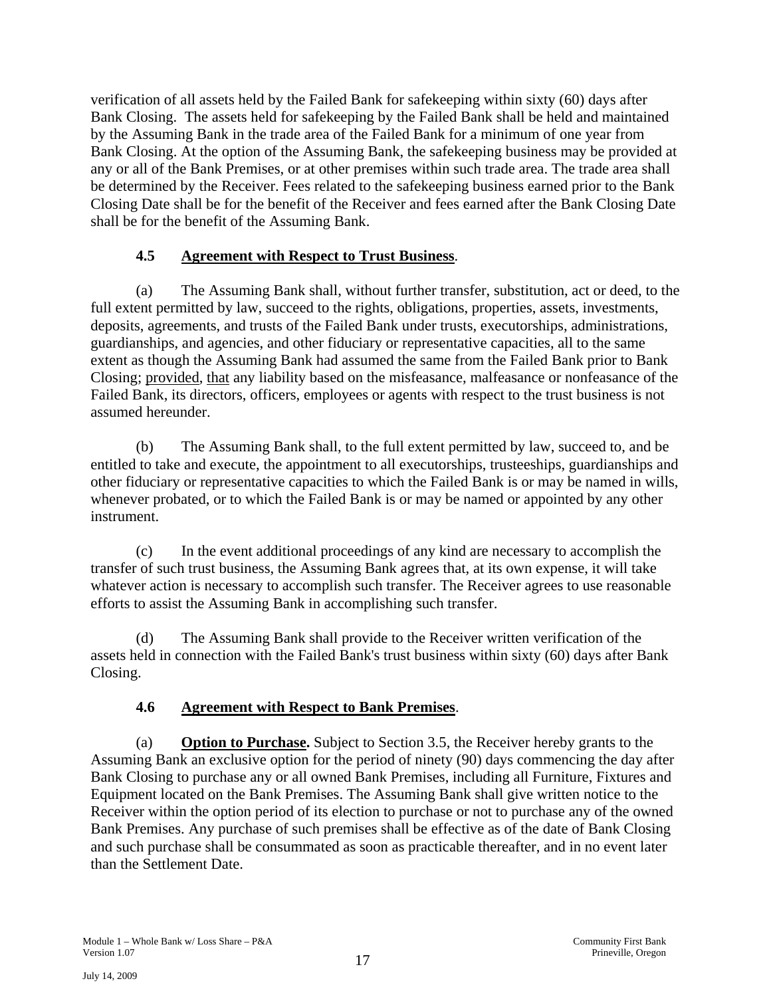verification of all assets held by the Failed Bank for safekeeping within sixty (60) days after Bank Closing. The assets held for safekeeping by the Failed Bank shall be held and maintained by the Assuming Bank in the trade area of the Failed Bank for a minimum of one year from Bank Closing. At the option of the Assuming Bank, the safekeeping business may be provided at any or all of the Bank Premises, or at other premises within such trade area. The trade area shall be determined by the Receiver. Fees related to the safekeeping business earned prior to the Bank Closing Date shall be for the benefit of the Receiver and fees earned after the Bank Closing Date shall be for the benefit of the Assuming Bank.

## **4.5 Agreement with Respect to Trust Business**.

(a) The Assuming Bank shall, without further transfer, substitution, act or deed, to the full extent permitted by law, succeed to the rights, obligations, properties, assets, investments, deposits, agreements, and trusts of the Failed Bank under trusts, executorships, administrations, guardianships, and agencies, and other fiduciary or representative capacities, all to the same extent as though the Assuming Bank had assumed the same from the Failed Bank prior to Bank Closing; provided, that any liability based on the misfeasance, malfeasance or nonfeasance of the Failed Bank, its directors, officers, employees or agents with respect to the trust business is not assumed hereunder.

(b) The Assuming Bank shall, to the full extent permitted by law, succeed to, and be entitled to take and execute, the appointment to all executorships, trusteeships, guardianships and other fiduciary or representative capacities to which the Failed Bank is or may be named in wills, whenever probated, or to which the Failed Bank is or may be named or appointed by any other instrument.

(c) In the event additional proceedings of any kind are necessary to accomplish the transfer of such trust business, the Assuming Bank agrees that, at its own expense, it will take whatever action is necessary to accomplish such transfer. The Receiver agrees to use reasonable efforts to assist the Assuming Bank in accomplishing such transfer.

(d) The Assuming Bank shall provide to the Receiver written verification of the assets held in connection with the Failed Bank's trust business within sixty (60) days after Bank Closing.

## **4.6 Agreement with Respect to Bank Premises**.

(a) **Option to Purchase.** Subject to Section 3.5, the Receiver hereby grants to the Assuming Bank an exclusive option for the period of ninety (90) days commencing the day after Bank Closing to purchase any or all owned Bank Premises, including all Furniture, Fixtures and Equipment located on the Bank Premises. The Assuming Bank shall give written notice to the Receiver within the option period of its election to purchase or not to purchase any of the owned Bank Premises. Any purchase of such premises shall be effective as of the date of Bank Closing and such purchase shall be consummated as soon as practicable thereafter, and in no event later than the Settlement Date.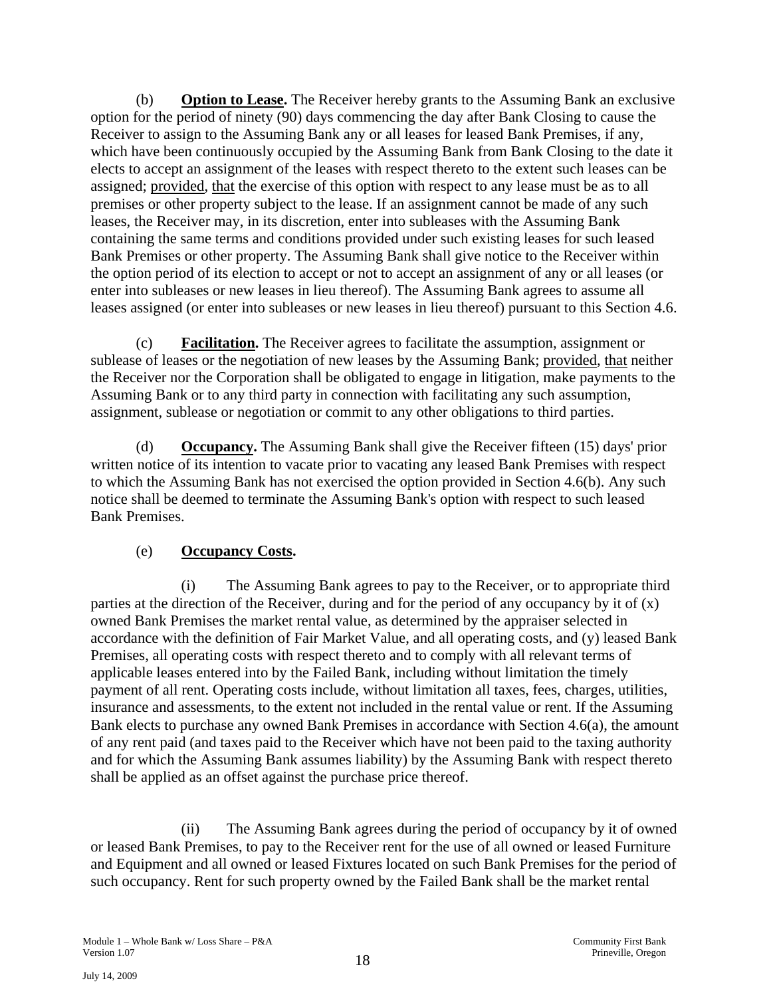(b) **Option to Lease.** The Receiver hereby grants to the Assuming Bank an exclusive option for the period of ninety (90) days commencing the day after Bank Closing to cause the Receiver to assign to the Assuming Bank any or all leases for leased Bank Premises, if any, which have been continuously occupied by the Assuming Bank from Bank Closing to the date it elects to accept an assignment of the leases with respect thereto to the extent such leases can be assigned; provided, that the exercise of this option with respect to any lease must be as to all premises or other property subject to the lease. If an assignment cannot be made of any such leases, the Receiver may, in its discretion, enter into subleases with the Assuming Bank containing the same terms and conditions provided under such existing leases for such leased Bank Premises or other property. The Assuming Bank shall give notice to the Receiver within the option period of its election to accept or not to accept an assignment of any or all leases (or enter into subleases or new leases in lieu thereof). The Assuming Bank agrees to assume all leases assigned (or enter into subleases or new leases in lieu thereof) pursuant to this Section 4.6.

(c) **Facilitation.** The Receiver agrees to facilitate the assumption, assignment or sublease of leases or the negotiation of new leases by the Assuming Bank; provided, that neither the Receiver nor the Corporation shall be obligated to engage in litigation, make payments to the Assuming Bank or to any third party in connection with facilitating any such assumption, assignment, sublease or negotiation or commit to any other obligations to third parties.

(d) **Occupancy.** The Assuming Bank shall give the Receiver fifteen (15) days' prior written notice of its intention to vacate prior to vacating any leased Bank Premises with respect to which the Assuming Bank has not exercised the option provided in Section 4.6(b). Any such notice shall be deemed to terminate the Assuming Bank's option with respect to such leased Bank Premises.

## (e) **Occupancy Costs.**

(i) The Assuming Bank agrees to pay to the Receiver, or to appropriate third parties at the direction of the Receiver, during and for the period of any occupancy by it of (x) owned Bank Premises the market rental value, as determined by the appraiser selected in accordance with the definition of Fair Market Value, and all operating costs, and (y) leased Bank Premises, all operating costs with respect thereto and to comply with all relevant terms of applicable leases entered into by the Failed Bank, including without limitation the timely payment of all rent. Operating costs include, without limitation all taxes, fees, charges, utilities, insurance and assessments, to the extent not included in the rental value or rent. If the Assuming Bank elects to purchase any owned Bank Premises in accordance with Section 4.6(a), the amount of any rent paid (and taxes paid to the Receiver which have not been paid to the taxing authority and for which the Assuming Bank assumes liability) by the Assuming Bank with respect thereto shall be applied as an offset against the purchase price thereof.

(ii) The Assuming Bank agrees during the period of occupancy by it of owned or leased Bank Premises, to pay to the Receiver rent for the use of all owned or leased Furniture and Equipment and all owned or leased Fixtures located on such Bank Premises for the period of such occupancy. Rent for such property owned by the Failed Bank shall be the market rental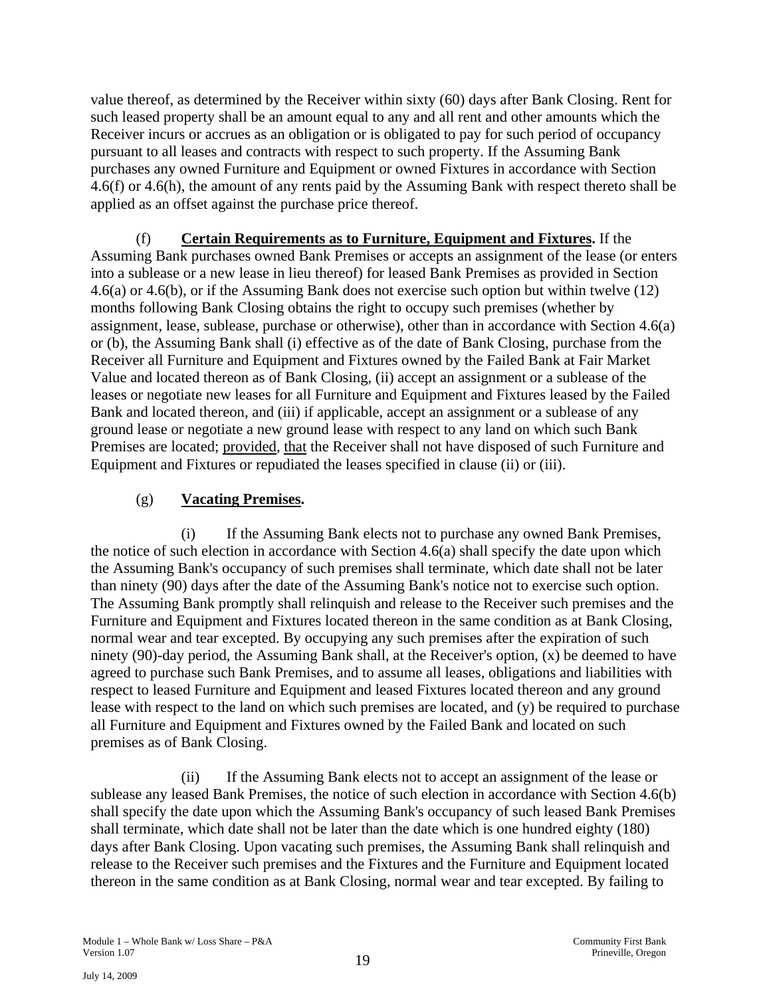value thereof, as determined by the Receiver within sixty (60) days after Bank Closing. Rent for such leased property shall be an amount equal to any and all rent and other amounts which the Receiver incurs or accrues as an obligation or is obligated to pay for such period of occupancy pursuant to all leases and contracts with respect to such property. If the Assuming Bank purchases any owned Furniture and Equipment or owned Fixtures in accordance with Section 4.6(f) or 4.6(h), the amount of any rents paid by the Assuming Bank with respect thereto shall be applied as an offset against the purchase price thereof.

(f) **Certain Requirements as to Furniture, Equipment and Fixtures.** If the Assuming Bank purchases owned Bank Premises or accepts an assignment of the lease (or enters into a sublease or a new lease in lieu thereof) for leased Bank Premises as provided in Section 4.6(a) or 4.6(b), or if the Assuming Bank does not exercise such option but within twelve (12) months following Bank Closing obtains the right to occupy such premises (whether by assignment, lease, sublease, purchase or otherwise), other than in accordance with Section 4.6(a) or (b), the Assuming Bank shall (i) effective as of the date of Bank Closing, purchase from the Receiver all Furniture and Equipment and Fixtures owned by the Failed Bank at Fair Market Value and located thereon as of Bank Closing, (ii) accept an assignment or a sublease of the leases or negotiate new leases for all Furniture and Equipment and Fixtures leased by the Failed Bank and located thereon, and (iii) if applicable, accept an assignment or a sublease of any ground lease or negotiate a new ground lease with respect to any land on which such Bank Premises are located; provided, that the Receiver shall not have disposed of such Furniture and Equipment and Fixtures or repudiated the leases specified in clause (ii) or (iii).

#### (g) **Vacating Premises.**

(i) If the Assuming Bank elects not to purchase any owned Bank Premises, the notice of such election in accordance with Section 4.6(a) shall specify the date upon which the Assuming Bank's occupancy of such premises shall terminate, which date shall not be later than ninety (90) days after the date of the Assuming Bank's notice not to exercise such option. The Assuming Bank promptly shall relinquish and release to the Receiver such premises and the Furniture and Equipment and Fixtures located thereon in the same condition as at Bank Closing, normal wear and tear excepted. By occupying any such premises after the expiration of such ninety (90)-day period, the Assuming Bank shall, at the Receiver's option, (x) be deemed to have agreed to purchase such Bank Premises, and to assume all leases, obligations and liabilities with respect to leased Furniture and Equipment and leased Fixtures located thereon and any ground lease with respect to the land on which such premises are located, and (y) be required to purchase all Furniture and Equipment and Fixtures owned by the Failed Bank and located on such premises as of Bank Closing.

(ii) If the Assuming Bank elects not to accept an assignment of the lease or sublease any leased Bank Premises, the notice of such election in accordance with Section 4.6(b) shall specify the date upon which the Assuming Bank's occupancy of such leased Bank Premises shall terminate, which date shall not be later than the date which is one hundred eighty (180) days after Bank Closing. Upon vacating such premises, the Assuming Bank shall relinquish and release to the Receiver such premises and the Fixtures and the Furniture and Equipment located thereon in the same condition as at Bank Closing, normal wear and tear excepted. By failing to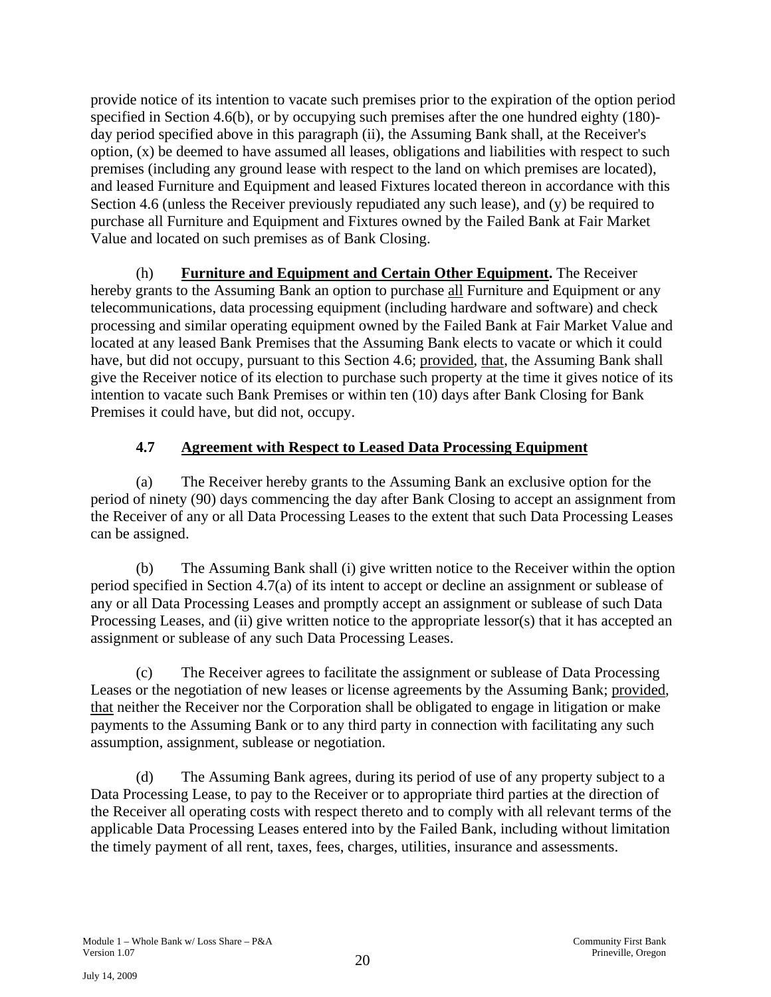provide notice of its intention to vacate such premises prior to the expiration of the option period specified in Section 4.6(b), or by occupying such premises after the one hundred eighty (180) day period specified above in this paragraph (ii), the Assuming Bank shall, at the Receiver's option, (x) be deemed to have assumed all leases, obligations and liabilities with respect to such premises (including any ground lease with respect to the land on which premises are located), and leased Furniture and Equipment and leased Fixtures located thereon in accordance with this Section 4.6 (unless the Receiver previously repudiated any such lease), and (y) be required to purchase all Furniture and Equipment and Fixtures owned by the Failed Bank at Fair Market Value and located on such premises as of Bank Closing.

(h) **Furniture and Equipment and Certain Other Equipment.** The Receiver hereby grants to the Assuming Bank an option to purchase all Furniture and Equipment or any telecommunications, data processing equipment (including hardware and software) and check processing and similar operating equipment owned by the Failed Bank at Fair Market Value and located at any leased Bank Premises that the Assuming Bank elects to vacate or which it could have, but did not occupy, pursuant to this Section 4.6; provided, that, the Assuming Bank shall give the Receiver notice of its election to purchase such property at the time it gives notice of its intention to vacate such Bank Premises or within ten (10) days after Bank Closing for Bank Premises it could have, but did not, occupy.

# **4.7 Agreement with Respect to Leased Data Processing Equipment**

(a) The Receiver hereby grants to the Assuming Bank an exclusive option for the period of ninety (90) days commencing the day after Bank Closing to accept an assignment from the Receiver of any or all Data Processing Leases to the extent that such Data Processing Leases can be assigned.

(b) The Assuming Bank shall (i) give written notice to the Receiver within the option period specified in Section 4.7(a) of its intent to accept or decline an assignment or sublease of any or all Data Processing Leases and promptly accept an assignment or sublease of such Data Processing Leases, and (ii) give written notice to the appropriate lessor(s) that it has accepted an assignment or sublease of any such Data Processing Leases.

(c) The Receiver agrees to facilitate the assignment or sublease of Data Processing Leases or the negotiation of new leases or license agreements by the Assuming Bank; provided, that neither the Receiver nor the Corporation shall be obligated to engage in litigation or make payments to the Assuming Bank or to any third party in connection with facilitating any such assumption, assignment, sublease or negotiation.

(d) The Assuming Bank agrees, during its period of use of any property subject to a Data Processing Lease, to pay to the Receiver or to appropriate third parties at the direction of the Receiver all operating costs with respect thereto and to comply with all relevant terms of the applicable Data Processing Leases entered into by the Failed Bank, including without limitation the timely payment of all rent, taxes, fees, charges, utilities, insurance and assessments.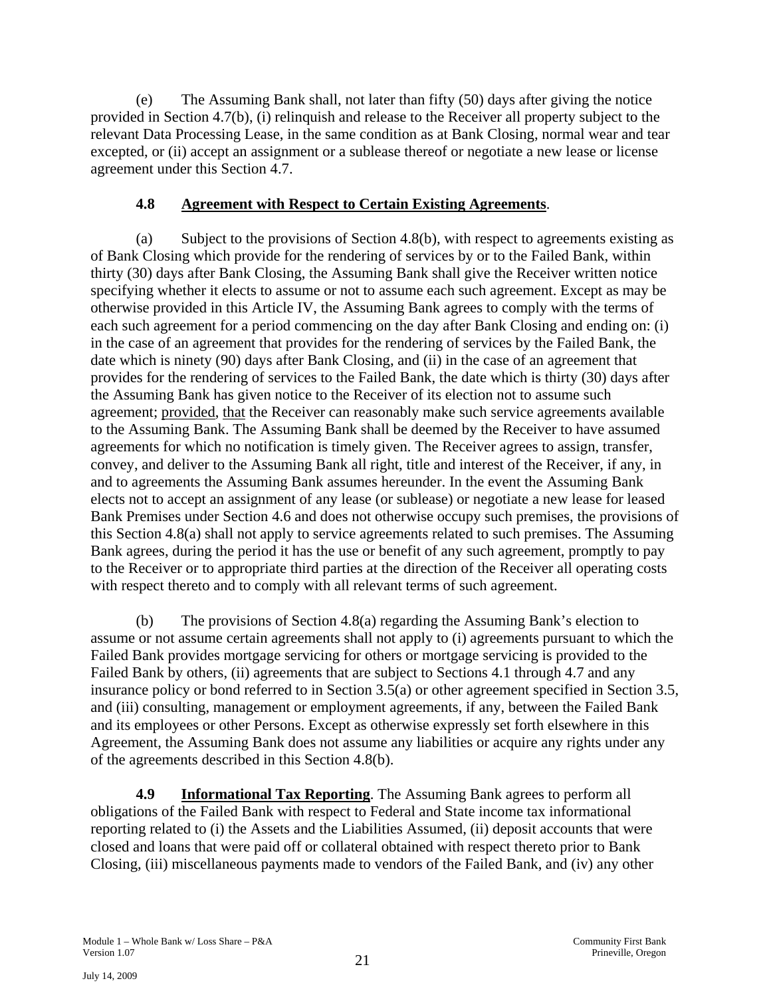(e) The Assuming Bank shall, not later than fifty (50) days after giving the notice provided in Section 4.7(b), (i) relinquish and release to the Receiver all property subject to the relevant Data Processing Lease, in the same condition as at Bank Closing, normal wear and tear excepted, or (ii) accept an assignment or a sublease thereof or negotiate a new lease or license agreement under this Section 4.7.

### **4.8 Agreement with Respect to Certain Existing Agreements**.

(a) Subject to the provisions of Section 4.8(b), with respect to agreements existing as of Bank Closing which provide for the rendering of services by or to the Failed Bank, within thirty (30) days after Bank Closing, the Assuming Bank shall give the Receiver written notice specifying whether it elects to assume or not to assume each such agreement. Except as may be otherwise provided in this Article IV, the Assuming Bank agrees to comply with the terms of each such agreement for a period commencing on the day after Bank Closing and ending on: (i) in the case of an agreement that provides for the rendering of services by the Failed Bank, the date which is ninety (90) days after Bank Closing, and (ii) in the case of an agreement that provides for the rendering of services to the Failed Bank, the date which is thirty (30) days after the Assuming Bank has given notice to the Receiver of its election not to assume such agreement; provided, that the Receiver can reasonably make such service agreements available to the Assuming Bank. The Assuming Bank shall be deemed by the Receiver to have assumed agreements for which no notification is timely given. The Receiver agrees to assign, transfer, convey, and deliver to the Assuming Bank all right, title and interest of the Receiver, if any, in and to agreements the Assuming Bank assumes hereunder. In the event the Assuming Bank elects not to accept an assignment of any lease (or sublease) or negotiate a new lease for leased Bank Premises under Section 4.6 and does not otherwise occupy such premises, the provisions of this Section 4.8(a) shall not apply to service agreements related to such premises. The Assuming Bank agrees, during the period it has the use or benefit of any such agreement, promptly to pay to the Receiver or to appropriate third parties at the direction of the Receiver all operating costs with respect thereto and to comply with all relevant terms of such agreement.

(b) The provisions of Section 4.8(a) regarding the Assuming Bank's election to assume or not assume certain agreements shall not apply to (i) agreements pursuant to which the Failed Bank provides mortgage servicing for others or mortgage servicing is provided to the Failed Bank by others, (ii) agreements that are subject to Sections 4.1 through 4.7 and any insurance policy or bond referred to in Section 3.5(a) or other agreement specified in Section 3.5, and (iii) consulting, management or employment agreements, if any, between the Failed Bank and its employees or other Persons. Except as otherwise expressly set forth elsewhere in this Agreement, the Assuming Bank does not assume any liabilities or acquire any rights under any of the agreements described in this Section 4.8(b).

**4.9 Informational Tax Reporting**. The Assuming Bank agrees to perform all obligations of the Failed Bank with respect to Federal and State income tax informational reporting related to (i) the Assets and the Liabilities Assumed, (ii) deposit accounts that were closed and loans that were paid off or collateral obtained with respect thereto prior to Bank Closing, (iii) miscellaneous payments made to vendors of the Failed Bank, and (iv) any other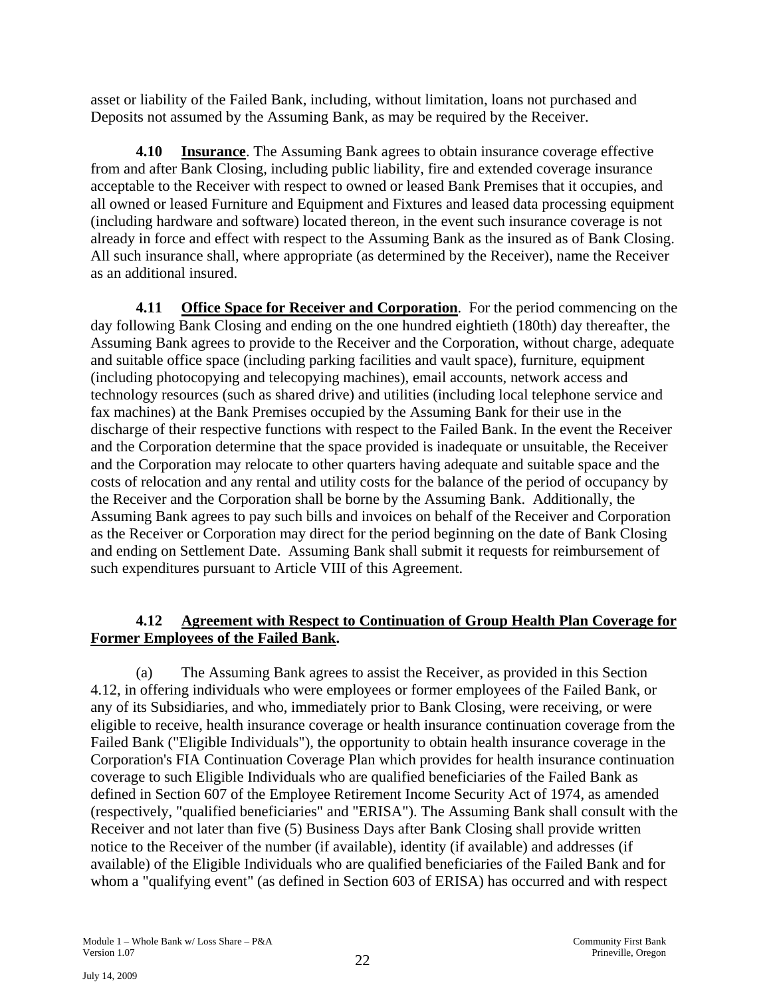asset or liability of the Failed Bank, including, without limitation, loans not purchased and Deposits not assumed by the Assuming Bank, as may be required by the Receiver.

**4.10 Insurance**. The Assuming Bank agrees to obtain insurance coverage effective from and after Bank Closing, including public liability, fire and extended coverage insurance acceptable to the Receiver with respect to owned or leased Bank Premises that it occupies, and all owned or leased Furniture and Equipment and Fixtures and leased data processing equipment (including hardware and software) located thereon, in the event such insurance coverage is not already in force and effect with respect to the Assuming Bank as the insured as of Bank Closing. All such insurance shall, where appropriate (as determined by the Receiver), name the Receiver as an additional insured.

**4.11 Office Space for Receiver and Corporation**. For the period commencing on the day following Bank Closing and ending on the one hundred eightieth (180th) day thereafter, the Assuming Bank agrees to provide to the Receiver and the Corporation, without charge, adequate and suitable office space (including parking facilities and vault space), furniture, equipment (including photocopying and telecopying machines), email accounts, network access and technology resources (such as shared drive) and utilities (including local telephone service and fax machines) at the Bank Premises occupied by the Assuming Bank for their use in the discharge of their respective functions with respect to the Failed Bank. In the event the Receiver and the Corporation determine that the space provided is inadequate or unsuitable, the Receiver and the Corporation may relocate to other quarters having adequate and suitable space and the costs of relocation and any rental and utility costs for the balance of the period of occupancy by the Receiver and the Corporation shall be borne by the Assuming Bank. Additionally, the Assuming Bank agrees to pay such bills and invoices on behalf of the Receiver and Corporation as the Receiver or Corporation may direct for the period beginning on the date of Bank Closing and ending on Settlement Date. Assuming Bank shall submit it requests for reimbursement of such expenditures pursuant to Article VIII of this Agreement.

### **4.12 Agreement with Respect to Continuation of Group Health Plan Coverage for Former Employees of the Failed Bank.**

(a) The Assuming Bank agrees to assist the Receiver, as provided in this Section 4.12, in offering individuals who were employees or former employees of the Failed Bank, or any of its Subsidiaries, and who, immediately prior to Bank Closing, were receiving, or were eligible to receive, health insurance coverage or health insurance continuation coverage from the Failed Bank ("Eligible Individuals"), the opportunity to obtain health insurance coverage in the Corporation's FIA Continuation Coverage Plan which provides for health insurance continuation coverage to such Eligible Individuals who are qualified beneficiaries of the Failed Bank as defined in Section 607 of the Employee Retirement Income Security Act of 1974, as amended (respectively, "qualified beneficiaries" and "ERISA"). The Assuming Bank shall consult with the Receiver and not later than five (5) Business Days after Bank Closing shall provide written notice to the Receiver of the number (if available), identity (if available) and addresses (if available) of the Eligible Individuals who are qualified beneficiaries of the Failed Bank and for whom a "qualifying event" (as defined in Section 603 of ERISA) has occurred and with respect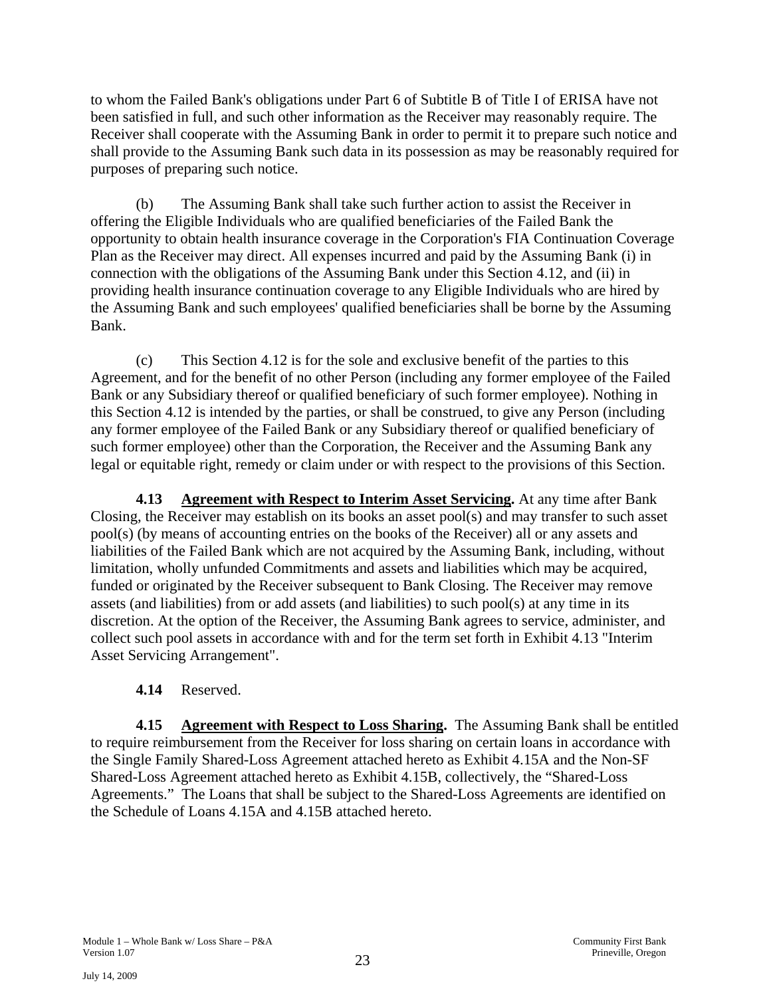to whom the Failed Bank's obligations under Part 6 of Subtitle B of Title I of ERISA have not been satisfied in full, and such other information as the Receiver may reasonably require. The Receiver shall cooperate with the Assuming Bank in order to permit it to prepare such notice and shall provide to the Assuming Bank such data in its possession as may be reasonably required for purposes of preparing such notice.

(b) The Assuming Bank shall take such further action to assist the Receiver in offering the Eligible Individuals who are qualified beneficiaries of the Failed Bank the opportunity to obtain health insurance coverage in the Corporation's FIA Continuation Coverage Plan as the Receiver may direct. All expenses incurred and paid by the Assuming Bank (i) in connection with the obligations of the Assuming Bank under this Section 4.12, and (ii) in providing health insurance continuation coverage to any Eligible Individuals who are hired by the Assuming Bank and such employees' qualified beneficiaries shall be borne by the Assuming Bank.

(c) This Section 4.12 is for the sole and exclusive benefit of the parties to this Agreement, and for the benefit of no other Person (including any former employee of the Failed Bank or any Subsidiary thereof or qualified beneficiary of such former employee). Nothing in this Section 4.12 is intended by the parties, or shall be construed, to give any Person (including any former employee of the Failed Bank or any Subsidiary thereof or qualified beneficiary of such former employee) other than the Corporation, the Receiver and the Assuming Bank any legal or equitable right, remedy or claim under or with respect to the provisions of this Section.

**4.13 Agreement with Respect to Interim Asset Servicing.** At any time after Bank Closing, the Receiver may establish on its books an asset pool(s) and may transfer to such asset pool(s) (by means of accounting entries on the books of the Receiver) all or any assets and liabilities of the Failed Bank which are not acquired by the Assuming Bank, including, without limitation, wholly unfunded Commitments and assets and liabilities which may be acquired, funded or originated by the Receiver subsequent to Bank Closing. The Receiver may remove assets (and liabilities) from or add assets (and liabilities) to such pool(s) at any time in its discretion. At the option of the Receiver, the Assuming Bank agrees to service, administer, and collect such pool assets in accordance with and for the term set forth in Exhibit 4.13 "Interim Asset Servicing Arrangement".

## **4.14** Reserved.

**4.15 Agreement with Respect to Loss Sharing.** The Assuming Bank shall be entitled to require reimbursement from the Receiver for loss sharing on certain loans in accordance with the Single Family Shared-Loss Agreement attached hereto as Exhibit 4.15A and the Non-SF Shared-Loss Agreement attached hereto as Exhibit 4.15B, collectively, the "Shared-Loss Agreements." The Loans that shall be subject to the Shared-Loss Agreements are identified on the Schedule of Loans 4.15A and 4.15B attached hereto.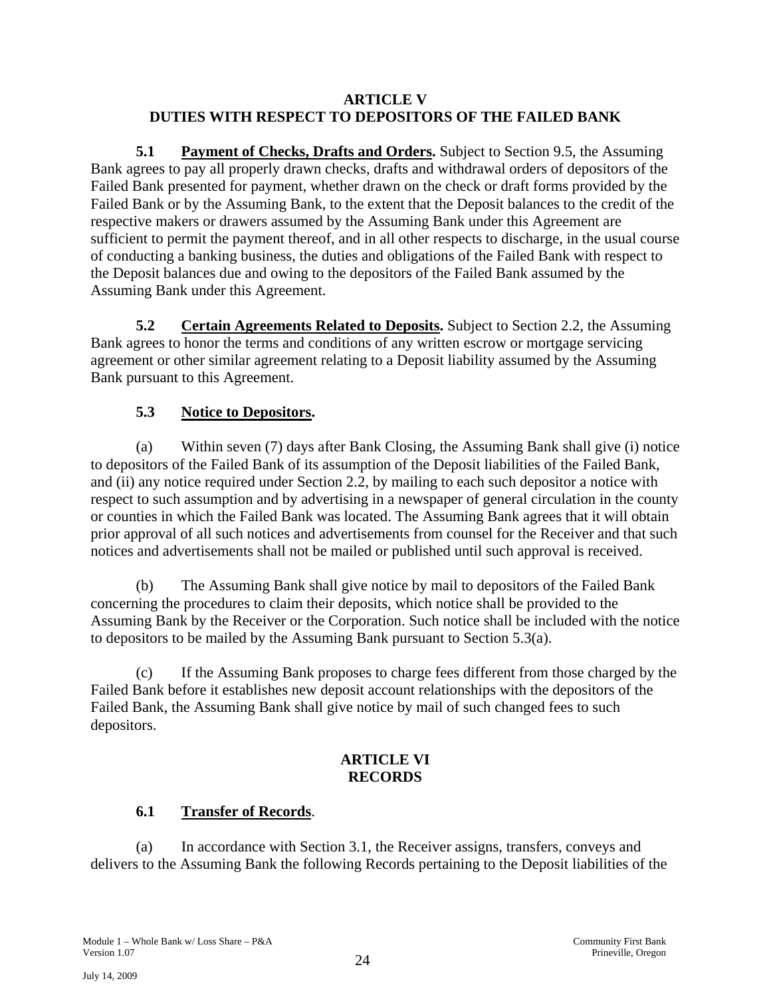#### **ARTICLE V DUTIES WITH RESPECT TO DEPOSITORS OF THE FAILED BANK**

**5.1 Payment of Checks, Drafts and Orders.** Subject to Section 9.5, the Assuming Bank agrees to pay all properly drawn checks, drafts and withdrawal orders of depositors of the Failed Bank presented for payment, whether drawn on the check or draft forms provided by the Failed Bank or by the Assuming Bank, to the extent that the Deposit balances to the credit of the respective makers or drawers assumed by the Assuming Bank under this Agreement are sufficient to permit the payment thereof, and in all other respects to discharge, in the usual course of conducting a banking business, the duties and obligations of the Failed Bank with respect to the Deposit balances due and owing to the depositors of the Failed Bank assumed by the Assuming Bank under this Agreement.

**5.2** Certain Agreements Related to Deposits. Subject to Section 2.2, the Assuming Bank agrees to honor the terms and conditions of any written escrow or mortgage servicing agreement or other similar agreement relating to a Deposit liability assumed by the Assuming Bank pursuant to this Agreement.

## **5.3 Notice to Depositors.**

(a) Within seven (7) days after Bank Closing, the Assuming Bank shall give (i) notice to depositors of the Failed Bank of its assumption of the Deposit liabilities of the Failed Bank, and (ii) any notice required under Section 2.2, by mailing to each such depositor a notice with respect to such assumption and by advertising in a newspaper of general circulation in the county or counties in which the Failed Bank was located. The Assuming Bank agrees that it will obtain prior approval of all such notices and advertisements from counsel for the Receiver and that such notices and advertisements shall not be mailed or published until such approval is received.

(b) The Assuming Bank shall give notice by mail to depositors of the Failed Bank concerning the procedures to claim their deposits, which notice shall be provided to the Assuming Bank by the Receiver or the Corporation. Such notice shall be included with the notice to depositors to be mailed by the Assuming Bank pursuant to Section 5.3(a).

(c) If the Assuming Bank proposes to charge fees different from those charged by the Failed Bank before it establishes new deposit account relationships with the depositors of the Failed Bank, the Assuming Bank shall give notice by mail of such changed fees to such depositors.

#### **ARTICLE VI RECORDS**

## **6.1 Transfer of Records**.

(a) In accordance with Section 3.1, the Receiver assigns, transfers, conveys and delivers to the Assuming Bank the following Records pertaining to the Deposit liabilities of the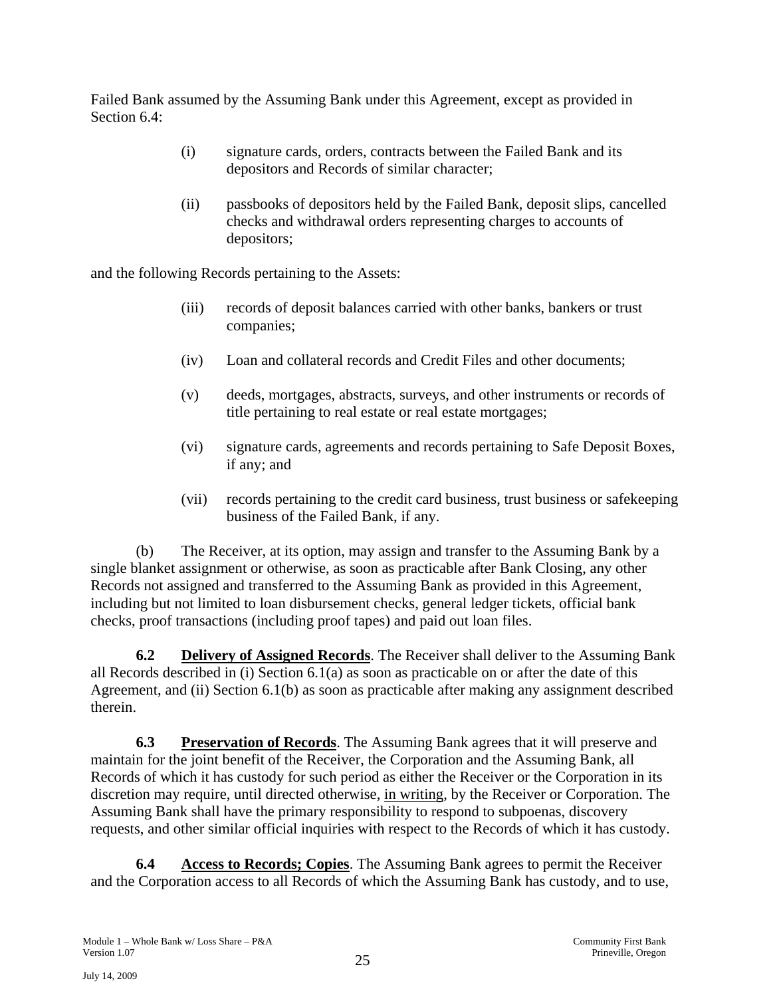Failed Bank assumed by the Assuming Bank under this Agreement, except as provided in Section 6.4:

- (i) signature cards, orders, contracts between the Failed Bank and its depositors and Records of similar character;
- (ii) passbooks of depositors held by the Failed Bank, deposit slips, cancelled checks and withdrawal orders representing charges to accounts of depositors;

and the following Records pertaining to the Assets:

- (iii) records of deposit balances carried with other banks, bankers or trust companies;
- (iv) Loan and collateral records and Credit Files and other documents;
- (v) deeds, mortgages, abstracts, surveys, and other instruments or records of title pertaining to real estate or real estate mortgages;
- (vi) signature cards, agreements and records pertaining to Safe Deposit Boxes, if any; and
- (vii) records pertaining to the credit card business, trust business or safekeeping business of the Failed Bank, if any.

(b) The Receiver, at its option, may assign and transfer to the Assuming Bank by a single blanket assignment or otherwise, as soon as practicable after Bank Closing, any other Records not assigned and transferred to the Assuming Bank as provided in this Agreement, including but not limited to loan disbursement checks, general ledger tickets, official bank checks, proof transactions (including proof tapes) and paid out loan files.

**6.2 Delivery of Assigned Records**. The Receiver shall deliver to the Assuming Bank all Records described in (i) Section 6.1(a) as soon as practicable on or after the date of this Agreement, and (ii) Section 6.1(b) as soon as practicable after making any assignment described therein.

**6.3 Preservation of Records**. The Assuming Bank agrees that it will preserve and maintain for the joint benefit of the Receiver, the Corporation and the Assuming Bank, all Records of which it has custody for such period as either the Receiver or the Corporation in its discretion may require, until directed otherwise, in writing, by the Receiver or Corporation. The Assuming Bank shall have the primary responsibility to respond to subpoenas, discovery requests, and other similar official inquiries with respect to the Records of which it has custody.

**6.4 Access to Records; Copies**. The Assuming Bank agrees to permit the Receiver and the Corporation access to all Records of which the Assuming Bank has custody, and to use,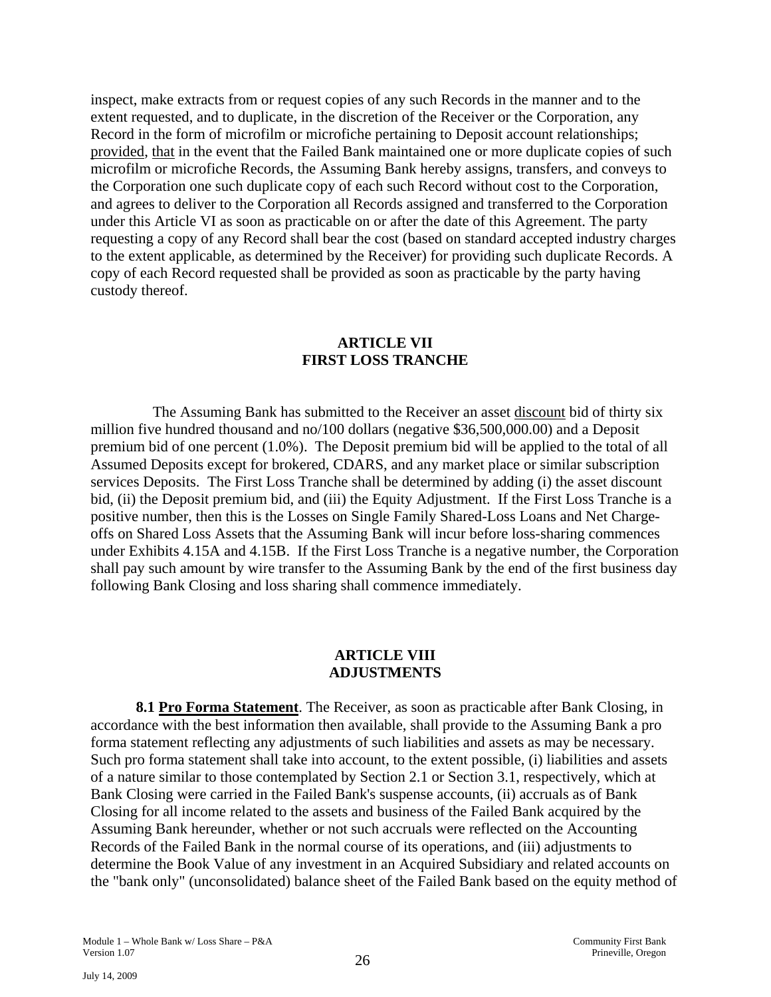inspect, make extracts from or request copies of any such Records in the manner and to the extent requested, and to duplicate, in the discretion of the Receiver or the Corporation, any Record in the form of microfilm or microfiche pertaining to Deposit account relationships; provided, that in the event that the Failed Bank maintained one or more duplicate copies of such microfilm or microfiche Records, the Assuming Bank hereby assigns, transfers, and conveys to the Corporation one such duplicate copy of each such Record without cost to the Corporation, and agrees to deliver to the Corporation all Records assigned and transferred to the Corporation under this Article VI as soon as practicable on or after the date of this Agreement. The party requesting a copy of any Record shall bear the cost (based on standard accepted industry charges to the extent applicable, as determined by the Receiver) for providing such duplicate Records. A copy of each Record requested shall be provided as soon as practicable by the party having custody thereof.

#### **ARTICLE VII FIRST LOSS TRANCHE**

 The Assuming Bank has submitted to the Receiver an asset discount bid of thirty six million five hundred thousand and no/100 dollars (negative \$36,500,000.00) and a Deposit premium bid of one percent (1.0%). The Deposit premium bid will be applied to the total of all Assumed Deposits except for brokered, CDARS, and any market place or similar subscription services Deposits. The First Loss Tranche shall be determined by adding (i) the asset discount bid, (ii) the Deposit premium bid, and (iii) the Equity Adjustment. If the First Loss Tranche is a positive number, then this is the Losses on Single Family Shared-Loss Loans and Net Chargeoffs on Shared Loss Assets that the Assuming Bank will incur before loss-sharing commences under Exhibits 4.15A and 4.15B. If the First Loss Tranche is a negative number, the Corporation shall pay such amount by wire transfer to the Assuming Bank by the end of the first business day following Bank Closing and loss sharing shall commence immediately.

#### **ARTICLE VIII ADJUSTMENTS**

**8.1 Pro Forma Statement**. The Receiver, as soon as practicable after Bank Closing, in accordance with the best information then available, shall provide to the Assuming Bank a pro forma statement reflecting any adjustments of such liabilities and assets as may be necessary. Such pro forma statement shall take into account, to the extent possible, (i) liabilities and assets of a nature similar to those contemplated by Section 2.1 or Section 3.1, respectively, which at Bank Closing were carried in the Failed Bank's suspense accounts, (ii) accruals as of Bank Closing for all income related to the assets and business of the Failed Bank acquired by the Assuming Bank hereunder, whether or not such accruals were reflected on the Accounting Records of the Failed Bank in the normal course of its operations, and (iii) adjustments to determine the Book Value of any investment in an Acquired Subsidiary and related accounts on the "bank only" (unconsolidated) balance sheet of the Failed Bank based on the equity method of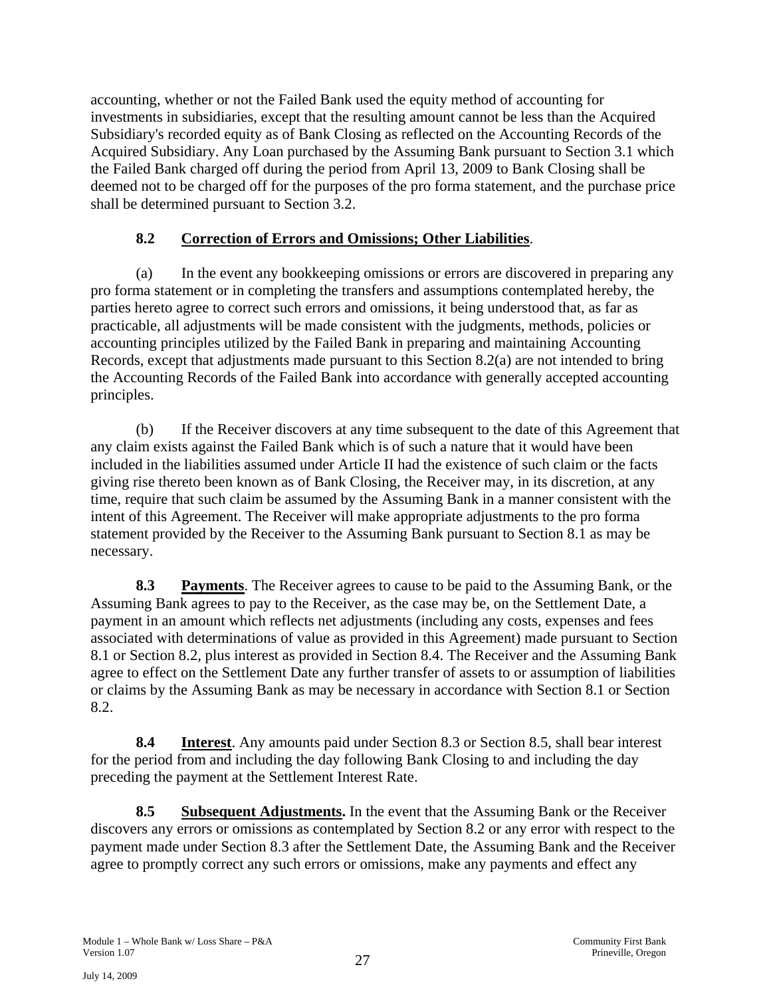accounting, whether or not the Failed Bank used the equity method of accounting for investments in subsidiaries, except that the resulting amount cannot be less than the Acquired Subsidiary's recorded equity as of Bank Closing as reflected on the Accounting Records of the Acquired Subsidiary. Any Loan purchased by the Assuming Bank pursuant to Section 3.1 which the Failed Bank charged off during the period from April 13, 2009 to Bank Closing shall be deemed not to be charged off for the purposes of the pro forma statement, and the purchase price shall be determined pursuant to Section 3.2.

# **8.2 Correction of Errors and Omissions; Other Liabilities**.

(a) In the event any bookkeeping omissions or errors are discovered in preparing any pro forma statement or in completing the transfers and assumptions contemplated hereby, the parties hereto agree to correct such errors and omissions, it being understood that, as far as practicable, all adjustments will be made consistent with the judgments, methods, policies or accounting principles utilized by the Failed Bank in preparing and maintaining Accounting Records, except that adjustments made pursuant to this Section 8.2(a) are not intended to bring the Accounting Records of the Failed Bank into accordance with generally accepted accounting principles.

(b) If the Receiver discovers at any time subsequent to the date of this Agreement that any claim exists against the Failed Bank which is of such a nature that it would have been included in the liabilities assumed under Article II had the existence of such claim or the facts giving rise thereto been known as of Bank Closing, the Receiver may, in its discretion, at any time, require that such claim be assumed by the Assuming Bank in a manner consistent with the intent of this Agreement. The Receiver will make appropriate adjustments to the pro forma statement provided by the Receiver to the Assuming Bank pursuant to Section 8.1 as may be necessary.

**8.3 Payments**. The Receiver agrees to cause to be paid to the Assuming Bank, or the Assuming Bank agrees to pay to the Receiver, as the case may be, on the Settlement Date, a payment in an amount which reflects net adjustments (including any costs, expenses and fees associated with determinations of value as provided in this Agreement) made pursuant to Section 8.1 or Section 8.2, plus interest as provided in Section 8.4. The Receiver and the Assuming Bank agree to effect on the Settlement Date any further transfer of assets to or assumption of liabilities or claims by the Assuming Bank as may be necessary in accordance with Section 8.1 or Section 8.2.

**8.4 Interest**. Any amounts paid under Section 8.3 or Section 8.5, shall bear interest for the period from and including the day following Bank Closing to and including the day preceding the payment at the Settlement Interest Rate.

**8.5 Subsequent Adjustments.** In the event that the Assuming Bank or the Receiver discovers any errors or omissions as contemplated by Section 8.2 or any error with respect to the payment made under Section 8.3 after the Settlement Date, the Assuming Bank and the Receiver agree to promptly correct any such errors or omissions, make any payments and effect any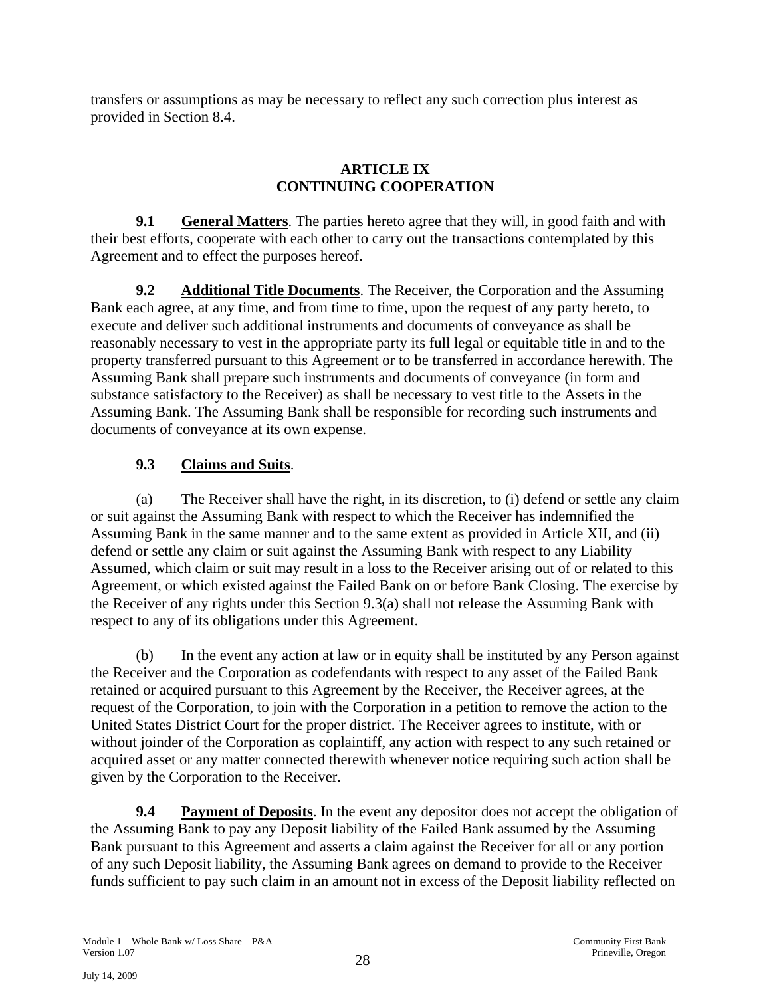transfers or assumptions as may be necessary to reflect any such correction plus interest as provided in Section 8.4.

### **ARTICLE IX CONTINUING COOPERATION**

**9.1** General Matters. The parties hereto agree that they will, in good faith and with their best efforts, cooperate with each other to carry out the transactions contemplated by this Agreement and to effect the purposes hereof.

**9.2** Additional Title Documents. The Receiver, the Corporation and the Assuming Bank each agree, at any time, and from time to time, upon the request of any party hereto, to execute and deliver such additional instruments and documents of conveyance as shall be reasonably necessary to vest in the appropriate party its full legal or equitable title in and to the property transferred pursuant to this Agreement or to be transferred in accordance herewith. The Assuming Bank shall prepare such instruments and documents of conveyance (in form and substance satisfactory to the Receiver) as shall be necessary to vest title to the Assets in the Assuming Bank. The Assuming Bank shall be responsible for recording such instruments and documents of conveyance at its own expense.

# **9.3 Claims and Suits**.

(a) The Receiver shall have the right, in its discretion, to (i) defend or settle any claim or suit against the Assuming Bank with respect to which the Receiver has indemnified the Assuming Bank in the same manner and to the same extent as provided in Article XII, and (ii) defend or settle any claim or suit against the Assuming Bank with respect to any Liability Assumed, which claim or suit may result in a loss to the Receiver arising out of or related to this Agreement, or which existed against the Failed Bank on or before Bank Closing. The exercise by the Receiver of any rights under this Section 9.3(a) shall not release the Assuming Bank with respect to any of its obligations under this Agreement.

(b) In the event any action at law or in equity shall be instituted by any Person against the Receiver and the Corporation as codefendants with respect to any asset of the Failed Bank retained or acquired pursuant to this Agreement by the Receiver, the Receiver agrees, at the request of the Corporation, to join with the Corporation in a petition to remove the action to the United States District Court for the proper district. The Receiver agrees to institute, with or without joinder of the Corporation as coplaintiff, any action with respect to any such retained or acquired asset or any matter connected therewith whenever notice requiring such action shall be given by the Corporation to the Receiver.

**9.4 Payment of Deposits**. In the event any depositor does not accept the obligation of the Assuming Bank to pay any Deposit liability of the Failed Bank assumed by the Assuming Bank pursuant to this Agreement and asserts a claim against the Receiver for all or any portion of any such Deposit liability, the Assuming Bank agrees on demand to provide to the Receiver funds sufficient to pay such claim in an amount not in excess of the Deposit liability reflected on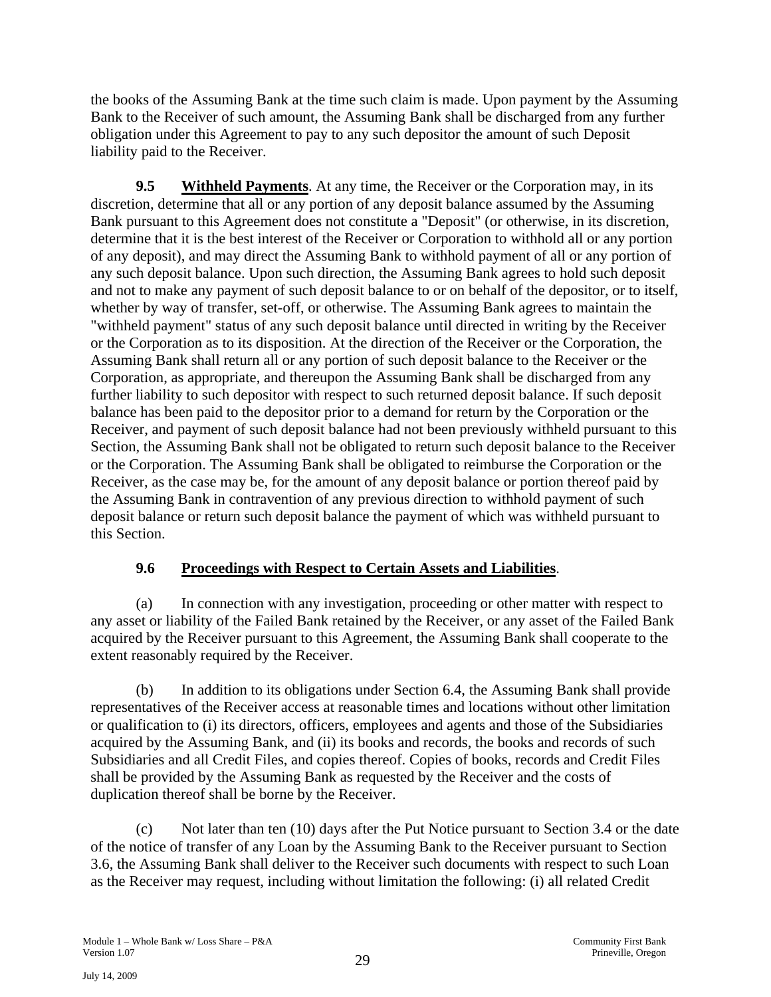the books of the Assuming Bank at the time such claim is made. Upon payment by the Assuming Bank to the Receiver of such amount, the Assuming Bank shall be discharged from any further obligation under this Agreement to pay to any such depositor the amount of such Deposit liability paid to the Receiver.

**9.5** Withheld Payments. At any time, the Receiver or the Corporation may, in its discretion, determine that all or any portion of any deposit balance assumed by the Assuming Bank pursuant to this Agreement does not constitute a "Deposit" (or otherwise, in its discretion, determine that it is the best interest of the Receiver or Corporation to withhold all or any portion of any deposit), and may direct the Assuming Bank to withhold payment of all or any portion of any such deposit balance. Upon such direction, the Assuming Bank agrees to hold such deposit and not to make any payment of such deposit balance to or on behalf of the depositor, or to itself, whether by way of transfer, set-off, or otherwise. The Assuming Bank agrees to maintain the "withheld payment" status of any such deposit balance until directed in writing by the Receiver or the Corporation as to its disposition. At the direction of the Receiver or the Corporation, the Assuming Bank shall return all or any portion of such deposit balance to the Receiver or the Corporation, as appropriate, and thereupon the Assuming Bank shall be discharged from any further liability to such depositor with respect to such returned deposit balance. If such deposit balance has been paid to the depositor prior to a demand for return by the Corporation or the Receiver, and payment of such deposit balance had not been previously withheld pursuant to this Section, the Assuming Bank shall not be obligated to return such deposit balance to the Receiver or the Corporation. The Assuming Bank shall be obligated to reimburse the Corporation or the Receiver, as the case may be, for the amount of any deposit balance or portion thereof paid by the Assuming Bank in contravention of any previous direction to withhold payment of such deposit balance or return such deposit balance the payment of which was withheld pursuant to this Section.

# **9.6 Proceedings with Respect to Certain Assets and Liabilities**.

(a) In connection with any investigation, proceeding or other matter with respect to any asset or liability of the Failed Bank retained by the Receiver, or any asset of the Failed Bank acquired by the Receiver pursuant to this Agreement, the Assuming Bank shall cooperate to the extent reasonably required by the Receiver.

(b) In addition to its obligations under Section 6.4, the Assuming Bank shall provide representatives of the Receiver access at reasonable times and locations without other limitation or qualification to (i) its directors, officers, employees and agents and those of the Subsidiaries acquired by the Assuming Bank, and (ii) its books and records, the books and records of such Subsidiaries and all Credit Files, and copies thereof. Copies of books, records and Credit Files shall be provided by the Assuming Bank as requested by the Receiver and the costs of duplication thereof shall be borne by the Receiver.

(c) Not later than ten (10) days after the Put Notice pursuant to Section 3.4 or the date of the notice of transfer of any Loan by the Assuming Bank to the Receiver pursuant to Section 3.6, the Assuming Bank shall deliver to the Receiver such documents with respect to such Loan as the Receiver may request, including without limitation the following: (i) all related Credit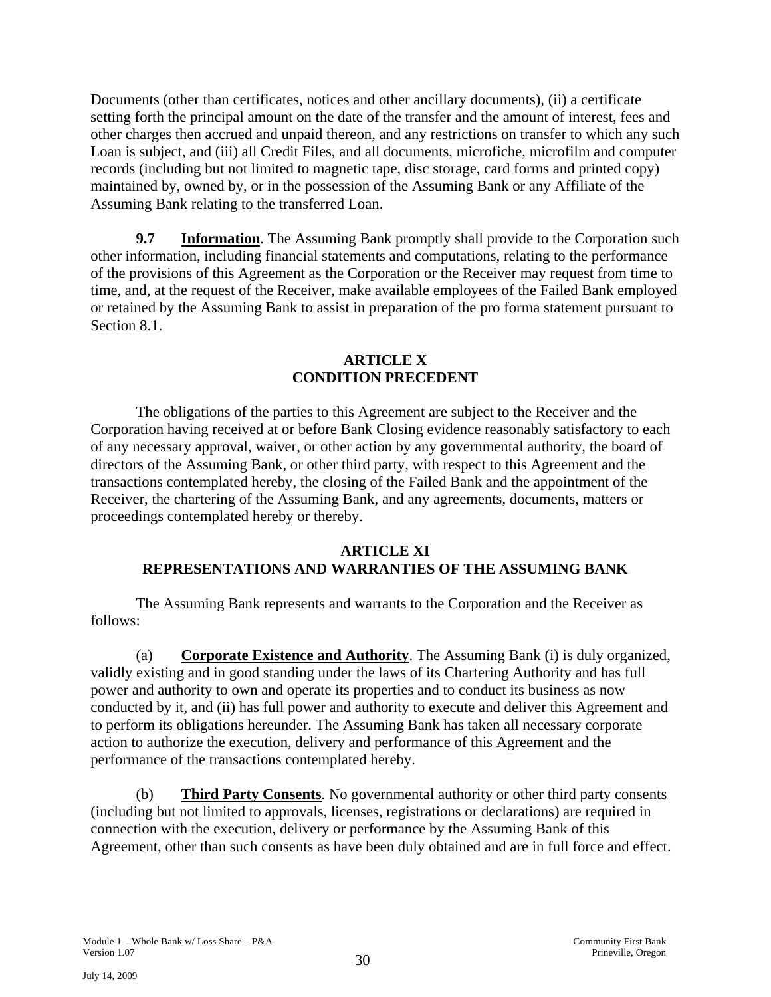Documents (other than certificates, notices and other ancillary documents), (ii) a certificate setting forth the principal amount on the date of the transfer and the amount of interest, fees and other charges then accrued and unpaid thereon, and any restrictions on transfer to which any such Loan is subject, and (iii) all Credit Files, and all documents, microfiche, microfilm and computer records (including but not limited to magnetic tape, disc storage, card forms and printed copy) maintained by, owned by, or in the possession of the Assuming Bank or any Affiliate of the Assuming Bank relating to the transferred Loan.

**9.7 Information**. The Assuming Bank promptly shall provide to the Corporation such other information, including financial statements and computations, relating to the performance of the provisions of this Agreement as the Corporation or the Receiver may request from time to time, and, at the request of the Receiver, make available employees of the Failed Bank employed or retained by the Assuming Bank to assist in preparation of the pro forma statement pursuant to Section 8.1.

#### **ARTICLE X CONDITION PRECEDENT**

The obligations of the parties to this Agreement are subject to the Receiver and the Corporation having received at or before Bank Closing evidence reasonably satisfactory to each of any necessary approval, waiver, or other action by any governmental authority, the board of directors of the Assuming Bank, or other third party, with respect to this Agreement and the transactions contemplated hereby, the closing of the Failed Bank and the appointment of the Receiver, the chartering of the Assuming Bank, and any agreements, documents, matters or proceedings contemplated hereby or thereby.

#### **ARTICLE XI**

# **REPRESENTATIONS AND WARRANTIES OF THE ASSUMING BANK**

The Assuming Bank represents and warrants to the Corporation and the Receiver as follows:

(a) **Corporate Existence and Authority**. The Assuming Bank (i) is duly organized, validly existing and in good standing under the laws of its Chartering Authority and has full power and authority to own and operate its properties and to conduct its business as now conducted by it, and (ii) has full power and authority to execute and deliver this Agreement and to perform its obligations hereunder. The Assuming Bank has taken all necessary corporate action to authorize the execution, delivery and performance of this Agreement and the performance of the transactions contemplated hereby.

(b) **Third Party Consents**. No governmental authority or other third party consents (including but not limited to approvals, licenses, registrations or declarations) are required in connection with the execution, delivery or performance by the Assuming Bank of this Agreement, other than such consents as have been duly obtained and are in full force and effect.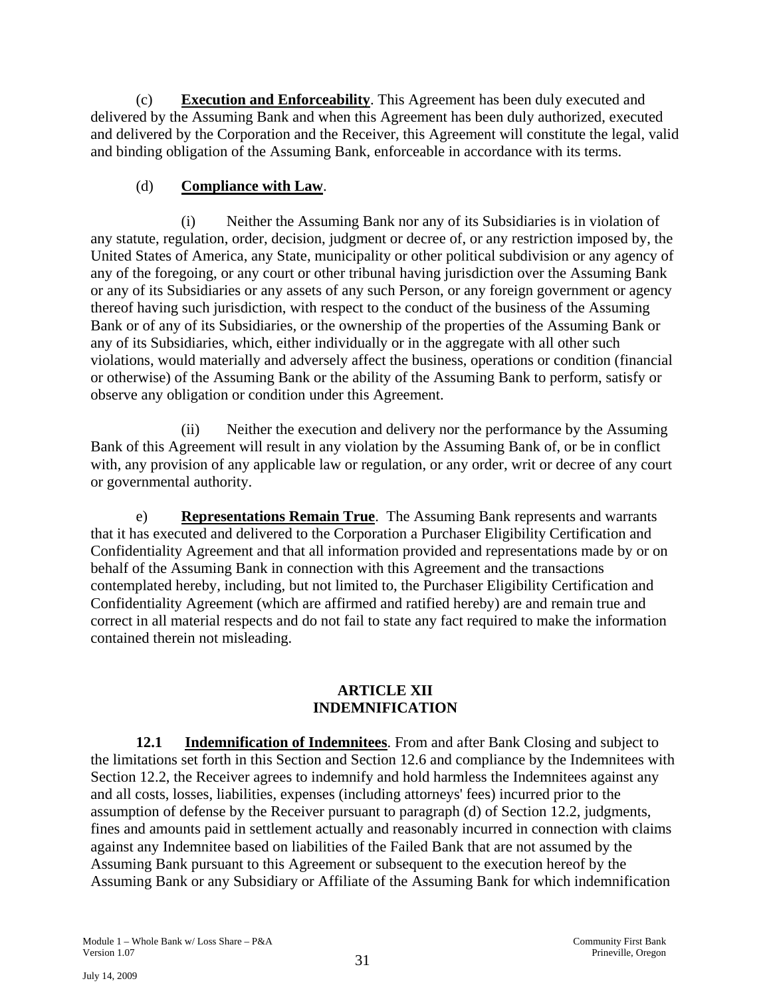(c) **Execution and Enforceability**. This Agreement has been duly executed and delivered by the Assuming Bank and when this Agreement has been duly authorized, executed and delivered by the Corporation and the Receiver, this Agreement will constitute the legal, valid and binding obligation of the Assuming Bank, enforceable in accordance with its terms.

# (d) **Compliance with Law**.

(i) Neither the Assuming Bank nor any of its Subsidiaries is in violation of any statute, regulation, order, decision, judgment or decree of, or any restriction imposed by, the United States of America, any State, municipality or other political subdivision or any agency of any of the foregoing, or any court or other tribunal having jurisdiction over the Assuming Bank or any of its Subsidiaries or any assets of any such Person, or any foreign government or agency thereof having such jurisdiction, with respect to the conduct of the business of the Assuming Bank or of any of its Subsidiaries, or the ownership of the properties of the Assuming Bank or any of its Subsidiaries, which, either individually or in the aggregate with all other such violations, would materially and adversely affect the business, operations or condition (financial or otherwise) of the Assuming Bank or the ability of the Assuming Bank to perform, satisfy or observe any obligation or condition under this Agreement.

(ii) Neither the execution and delivery nor the performance by the Assuming Bank of this Agreement will result in any violation by the Assuming Bank of, or be in conflict with, any provision of any applicable law or regulation, or any order, writ or decree of any court or governmental authority.

e) **Representations Remain True**. The Assuming Bank represents and warrants that it has executed and delivered to the Corporation a Purchaser Eligibility Certification and Confidentiality Agreement and that all information provided and representations made by or on behalf of the Assuming Bank in connection with this Agreement and the transactions contemplated hereby, including, but not limited to, the Purchaser Eligibility Certification and Confidentiality Agreement (which are affirmed and ratified hereby) are and remain true and correct in all material respects and do not fail to state any fact required to make the information contained therein not misleading.

#### **ARTICLE XII INDEMNIFICATION**

**12.1 Indemnification of Indemnitees**. From and after Bank Closing and subject to the limitations set forth in this Section and Section 12.6 and compliance by the Indemnitees with Section 12.2, the Receiver agrees to indemnify and hold harmless the Indemnitees against any and all costs, losses, liabilities, expenses (including attorneys' fees) incurred prior to the assumption of defense by the Receiver pursuant to paragraph (d) of Section 12.2, judgments, fines and amounts paid in settlement actually and reasonably incurred in connection with claims against any Indemnitee based on liabilities of the Failed Bank that are not assumed by the Assuming Bank pursuant to this Agreement or subsequent to the execution hereof by the Assuming Bank or any Subsidiary or Affiliate of the Assuming Bank for which indemnification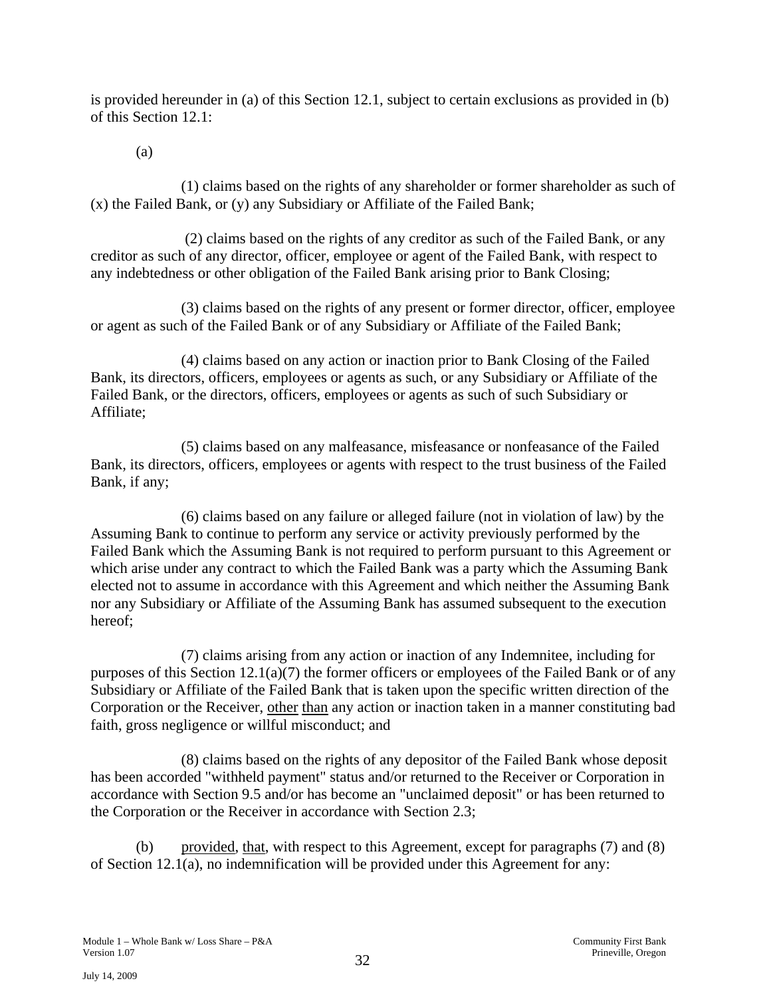is provided hereunder in (a) of this Section 12.1, subject to certain exclusions as provided in (b) of this Section 12.1:

(a)

(1) claims based on the rights of any shareholder or former shareholder as such of (x) the Failed Bank, or (y) any Subsidiary or Affiliate of the Failed Bank;

(2) claims based on the rights of any creditor as such of the Failed Bank, or any creditor as such of any director, officer, employee or agent of the Failed Bank, with respect to any indebtedness or other obligation of the Failed Bank arising prior to Bank Closing;

(3) claims based on the rights of any present or former director, officer, employee or agent as such of the Failed Bank or of any Subsidiary or Affiliate of the Failed Bank;

(4) claims based on any action or inaction prior to Bank Closing of the Failed Bank, its directors, officers, employees or agents as such, or any Subsidiary or Affiliate of the Failed Bank, or the directors, officers, employees or agents as such of such Subsidiary or Affiliate;

(5) claims based on any malfeasance, misfeasance or nonfeasance of the Failed Bank, its directors, officers, employees or agents with respect to the trust business of the Failed Bank, if any;

(6) claims based on any failure or alleged failure (not in violation of law) by the Assuming Bank to continue to perform any service or activity previously performed by the Failed Bank which the Assuming Bank is not required to perform pursuant to this Agreement or which arise under any contract to which the Failed Bank was a party which the Assuming Bank elected not to assume in accordance with this Agreement and which neither the Assuming Bank nor any Subsidiary or Affiliate of the Assuming Bank has assumed subsequent to the execution hereof;

(7) claims arising from any action or inaction of any Indemnitee, including for purposes of this Section 12.1(a)(7) the former officers or employees of the Failed Bank or of any Subsidiary or Affiliate of the Failed Bank that is taken upon the specific written direction of the Corporation or the Receiver, other than any action or inaction taken in a manner constituting bad faith, gross negligence or willful misconduct; and

(8) claims based on the rights of any depositor of the Failed Bank whose deposit has been accorded "withheld payment" status and/or returned to the Receiver or Corporation in accordance with Section 9.5 and/or has become an "unclaimed deposit" or has been returned to the Corporation or the Receiver in accordance with Section 2.3;

(b) provided, that, with respect to this Agreement, except for paragraphs (7) and (8) of Section 12.1(a), no indemnification will be provided under this Agreement for any: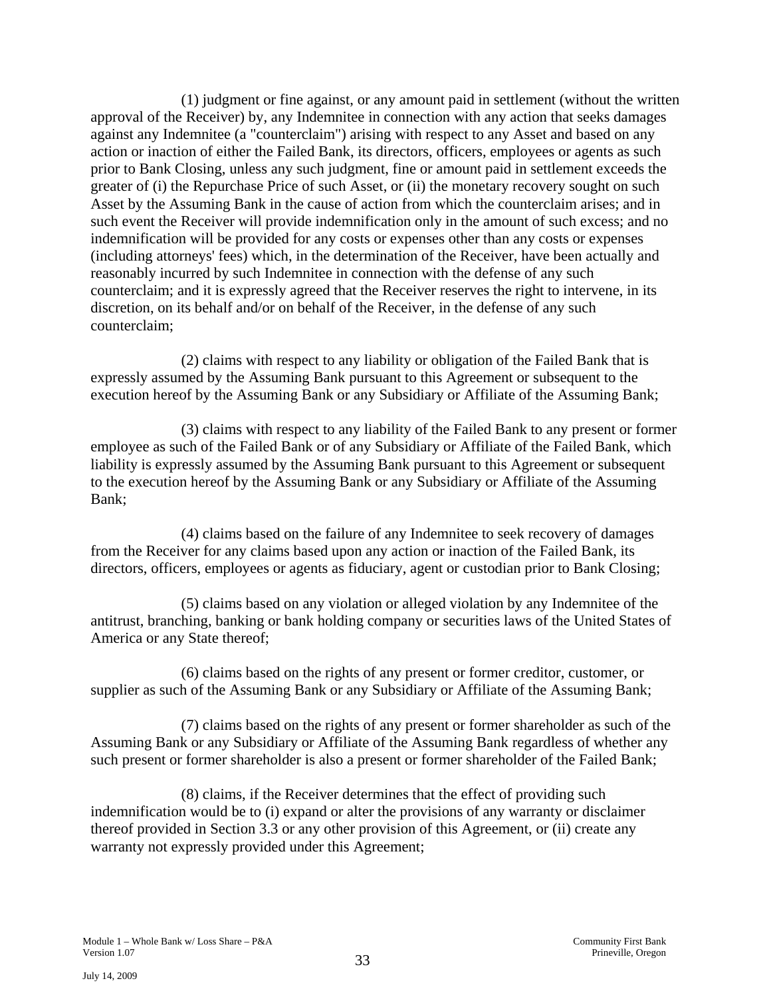(1) judgment or fine against, or any amount paid in settlement (without the written approval of the Receiver) by, any Indemnitee in connection with any action that seeks damages against any Indemnitee (a "counterclaim") arising with respect to any Asset and based on any action or inaction of either the Failed Bank, its directors, officers, employees or agents as such prior to Bank Closing, unless any such judgment, fine or amount paid in settlement exceeds the greater of (i) the Repurchase Price of such Asset, or (ii) the monetary recovery sought on such Asset by the Assuming Bank in the cause of action from which the counterclaim arises; and in such event the Receiver will provide indemnification only in the amount of such excess; and no indemnification will be provided for any costs or expenses other than any costs or expenses (including attorneys' fees) which, in the determination of the Receiver, have been actually and reasonably incurred by such Indemnitee in connection with the defense of any such counterclaim; and it is expressly agreed that the Receiver reserves the right to intervene, in its discretion, on its behalf and/or on behalf of the Receiver, in the defense of any such counterclaim;

(2) claims with respect to any liability or obligation of the Failed Bank that is expressly assumed by the Assuming Bank pursuant to this Agreement or subsequent to the execution hereof by the Assuming Bank or any Subsidiary or Affiliate of the Assuming Bank;

(3) claims with respect to any liability of the Failed Bank to any present or former employee as such of the Failed Bank or of any Subsidiary or Affiliate of the Failed Bank, which liability is expressly assumed by the Assuming Bank pursuant to this Agreement or subsequent to the execution hereof by the Assuming Bank or any Subsidiary or Affiliate of the Assuming Bank;

(4) claims based on the failure of any Indemnitee to seek recovery of damages from the Receiver for any claims based upon any action or inaction of the Failed Bank, its directors, officers, employees or agents as fiduciary, agent or custodian prior to Bank Closing;

(5) claims based on any violation or alleged violation by any Indemnitee of the antitrust, branching, banking or bank holding company or securities laws of the United States of America or any State thereof;

(6) claims based on the rights of any present or former creditor, customer, or supplier as such of the Assuming Bank or any Subsidiary or Affiliate of the Assuming Bank;

(7) claims based on the rights of any present or former shareholder as such of the Assuming Bank or any Subsidiary or Affiliate of the Assuming Bank regardless of whether any such present or former shareholder is also a present or former shareholder of the Failed Bank;

(8) claims, if the Receiver determines that the effect of providing such indemnification would be to (i) expand or alter the provisions of any warranty or disclaimer thereof provided in Section 3.3 or any other provision of this Agreement, or (ii) create any warranty not expressly provided under this Agreement;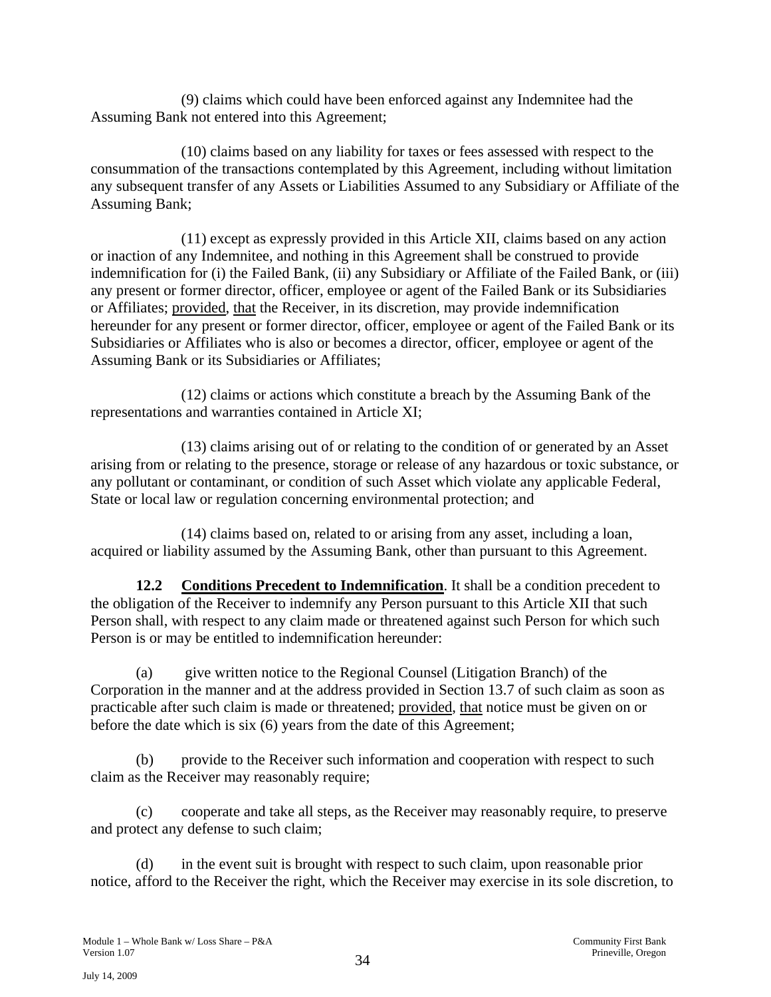(9) claims which could have been enforced against any Indemnitee had the Assuming Bank not entered into this Agreement;

(10) claims based on any liability for taxes or fees assessed with respect to the consummation of the transactions contemplated by this Agreement, including without limitation any subsequent transfer of any Assets or Liabilities Assumed to any Subsidiary or Affiliate of the Assuming Bank;

(11) except as expressly provided in this Article XII, claims based on any action or inaction of any Indemnitee, and nothing in this Agreement shall be construed to provide indemnification for (i) the Failed Bank, (ii) any Subsidiary or Affiliate of the Failed Bank, or (iii) any present or former director, officer, employee or agent of the Failed Bank or its Subsidiaries or Affiliates; provided, that the Receiver, in its discretion, may provide indemnification hereunder for any present or former director, officer, employee or agent of the Failed Bank or its Subsidiaries or Affiliates who is also or becomes a director, officer, employee or agent of the Assuming Bank or its Subsidiaries or Affiliates;

(12) claims or actions which constitute a breach by the Assuming Bank of the representations and warranties contained in Article XI;

(13) claims arising out of or relating to the condition of or generated by an Asset arising from or relating to the presence, storage or release of any hazardous or toxic substance, or any pollutant or contaminant, or condition of such Asset which violate any applicable Federal, State or local law or regulation concerning environmental protection; and

(14) claims based on, related to or arising from any asset, including a loan, acquired or liability assumed by the Assuming Bank, other than pursuant to this Agreement.

**12.2 Conditions Precedent to Indemnification**. It shall be a condition precedent to the obligation of the Receiver to indemnify any Person pursuant to this Article XII that such Person shall, with respect to any claim made or threatened against such Person for which such Person is or may be entitled to indemnification hereunder:

(a) give written notice to the Regional Counsel (Litigation Branch) of the Corporation in the manner and at the address provided in Section 13.7 of such claim as soon as practicable after such claim is made or threatened; provided, that notice must be given on or before the date which is six (6) years from the date of this Agreement;

(b) provide to the Receiver such information and cooperation with respect to such claim as the Receiver may reasonably require;

(c) cooperate and take all steps, as the Receiver may reasonably require, to preserve and protect any defense to such claim;

(d) in the event suit is brought with respect to such claim, upon reasonable prior notice, afford to the Receiver the right, which the Receiver may exercise in its sole discretion, to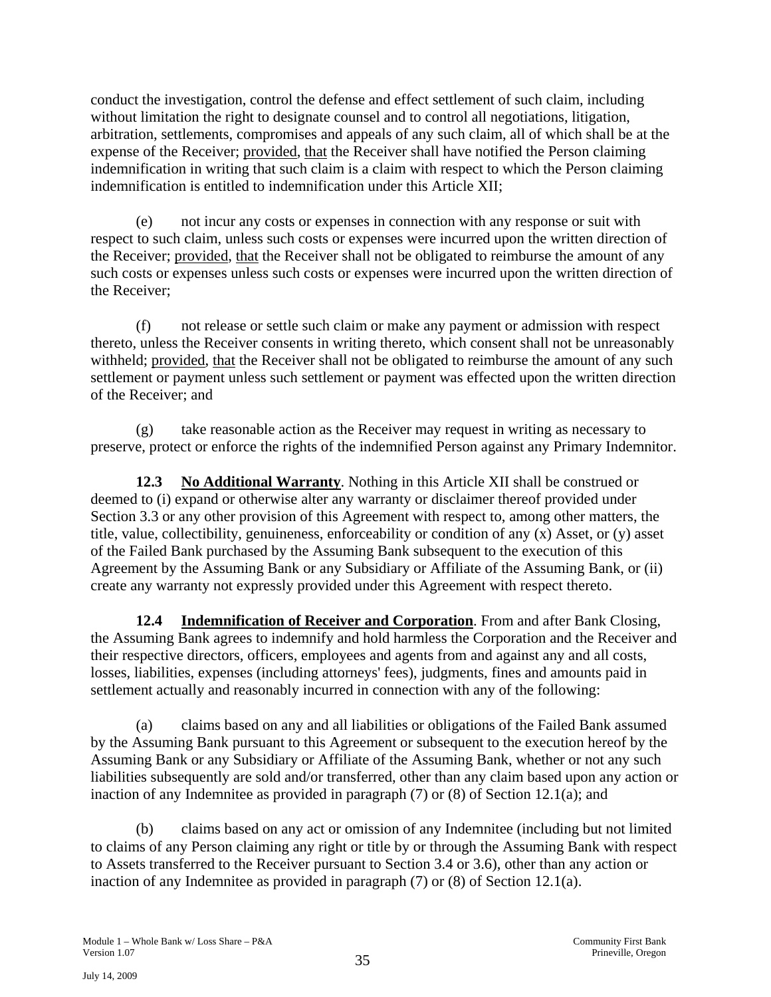conduct the investigation, control the defense and effect settlement of such claim, including without limitation the right to designate counsel and to control all negotiations, litigation, arbitration, settlements, compromises and appeals of any such claim, all of which shall be at the expense of the Receiver; provided, that the Receiver shall have notified the Person claiming indemnification in writing that such claim is a claim with respect to which the Person claiming indemnification is entitled to indemnification under this Article XII;

(e) not incur any costs or expenses in connection with any response or suit with respect to such claim, unless such costs or expenses were incurred upon the written direction of the Receiver; provided, that the Receiver shall not be obligated to reimburse the amount of any such costs or expenses unless such costs or expenses were incurred upon the written direction of the Receiver;

(f) not release or settle such claim or make any payment or admission with respect thereto, unless the Receiver consents in writing thereto, which consent shall not be unreasonably withheld; provided, that the Receiver shall not be obligated to reimburse the amount of any such settlement or payment unless such settlement or payment was effected upon the written direction of the Receiver; and

(g) take reasonable action as the Receiver may request in writing as necessary to preserve, protect or enforce the rights of the indemnified Person against any Primary Indemnitor.

12.3 No Additional Warranty. Nothing in this Article XII shall be construed or deemed to (i) expand or otherwise alter any warranty or disclaimer thereof provided under Section 3.3 or any other provision of this Agreement with respect to, among other matters, the title, value, collectibility, genuineness, enforceability or condition of any (x) Asset, or (y) asset of the Failed Bank purchased by the Assuming Bank subsequent to the execution of this Agreement by the Assuming Bank or any Subsidiary or Affiliate of the Assuming Bank, or (ii) create any warranty not expressly provided under this Agreement with respect thereto.

**12.4 Indemnification of Receiver and Corporation**. From and after Bank Closing, the Assuming Bank agrees to indemnify and hold harmless the Corporation and the Receiver and their respective directors, officers, employees and agents from and against any and all costs, losses, liabilities, expenses (including attorneys' fees), judgments, fines and amounts paid in settlement actually and reasonably incurred in connection with any of the following:

(a) claims based on any and all liabilities or obligations of the Failed Bank assumed by the Assuming Bank pursuant to this Agreement or subsequent to the execution hereof by the Assuming Bank or any Subsidiary or Affiliate of the Assuming Bank, whether or not any such liabilities subsequently are sold and/or transferred, other than any claim based upon any action or inaction of any Indemnitee as provided in paragraph (7) or (8) of Section 12.1(a); and

(b) claims based on any act or omission of any Indemnitee (including but not limited to claims of any Person claiming any right or title by or through the Assuming Bank with respect to Assets transferred to the Receiver pursuant to Section 3.4 or 3.6), other than any action or inaction of any Indemnitee as provided in paragraph (7) or (8) of Section 12.1(a).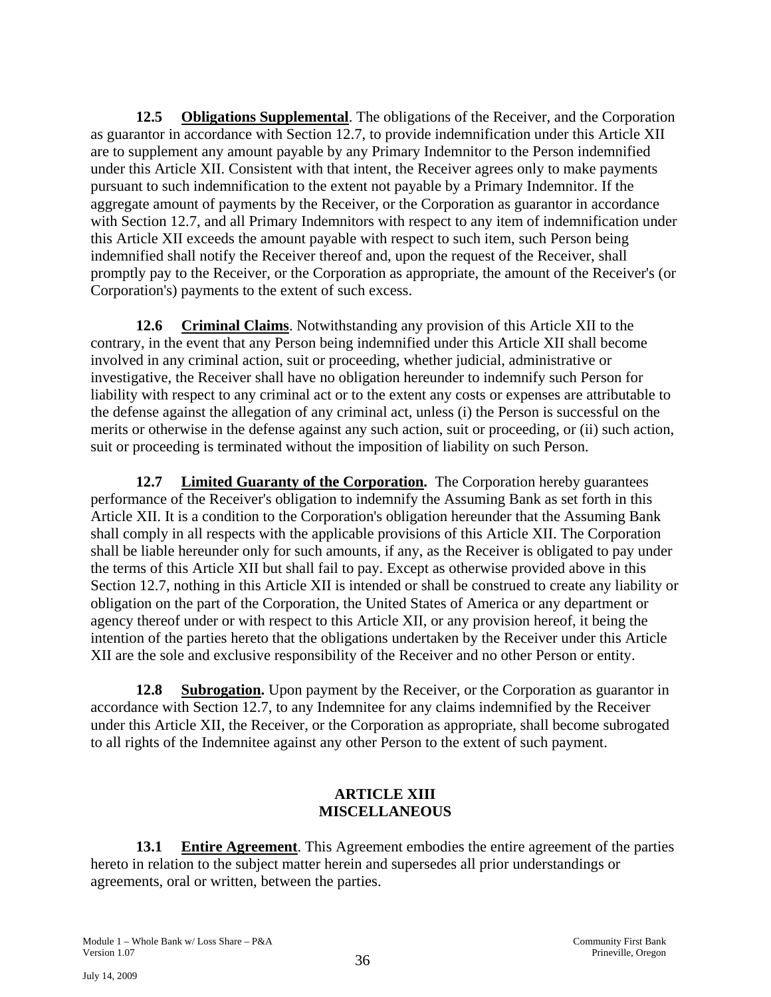**12.5 Obligations Supplemental**. The obligations of the Receiver, and the Corporation as guarantor in accordance with Section 12.7, to provide indemnification under this Article XII are to supplement any amount payable by any Primary Indemnitor to the Person indemnified under this Article XII. Consistent with that intent, the Receiver agrees only to make payments pursuant to such indemnification to the extent not payable by a Primary Indemnitor. If the aggregate amount of payments by the Receiver, or the Corporation as guarantor in accordance with Section 12.7, and all Primary Indemnitors with respect to any item of indemnification under this Article XII exceeds the amount payable with respect to such item, such Person being indemnified shall notify the Receiver thereof and, upon the request of the Receiver, shall promptly pay to the Receiver, or the Corporation as appropriate, the amount of the Receiver's (or Corporation's) payments to the extent of such excess.

**12.6 Criminal Claims**. Notwithstanding any provision of this Article XII to the contrary, in the event that any Person being indemnified under this Article XII shall become involved in any criminal action, suit or proceeding, whether judicial, administrative or investigative, the Receiver shall have no obligation hereunder to indemnify such Person for liability with respect to any criminal act or to the extent any costs or expenses are attributable to the defense against the allegation of any criminal act, unless (i) the Person is successful on the merits or otherwise in the defense against any such action, suit or proceeding, or (ii) such action, suit or proceeding is terminated without the imposition of liability on such Person.

**12.7** Limited Guaranty of the Corporation. The Corporation hereby guarantees performance of the Receiver's obligation to indemnify the Assuming Bank as set forth in this Article XII. It is a condition to the Corporation's obligation hereunder that the Assuming Bank shall comply in all respects with the applicable provisions of this Article XII. The Corporation shall be liable hereunder only for such amounts, if any, as the Receiver is obligated to pay under the terms of this Article XII but shall fail to pay. Except as otherwise provided above in this Section 12.7, nothing in this Article XII is intended or shall be construed to create any liability or obligation on the part of the Corporation, the United States of America or any department or agency thereof under or with respect to this Article XII, or any provision hereof, it being the intention of the parties hereto that the obligations undertaken by the Receiver under this Article XII are the sole and exclusive responsibility of the Receiver and no other Person or entity.

**12.8 Subrogation.** Upon payment by the Receiver, or the Corporation as guarantor in accordance with Section 12.7, to any Indemnitee for any claims indemnified by the Receiver under this Article XII, the Receiver, or the Corporation as appropriate, shall become subrogated to all rights of the Indemnitee against any other Person to the extent of such payment.

### **ARTICLE XIII MISCELLANEOUS**

**13.1 Entire Agreement**. This Agreement embodies the entire agreement of the parties hereto in relation to the subject matter herein and supersedes all prior understandings or agreements, oral or written, between the parties.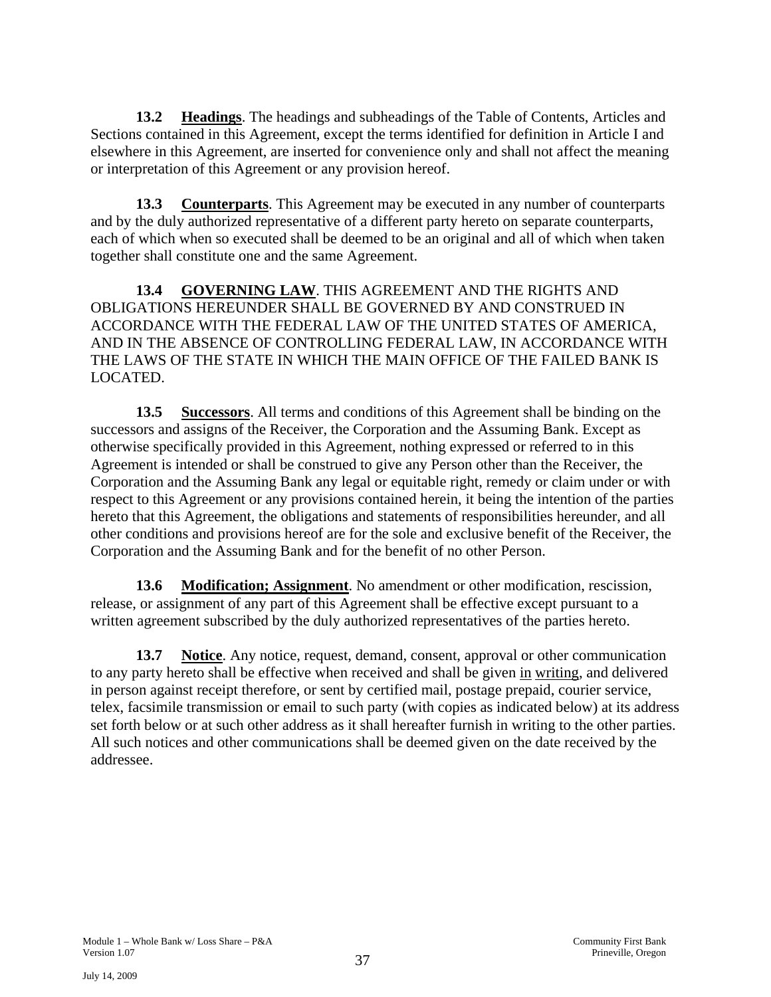**13.2 Headings**. The headings and subheadings of the Table of Contents, Articles and Sections contained in this Agreement, except the terms identified for definition in Article I and elsewhere in this Agreement, are inserted for convenience only and shall not affect the meaning or interpretation of this Agreement or any provision hereof.

**13.3 Counterparts**. This Agreement may be executed in any number of counterparts and by the duly authorized representative of a different party hereto on separate counterparts, each of which when so executed shall be deemed to be an original and all of which when taken together shall constitute one and the same Agreement.

13.4 **GOVERNING LAW.** THIS AGREEMENT AND THE RIGHTS AND OBLIGATIONS HEREUNDER SHALL BE GOVERNED BY AND CONSTRUED IN ACCORDANCE WITH THE FEDERAL LAW OF THE UNITED STATES OF AMERICA, AND IN THE ABSENCE OF CONTROLLING FEDERAL LAW, IN ACCORDANCE WITH THE LAWS OF THE STATE IN WHICH THE MAIN OFFICE OF THE FAILED BANK IS LOCATED.

**13.5 Successors.** All terms and conditions of this Agreement shall be binding on the successors and assigns of the Receiver, the Corporation and the Assuming Bank. Except as otherwise specifically provided in this Agreement, nothing expressed or referred to in this Agreement is intended or shall be construed to give any Person other than the Receiver, the Corporation and the Assuming Bank any legal or equitable right, remedy or claim under or with respect to this Agreement or any provisions contained herein, it being the intention of the parties hereto that this Agreement, the obligations and statements of responsibilities hereunder, and all other conditions and provisions hereof are for the sole and exclusive benefit of the Receiver, the Corporation and the Assuming Bank and for the benefit of no other Person.

**13.6 Modification; Assignment**. No amendment or other modification, rescission, release, or assignment of any part of this Agreement shall be effective except pursuant to a written agreement subscribed by the duly authorized representatives of the parties hereto.

**13.7** Notice. Any notice, request, demand, consent, approval or other communication to any party hereto shall be effective when received and shall be given in writing, and delivered in person against receipt therefore, or sent by certified mail, postage prepaid, courier service, telex, facsimile transmission or email to such party (with copies as indicated below) at its address set forth below or at such other address as it shall hereafter furnish in writing to the other parties. All such notices and other communications shall be deemed given on the date received by the addressee.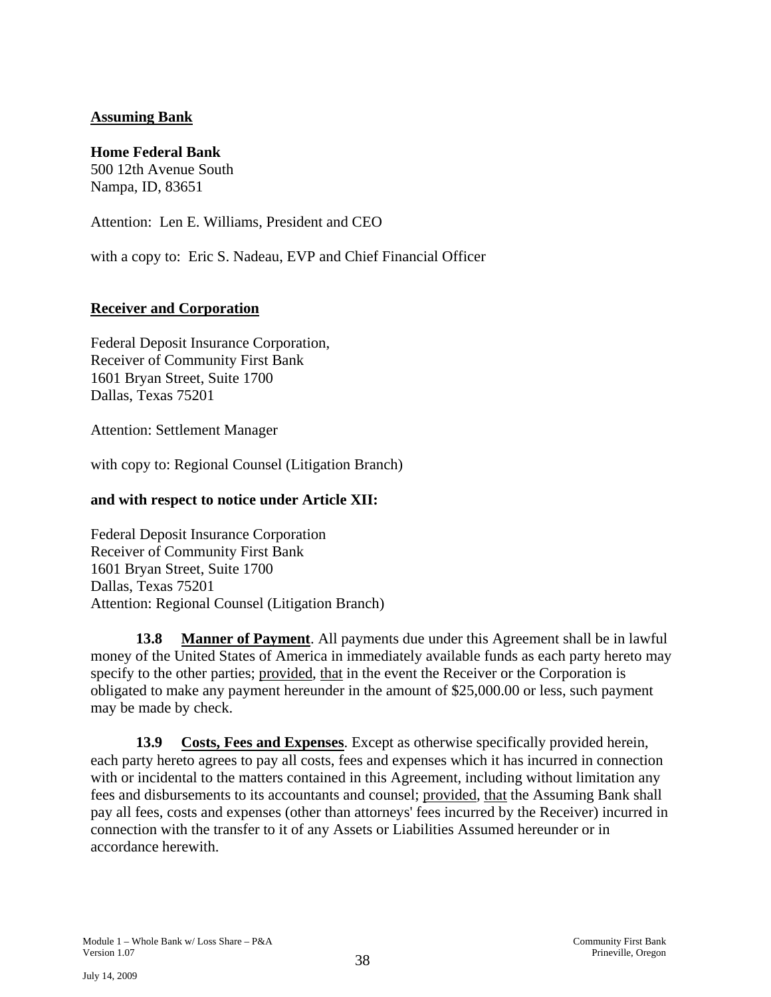### **Assuming Bank**

### **Home Federal Bank**

500 12th Avenue South Nampa, ID, 83651

Attention: Len E. Williams, President and CEO

with a copy to: Eric S. Nadeau, EVP and Chief Financial Officer

### **Receiver and Corporation**

Federal Deposit Insurance Corporation, Receiver of Community First Bank 1601 Bryan Street, Suite 1700 Dallas, Texas 75201

Attention: Settlement Manager

with copy to: Regional Counsel (Litigation Branch)

#### **and with respect to notice under Article XII:**

Federal Deposit Insurance Corporation Receiver of Community First Bank 1601 Bryan Street, Suite 1700 Dallas, Texas 75201 Attention: Regional Counsel (Litigation Branch)

 **13.8 Manner of Payment**. All payments due under this Agreement shall be in lawful money of the United States of America in immediately available funds as each party hereto may specify to the other parties; provided, that in the event the Receiver or the Corporation is obligated to make any payment hereunder in the amount of \$25,000.00 or less, such payment may be made by check.

**13.9 Costs, Fees and Expenses**. Except as otherwise specifically provided herein, each party hereto agrees to pay all costs, fees and expenses which it has incurred in connection with or incidental to the matters contained in this Agreement, including without limitation any fees and disbursements to its accountants and counsel; provided, that the Assuming Bank shall pay all fees, costs and expenses (other than attorneys' fees incurred by the Receiver) incurred in connection with the transfer to it of any Assets or Liabilities Assumed hereunder or in accordance herewith.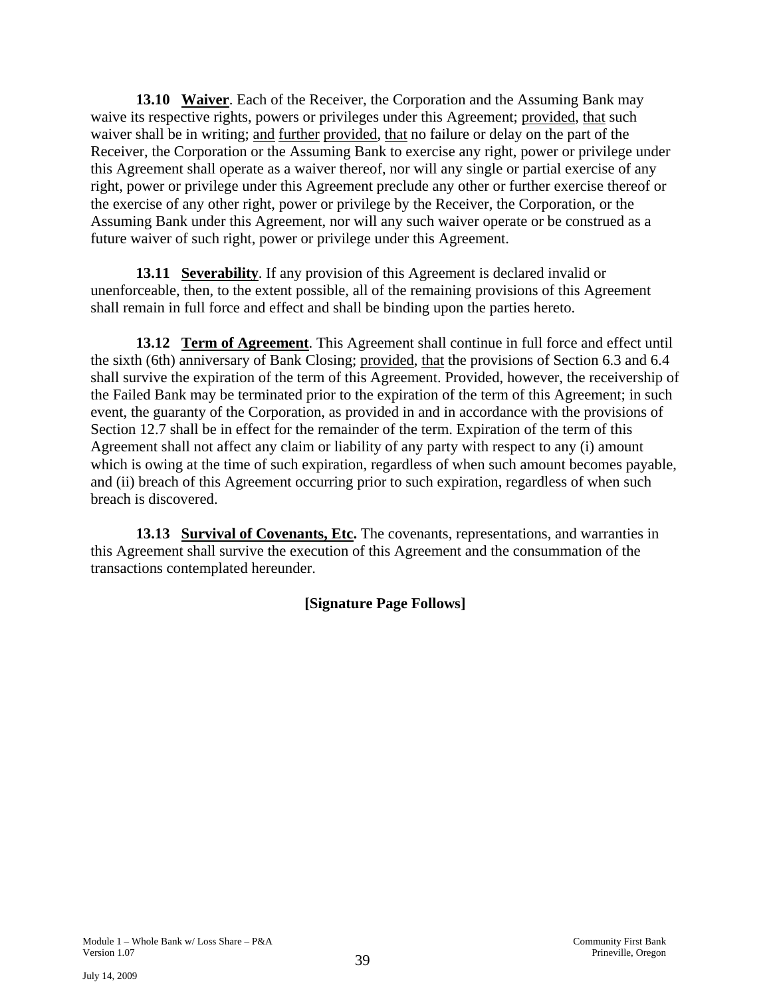**13.10 Waiver**. Each of the Receiver, the Corporation and the Assuming Bank may waive its respective rights, powers or privileges under this Agreement; provided, that such waiver shall be in writing; and further provided, that no failure or delay on the part of the Receiver, the Corporation or the Assuming Bank to exercise any right, power or privilege under this Agreement shall operate as a waiver thereof, nor will any single or partial exercise of any right, power or privilege under this Agreement preclude any other or further exercise thereof or the exercise of any other right, power or privilege by the Receiver, the Corporation, or the Assuming Bank under this Agreement, nor will any such waiver operate or be construed as a future waiver of such right, power or privilege under this Agreement.

**13.11 Severability**. If any provision of this Agreement is declared invalid or unenforceable, then, to the extent possible, all of the remaining provisions of this Agreement shall remain in full force and effect and shall be binding upon the parties hereto.

**13.12 Term of Agreement**. This Agreement shall continue in full force and effect until the sixth (6th) anniversary of Bank Closing; provided, that the provisions of Section 6.3 and 6.4 shall survive the expiration of the term of this Agreement. Provided, however, the receivership of the Failed Bank may be terminated prior to the expiration of the term of this Agreement; in such event, the guaranty of the Corporation, as provided in and in accordance with the provisions of Section 12.7 shall be in effect for the remainder of the term. Expiration of the term of this Agreement shall not affect any claim or liability of any party with respect to any (i) amount which is owing at the time of such expiration, regardless of when such amount becomes payable, and (ii) breach of this Agreement occurring prior to such expiration, regardless of when such breach is discovered.

**13.13 Survival of Covenants, Etc.** The covenants, representations, and warranties in this Agreement shall survive the execution of this Agreement and the consummation of the transactions contemplated hereunder.

## **[Signature Page Follows]**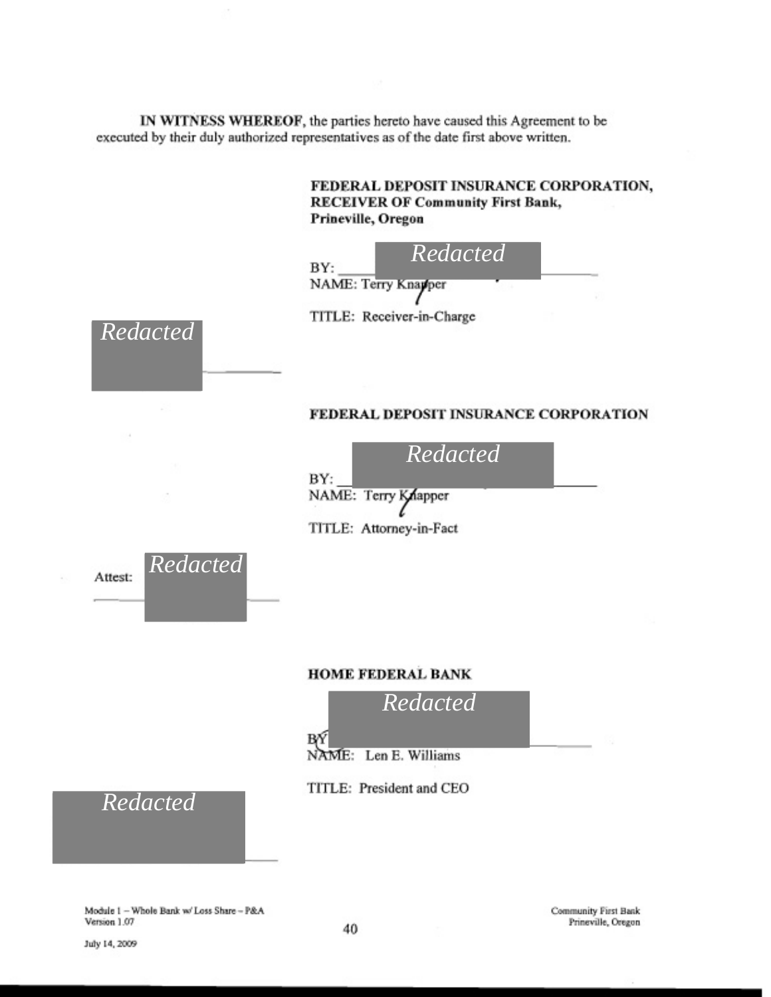**IN WITNESS WHEREOF,** the parties hereto have caused this Agreement to be executed by their duly authorized representatives as of the date first above written.



Module 1 - Whole Bank **w/ Loss Share-P&A** Community First Bank Community First Bank **Community First Bank** Primeville, Oregon Version 1.07 40 Prineville, Oregon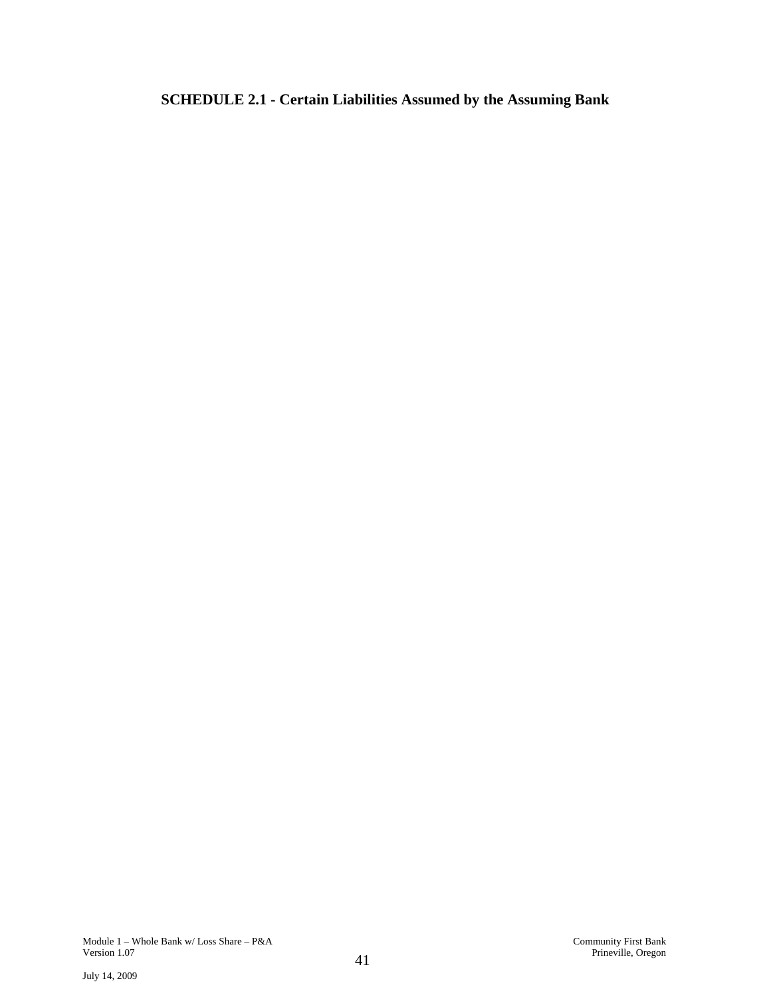**SCHEDULE 2.1 - Certain Liabilities Assumed by the Assuming Bank**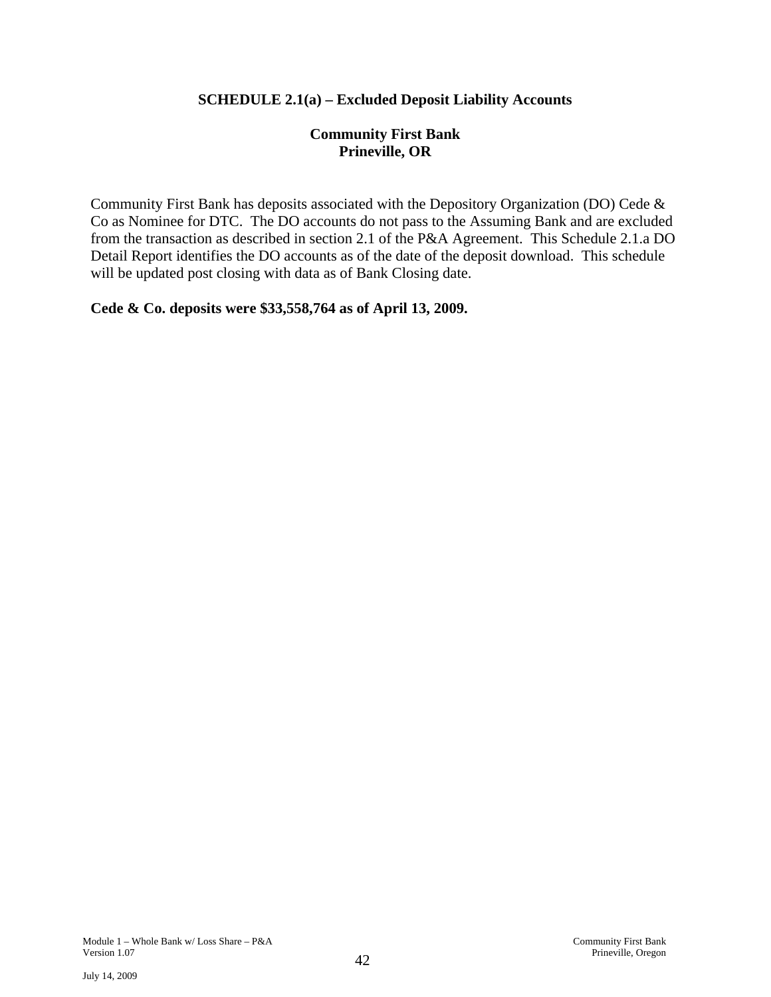### **SCHEDULE 2.1(a) – Excluded Deposit Liability Accounts**

### **Community First Bank Prineville, OR**

Community First Bank has deposits associated with the Depository Organization (DO) Cede & Co as Nominee for DTC. The DO accounts do not pass to the Assuming Bank and are excluded from the transaction as described in section 2.1 of the P&A Agreement. This Schedule 2.1.a DO Detail Report identifies the DO accounts as of the date of the deposit download. This schedule will be updated post closing with data as of Bank Closing date.

**Cede & Co. deposits were \$33,558,764 as of April 13, 2009.**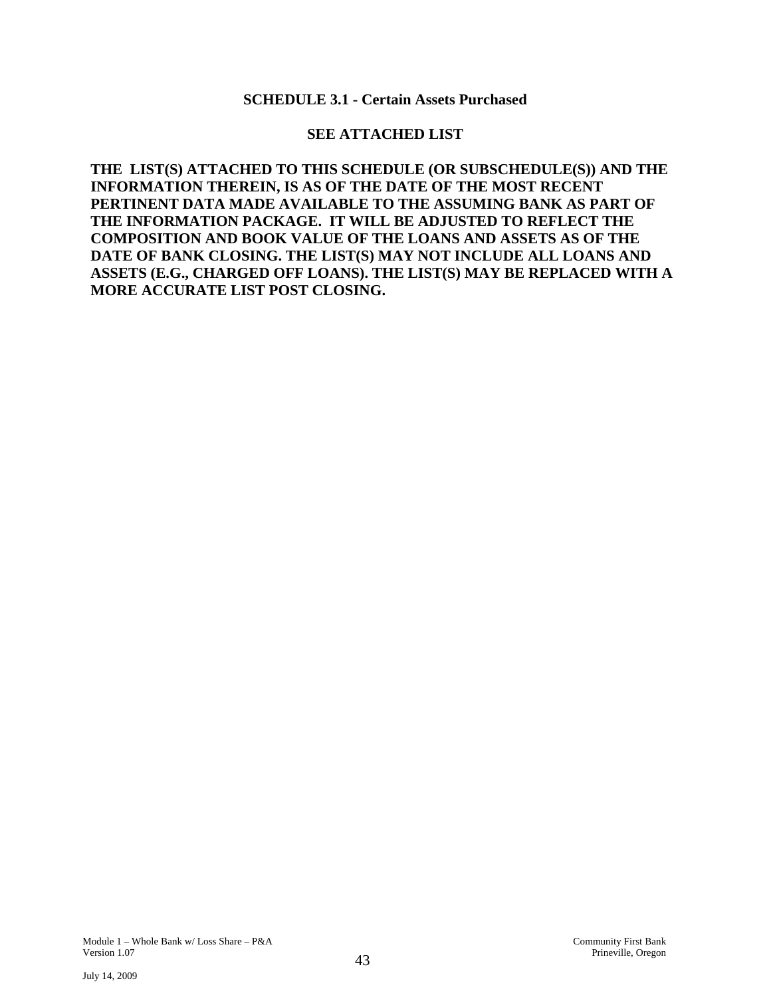#### **SCHEDULE 3.1 - Certain Assets Purchased**

#### **SEE ATTACHED LIST**

THE LIST(S) ATTACHED TO THIS SCHEDULE (OR SUBSCHEDULE(S)) AND THE **INFORMATION THEREIN, IS AS OF THE DATE OF THE MOST RECENT PERTINENT DATA MADE AVAILABLE TO THE ASSUMING BANK AS PART OF THE INFORMATION PACKAGE. IT WILL BE ADJUSTED TO REFLECT THE COMPOSITION AND BOOK VALUE OF THE LOANS AND ASSETS AS OF THE DATE OF BANK CLOSING. THE LIST(S) MAY NOT INCLUDE ALL LOANS AND ASSETS (E.G., CHARGED OFF LOANS). THE LIST(S) MAY BE REPLACED WITH A MORE ACCURATE LIST POST CLOSING.**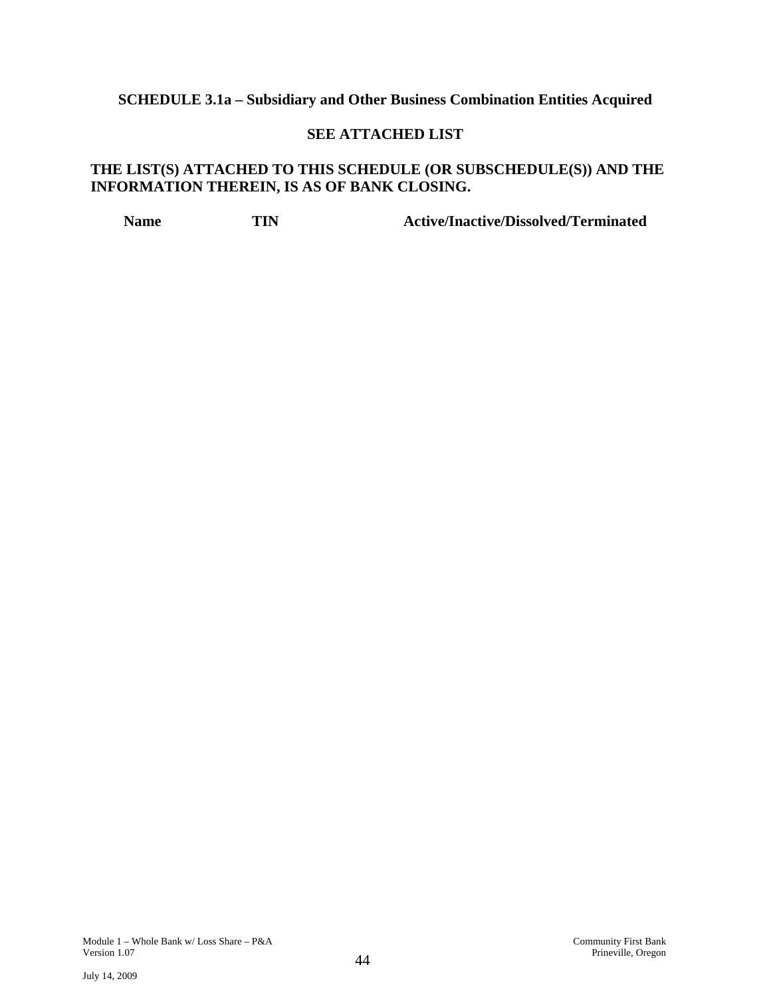## **SCHEDULE 3.1a – Subsidiary and Other Business Combination Entities Acquired**

#### **SEE ATTACHED LIST**

## **THE LIST(S) ATTACHED TO THIS SCHEDULE (OR SUBSCHEDULE(S)) AND THE INFORMATION THEREIN, IS AS OF BANK CLOSING.**

**Name TIN Active/Inactive/Dissolved/Terminated**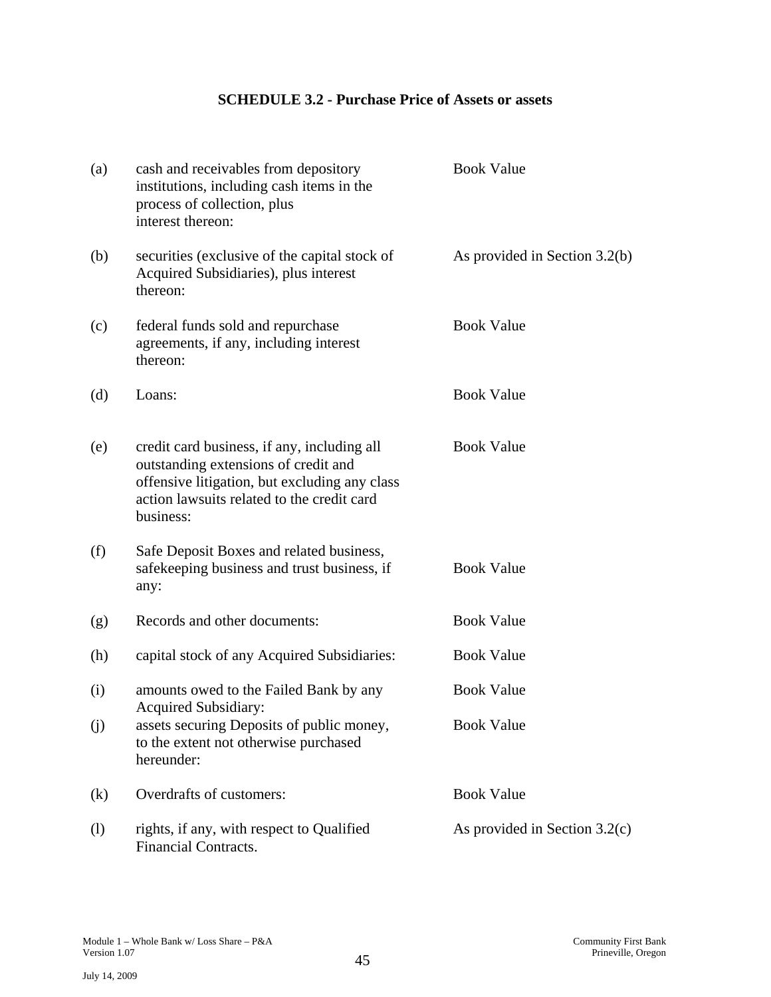## **SCHEDULE 3.2 - Purchase Price of Assets or assets**

| (a) | cash and receivables from depository<br>institutions, including cash items in the<br>process of collection, plus<br>interest thereon:                                                           | <b>Book Value</b>               |
|-----|-------------------------------------------------------------------------------------------------------------------------------------------------------------------------------------------------|---------------------------------|
| (b) | securities (exclusive of the capital stock of<br>Acquired Subsidiaries), plus interest<br>thereon:                                                                                              | As provided in Section 3.2(b)   |
| (c) | federal funds sold and repurchase<br>agreements, if any, including interest<br>thereon:                                                                                                         | <b>Book Value</b>               |
| (d) | Loans:                                                                                                                                                                                          | <b>Book Value</b>               |
| (e) | credit card business, if any, including all<br>outstanding extensions of credit and<br>offensive litigation, but excluding any class<br>action lawsuits related to the credit card<br>business: | <b>Book Value</b>               |
| (f) | Safe Deposit Boxes and related business,<br>safekeeping business and trust business, if<br>any:                                                                                                 | <b>Book Value</b>               |
| (g) | Records and other documents:                                                                                                                                                                    | <b>Book Value</b>               |
| (h) | capital stock of any Acquired Subsidiaries:                                                                                                                                                     | <b>Book Value</b>               |
| (i) | amounts owed to the Failed Bank by any                                                                                                                                                          | <b>Book Value</b>               |
| (j) | <b>Acquired Subsidiary:</b><br>assets securing Deposits of public money,<br>to the extent not otherwise purchased<br>hereunder:                                                                 | <b>Book Value</b>               |
| (k) | Overdrafts of customers:                                                                                                                                                                        | <b>Book Value</b>               |
| (1) | rights, if any, with respect to Qualified<br>Financial Contracts.                                                                                                                               | As provided in Section $3.2(c)$ |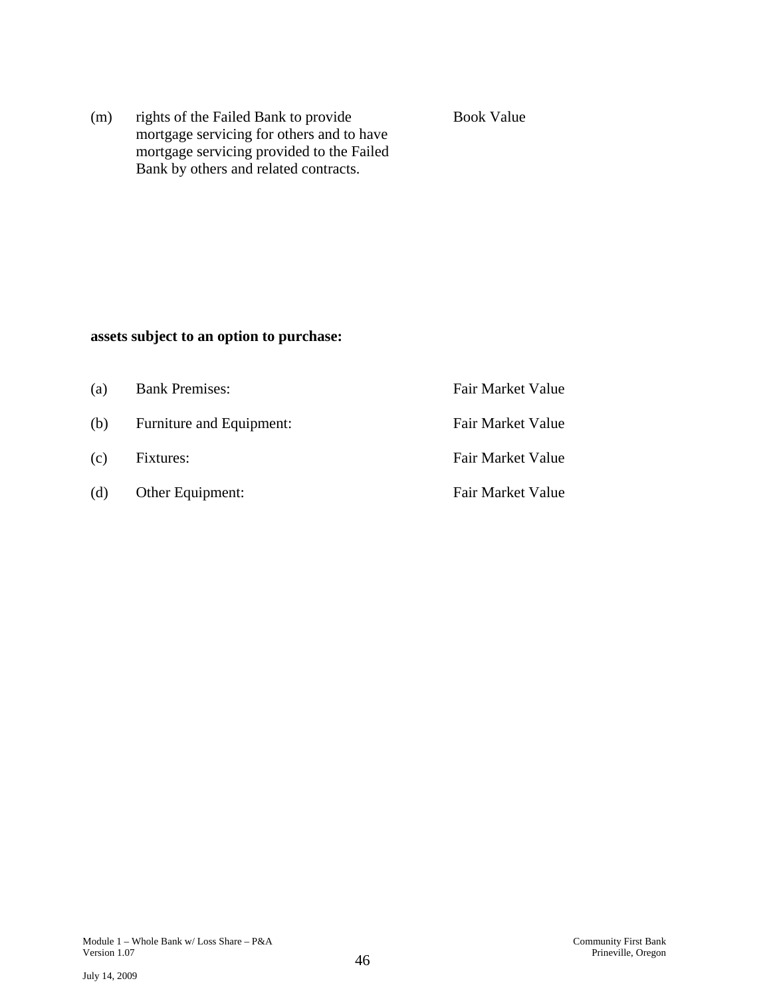(m) rights of the Failed Bank to provide Book Value mortgage servicing for others and to have mortgage servicing provided to the Failed Bank by others and related contracts.

## **assets subject to an option to purchase:**

| (a) | <b>Bank Premises:</b>    | Fair Market Value |
|-----|--------------------------|-------------------|
| (b) | Furniture and Equipment: | Fair Market Value |
| (c) | Fixtures:                | Fair Market Value |
| (d) | Other Equipment:         | Fair Market Value |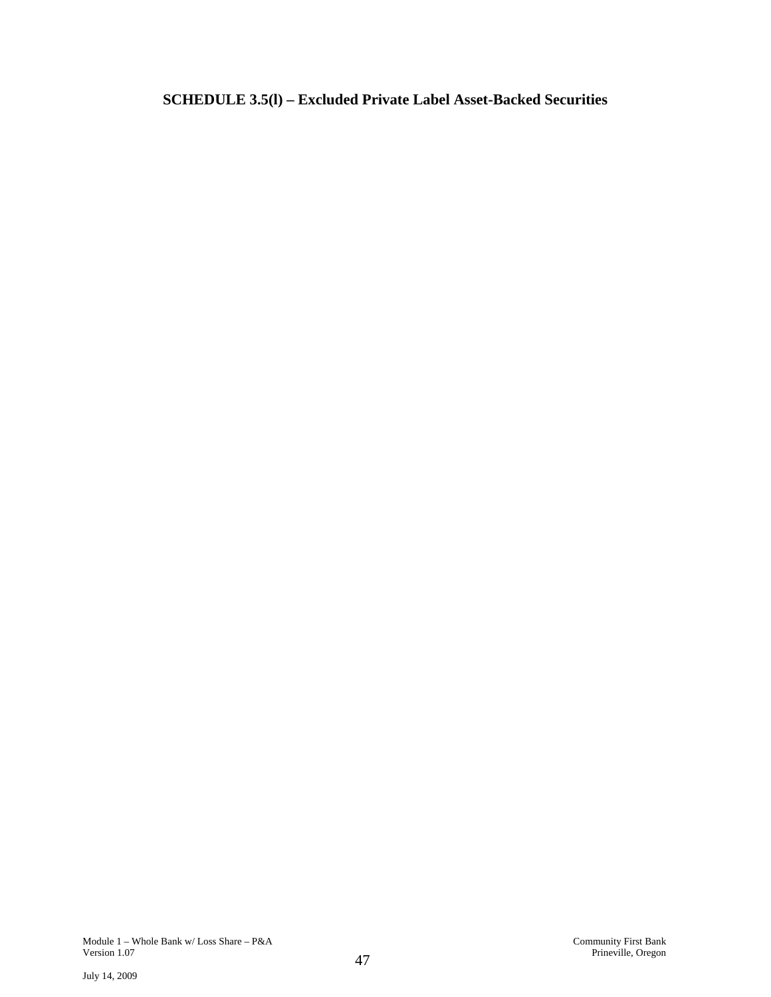# **SCHEDULE 3.5(l) – Excluded Private Label Asset-Backed Securities**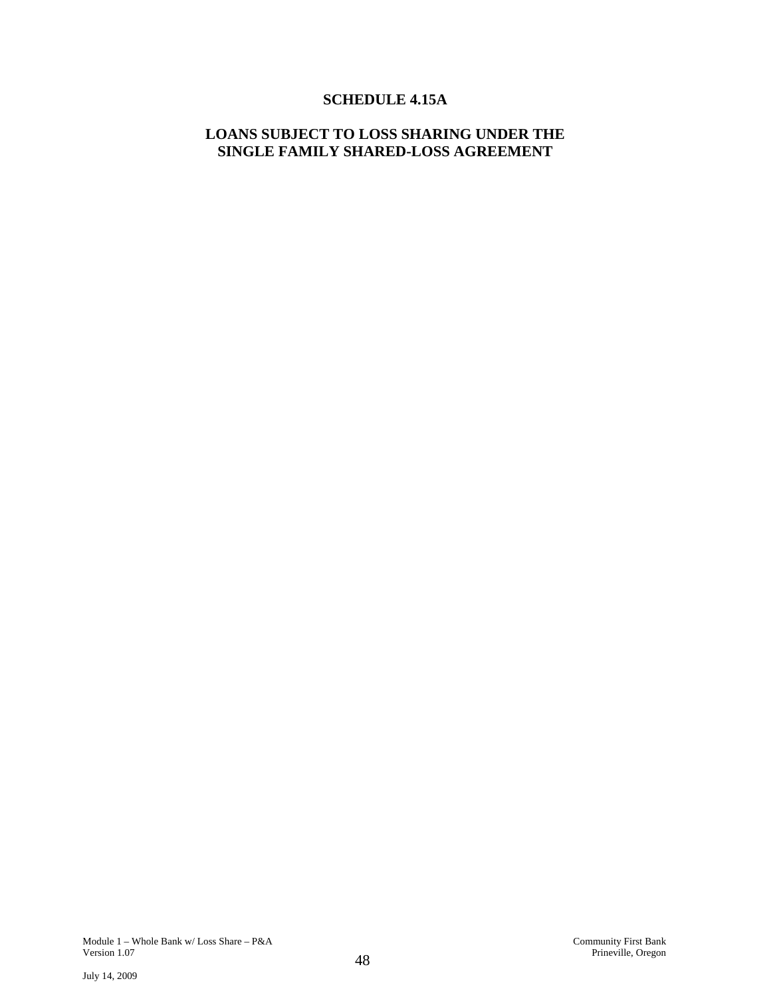### **SCHEDULE 4.15A**

### **LOANS SUBJECT TO LOSS SHARING UNDER THE SINGLE FAMILY SHARED-LOSS AGREEMENT**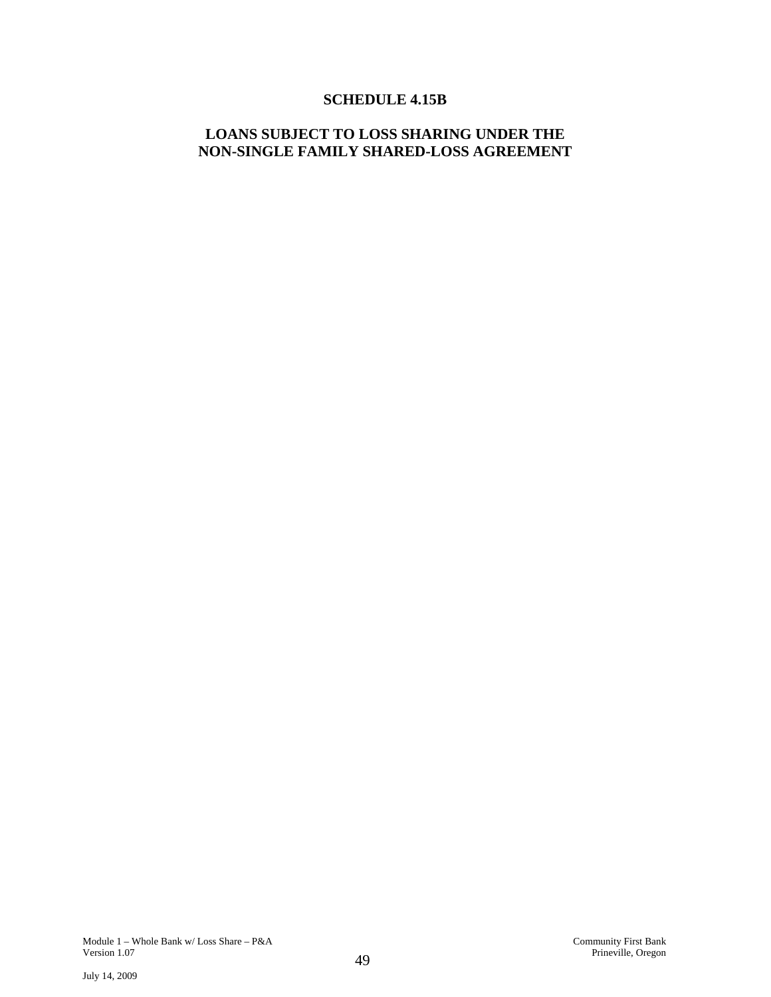### **SCHEDULE 4.15B**

### **LOANS SUBJECT TO LOSS SHARING UNDER THE NON-SINGLE FAMILY SHARED-LOSS AGREEMENT**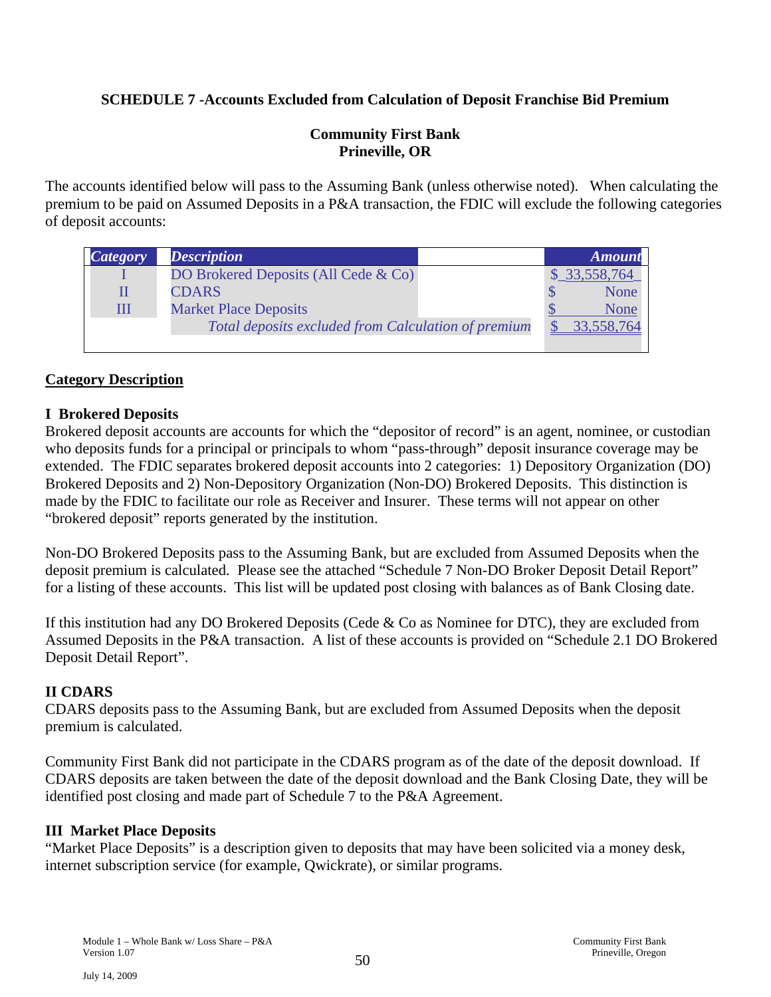## **SCHEDULE 7 -Accounts Excluded from Calculation of Deposit Franchise Bid Premium**

### **Community First Bank Prineville, OR**

The accounts identified below will pass to the Assuming Bank (unless otherwise noted). When calculating the premium to be paid on Assumed Deposits in a P&A transaction, the FDIC will exclude the following categories of deposit accounts:

| <b>Category</b> | <b>Description</b>                                  | <b>Amount</b> |
|-----------------|-----------------------------------------------------|---------------|
|                 | DO Brokered Deposits (All Cede & Co)                | \$23,558,764  |
| ш               | <b>CDARS</b>                                        | <b>None</b>   |
| Ш               | <b>Market Place Deposits</b>                        | None          |
|                 | Total deposits excluded from Calculation of premium | 33,558,764    |
|                 |                                                     |               |

### **Category Description**

#### **I Brokered Deposits**

Brokered deposit accounts are accounts for which the "depositor of record" is an agent, nominee, or custodian who deposits funds for a principal or principals to whom "pass-through" deposit insurance coverage may be extended. The FDIC separates brokered deposit accounts into 2 categories: 1) Depository Organization (DO) Brokered Deposits and 2) Non-Depository Organization (Non-DO) Brokered Deposits. This distinction is made by the FDIC to facilitate our role as Receiver and Insurer. These terms will not appear on other "brokered deposit" reports generated by the institution.

Non-DO Brokered Deposits pass to the Assuming Bank, but are excluded from Assumed Deposits when the deposit premium is calculated. Please see the attached "Schedule 7 Non-DO Broker Deposit Detail Report" for a listing of these accounts. This list will be updated post closing with balances as of Bank Closing date.

If this institution had any DO Brokered Deposits (Cede & Co as Nominee for DTC), they are excluded from Assumed Deposits in the P&A transaction. A list of these accounts is provided on "Schedule 2.1 DO Brokered Deposit Detail Report".

#### **II CDARS**

CDARS deposits pass to the Assuming Bank, but are excluded from Assumed Deposits when the deposit premium is calculated.

Community First Bank did not participate in the CDARS program as of the date of the deposit download. If CDARS deposits are taken between the date of the deposit download and the Bank Closing Date, they will be identified post closing and made part of Schedule 7 to the P&A Agreement.

#### **III Market Place Deposits**

"Market Place Deposits" is a description given to deposits that may have been solicited via a money desk, internet subscription service (for example, Qwickrate), or similar programs.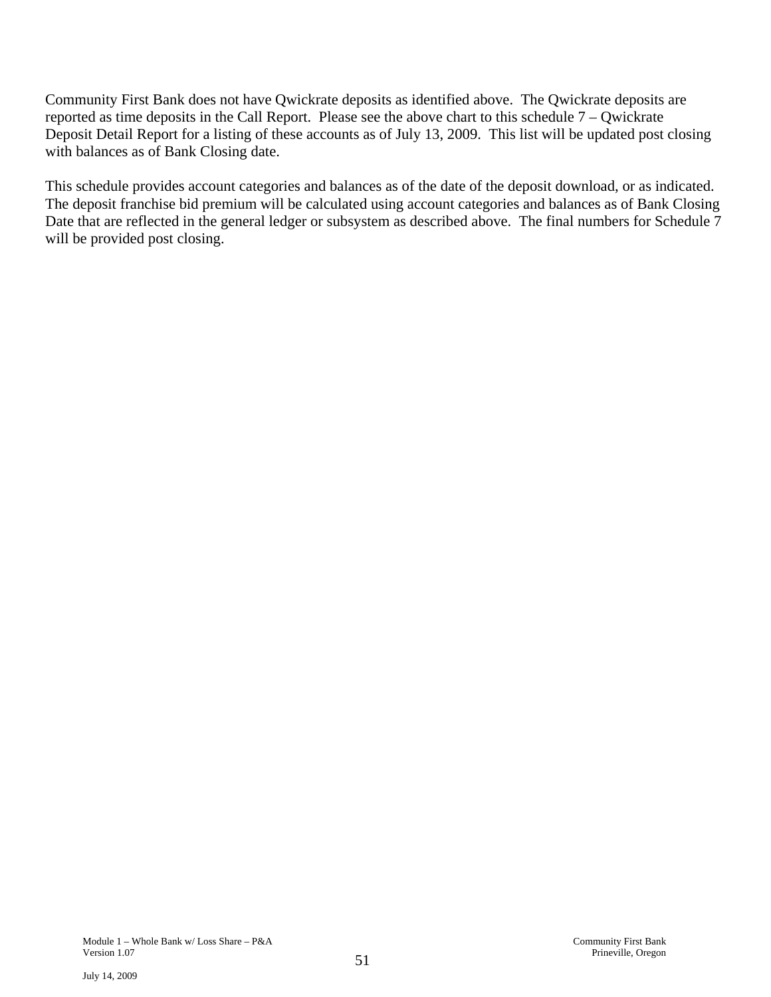Community First Bank does not have Qwickrate deposits as identified above. The Qwickrate deposits are reported as time deposits in the Call Report. Please see the above chart to this schedule 7 – Qwickrate Deposit Detail Report for a listing of these accounts as of July 13, 2009. This list will be updated post closing with balances as of Bank Closing date.

This schedule provides account categories and balances as of the date of the deposit download, or as indicated. The deposit franchise bid premium will be calculated using account categories and balances as of Bank Closing Date that are reflected in the general ledger or subsystem as described above. The final numbers for Schedule 7 will be provided post closing.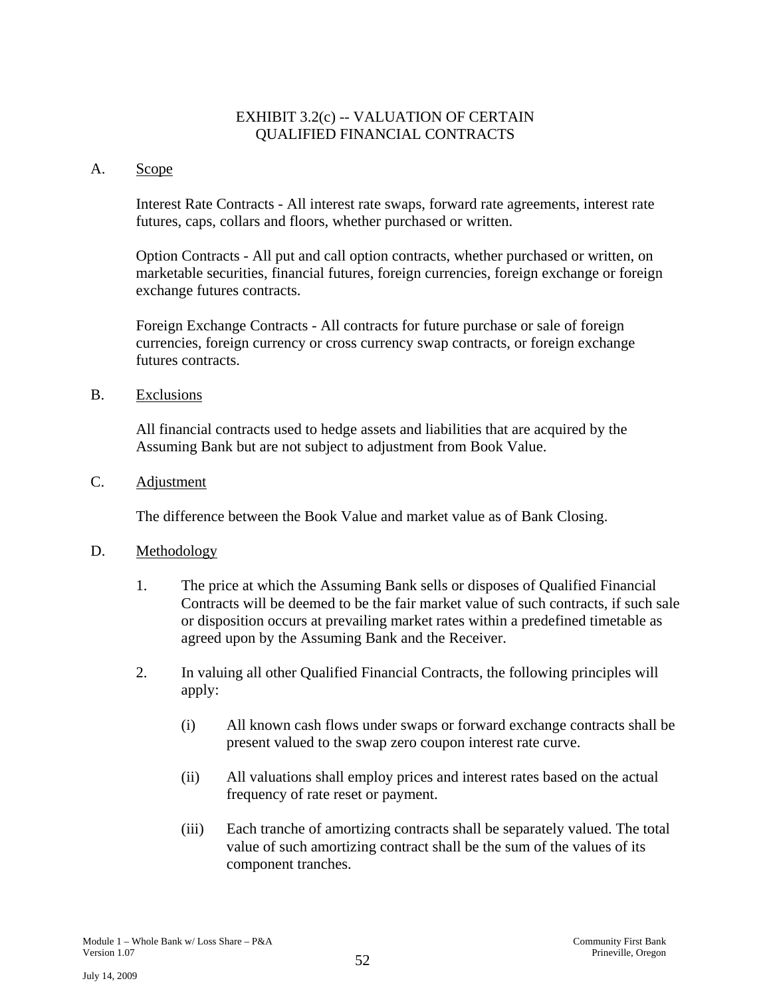### EXHIBIT 3.2(c) -- VALUATION OF CERTAIN QUALIFIED FINANCIAL CONTRACTS

#### A. Scope

Interest Rate Contracts - All interest rate swaps, forward rate agreements, interest rate futures, caps, collars and floors, whether purchased or written.

Option Contracts - All put and call option contracts, whether purchased or written, on marketable securities, financial futures, foreign currencies, foreign exchange or foreign exchange futures contracts.

Foreign Exchange Contracts - All contracts for future purchase or sale of foreign currencies, foreign currency or cross currency swap contracts, or foreign exchange futures contracts.

#### B. Exclusions

All financial contracts used to hedge assets and liabilities that are acquired by the Assuming Bank but are not subject to adjustment from Book Value.

#### C. Adjustment

The difference between the Book Value and market value as of Bank Closing.

### D. Methodology

- 1. The price at which the Assuming Bank sells or disposes of Qualified Financial Contracts will be deemed to be the fair market value of such contracts, if such sale or disposition occurs at prevailing market rates within a predefined timetable as agreed upon by the Assuming Bank and the Receiver.
- 2. In valuing all other Qualified Financial Contracts, the following principles will apply:
	- (i) All known cash flows under swaps or forward exchange contracts shall be present valued to the swap zero coupon interest rate curve.
	- (ii) All valuations shall employ prices and interest rates based on the actual frequency of rate reset or payment.
	- (iii) Each tranche of amortizing contracts shall be separately valued. The total value of such amortizing contract shall be the sum of the values of its component tranches.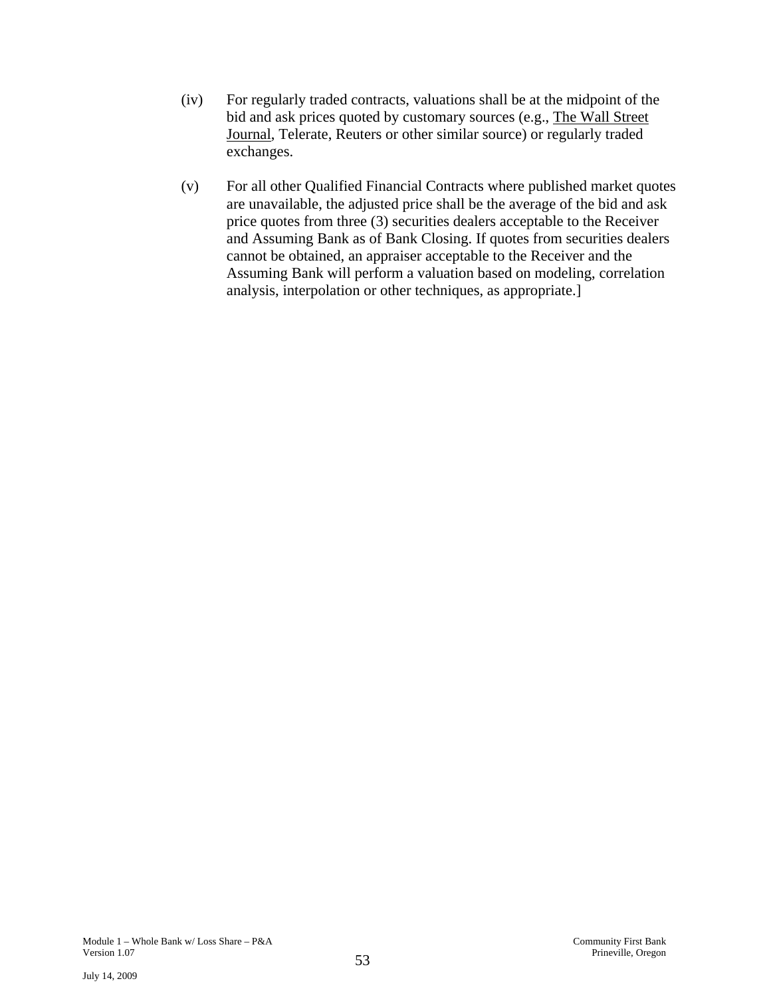- (iv) For regularly traded contracts, valuations shall be at the midpoint of the bid and ask prices quoted by customary sources (e.g., The Wall Street Journal, Telerate, Reuters or other similar source) or regularly traded exchanges.
- (v) For all other Qualified Financial Contracts where published market quotes are unavailable, the adjusted price shall be the average of the bid and ask price quotes from three (3) securities dealers acceptable to the Receiver and Assuming Bank as of Bank Closing. If quotes from securities dealers cannot be obtained, an appraiser acceptable to the Receiver and the Assuming Bank will perform a valuation based on modeling, correlation analysis, interpolation or other techniques, as appropriate.]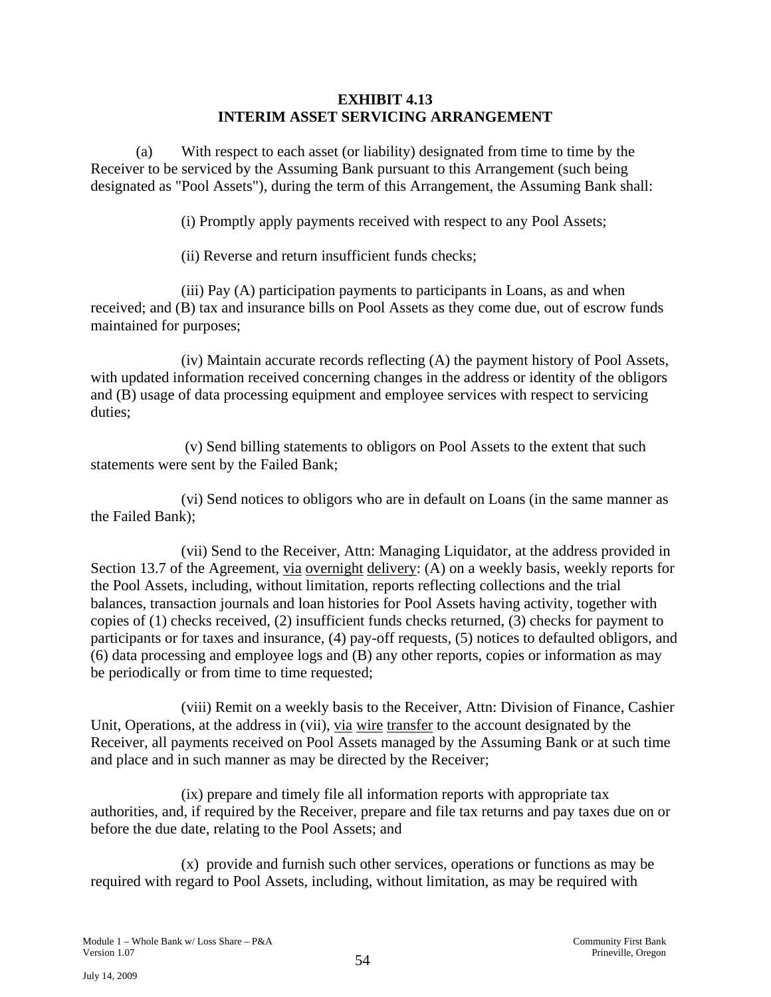#### **EXHIBIT 4.13 INTERIM ASSET SERVICING ARRANGEMENT**

(a) With respect to each asset (or liability) designated from time to time by the Receiver to be serviced by the Assuming Bank pursuant to this Arrangement (such being designated as "Pool Assets"), during the term of this Arrangement, the Assuming Bank shall:

(i) Promptly apply payments received with respect to any Pool Assets;

(ii) Reverse and return insufficient funds checks;

(iii) Pay (A) participation payments to participants in Loans, as and when received; and (B) tax and insurance bills on Pool Assets as they come due, out of escrow funds maintained for purposes;

(iv) Maintain accurate records reflecting (A) the payment history of Pool Assets, with updated information received concerning changes in the address or identity of the obligors and (B) usage of data processing equipment and employee services with respect to servicing duties;

 (v) Send billing statements to obligors on Pool Assets to the extent that such statements were sent by the Failed Bank;

(vi) Send notices to obligors who are in default on Loans (in the same manner as the Failed Bank);

(vii) Send to the Receiver, Attn: Managing Liquidator, at the address provided in Section 13.7 of the Agreement, via overnight delivery: (A) on a weekly basis, weekly reports for the Pool Assets, including, without limitation, reports reflecting collections and the trial balances, transaction journals and loan histories for Pool Assets having activity, together with copies of (1) checks received, (2) insufficient funds checks returned, (3) checks for payment to participants or for taxes and insurance, (4) pay-off requests, (5) notices to defaulted obligors, and (6) data processing and employee logs and (B) any other reports, copies or information as may be periodically or from time to time requested;

(viii) Remit on a weekly basis to the Receiver, Attn: Division of Finance, Cashier Unit, Operations, at the address in (vii), via wire transfer to the account designated by the Receiver, all payments received on Pool Assets managed by the Assuming Bank or at such time and place and in such manner as may be directed by the Receiver;

(ix) prepare and timely file all information reports with appropriate tax authorities, and, if required by the Receiver, prepare and file tax returns and pay taxes due on or before the due date, relating to the Pool Assets; and

(x) provide and furnish such other services, operations or functions as may be required with regard to Pool Assets, including, without limitation, as may be required with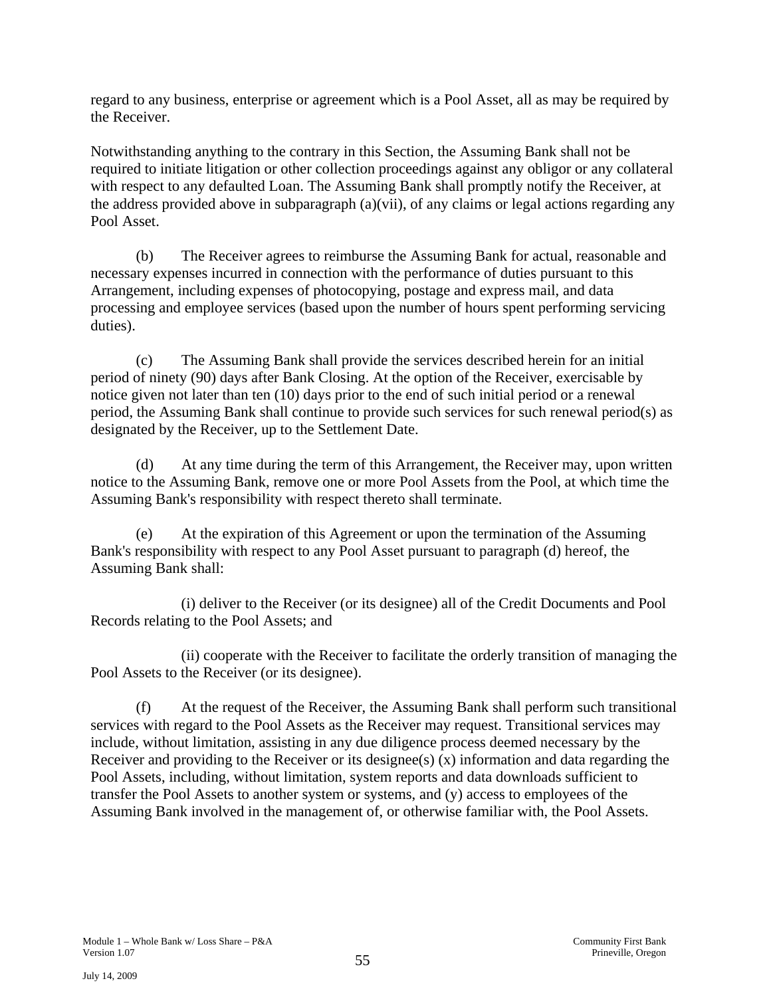regard to any business, enterprise or agreement which is a Pool Asset, all as may be required by the Receiver.

Notwithstanding anything to the contrary in this Section, the Assuming Bank shall not be required to initiate litigation or other collection proceedings against any obligor or any collateral with respect to any defaulted Loan. The Assuming Bank shall promptly notify the Receiver, at the address provided above in subparagraph (a)(vii), of any claims or legal actions regarding any Pool Asset.

(b) The Receiver agrees to reimburse the Assuming Bank for actual, reasonable and necessary expenses incurred in connection with the performance of duties pursuant to this Arrangement, including expenses of photocopying, postage and express mail, and data processing and employee services (based upon the number of hours spent performing servicing duties).

(c) The Assuming Bank shall provide the services described herein for an initial period of ninety (90) days after Bank Closing. At the option of the Receiver, exercisable by notice given not later than ten (10) days prior to the end of such initial period or a renewal period, the Assuming Bank shall continue to provide such services for such renewal period(s) as designated by the Receiver, up to the Settlement Date.

(d) At any time during the term of this Arrangement, the Receiver may, upon written notice to the Assuming Bank, remove one or more Pool Assets from the Pool, at which time the Assuming Bank's responsibility with respect thereto shall terminate.

(e) At the expiration of this Agreement or upon the termination of the Assuming Bank's responsibility with respect to any Pool Asset pursuant to paragraph (d) hereof, the Assuming Bank shall:

(i) deliver to the Receiver (or its designee) all of the Credit Documents and Pool Records relating to the Pool Assets; and

(ii) cooperate with the Receiver to facilitate the orderly transition of managing the Pool Assets to the Receiver (or its designee).

(f) At the request of the Receiver, the Assuming Bank shall perform such transitional services with regard to the Pool Assets as the Receiver may request. Transitional services may include, without limitation, assisting in any due diligence process deemed necessary by the Receiver and providing to the Receiver or its designee(s) (x) information and data regarding the Pool Assets, including, without limitation, system reports and data downloads sufficient to transfer the Pool Assets to another system or systems, and (y) access to employees of the Assuming Bank involved in the management of, or otherwise familiar with, the Pool Assets.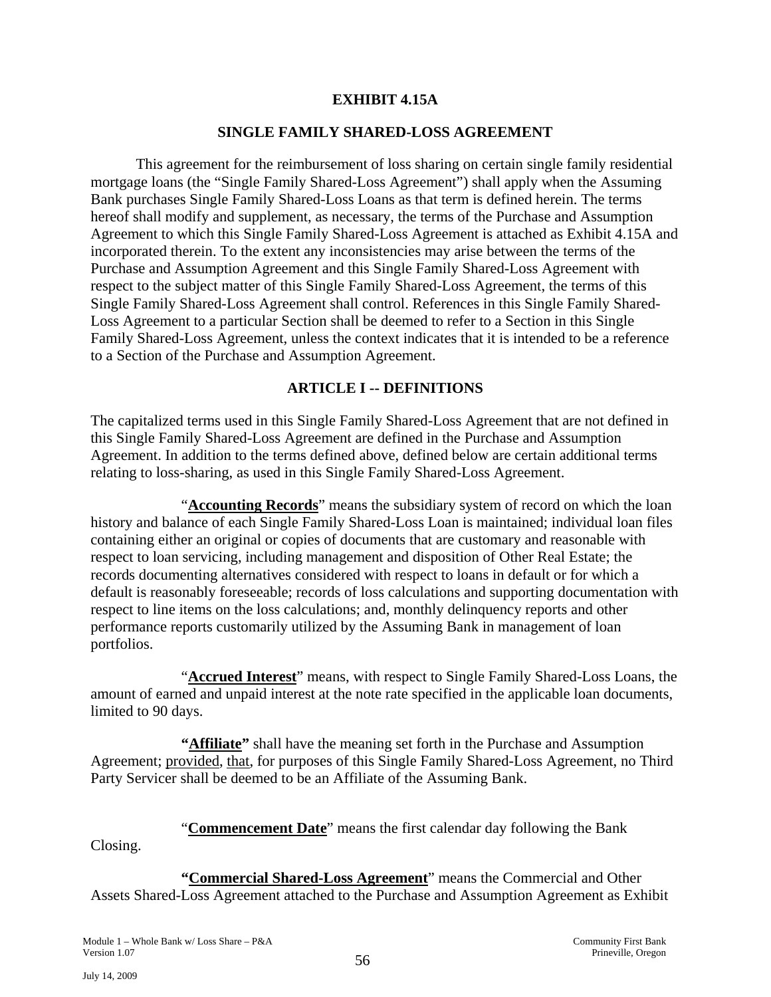#### **EXHIBIT 4.15A**

#### **SINGLE FAMILY SHARED-LOSS AGREEMENT**

This agreement for the reimbursement of loss sharing on certain single family residential mortgage loans (the "Single Family Shared-Loss Agreement") shall apply when the Assuming Bank purchases Single Family Shared-Loss Loans as that term is defined herein. The terms hereof shall modify and supplement, as necessary, the terms of the Purchase and Assumption Agreement to which this Single Family Shared-Loss Agreement is attached as Exhibit 4.15A and incorporated therein. To the extent any inconsistencies may arise between the terms of the Purchase and Assumption Agreement and this Single Family Shared-Loss Agreement with respect to the subject matter of this Single Family Shared-Loss Agreement, the terms of this Single Family Shared-Loss Agreement shall control. References in this Single Family Shared-Loss Agreement to a particular Section shall be deemed to refer to a Section in this Single Family Shared-Loss Agreement, unless the context indicates that it is intended to be a reference to a Section of the Purchase and Assumption Agreement.

#### **ARTICLE I -- DEFINITIONS**

The capitalized terms used in this Single Family Shared-Loss Agreement that are not defined in this Single Family Shared-Loss Agreement are defined in the Purchase and Assumption Agreement. In addition to the terms defined above, defined below are certain additional terms relating to loss-sharing, as used in this Single Family Shared-Loss Agreement.

"**Accounting Records**" means the subsidiary system of record on which the loan history and balance of each Single Family Shared-Loss Loan is maintained; individual loan files containing either an original or copies of documents that are customary and reasonable with respect to loan servicing, including management and disposition of Other Real Estate; the records documenting alternatives considered with respect to loans in default or for which a default is reasonably foreseeable; records of loss calculations and supporting documentation with respect to line items on the loss calculations; and, monthly delinquency reports and other performance reports customarily utilized by the Assuming Bank in management of loan portfolios.

"**Accrued Interest**" means, with respect to Single Family Shared-Loss Loans, the amount of earned and unpaid interest at the note rate specified in the applicable loan documents, limited to 90 days.

**"Affiliate"** shall have the meaning set forth in the Purchase and Assumption Agreement; provided, that, for purposes of this Single Family Shared-Loss Agreement, no Third Party Servicer shall be deemed to be an Affiliate of the Assuming Bank.

"**Commencement Date**" means the first calendar day following the Bank

Closing.

**"Commercial Shared-Loss Agreement**" means the Commercial and Other Assets Shared-Loss Agreement attached to the Purchase and Assumption Agreement as Exhibit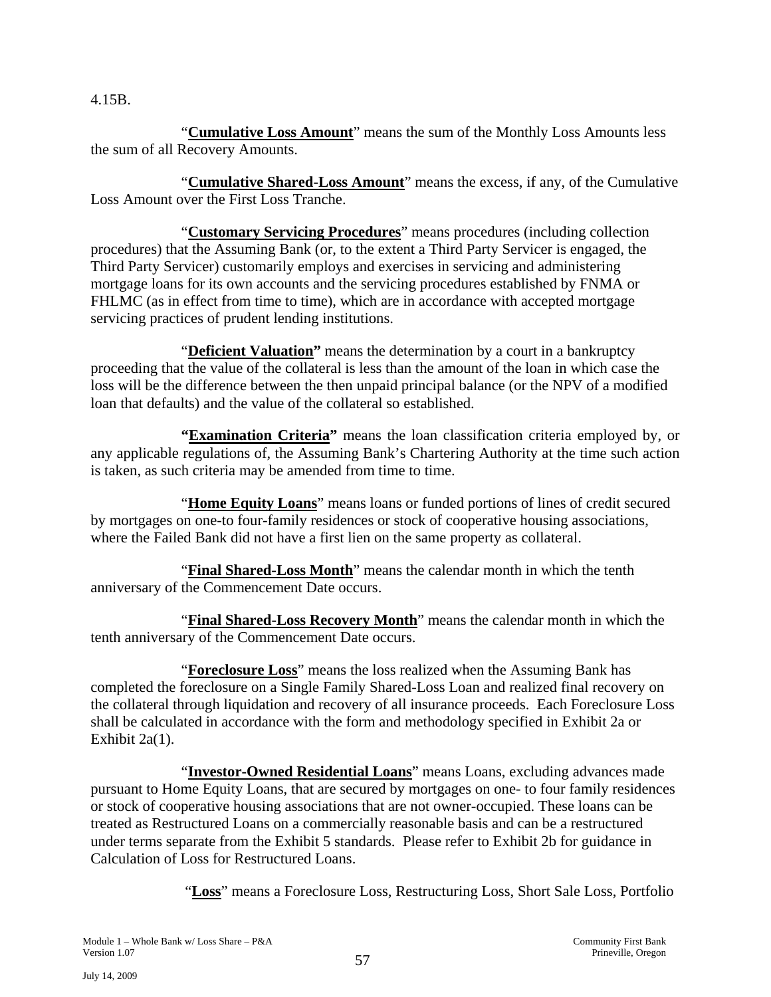4.15B.

"**Cumulative Loss Amount**" means the sum of the Monthly Loss Amounts less the sum of all Recovery Amounts.

"**Cumulative Shared-Loss Amount**" means the excess, if any, of the Cumulative Loss Amount over the First Loss Tranche.

"**Customary Servicing Procedures**" means procedures (including collection procedures) that the Assuming Bank (or, to the extent a Third Party Servicer is engaged, the Third Party Servicer) customarily employs and exercises in servicing and administering mortgage loans for its own accounts and the servicing procedures established by FNMA or FHLMC (as in effect from time to time), which are in accordance with accepted mortgage servicing practices of prudent lending institutions.

"**Deficient Valuation"** means the determination by a court in a bankruptcy proceeding that the value of the collateral is less than the amount of the loan in which case the loss will be the difference between the then unpaid principal balance (or the NPV of a modified loan that defaults) and the value of the collateral so established.

**"Examination Criteria"** means the loan classification criteria employed by, or any applicable regulations of, the Assuming Bank's Chartering Authority at the time such action is taken, as such criteria may be amended from time to time.

"**Home Equity Loans**" means loans or funded portions of lines of credit secured by mortgages on one-to four-family residences or stock of cooperative housing associations, where the Failed Bank did not have a first lien on the same property as collateral.

"**Final Shared-Loss Month**" means the calendar month in which the tenth anniversary of the Commencement Date occurs.

"**Final Shared-Loss Recovery Month**" means the calendar month in which the tenth anniversary of the Commencement Date occurs.

"**Foreclosure Loss**" means the loss realized when the Assuming Bank has completed the foreclosure on a Single Family Shared-Loss Loan and realized final recovery on the collateral through liquidation and recovery of all insurance proceeds. Each Foreclosure Loss shall be calculated in accordance with the form and methodology specified in Exhibit 2a or Exhibit 2a(1).

"**Investor-Owned Residential Loans**" means Loans, excluding advances made pursuant to Home Equity Loans, that are secured by mortgages on one- to four family residences or stock of cooperative housing associations that are not owner-occupied. These loans can be treated as Restructured Loans on a commercially reasonable basis and can be a restructured under terms separate from the Exhibit 5 standards. Please refer to Exhibit 2b for guidance in Calculation of Loss for Restructured Loans.

"**Loss**" means a Foreclosure Loss, Restructuring Loss, Short Sale Loss, Portfolio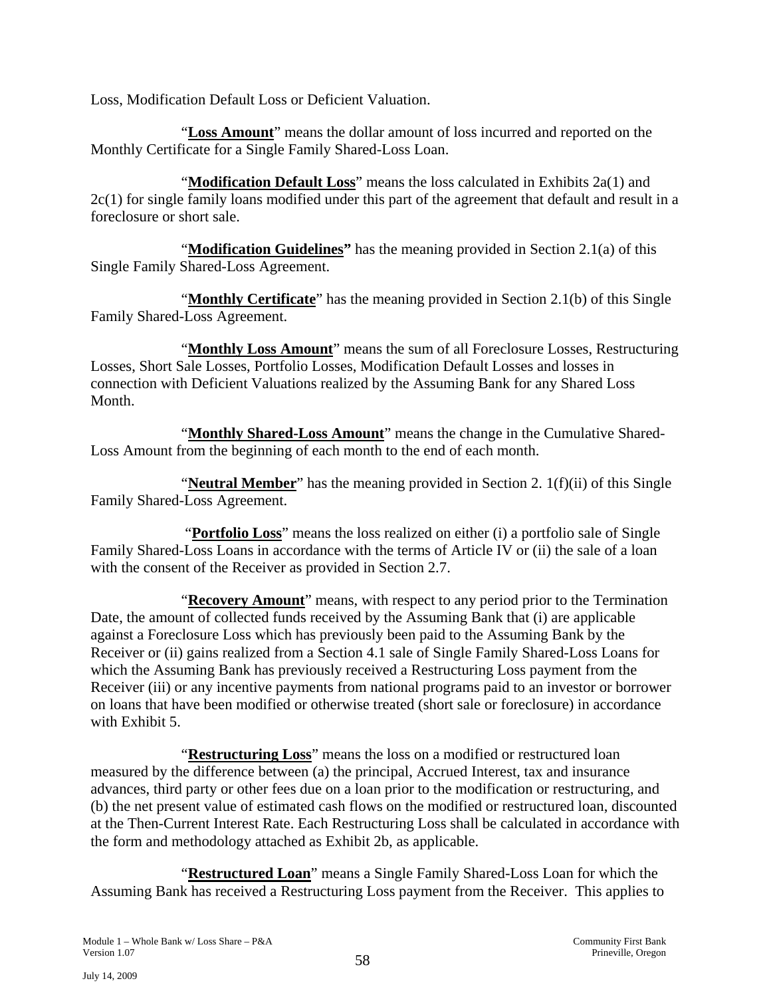Loss, Modification Default Loss or Deficient Valuation.

"**Loss Amount**" means the dollar amount of loss incurred and reported on the Monthly Certificate for a Single Family Shared-Loss Loan.

"**Modification Default Loss**" means the loss calculated in Exhibits 2a(1) and 2c(1) for single family loans modified under this part of the agreement that default and result in a foreclosure or short sale.

"**Modification Guidelines**" has the meaning provided in Section 2.1(a) of this Single Family Shared-Loss Agreement.

"**Monthly Certificate**" has the meaning provided in Section 2.1(b) of this Single Family Shared-Loss Agreement.

"**Monthly Loss Amount**" means the sum of all Foreclosure Losses, Restructuring Losses, Short Sale Losses, Portfolio Losses, Modification Default Losses and losses in connection with Deficient Valuations realized by the Assuming Bank for any Shared Loss Month.

"**Monthly Shared-Loss Amount**" means the change in the Cumulative Shared-Loss Amount from the beginning of each month to the end of each month.

**"Neutral Member**" has the meaning provided in Section 2. 1(f)(ii) of this Single Family Shared-Loss Agreement.

"**Portfolio Loss**" means the loss realized on either (i) a portfolio sale of Single Family Shared-Loss Loans in accordance with the terms of Article IV or (ii) the sale of a loan with the consent of the Receiver as provided in Section 2.7.

"**Recovery Amount**" means, with respect to any period prior to the Termination Date, the amount of collected funds received by the Assuming Bank that (i) are applicable against a Foreclosure Loss which has previously been paid to the Assuming Bank by the Receiver or (ii) gains realized from a Section 4.1 sale of Single Family Shared-Loss Loans for which the Assuming Bank has previously received a Restructuring Loss payment from the Receiver (iii) or any incentive payments from national programs paid to an investor or borrower on loans that have been modified or otherwise treated (short sale or foreclosure) in accordance with Exhibit 5.

"**Restructuring Loss**" means the loss on a modified or restructured loan measured by the difference between (a) the principal, Accrued Interest, tax and insurance advances, third party or other fees due on a loan prior to the modification or restructuring, and (b) the net present value of estimated cash flows on the modified or restructured loan, discounted at the Then-Current Interest Rate. Each Restructuring Loss shall be calculated in accordance with the form and methodology attached as Exhibit 2b, as applicable.

"**Restructured Loan**" means a Single Family Shared-Loss Loan for which the Assuming Bank has received a Restructuring Loss payment from the Receiver. This applies to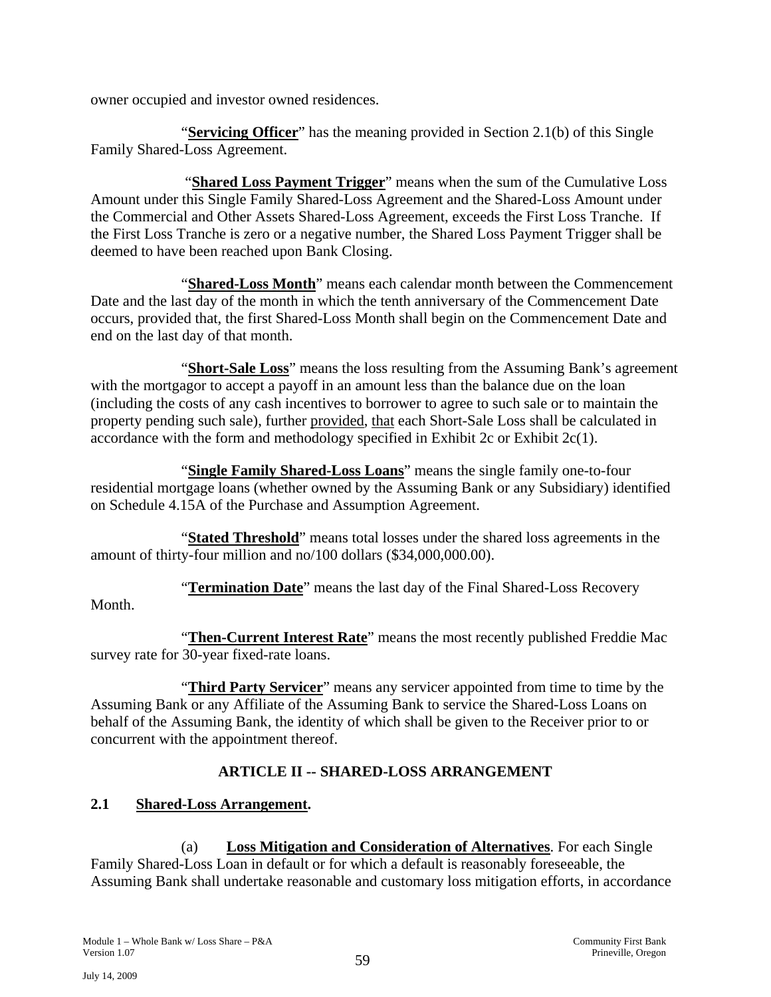owner occupied and investor owned residences.

**Servicing Officer**" has the meaning provided in Section 2.1(b) of this Single Family Shared-Loss Agreement.

"**Shared Loss Payment Trigger**" means when the sum of the Cumulative Loss Amount under this Single Family Shared-Loss Agreement and the Shared-Loss Amount under the Commercial and Other Assets Shared-Loss Agreement, exceeds the First Loss Tranche. If the First Loss Tranche is zero or a negative number, the Shared Loss Payment Trigger shall be deemed to have been reached upon Bank Closing.

"**Shared-Loss Month**" means each calendar month between the Commencement Date and the last day of the month in which the tenth anniversary of the Commencement Date occurs, provided that, the first Shared-Loss Month shall begin on the Commencement Date and end on the last day of that month.

"**Short-Sale Loss**" means the loss resulting from the Assuming Bank's agreement with the mortgagor to accept a payoff in an amount less than the balance due on the loan (including the costs of any cash incentives to borrower to agree to such sale or to maintain the property pending such sale), further provided, that each Short-Sale Loss shall be calculated in accordance with the form and methodology specified in Exhibit 2c or Exhibit  $2c(1)$ .

"**Single Family Shared-Loss Loans**" means the single family one-to-four residential mortgage loans (whether owned by the Assuming Bank or any Subsidiary) identified on Schedule 4.15A of the Purchase and Assumption Agreement.

"**Stated Threshold**" means total losses under the shared loss agreements in the amount of thirty-four million and no/100 dollars (\$34,000,000.00).

"**Termination Date**" means the last day of the Final Shared-Loss Recovery Month.

"**Then-Current Interest Rate**" means the most recently published Freddie Mac survey rate for 30-year fixed-rate loans.

"**Third Party Servicer**" means any servicer appointed from time to time by the Assuming Bank or any Affiliate of the Assuming Bank to service the Shared-Loss Loans on behalf of the Assuming Bank, the identity of which shall be given to the Receiver prior to or concurrent with the appointment thereof.

## **ARTICLE II -- SHARED-LOSS ARRANGEMENT**

## **2.1 Shared-Loss Arrangement.**

(a) **Loss Mitigation and Consideration of Alternatives**. For each Single Family Shared-Loss Loan in default or for which a default is reasonably foreseeable, the Assuming Bank shall undertake reasonable and customary loss mitigation efforts, in accordance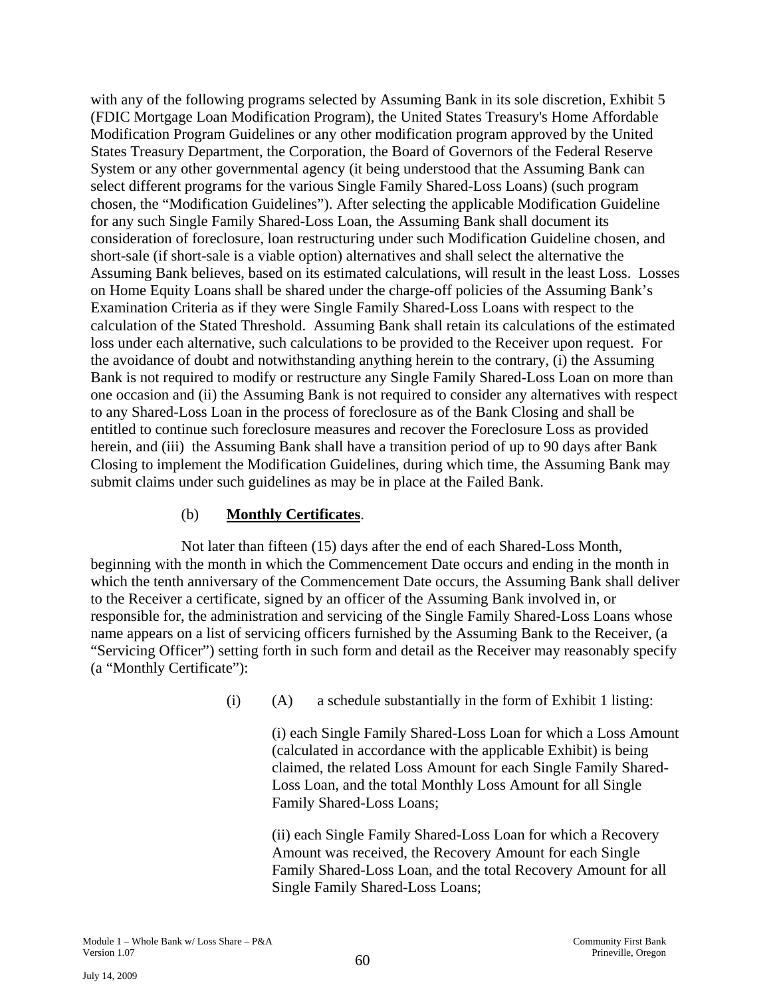with any of the following programs selected by Assuming Bank in its sole discretion, Exhibit 5 (FDIC Mortgage Loan Modification Program), the United States Treasury's Home Affordable Modification Program Guidelines or any other modification program approved by the United States Treasury Department, the Corporation, the Board of Governors of the Federal Reserve System or any other governmental agency (it being understood that the Assuming Bank can select different programs for the various Single Family Shared-Loss Loans) (such program chosen, the "Modification Guidelines"). After selecting the applicable Modification Guideline for any such Single Family Shared-Loss Loan, the Assuming Bank shall document its consideration of foreclosure, loan restructuring under such Modification Guideline chosen, and short-sale (if short-sale is a viable option) alternatives and shall select the alternative the Assuming Bank believes, based on its estimated calculations, will result in the least Loss. Losses on Home Equity Loans shall be shared under the charge-off policies of the Assuming Bank's Examination Criteria as if they were Single Family Shared-Loss Loans with respect to the calculation of the Stated Threshold. Assuming Bank shall retain its calculations of the estimated loss under each alternative, such calculations to be provided to the Receiver upon request. For the avoidance of doubt and notwithstanding anything herein to the contrary, (i) the Assuming Bank is not required to modify or restructure any Single Family Shared-Loss Loan on more than one occasion and (ii) the Assuming Bank is not required to consider any alternatives with respect to any Shared-Loss Loan in the process of foreclosure as of the Bank Closing and shall be entitled to continue such foreclosure measures and recover the Foreclosure Loss as provided herein, and (iii) the Assuming Bank shall have a transition period of up to 90 days after Bank Closing to implement the Modification Guidelines, during which time, the Assuming Bank may submit claims under such guidelines as may be in place at the Failed Bank.

### (b) **Monthly Certificates**.

Not later than fifteen (15) days after the end of each Shared-Loss Month, beginning with the month in which the Commencement Date occurs and ending in the month in which the tenth anniversary of the Commencement Date occurs, the Assuming Bank shall deliver to the Receiver a certificate, signed by an officer of the Assuming Bank involved in, or responsible for, the administration and servicing of the Single Family Shared-Loss Loans whose name appears on a list of servicing officers furnished by the Assuming Bank to the Receiver, (a "Servicing Officer") setting forth in such form and detail as the Receiver may reasonably specify (a "Monthly Certificate"):

(i) (A) a schedule substantially in the form of Exhibit 1 listing:

(i) each Single Family Shared-Loss Loan for which a Loss Amount (calculated in accordance with the applicable Exhibit) is being claimed, the related Loss Amount for each Single Family Shared-Loss Loan, and the total Monthly Loss Amount for all Single Family Shared-Loss Loans;

(ii) each Single Family Shared-Loss Loan for which a Recovery Amount was received, the Recovery Amount for each Single Family Shared-Loss Loan, and the total Recovery Amount for all Single Family Shared-Loss Loans;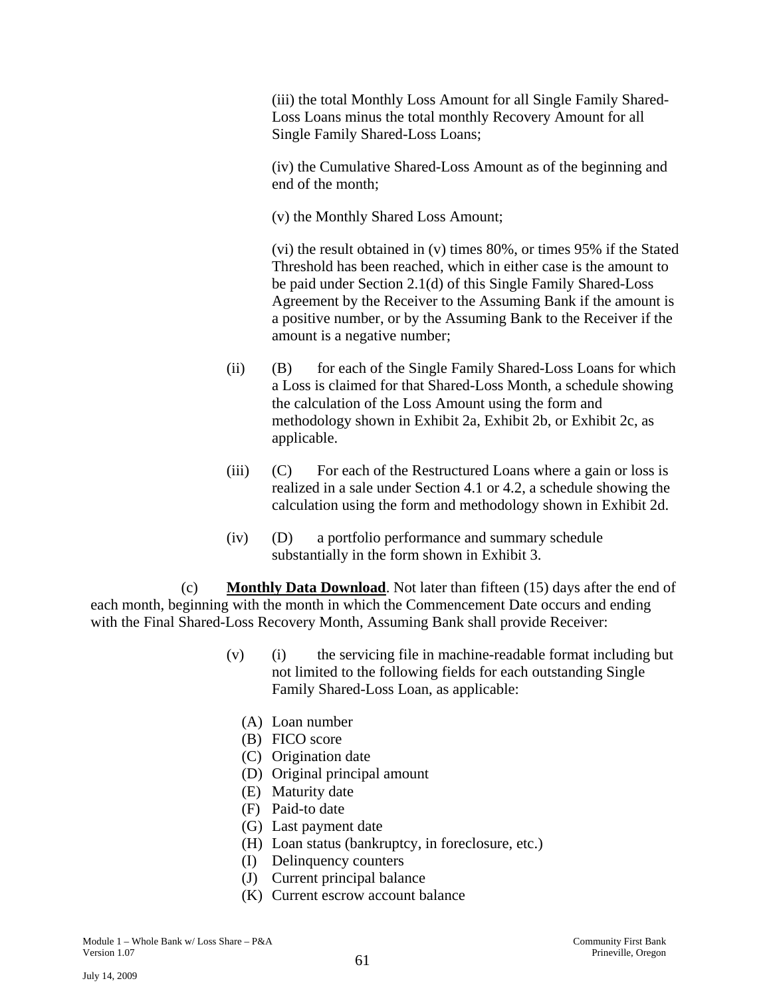(iii) the total Monthly Loss Amount for all Single Family Shared-Loss Loans minus the total monthly Recovery Amount for all Single Family Shared-Loss Loans;

(iv) the Cumulative Shared-Loss Amount as of the beginning and end of the month;

(v) the Monthly Shared Loss Amount;

(vi) the result obtained in (v) times 80%, or times 95% if the Stated Threshold has been reached, which in either case is the amount to be paid under Section 2.1(d) of this Single Family Shared-Loss Agreement by the Receiver to the Assuming Bank if the amount is a positive number, or by the Assuming Bank to the Receiver if the amount is a negative number;

- (ii) (B) for each of the Single Family Shared-Loss Loans for which a Loss is claimed for that Shared-Loss Month, a schedule showing the calculation of the Loss Amount using the form and methodology shown in Exhibit 2a, Exhibit 2b, or Exhibit 2c, as applicable.
- (iii) (C) For each of the Restructured Loans where a gain or loss is realized in a sale under Section 4.1 or 4.2, a schedule showing the calculation using the form and methodology shown in Exhibit 2d.
- (iv) (D) a portfolio performance and summary schedule substantially in the form shown in Exhibit 3.

(c) **Monthly Data Download**. Not later than fifteen (15) days after the end of each month, beginning with the month in which the Commencement Date occurs and ending with the Final Shared-Loss Recovery Month, Assuming Bank shall provide Receiver:

- $(v)$  (i) the servicing file in machine-readable format including but not limited to the following fields for each outstanding Single Family Shared-Loss Loan, as applicable:
	- (A) Loan number
	- (B) FICO score
	- (C) Origination date
	- (D) Original principal amount
	- (E) Maturity date
	- (F) Paid-to date
	- (G) Last payment date
	- (H) Loan status (bankruptcy, in foreclosure, etc.)
	- (I) Delinquency counters
	- (J) Current principal balance
	- (K) Current escrow account balance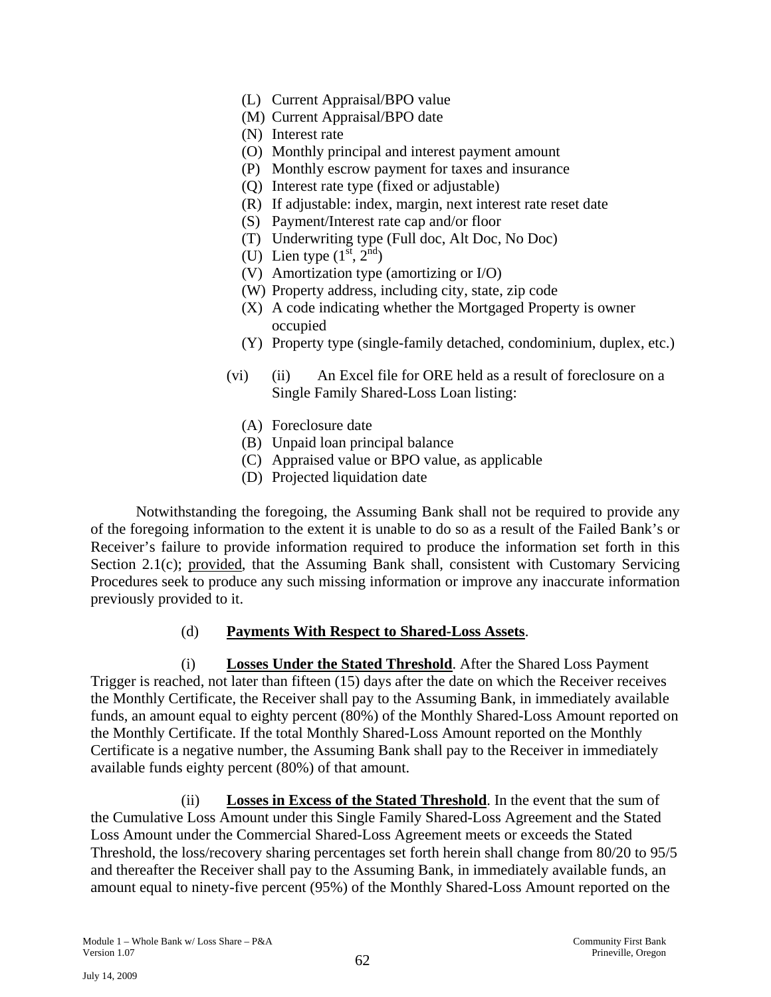- (L) Current Appraisal/BPO value
- (M) Current Appraisal/BPO date
- (N) Interest rate
- (O) Monthly principal and interest payment amount
- (P) Monthly escrow payment for taxes and insurance
- (Q) Interest rate type (fixed or adjustable)
- (R) If adjustable: index, margin, next interest rate reset date
- (S) Payment/Interest rate cap and/or floor
- (T) Underwriting type (Full doc, Alt Doc, No Doc)
- (U) Lien type  $(1<sup>st</sup>, 2<sup>nd</sup>)$
- (V) Amortization type (amortizing or I/O)
- (W) Property address, including city, state, zip code
- (X) A code indicating whether the Mortgaged Property is owner occupied
- (Y) Property type (single-family detached, condominium, duplex, etc.)
- (vi) (ii) An Excel file for ORE held as a result of foreclosure on a Single Family Shared-Loss Loan listing:
	- (A) Foreclosure date
	- (B) Unpaid loan principal balance
	- (C) Appraised value or BPO value, as applicable
	- (D) Projected liquidation date

Notwithstanding the foregoing, the Assuming Bank shall not be required to provide any of the foregoing information to the extent it is unable to do so as a result of the Failed Bank's or Receiver's failure to provide information required to produce the information set forth in this Section 2.1(c); provided, that the Assuming Bank shall, consistent with Customary Servicing Procedures seek to produce any such missing information or improve any inaccurate information previously provided to it.

#### (d) **Payments With Respect to Shared-Loss Assets**.

(i) **Losses Under the Stated Threshold**. After the Shared Loss Payment Trigger is reached, not later than fifteen (15) days after the date on which the Receiver receives the Monthly Certificate, the Receiver shall pay to the Assuming Bank, in immediately available funds, an amount equal to eighty percent (80%) of the Monthly Shared-Loss Amount reported on the Monthly Certificate. If the total Monthly Shared-Loss Amount reported on the Monthly Certificate is a negative number, the Assuming Bank shall pay to the Receiver in immediately available funds eighty percent (80%) of that amount.

(ii) **Losses in Excess of the Stated Threshold**. In the event that the sum of the Cumulative Loss Amount under this Single Family Shared-Loss Agreement and the Stated Loss Amount under the Commercial Shared-Loss Agreement meets or exceeds the Stated Threshold, the loss/recovery sharing percentages set forth herein shall change from 80/20 to 95/5 and thereafter the Receiver shall pay to the Assuming Bank, in immediately available funds, an amount equal to ninety-five percent (95%) of the Monthly Shared-Loss Amount reported on the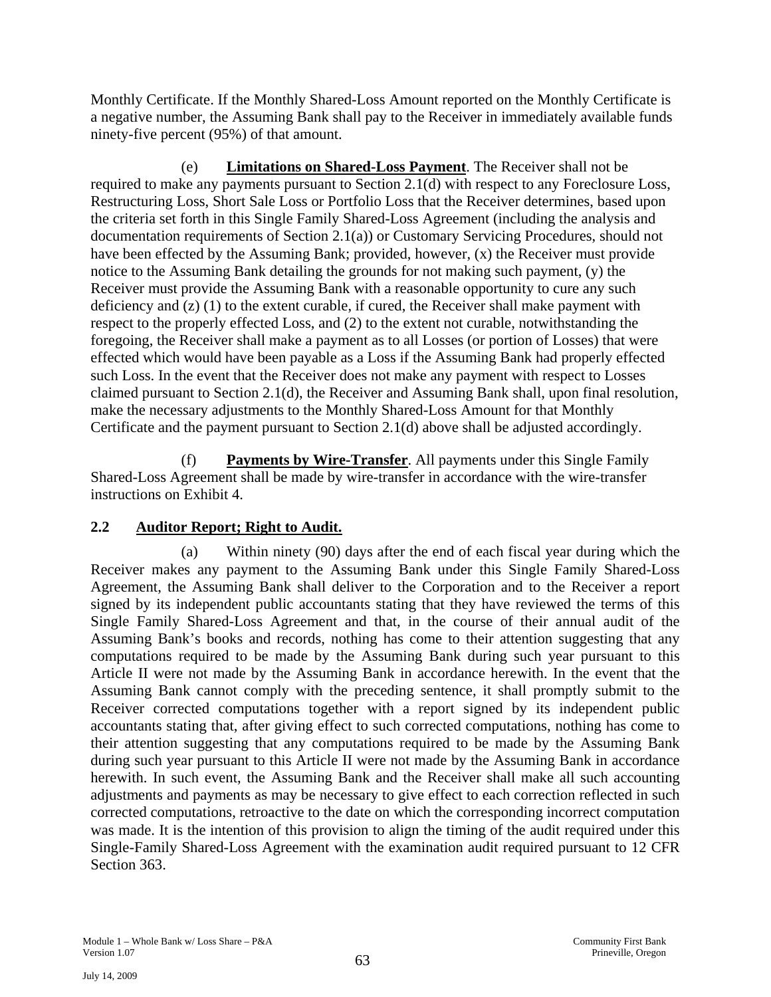Monthly Certificate. If the Monthly Shared-Loss Amount reported on the Monthly Certificate is a negative number, the Assuming Bank shall pay to the Receiver in immediately available funds ninety-five percent (95%) of that amount.

(e) **Limitations on Shared-Loss Payment**. The Receiver shall not be required to make any payments pursuant to Section 2.1(d) with respect to any Foreclosure Loss, Restructuring Loss, Short Sale Loss or Portfolio Loss that the Receiver determines, based upon the criteria set forth in this Single Family Shared-Loss Agreement (including the analysis and documentation requirements of Section 2.1(a)) or Customary Servicing Procedures, should not have been effected by the Assuming Bank; provided, however, (x) the Receiver must provide notice to the Assuming Bank detailing the grounds for not making such payment, (y) the Receiver must provide the Assuming Bank with a reasonable opportunity to cure any such deficiency and (z) (1) to the extent curable, if cured, the Receiver shall make payment with respect to the properly effected Loss, and (2) to the extent not curable, notwithstanding the foregoing, the Receiver shall make a payment as to all Losses (or portion of Losses) that were effected which would have been payable as a Loss if the Assuming Bank had properly effected such Loss. In the event that the Receiver does not make any payment with respect to Losses claimed pursuant to Section 2.1(d), the Receiver and Assuming Bank shall, upon final resolution, make the necessary adjustments to the Monthly Shared-Loss Amount for that Monthly Certificate and the payment pursuant to Section 2.1(d) above shall be adjusted accordingly.

(f) **Payments by Wire-Transfer**. All payments under this Single Family Shared-Loss Agreement shall be made by wire-transfer in accordance with the wire-transfer instructions on Exhibit 4.

## **2.2 Auditor Report; Right to Audit.**

(a) Within ninety (90) days after the end of each fiscal year during which the Receiver makes any payment to the Assuming Bank under this Single Family Shared-Loss Agreement, the Assuming Bank shall deliver to the Corporation and to the Receiver a report signed by its independent public accountants stating that they have reviewed the terms of this Single Family Shared-Loss Agreement and that, in the course of their annual audit of the Assuming Bank's books and records, nothing has come to their attention suggesting that any computations required to be made by the Assuming Bank during such year pursuant to this Article II were not made by the Assuming Bank in accordance herewith. In the event that the Assuming Bank cannot comply with the preceding sentence, it shall promptly submit to the Receiver corrected computations together with a report signed by its independent public accountants stating that, after giving effect to such corrected computations, nothing has come to their attention suggesting that any computations required to be made by the Assuming Bank during such year pursuant to this Article II were not made by the Assuming Bank in accordance herewith. In such event, the Assuming Bank and the Receiver shall make all such accounting adjustments and payments as may be necessary to give effect to each correction reflected in such corrected computations, retroactive to the date on which the corresponding incorrect computation was made. It is the intention of this provision to align the timing of the audit required under this Single-Family Shared-Loss Agreement with the examination audit required pursuant to 12 CFR Section 363.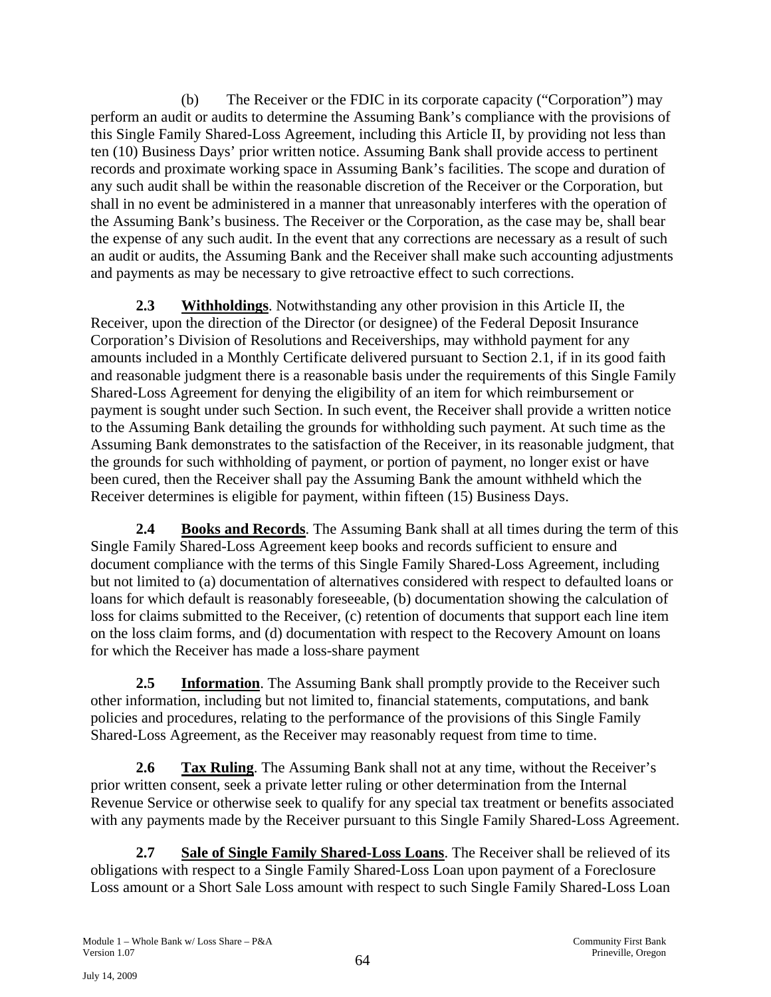(b) The Receiver or the FDIC in its corporate capacity ("Corporation") may perform an audit or audits to determine the Assuming Bank's compliance with the provisions of this Single Family Shared-Loss Agreement, including this Article II, by providing not less than ten (10) Business Days' prior written notice. Assuming Bank shall provide access to pertinent records and proximate working space in Assuming Bank's facilities. The scope and duration of any such audit shall be within the reasonable discretion of the Receiver or the Corporation, but shall in no event be administered in a manner that unreasonably interferes with the operation of the Assuming Bank's business. The Receiver or the Corporation, as the case may be, shall bear the expense of any such audit. In the event that any corrections are necessary as a result of such an audit or audits, the Assuming Bank and the Receiver shall make such accounting adjustments and payments as may be necessary to give retroactive effect to such corrections.

**2.3 Withholdings**. Notwithstanding any other provision in this Article II, the Receiver, upon the direction of the Director (or designee) of the Federal Deposit Insurance Corporation's Division of Resolutions and Receiverships, may withhold payment for any amounts included in a Monthly Certificate delivered pursuant to Section 2.1, if in its good faith and reasonable judgment there is a reasonable basis under the requirements of this Single Family Shared-Loss Agreement for denying the eligibility of an item for which reimbursement or payment is sought under such Section. In such event, the Receiver shall provide a written notice to the Assuming Bank detailing the grounds for withholding such payment. At such time as the Assuming Bank demonstrates to the satisfaction of the Receiver, in its reasonable judgment, that the grounds for such withholding of payment, or portion of payment, no longer exist or have been cured, then the Receiver shall pay the Assuming Bank the amount withheld which the Receiver determines is eligible for payment, within fifteen (15) Business Days.

**2.4 Books and Records**. The Assuming Bank shall at all times during the term of this Single Family Shared-Loss Agreement keep books and records sufficient to ensure and document compliance with the terms of this Single Family Shared-Loss Agreement, including but not limited to (a) documentation of alternatives considered with respect to defaulted loans or loans for which default is reasonably foreseeable, (b) documentation showing the calculation of loss for claims submitted to the Receiver, (c) retention of documents that support each line item on the loss claim forms, and (d) documentation with respect to the Recovery Amount on loans for which the Receiver has made a loss-share payment

**2.5 Information**. The Assuming Bank shall promptly provide to the Receiver such other information, including but not limited to, financial statements, computations, and bank policies and procedures, relating to the performance of the provisions of this Single Family Shared-Loss Agreement, as the Receiver may reasonably request from time to time.

**2.6** Tax Ruling. The Assuming Bank shall not at any time, without the Receiver's prior written consent, seek a private letter ruling or other determination from the Internal Revenue Service or otherwise seek to qualify for any special tax treatment or benefits associated with any payments made by the Receiver pursuant to this Single Family Shared-Loss Agreement.

**2.7 Sale of Single Family Shared-Loss Loans**. The Receiver shall be relieved of its obligations with respect to a Single Family Shared-Loss Loan upon payment of a Foreclosure Loss amount or a Short Sale Loss amount with respect to such Single Family Shared-Loss Loan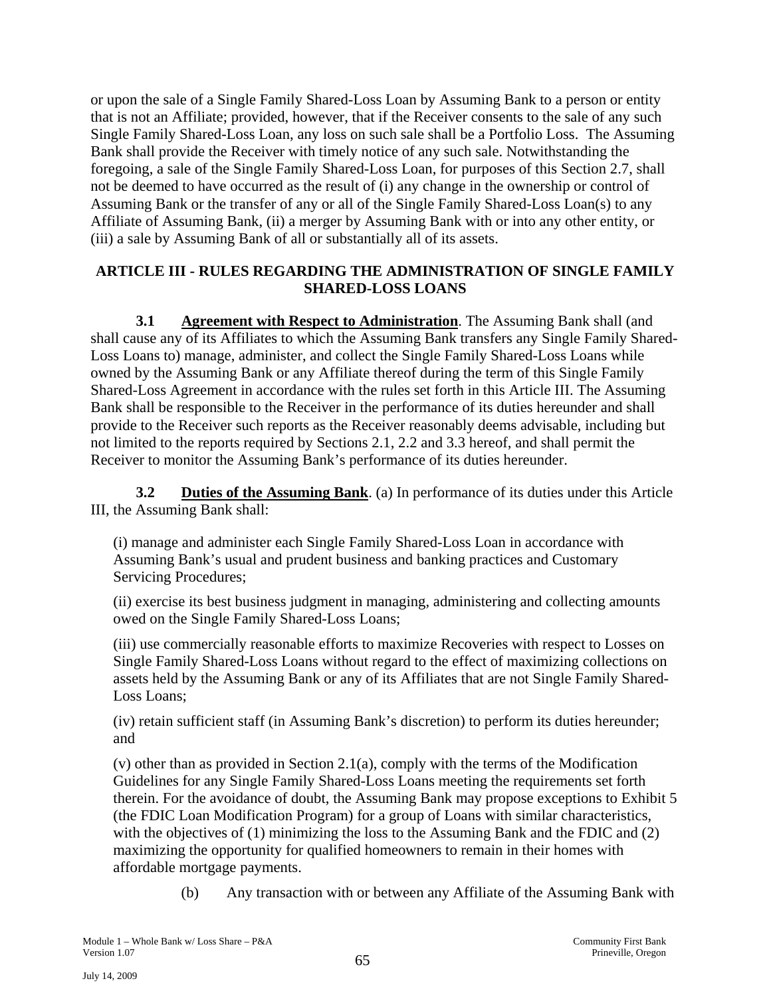or upon the sale of a Single Family Shared-Loss Loan by Assuming Bank to a person or entity that is not an Affiliate; provided, however, that if the Receiver consents to the sale of any such Single Family Shared-Loss Loan, any loss on such sale shall be a Portfolio Loss. The Assuming Bank shall provide the Receiver with timely notice of any such sale. Notwithstanding the foregoing, a sale of the Single Family Shared-Loss Loan, for purposes of this Section 2.7, shall not be deemed to have occurred as the result of (i) any change in the ownership or control of Assuming Bank or the transfer of any or all of the Single Family Shared-Loss Loan(s) to any Affiliate of Assuming Bank, (ii) a merger by Assuming Bank with or into any other entity, or (iii) a sale by Assuming Bank of all or substantially all of its assets.

### **ARTICLE III - RULES REGARDING THE ADMINISTRATION OF SINGLE FAMILY SHARED-LOSS LOANS**

**3.1 Agreement with Respect to Administration**. The Assuming Bank shall (and shall cause any of its Affiliates to which the Assuming Bank transfers any Single Family Shared-Loss Loans to) manage, administer, and collect the Single Family Shared-Loss Loans while owned by the Assuming Bank or any Affiliate thereof during the term of this Single Family Shared-Loss Agreement in accordance with the rules set forth in this Article III. The Assuming Bank shall be responsible to the Receiver in the performance of its duties hereunder and shall provide to the Receiver such reports as the Receiver reasonably deems advisable, including but not limited to the reports required by Sections 2.1, 2.2 and 3.3 hereof, and shall permit the Receiver to monitor the Assuming Bank's performance of its duties hereunder.

**3.2 Duties of the Assuming Bank**. (a) In performance of its duties under this Article III, the Assuming Bank shall:

(i) manage and administer each Single Family Shared-Loss Loan in accordance with Assuming Bank's usual and prudent business and banking practices and Customary Servicing Procedures;

(ii) exercise its best business judgment in managing, administering and collecting amounts owed on the Single Family Shared-Loss Loans;

(iii) use commercially reasonable efforts to maximize Recoveries with respect to Losses on Single Family Shared-Loss Loans without regard to the effect of maximizing collections on assets held by the Assuming Bank or any of its Affiliates that are not Single Family Shared-Loss Loans;

(iv) retain sufficient staff (in Assuming Bank's discretion) to perform its duties hereunder; and

(v) other than as provided in Section 2.1(a), comply with the terms of the Modification Guidelines for any Single Family Shared-Loss Loans meeting the requirements set forth therein. For the avoidance of doubt, the Assuming Bank may propose exceptions to Exhibit 5 (the FDIC Loan Modification Program) for a group of Loans with similar characteristics, with the objectives of (1) minimizing the loss to the Assuming Bank and the FDIC and (2) maximizing the opportunity for qualified homeowners to remain in their homes with affordable mortgage payments.

(b) Any transaction with or between any Affiliate of the Assuming Bank with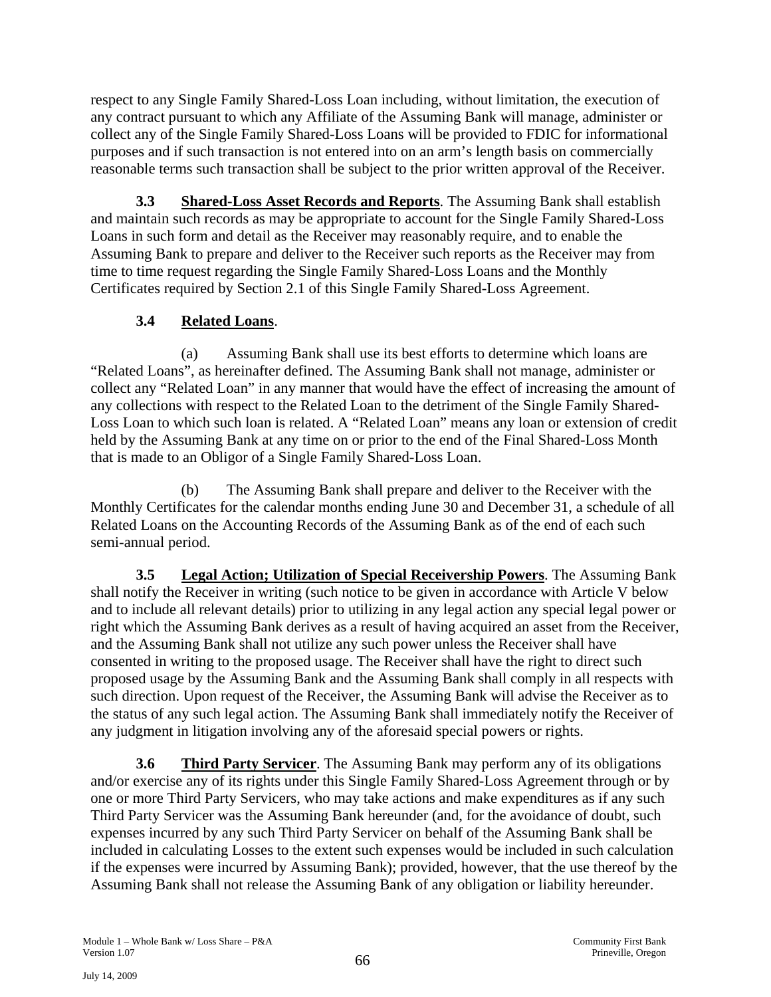respect to any Single Family Shared-Loss Loan including, without limitation, the execution of any contract pursuant to which any Affiliate of the Assuming Bank will manage, administer or collect any of the Single Family Shared-Loss Loans will be provided to FDIC for informational purposes and if such transaction is not entered into on an arm's length basis on commercially reasonable terms such transaction shall be subject to the prior written approval of the Receiver.

**3.3 Shared-Loss Asset Records and Reports**. The Assuming Bank shall establish and maintain such records as may be appropriate to account for the Single Family Shared-Loss Loans in such form and detail as the Receiver may reasonably require, and to enable the Assuming Bank to prepare and deliver to the Receiver such reports as the Receiver may from time to time request regarding the Single Family Shared-Loss Loans and the Monthly Certificates required by Section 2.1 of this Single Family Shared-Loss Agreement.

# **3.4 Related Loans**.

(a) Assuming Bank shall use its best efforts to determine which loans are "Related Loans", as hereinafter defined. The Assuming Bank shall not manage, administer or collect any "Related Loan" in any manner that would have the effect of increasing the amount of any collections with respect to the Related Loan to the detriment of the Single Family Shared-Loss Loan to which such loan is related. A "Related Loan" means any loan or extension of credit held by the Assuming Bank at any time on or prior to the end of the Final Shared-Loss Month that is made to an Obligor of a Single Family Shared-Loss Loan.

(b) The Assuming Bank shall prepare and deliver to the Receiver with the Monthly Certificates for the calendar months ending June 30 and December 31, a schedule of all Related Loans on the Accounting Records of the Assuming Bank as of the end of each such semi-annual period.

**3.5 Legal Action; Utilization of Special Receivership Powers**. The Assuming Bank shall notify the Receiver in writing (such notice to be given in accordance with Article V below and to include all relevant details) prior to utilizing in any legal action any special legal power or right which the Assuming Bank derives as a result of having acquired an asset from the Receiver, and the Assuming Bank shall not utilize any such power unless the Receiver shall have consented in writing to the proposed usage. The Receiver shall have the right to direct such proposed usage by the Assuming Bank and the Assuming Bank shall comply in all respects with such direction. Upon request of the Receiver, the Assuming Bank will advise the Receiver as to the status of any such legal action. The Assuming Bank shall immediately notify the Receiver of any judgment in litigation involving any of the aforesaid special powers or rights.

**3.6 Third Party Servicer**. The Assuming Bank may perform any of its obligations and/or exercise any of its rights under this Single Family Shared-Loss Agreement through or by one or more Third Party Servicers, who may take actions and make expenditures as if any such Third Party Servicer was the Assuming Bank hereunder (and, for the avoidance of doubt, such expenses incurred by any such Third Party Servicer on behalf of the Assuming Bank shall be included in calculating Losses to the extent such expenses would be included in such calculation if the expenses were incurred by Assuming Bank); provided, however, that the use thereof by the Assuming Bank shall not release the Assuming Bank of any obligation or liability hereunder.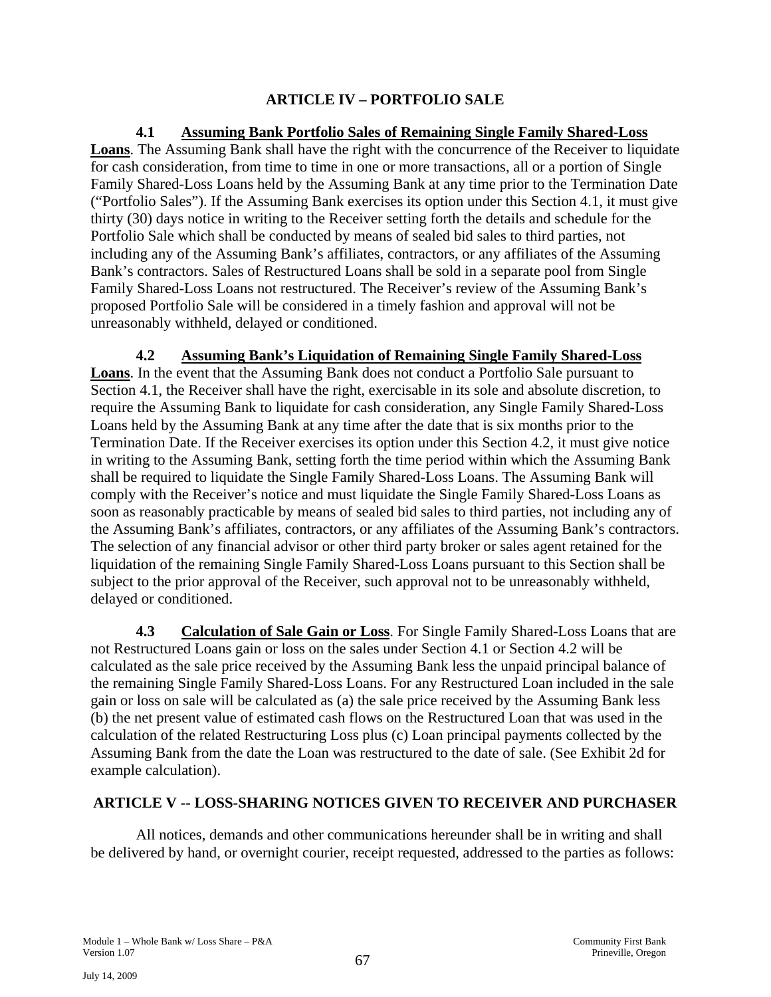## **ARTICLE IV – PORTFOLIO SALE**

### **4.1 Assuming Bank Portfolio Sales of Remaining Single Family Shared-Loss**

**Loans**. The Assuming Bank shall have the right with the concurrence of the Receiver to liquidate for cash consideration, from time to time in one or more transactions, all or a portion of Single Family Shared-Loss Loans held by the Assuming Bank at any time prior to the Termination Date ("Portfolio Sales"). If the Assuming Bank exercises its option under this Section 4.1, it must give thirty (30) days notice in writing to the Receiver setting forth the details and schedule for the Portfolio Sale which shall be conducted by means of sealed bid sales to third parties, not including any of the Assuming Bank's affiliates, contractors, or any affiliates of the Assuming Bank's contractors. Sales of Restructured Loans shall be sold in a separate pool from Single Family Shared-Loss Loans not restructured. The Receiver's review of the Assuming Bank's proposed Portfolio Sale will be considered in a timely fashion and approval will not be unreasonably withheld, delayed or conditioned.

### **4.2 Assuming Bank's Liquidation of Remaining Single Family Shared-Loss**

**Loans**. In the event that the Assuming Bank does not conduct a Portfolio Sale pursuant to Section 4.1, the Receiver shall have the right, exercisable in its sole and absolute discretion, to require the Assuming Bank to liquidate for cash consideration, any Single Family Shared-Loss Loans held by the Assuming Bank at any time after the date that is six months prior to the Termination Date. If the Receiver exercises its option under this Section 4.2, it must give notice in writing to the Assuming Bank, setting forth the time period within which the Assuming Bank shall be required to liquidate the Single Family Shared-Loss Loans. The Assuming Bank will comply with the Receiver's notice and must liquidate the Single Family Shared-Loss Loans as soon as reasonably practicable by means of sealed bid sales to third parties, not including any of the Assuming Bank's affiliates, contractors, or any affiliates of the Assuming Bank's contractors. The selection of any financial advisor or other third party broker or sales agent retained for the liquidation of the remaining Single Family Shared-Loss Loans pursuant to this Section shall be subject to the prior approval of the Receiver, such approval not to be unreasonably withheld, delayed or conditioned.

**4.3 Calculation of Sale Gain or Loss**. For Single Family Shared-Loss Loans that are not Restructured Loans gain or loss on the sales under Section 4.1 or Section 4.2 will be calculated as the sale price received by the Assuming Bank less the unpaid principal balance of the remaining Single Family Shared-Loss Loans. For any Restructured Loan included in the sale gain or loss on sale will be calculated as (a) the sale price received by the Assuming Bank less (b) the net present value of estimated cash flows on the Restructured Loan that was used in the calculation of the related Restructuring Loss plus (c) Loan principal payments collected by the Assuming Bank from the date the Loan was restructured to the date of sale. (See Exhibit 2d for example calculation).

### **ARTICLE V -- LOSS-SHARING NOTICES GIVEN TO RECEIVER AND PURCHASER**

All notices, demands and other communications hereunder shall be in writing and shall be delivered by hand, or overnight courier, receipt requested, addressed to the parties as follows: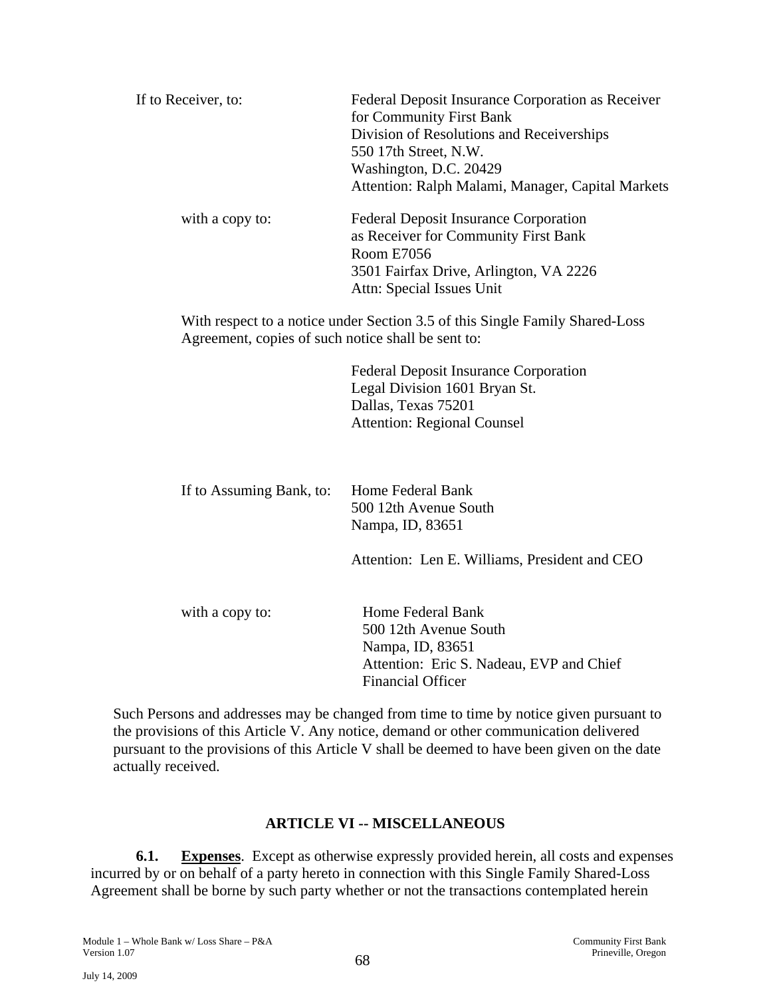| If to Receiver, to:                                                                                                                | Federal Deposit Insurance Corporation as Receiver<br>for Community First Bank<br>Division of Resolutions and Receiverships<br>550 17th Street, N.W.<br>Washington, D.C. 20429<br>Attention: Ralph Malami, Manager, Capital Markets |  |
|------------------------------------------------------------------------------------------------------------------------------------|------------------------------------------------------------------------------------------------------------------------------------------------------------------------------------------------------------------------------------|--|
| with a copy to:                                                                                                                    | <b>Federal Deposit Insurance Corporation</b><br>as Receiver for Community First Bank<br>Room E7056<br>3501 Fairfax Drive, Arlington, VA 2226<br>Attn: Special Issues Unit                                                          |  |
| With respect to a notice under Section 3.5 of this Single Family Shared-Loss<br>Agreement, copies of such notice shall be sent to: |                                                                                                                                                                                                                                    |  |
|                                                                                                                                    | <b>Federal Deposit Insurance Corporation</b><br>Legal Division 1601 Bryan St.<br>Dallas, Texas 75201<br><b>Attention: Regional Counsel</b>                                                                                         |  |
| If to Assuming Bank, to:                                                                                                           | Home Federal Bank<br>500 12th Avenue South<br>Nampa, ID, 83651<br>Attention: Len E. Williams, President and CEO                                                                                                                    |  |
| with a copy to:                                                                                                                    | Home Federal Bank<br>500 12th Avenue South<br>Nampa, ID, 83651<br>Attention: Eric S. Nadeau, EVP and Chief<br><b>Financial Officer</b>                                                                                             |  |

Such Persons and addresses may be changed from time to time by notice given pursuant to the provisions of this Article V. Any notice, demand or other communication delivered pursuant to the provisions of this Article V shall be deemed to have been given on the date actually received.

#### **ARTICLE VI -- MISCELLANEOUS**

**6.1.** Expenses. Except as otherwise expressly provided herein, all costs and expenses incurred by or on behalf of a party hereto in connection with this Single Family Shared-Loss Agreement shall be borne by such party whether or not the transactions contemplated herein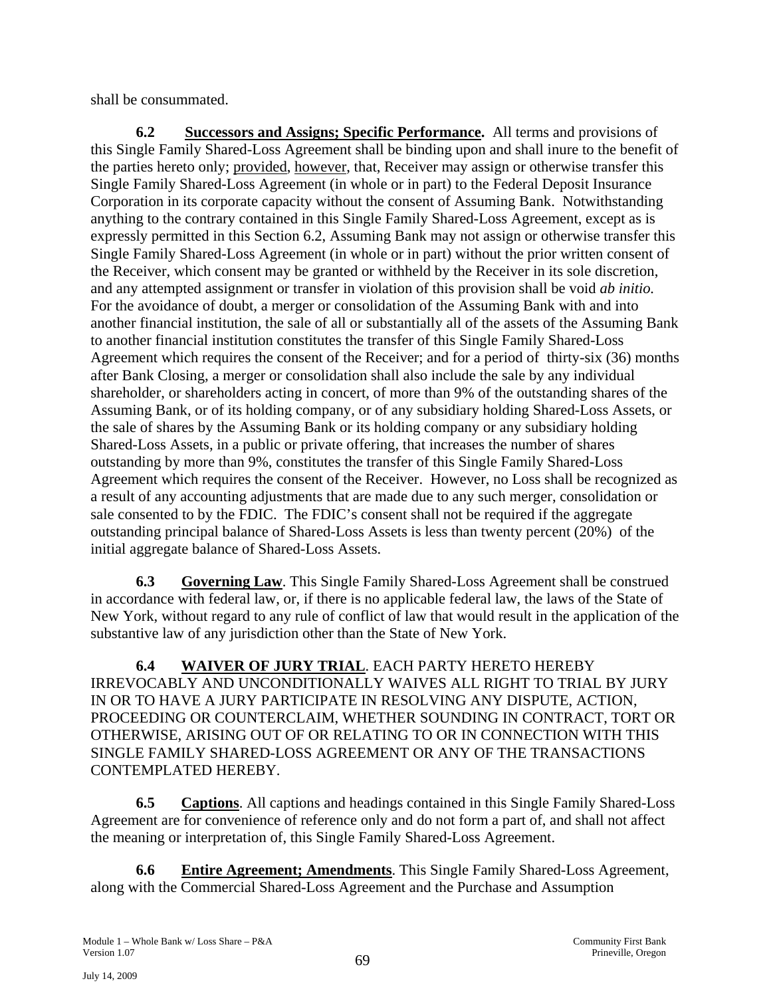shall be consummated.

**6.2 Successors and Assigns; Specific Performance.** All terms and provisions of this Single Family Shared-Loss Agreement shall be binding upon and shall inure to the benefit of the parties hereto only; provided, however, that, Receiver may assign or otherwise transfer this Single Family Shared-Loss Agreement (in whole or in part) to the Federal Deposit Insurance Corporation in its corporate capacity without the consent of Assuming Bank. Notwithstanding anything to the contrary contained in this Single Family Shared-Loss Agreement, except as is expressly permitted in this Section 6.2, Assuming Bank may not assign or otherwise transfer this Single Family Shared-Loss Agreement (in whole or in part) without the prior written consent of the Receiver, which consent may be granted or withheld by the Receiver in its sole discretion, and any attempted assignment or transfer in violation of this provision shall be void *ab initio.*  For the avoidance of doubt, a merger or consolidation of the Assuming Bank with and into another financial institution, the sale of all or substantially all of the assets of the Assuming Bank to another financial institution constitutes the transfer of this Single Family Shared-Loss Agreement which requires the consent of the Receiver; and for a period of thirty-six (36) months after Bank Closing, a merger or consolidation shall also include the sale by any individual shareholder, or shareholders acting in concert, of more than 9% of the outstanding shares of the Assuming Bank, or of its holding company, or of any subsidiary holding Shared-Loss Assets, or the sale of shares by the Assuming Bank or its holding company or any subsidiary holding Shared-Loss Assets, in a public or private offering, that increases the number of shares outstanding by more than 9%, constitutes the transfer of this Single Family Shared-Loss Agreement which requires the consent of the Receiver. However, no Loss shall be recognized as a result of any accounting adjustments that are made due to any such merger, consolidation or sale consented to by the FDIC. The FDIC's consent shall not be required if the aggregate outstanding principal balance of Shared-Loss Assets is less than twenty percent (20%) of the initial aggregate balance of Shared-Loss Assets.

**6.3 Governing Law**. This Single Family Shared-Loss Agreement shall be construed in accordance with federal law, or, if there is no applicable federal law, the laws of the State of New York, without regard to any rule of conflict of law that would result in the application of the substantive law of any jurisdiction other than the State of New York.

**6.4 WAIVER OF JURY TRIAL**. EACH PARTY HERETO HEREBY IRREVOCABLY AND UNCONDITIONALLY WAIVES ALL RIGHT TO TRIAL BY JURY IN OR TO HAVE A JURY PARTICIPATE IN RESOLVING ANY DISPUTE, ACTION, PROCEEDING OR COUNTERCLAIM, WHETHER SOUNDING IN CONTRACT, TORT OR OTHERWISE, ARISING OUT OF OR RELATING TO OR IN CONNECTION WITH THIS SINGLE FAMILY SHARED-LOSS AGREEMENT OR ANY OF THE TRANSACTIONS CONTEMPLATED HEREBY.

**6.5 Captions**. All captions and headings contained in this Single Family Shared-Loss Agreement are for convenience of reference only and do not form a part of, and shall not affect the meaning or interpretation of, this Single Family Shared-Loss Agreement.

**6.6 Entire Agreement; Amendments**. This Single Family Shared-Loss Agreement, along with the Commercial Shared-Loss Agreement and the Purchase and Assumption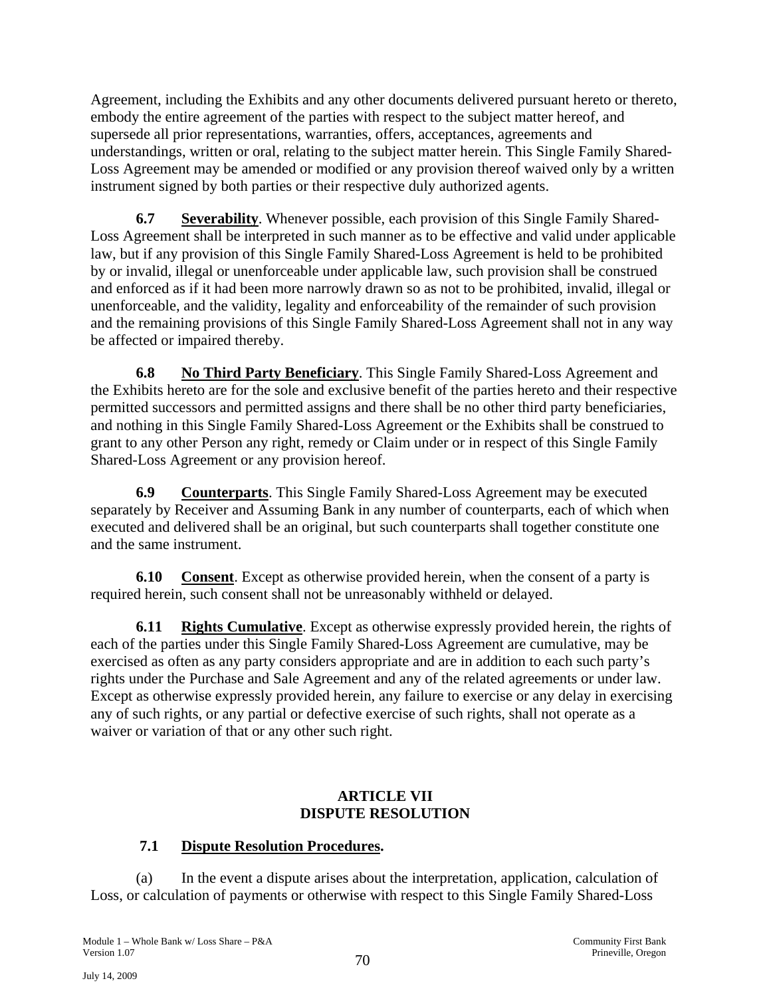Agreement, including the Exhibits and any other documents delivered pursuant hereto or thereto, embody the entire agreement of the parties with respect to the subject matter hereof, and supersede all prior representations, warranties, offers, acceptances, agreements and understandings, written or oral, relating to the subject matter herein. This Single Family Shared-Loss Agreement may be amended or modified or any provision thereof waived only by a written instrument signed by both parties or their respective duly authorized agents.

**6.7 Severability**. Whenever possible, each provision of this Single Family Shared-Loss Agreement shall be interpreted in such manner as to be effective and valid under applicable law, but if any provision of this Single Family Shared-Loss Agreement is held to be prohibited by or invalid, illegal or unenforceable under applicable law, such provision shall be construed and enforced as if it had been more narrowly drawn so as not to be prohibited, invalid, illegal or unenforceable, and the validity, legality and enforceability of the remainder of such provision and the remaining provisions of this Single Family Shared-Loss Agreement shall not in any way be affected or impaired thereby.

**6.8 No Third Party Beneficiary.** This Single Family Shared-Loss Agreement and the Exhibits hereto are for the sole and exclusive benefit of the parties hereto and their respective permitted successors and permitted assigns and there shall be no other third party beneficiaries, and nothing in this Single Family Shared-Loss Agreement or the Exhibits shall be construed to grant to any other Person any right, remedy or Claim under or in respect of this Single Family Shared-Loss Agreement or any provision hereof.

**6.9 Counterparts**. This Single Family Shared-Loss Agreement may be executed separately by Receiver and Assuming Bank in any number of counterparts, each of which when executed and delivered shall be an original, but such counterparts shall together constitute one and the same instrument.

**6.10 Consent**. Except as otherwise provided herein, when the consent of a party is required herein, such consent shall not be unreasonably withheld or delayed.

**6.11 Rights Cumulative**. Except as otherwise expressly provided herein, the rights of each of the parties under this Single Family Shared-Loss Agreement are cumulative, may be exercised as often as any party considers appropriate and are in addition to each such party's rights under the Purchase and Sale Agreement and any of the related agreements or under law. Except as otherwise expressly provided herein, any failure to exercise or any delay in exercising any of such rights, or any partial or defective exercise of such rights, shall not operate as a waiver or variation of that or any other such right.

# **ARTICLE VII DISPUTE RESOLUTION**

# **7.1 Dispute Resolution Procedures.**

(a) In the event a dispute arises about the interpretation, application, calculation of Loss, or calculation of payments or otherwise with respect to this Single Family Shared-Loss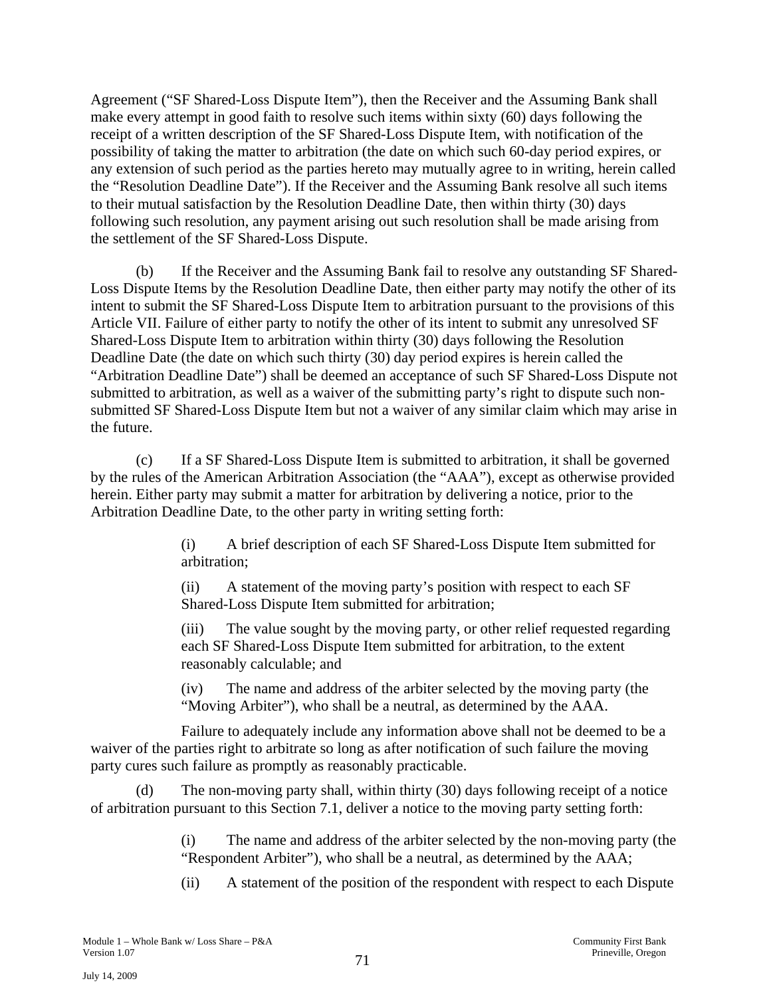Agreement ("SF Shared-Loss Dispute Item"), then the Receiver and the Assuming Bank shall make every attempt in good faith to resolve such items within sixty (60) days following the receipt of a written description of the SF Shared-Loss Dispute Item, with notification of the possibility of taking the matter to arbitration (the date on which such 60-day period expires, or any extension of such period as the parties hereto may mutually agree to in writing, herein called the "Resolution Deadline Date"). If the Receiver and the Assuming Bank resolve all such items to their mutual satisfaction by the Resolution Deadline Date, then within thirty (30) days following such resolution, any payment arising out such resolution shall be made arising from the settlement of the SF Shared-Loss Dispute.

(b) If the Receiver and the Assuming Bank fail to resolve any outstanding SF Shared-Loss Dispute Items by the Resolution Deadline Date, then either party may notify the other of its intent to submit the SF Shared-Loss Dispute Item to arbitration pursuant to the provisions of this Article VII. Failure of either party to notify the other of its intent to submit any unresolved SF Shared-Loss Dispute Item to arbitration within thirty (30) days following the Resolution Deadline Date (the date on which such thirty (30) day period expires is herein called the "Arbitration Deadline Date") shall be deemed an acceptance of such SF Shared-Loss Dispute not submitted to arbitration, as well as a waiver of the submitting party's right to dispute such nonsubmitted SF Shared-Loss Dispute Item but not a waiver of any similar claim which may arise in the future.

(c) If a SF Shared-Loss Dispute Item is submitted to arbitration, it shall be governed by the rules of the American Arbitration Association (the "AAA"), except as otherwise provided herein. Either party may submit a matter for arbitration by delivering a notice, prior to the Arbitration Deadline Date, to the other party in writing setting forth:

> (i) A brief description of each SF Shared-Loss Dispute Item submitted for arbitration;

(ii) A statement of the moving party's position with respect to each SF Shared-Loss Dispute Item submitted for arbitration;

(iii) The value sought by the moving party, or other relief requested regarding each SF Shared-Loss Dispute Item submitted for arbitration, to the extent reasonably calculable; and

(iv) The name and address of the arbiter selected by the moving party (the "Moving Arbiter"), who shall be a neutral, as determined by the AAA.

Failure to adequately include any information above shall not be deemed to be a waiver of the parties right to arbitrate so long as after notification of such failure the moving party cures such failure as promptly as reasonably practicable.

(d) The non-moving party shall, within thirty (30) days following receipt of a notice of arbitration pursuant to this Section 7.1, deliver a notice to the moving party setting forth:

> (i) The name and address of the arbiter selected by the non-moving party (the "Respondent Arbiter"), who shall be a neutral, as determined by the AAA;

> (ii) A statement of the position of the respondent with respect to each Dispute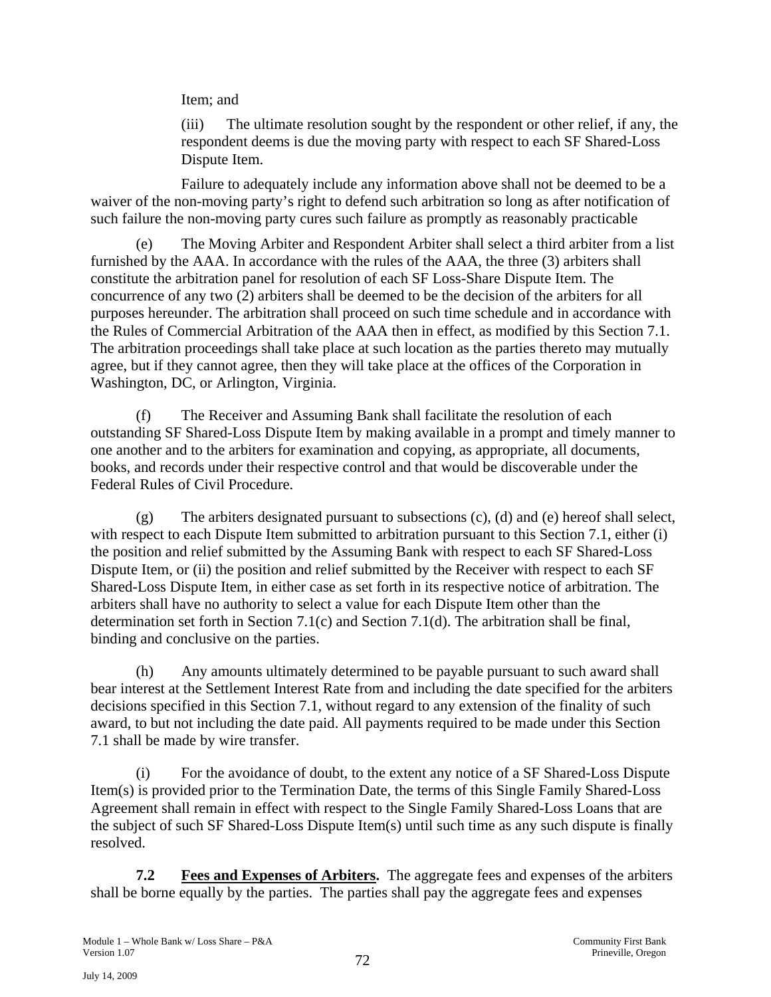Item; and

(iii) The ultimate resolution sought by the respondent or other relief, if any, the respondent deems is due the moving party with respect to each SF Shared-Loss Dispute Item.

Failure to adequately include any information above shall not be deemed to be a waiver of the non-moving party's right to defend such arbitration so long as after notification of such failure the non-moving party cures such failure as promptly as reasonably practicable

(e) The Moving Arbiter and Respondent Arbiter shall select a third arbiter from a list furnished by the AAA. In accordance with the rules of the AAA, the three (3) arbiters shall constitute the arbitration panel for resolution of each SF Loss-Share Dispute Item. The concurrence of any two (2) arbiters shall be deemed to be the decision of the arbiters for all purposes hereunder. The arbitration shall proceed on such time schedule and in accordance with the Rules of Commercial Arbitration of the AAA then in effect, as modified by this Section 7.1. The arbitration proceedings shall take place at such location as the parties thereto may mutually agree, but if they cannot agree, then they will take place at the offices of the Corporation in Washington, DC, or Arlington, Virginia.

(f) The Receiver and Assuming Bank shall facilitate the resolution of each outstanding SF Shared-Loss Dispute Item by making available in a prompt and timely manner to one another and to the arbiters for examination and copying, as appropriate, all documents, books, and records under their respective control and that would be discoverable under the Federal Rules of Civil Procedure.

(g) The arbiters designated pursuant to subsections (c), (d) and (e) hereof shall select, with respect to each Dispute Item submitted to arbitration pursuant to this Section 7.1, either (i) the position and relief submitted by the Assuming Bank with respect to each SF Shared-Loss Dispute Item, or (ii) the position and relief submitted by the Receiver with respect to each SF Shared-Loss Dispute Item, in either case as set forth in its respective notice of arbitration. The arbiters shall have no authority to select a value for each Dispute Item other than the determination set forth in Section 7.1(c) and Section 7.1(d). The arbitration shall be final, binding and conclusive on the parties.

(h) Any amounts ultimately determined to be payable pursuant to such award shall bear interest at the Settlement Interest Rate from and including the date specified for the arbiters decisions specified in this Section 7.1, without regard to any extension of the finality of such award, to but not including the date paid. All payments required to be made under this Section 7.1 shall be made by wire transfer.

(i) For the avoidance of doubt, to the extent any notice of a SF Shared-Loss Dispute Item(s) is provided prior to the Termination Date, the terms of this Single Family Shared-Loss Agreement shall remain in effect with respect to the Single Family Shared-Loss Loans that are the subject of such SF Shared-Loss Dispute Item(s) until such time as any such dispute is finally resolved.

**7.2 Fees and Expenses of Arbiters.** The aggregate fees and expenses of the arbiters shall be borne equally by the parties. The parties shall pay the aggregate fees and expenses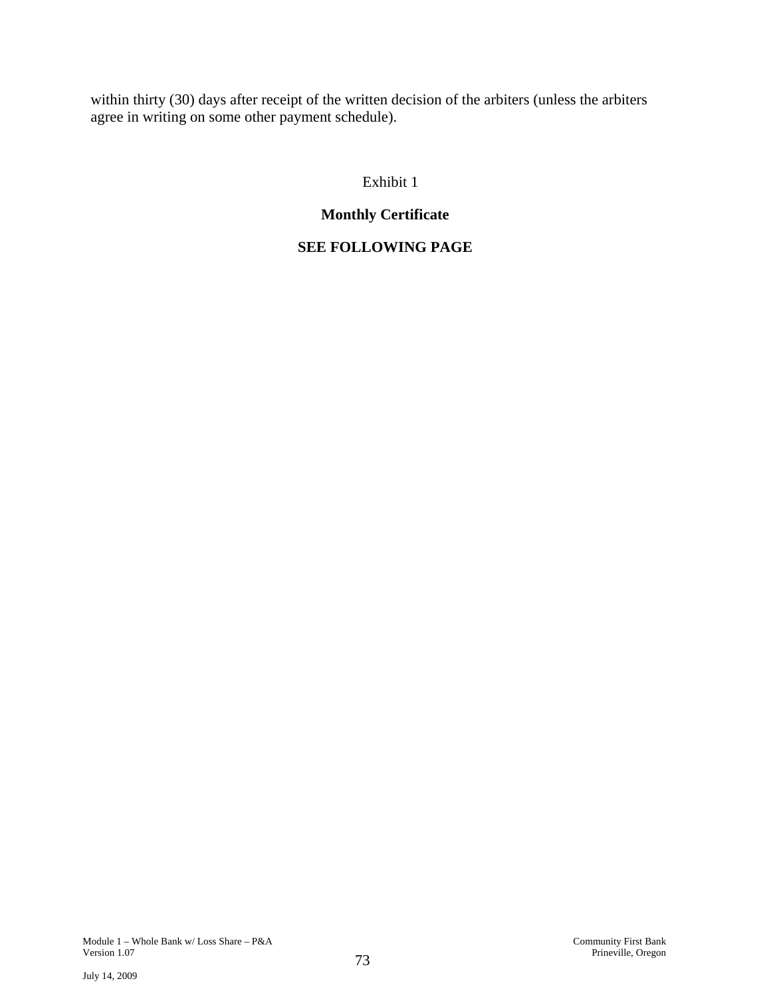within thirty (30) days after receipt of the written decision of the arbiters (unless the arbiters agree in writing on some other payment schedule).

## Exhibit 1

## **Monthly Certificate**

## **SEE FOLLOWING PAGE**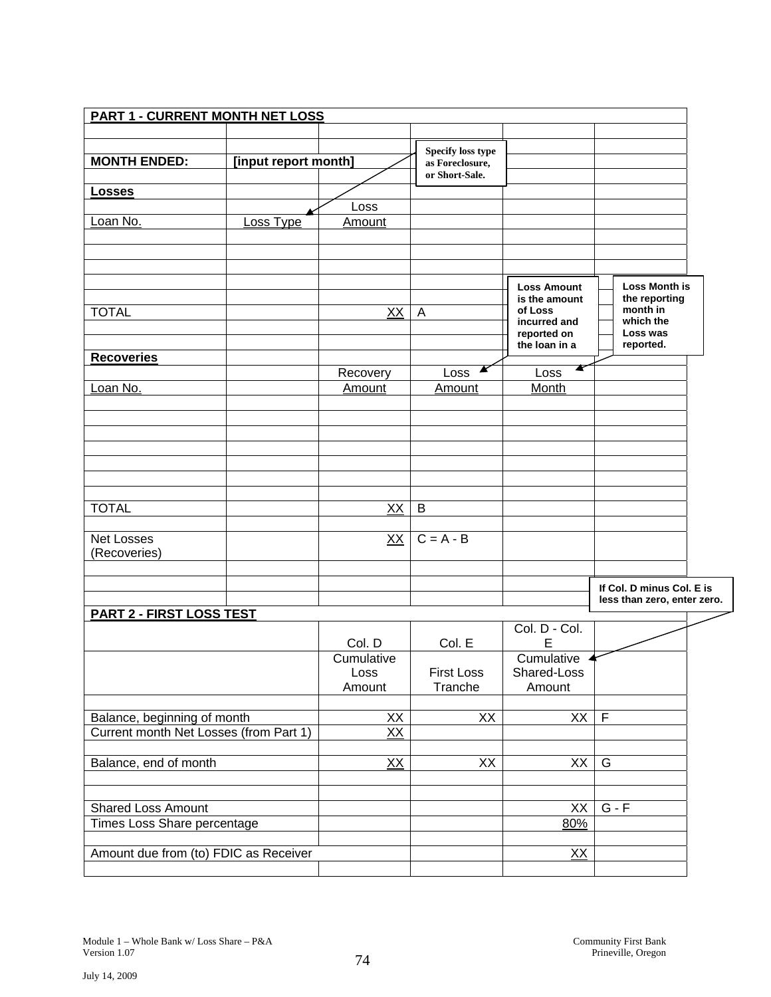| PART 1 - CURRENT MONTH NET LOSS                          |                      |            |                                   |                         |                             |
|----------------------------------------------------------|----------------------|------------|-----------------------------------|-------------------------|-----------------------------|
|                                                          |                      |            |                                   |                         |                             |
|                                                          |                      |            | <b>Specify loss type</b>          |                         |                             |
| <b>MONTH ENDED:</b>                                      | [input report month] |            | as Foreclosure,<br>or Short-Sale. |                         |                             |
| <b>Losses</b>                                            |                      |            |                                   |                         |                             |
|                                                          |                      | Loss       |                                   |                         |                             |
| Loan No.                                                 | Loss Type            | Amount     |                                   |                         |                             |
|                                                          |                      |            |                                   |                         |                             |
|                                                          |                      |            |                                   |                         |                             |
|                                                          |                      |            |                                   |                         |                             |
|                                                          |                      |            |                                   | <b>Loss Amount</b>      | Loss Month is               |
|                                                          |                      |            |                                   | is the amount           | the reporting               |
| <b>TOTAL</b>                                             |                      | XX         | $\overline{A}$                    | of Loss<br>incurred and | month in<br>which the       |
|                                                          |                      |            |                                   | reported on             | Loss was                    |
|                                                          |                      |            |                                   | the loan in a           | reported.                   |
| <b>Recoveries</b>                                        |                      |            |                                   | Ŧ                       |                             |
|                                                          |                      | Recovery   | $Loss^{\mathbf{Z}}$               | Loss                    |                             |
| Loan No.                                                 |                      | Amount     | Amount                            | Month                   |                             |
|                                                          |                      |            |                                   |                         |                             |
|                                                          |                      |            |                                   |                         |                             |
|                                                          |                      |            |                                   |                         |                             |
|                                                          |                      |            |                                   |                         |                             |
|                                                          |                      |            |                                   |                         |                             |
|                                                          |                      |            |                                   |                         |                             |
| <b>TOTAL</b>                                             |                      | XX         | B                                 |                         |                             |
|                                                          |                      |            |                                   |                         |                             |
| <b>Net Losses</b>                                        |                      | XX         | $C = A - B$                       |                         |                             |
| (Recoveries)                                             |                      |            |                                   |                         |                             |
|                                                          |                      |            |                                   |                         |                             |
|                                                          |                      |            |                                   |                         | If Col. D minus Col. E is   |
|                                                          |                      |            |                                   |                         | less than zero, enter zero. |
| <b>PART 2 - FIRST LOSS TEST</b>                          |                      |            |                                   |                         |                             |
|                                                          |                      |            |                                   | Col. D - Col.           |                             |
|                                                          |                      | Col. D     | Col. E                            | E                       |                             |
|                                                          |                      | Cumulative |                                   | Cumulative              |                             |
|                                                          |                      | Loss       | First Loss                        | Shared-Loss             |                             |
|                                                          |                      | Amount     | Tranche                           | Amount                  |                             |
|                                                          |                      |            |                                   |                         |                             |
| Balance, beginning of month                              |                      | XX         | XX                                | XX                      | $\mathsf F$                 |
| Current month Net Losses (from Part 1)                   |                      | XX         |                                   |                         |                             |
|                                                          |                      |            |                                   |                         |                             |
| Balance, end of month                                    |                      | <u>XX</u>  | XX                                | XX                      | G                           |
|                                                          |                      |            |                                   |                         |                             |
|                                                          |                      |            |                                   |                         | $G - F$                     |
| <b>Shared Loss Amount</b><br>Times Loss Share percentage |                      |            |                                   | XX<br>80%               |                             |
|                                                          |                      |            |                                   |                         |                             |
| Amount due from (to) FDIC as Receiver                    |                      |            |                                   | XX                      |                             |
|                                                          |                      |            |                                   |                         |                             |
|                                                          |                      |            |                                   |                         |                             |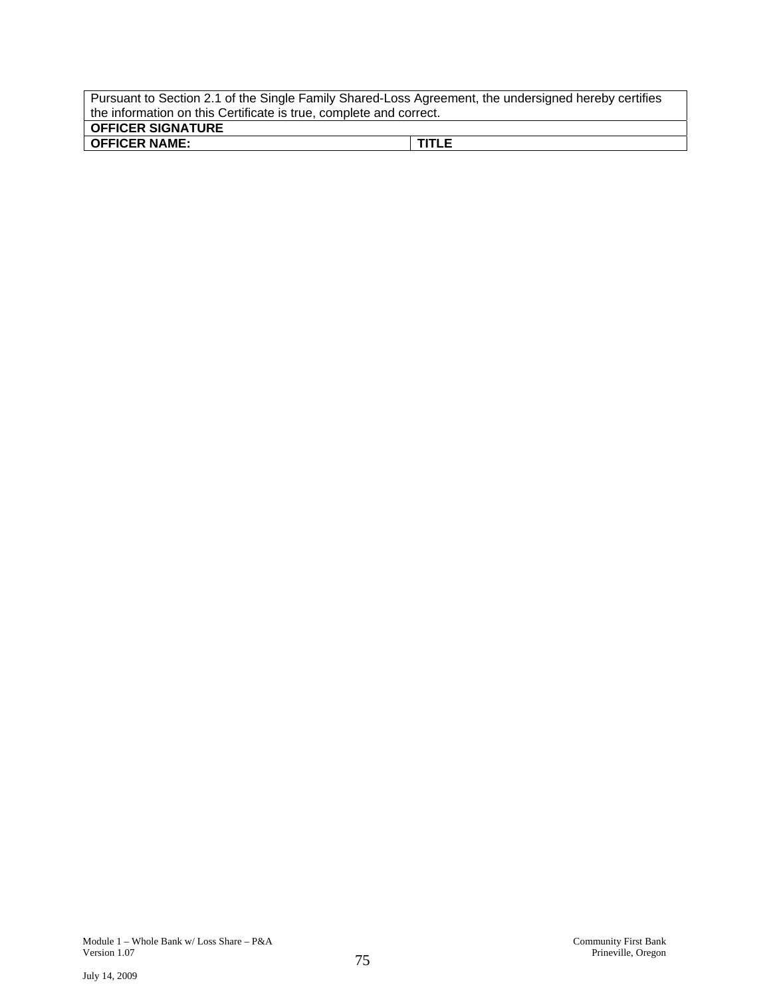| Pursuant to Section 2.1 of the Single Family Shared-Loss Agreement, the undersigned hereby certifies |  |  |  |  |
|------------------------------------------------------------------------------------------------------|--|--|--|--|
| the information on this Certificate is true, complete and correct.                                   |  |  |  |  |
| <b>OFFICER SIGNATURE</b>                                                                             |  |  |  |  |
| I TITLE<br><b>OFFICER NAME:</b>                                                                      |  |  |  |  |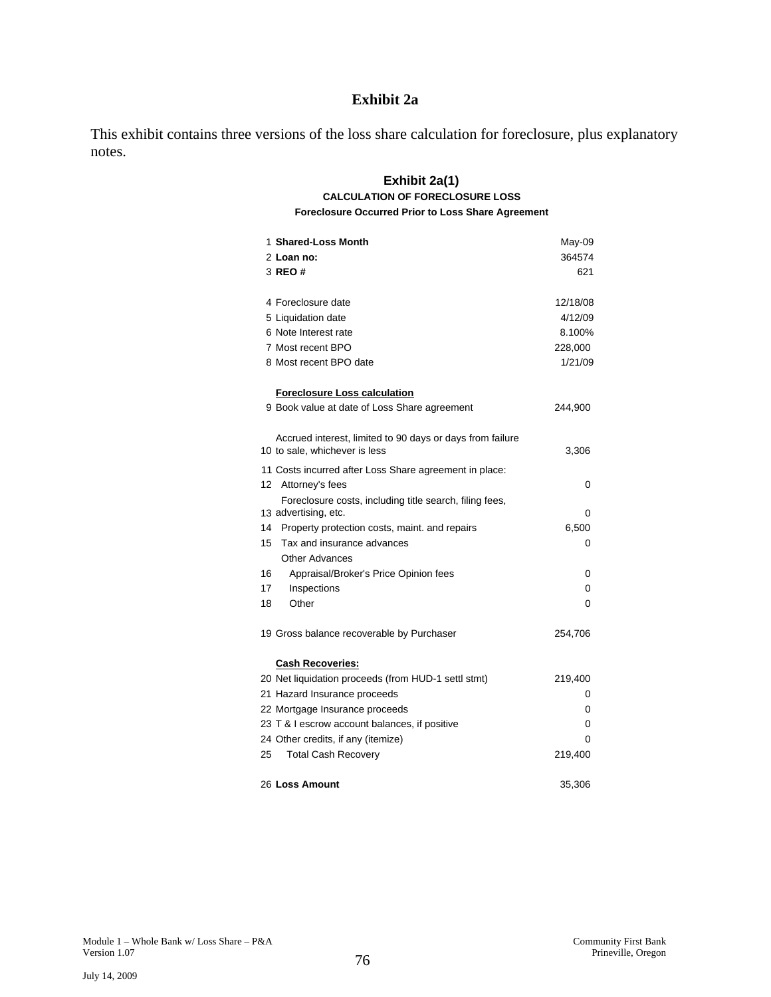## **Exhibit 2a**

This exhibit contains three versions of the loss share calculation for foreclosure, plus explanatory notes.

#### **Exhibit 2a(1) CALCULATION OF FORECLOSURE LOSS Foreclosure Occurred Prior to Loss Share Agreement**

|    | 1 Shared-Loss Month<br>2 Loan no:<br>3 REO #                                               | May-09<br>364574<br>621 |
|----|--------------------------------------------------------------------------------------------|-------------------------|
|    | 4 Foreclosure date                                                                         | 12/18/08                |
|    | 5 Liquidation date                                                                         | 4/12/09                 |
|    | 6 Note Interest rate                                                                       | 8.100%                  |
|    | 7 Most recent BPO                                                                          | 228,000                 |
|    | 8 Most recent BPO date                                                                     | 1/21/09                 |
|    | <b>Foreclosure Loss calculation</b>                                                        |                         |
|    | 9 Book value at date of Loss Share agreement                                               | 244,900                 |
|    | Accrued interest, limited to 90 days or days from failure<br>10 to sale, whichever is less | 3,306                   |
|    | 11 Costs incurred after Loss Share agreement in place:                                     |                         |
| 12 | Attorney's fees                                                                            | 0                       |
|    | Foreclosure costs, including title search, filing fees,                                    |                         |
|    | 13 advertising, etc.                                                                       | 0                       |
| 14 | Property protection costs, maint. and repairs                                              | 6,500                   |
| 15 | Tax and insurance advances                                                                 | 0                       |
|    | <b>Other Advances</b>                                                                      |                         |
| 16 | Appraisal/Broker's Price Opinion fees                                                      | 0                       |
| 17 | Inspections                                                                                | 0                       |
| 18 | Other                                                                                      | 0                       |
|    | 19 Gross balance recoverable by Purchaser                                                  | 254,706                 |
|    | <b>Cash Recoveries:</b>                                                                    |                         |
|    | 20 Net liquidation proceeds (from HUD-1 settl stmt)                                        | 219,400                 |
|    | 21 Hazard Insurance proceeds                                                               | 0                       |
|    | 22 Mortgage Insurance proceeds                                                             | 0                       |
|    | 23 T & I escrow account balances, if positive                                              | 0                       |
|    | 24 Other credits, if any (itemize)                                                         | 0                       |
| 25 | <b>Total Cash Recovery</b>                                                                 | 219,400                 |
|    | 26 Loss Amount                                                                             | 35,306                  |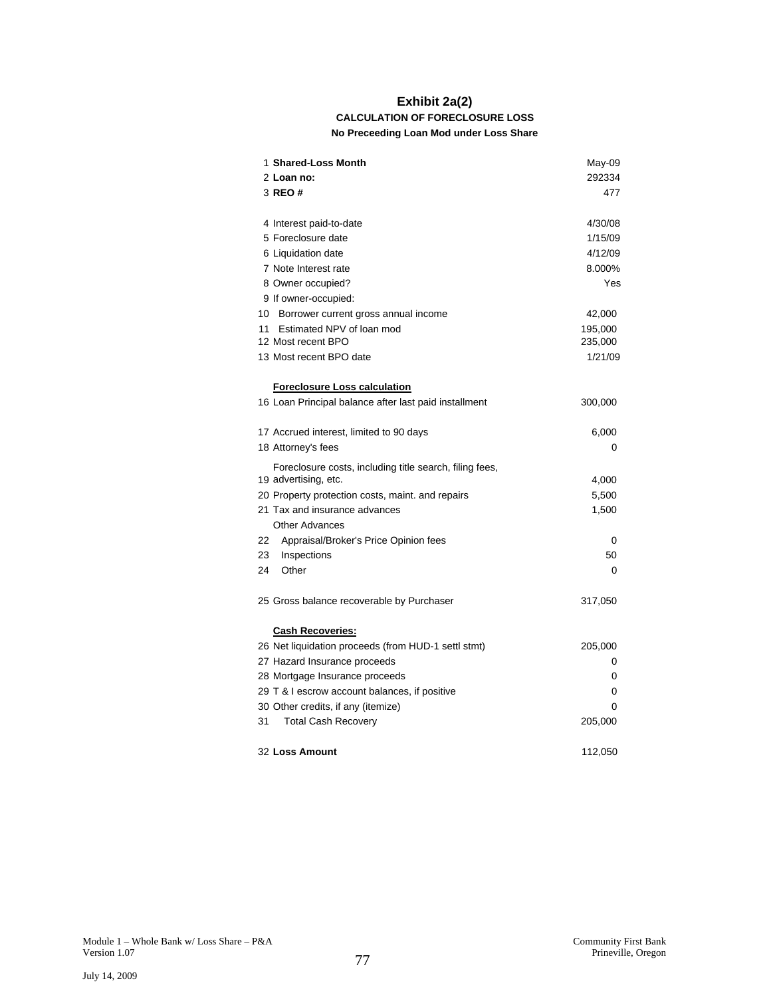#### **Exhibit 2a(2)**

#### **CALCULATION OF FORECLOSURE LOSS**

#### **No Preceeding Loan Mod under Loss Share**

| 1 Shared-Loss Month                                                             | May-09   |
|---------------------------------------------------------------------------------|----------|
| 2 Loan no:                                                                      | 292334   |
| 3 REO #                                                                         | 477      |
| 4 Interest paid-to-date                                                         | 4/30/08  |
| 5 Foreclosure date                                                              | 1/15/09  |
| 6 Liquidation date                                                              | 4/12/09  |
| 7 Note Interest rate                                                            | 8.000%   |
| 8 Owner occupied?                                                               | Yes      |
| 9 If owner-occupied:                                                            |          |
| 10<br>Borrower current gross annual income                                      | 42,000   |
| Estimated NPV of loan mod<br>11                                                 | 195,000  |
| 12 Most recent BPO                                                              | 235,000  |
| 13 Most recent BPO date                                                         | 1/21/09  |
| <b>Foreclosure Loss calculation</b>                                             |          |
| 16 Loan Principal balance after last paid installment                           | 300,000  |
| 17 Accrued interest, limited to 90 days                                         | 6,000    |
| 18 Attorney's fees                                                              | 0        |
| Foreclosure costs, including title search, filing fees,<br>19 advertising, etc. | 4,000    |
| 20 Property protection costs, maint. and repairs                                | 5,500    |
| 21 Tax and insurance advances                                                   | 1,500    |
| <b>Other Advances</b>                                                           |          |
| 22<br>Appraisal/Broker's Price Opinion fees                                     | 0        |
| 23<br>Inspections                                                               | 50       |
| 24<br>Other                                                                     | $\Omega$ |
| 25 Gross balance recoverable by Purchaser                                       | 317,050  |
| <b>Cash Recoveries:</b>                                                         |          |
| 26 Net liquidation proceeds (from HUD-1 settl stmt)                             | 205,000  |
| 27 Hazard Insurance proceeds                                                    | 0        |
| 28 Mortgage Insurance proceeds                                                  | 0        |
| 29 T & I escrow account balances, if positive                                   | 0        |
| 30 Other credits, if any (itemize)                                              | 0        |
| 31<br><b>Total Cash Recovery</b>                                                | 205,000  |
| 32 Loss Amount                                                                  | 112,050  |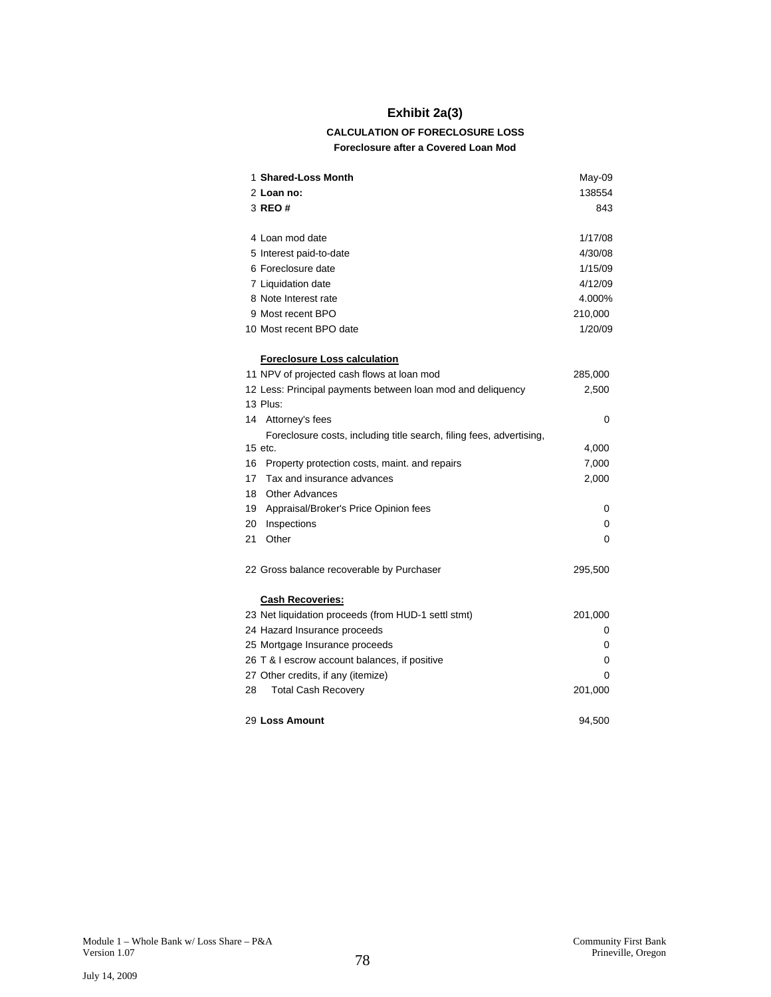## **Exhibit 2a(3)**

#### **CALCULATION OF FORECLOSURE LOSS Foreclosure after a Covered Loan Mod**

|    | 1 Shared-Loss Month                                                  | May-09   |
|----|----------------------------------------------------------------------|----------|
|    | 2 Loan no:                                                           | 138554   |
|    | 3 REO #                                                              | 843      |
|    |                                                                      |          |
|    | 4 Loan mod date                                                      | 1/17/08  |
|    | 5 Interest paid-to-date                                              | 4/30/08  |
|    | 6 Foreclosure date                                                   | 1/15/09  |
|    | 7 Liquidation date                                                   | 4/12/09  |
|    | 8 Note Interest rate                                                 | 4.000%   |
|    | 9 Most recent BPO                                                    | 210,000  |
|    | 10 Most recent BPO date                                              | 1/20/09  |
|    |                                                                      |          |
|    | <b>Foreclosure Loss calculation</b>                                  |          |
|    | 11 NPV of projected cash flows at loan mod                           | 285,000  |
|    | 12 Less: Principal payments between loan mod and deliquency          | 2,500    |
|    | 13 Plus:                                                             |          |
| 14 | Attorney's fees                                                      | 0        |
|    | Foreclosure costs, including title search, filing fees, advertising, |          |
|    | 15 etc.                                                              | 4,000    |
| 16 | Property protection costs, maint. and repairs                        | 7,000    |
| 17 | Tax and insurance advances                                           | 2,000    |
| 18 | <b>Other Advances</b>                                                |          |
| 19 | Appraisal/Broker's Price Opinion fees                                | 0        |
| 20 | Inspections                                                          | 0        |
| 21 | Other                                                                | $\Omega$ |
|    |                                                                      |          |
|    | 22 Gross balance recoverable by Purchaser                            | 295,500  |
|    |                                                                      |          |
|    | <b>Cash Recoveries:</b>                                              |          |
|    | 23 Net liquidation proceeds (from HUD-1 settl stmt)                  | 201,000  |
|    | 24 Hazard Insurance proceeds                                         | 0        |
|    | 25 Mortgage Insurance proceeds                                       | 0        |
|    | 26 T & I escrow account balances, if positive                        | 0        |
|    | 27 Other credits, if any (itemize)                                   | 0        |
| 28 | <b>Total Cash Recovery</b>                                           | 201,000  |
|    |                                                                      |          |
|    | 29 Loss Amount                                                       | 94,500   |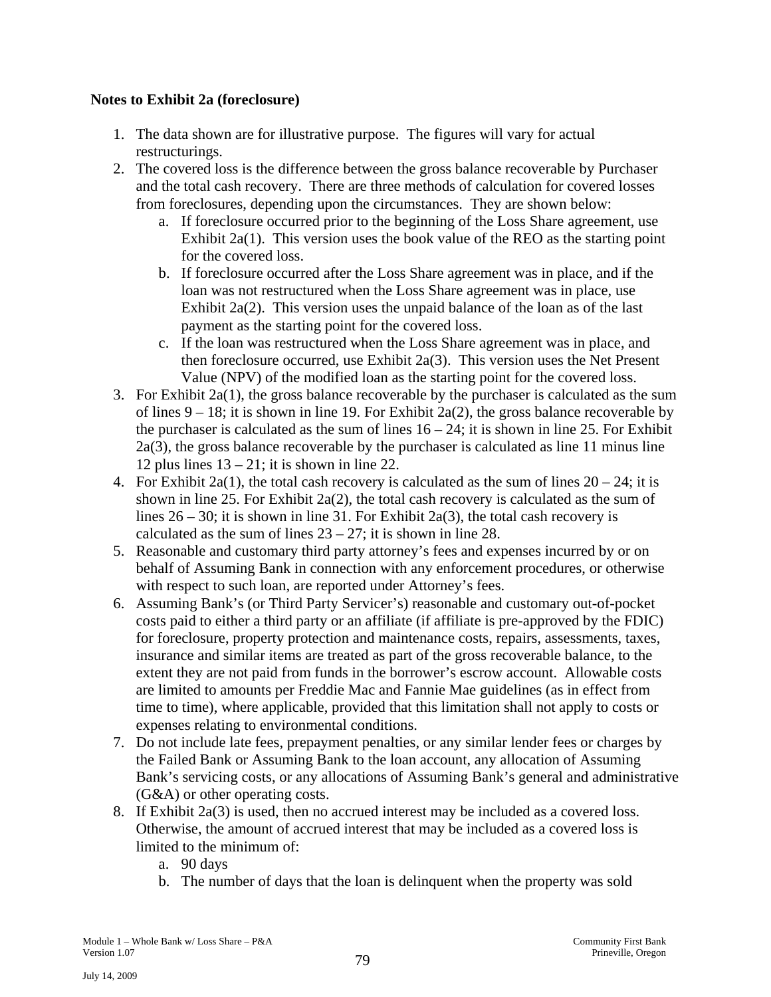## **Notes to Exhibit 2a (foreclosure)**

- 1. The data shown are for illustrative purpose. The figures will vary for actual restructurings.
- 2. The covered loss is the difference between the gross balance recoverable by Purchaser and the total cash recovery. There are three methods of calculation for covered losses from foreclosures, depending upon the circumstances. They are shown below:
	- a. If foreclosure occurred prior to the beginning of the Loss Share agreement, use Exhibit 2a(1). This version uses the book value of the REO as the starting point for the covered loss.
	- b. If foreclosure occurred after the Loss Share agreement was in place, and if the loan was not restructured when the Loss Share agreement was in place, use Exhibit 2a(2). This version uses the unpaid balance of the loan as of the last payment as the starting point for the covered loss.
	- c. If the loan was restructured when the Loss Share agreement was in place, and then foreclosure occurred, use Exhibit 2a(3). This version uses the Net Present Value (NPV) of the modified loan as the starting point for the covered loss.
- 3. For Exhibit  $2a(1)$ , the gross balance recoverable by the purchaser is calculated as the sum of lines  $9 - 18$ ; it is shown in line 19. For Exhibit 2a(2), the gross balance recoverable by the purchaser is calculated as the sum of lines  $16 - 24$ ; it is shown in line 25. For Exhibit 2a(3), the gross balance recoverable by the purchaser is calculated as line 11 minus line 12 plus lines  $13 - 21$ ; it is shown in line 22.
- 4. For Exhibit 2a(1), the total cash recovery is calculated as the sum of lines  $20 24$ ; it is shown in line 25. For Exhibit 2a(2), the total cash recovery is calculated as the sum of lines  $26 - 30$ ; it is shown in line 31. For Exhibit 2a(3), the total cash recovery is calculated as the sum of lines  $23 - 27$ ; it is shown in line 28.
- 5. Reasonable and customary third party attorney's fees and expenses incurred by or on behalf of Assuming Bank in connection with any enforcement procedures, or otherwise with respect to such loan, are reported under Attorney's fees.
- 6. Assuming Bank's (or Third Party Servicer's) reasonable and customary out-of-pocket costs paid to either a third party or an affiliate (if affiliate is pre-approved by the FDIC) for foreclosure, property protection and maintenance costs, repairs, assessments, taxes, insurance and similar items are treated as part of the gross recoverable balance, to the extent they are not paid from funds in the borrower's escrow account. Allowable costs are limited to amounts per Freddie Mac and Fannie Mae guidelines (as in effect from time to time), where applicable, provided that this limitation shall not apply to costs or expenses relating to environmental conditions.
- 7. Do not include late fees, prepayment penalties, or any similar lender fees or charges by the Failed Bank or Assuming Bank to the loan account, any allocation of Assuming Bank's servicing costs, or any allocations of Assuming Bank's general and administrative (G&A) or other operating costs.
- 8. If Exhibit  $2a(3)$  is used, then no accrued interest may be included as a covered loss. Otherwise, the amount of accrued interest that may be included as a covered loss is limited to the minimum of:
	- a. 90 days
	- b. The number of days that the loan is delinquent when the property was sold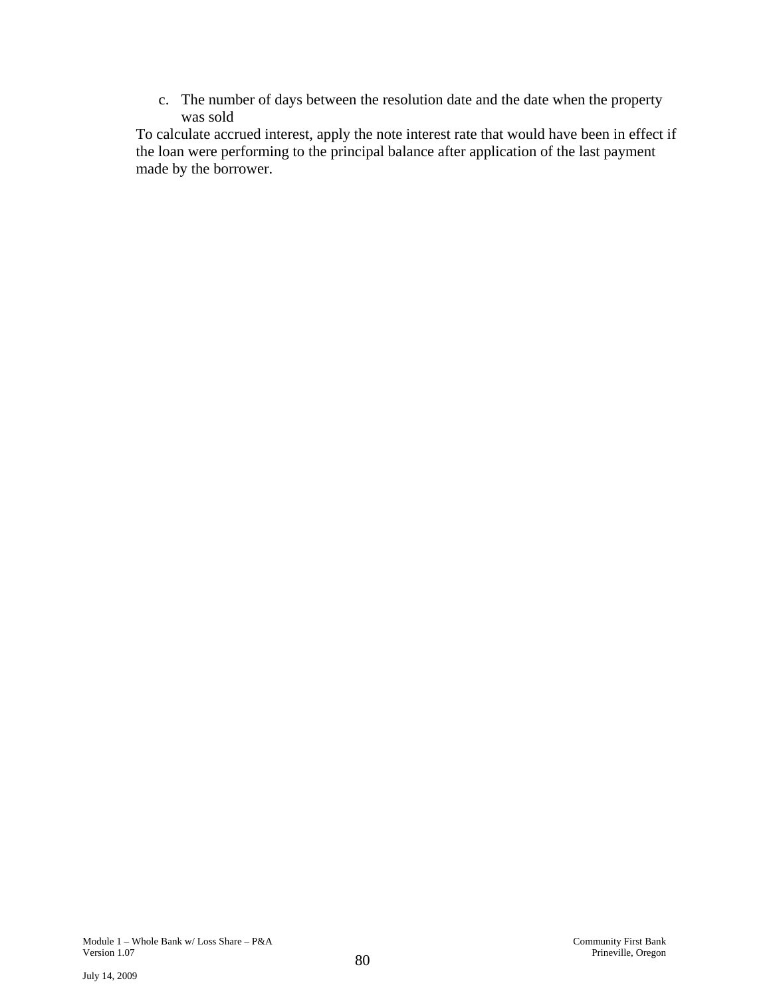c. The number of days between the resolution date and the date when the property was sold

To calculate accrued interest, apply the note interest rate that would have been in effect if the loan were performing to the principal balance after application of the last payment made by the borrower.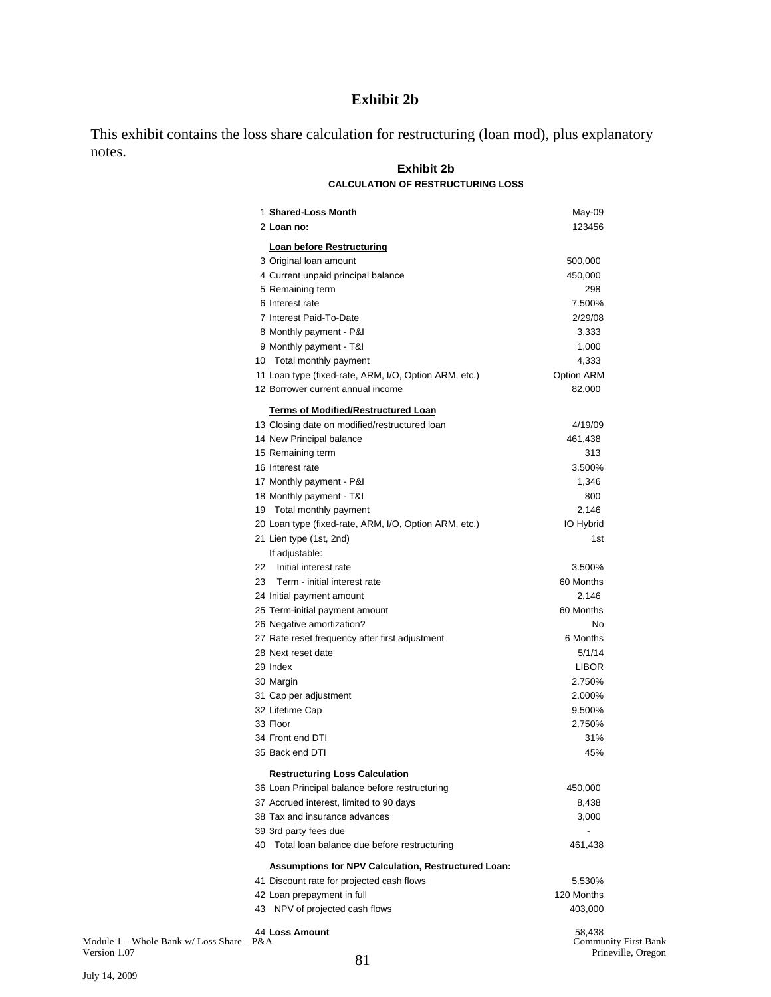# **Exhibit 2b**

This exhibit contains the loss share calculation for restructuring (loan mod), plus explanatory notes.

### **Exhibit 2b CALCULATION OF RESTRUCTURING LOSS**

|                                           | 1 Shared-Loss Month                                                                       | May-09                      |
|-------------------------------------------|-------------------------------------------------------------------------------------------|-----------------------------|
|                                           | 2 Loan no:                                                                                | 123456                      |
|                                           | <b>Loan before Restructuring</b>                                                          |                             |
|                                           | 3 Original loan amount                                                                    | 500,000                     |
|                                           | 4 Current unpaid principal balance                                                        | 450,000                     |
|                                           | 5 Remaining term                                                                          | 298                         |
|                                           | 6 Interest rate                                                                           | 7.500%                      |
|                                           | 7 Interest Paid-To-Date                                                                   | 2/29/08                     |
|                                           | 8 Monthly payment - P&I                                                                   | 3,333                       |
|                                           | 9 Monthly payment - T&I                                                                   | 1,000                       |
|                                           | 10 Total monthly payment                                                                  | 4,333                       |
|                                           | 11 Loan type (fixed-rate, ARM, I/O, Option ARM, etc.)                                     | <b>Option ARM</b>           |
|                                           | 12 Borrower current annual income                                                         | 82,000                      |
|                                           | <b>Terms of Modified/Restructured Loan</b>                                                |                             |
|                                           | 13 Closing date on modified/restructured loan                                             | 4/19/09                     |
|                                           | 14 New Principal balance                                                                  | 461,438                     |
|                                           | 15 Remaining term                                                                         | 313                         |
|                                           | 16 Interest rate                                                                          | 3.500%                      |
|                                           | 17 Monthly payment - P&I                                                                  | 1,346                       |
|                                           | 18 Monthly payment - T&I                                                                  | 800                         |
|                                           | 19 Total monthly payment                                                                  | 2,146                       |
|                                           | 20 Loan type (fixed-rate, ARM, I/O, Option ARM, etc.)                                     | IO Hybrid                   |
|                                           | 21 Lien type (1st, 2nd)                                                                   | 1st                         |
|                                           | If adjustable:                                                                            |                             |
|                                           | 22 Initial interest rate                                                                  | 3.500%                      |
| 23                                        | Term - initial interest rate                                                              | 60 Months                   |
|                                           | 24 Initial payment amount                                                                 | 2,146                       |
|                                           | 25 Term-initial payment amount                                                            | 60 Months                   |
|                                           | 26 Negative amortization?                                                                 | No                          |
|                                           | 27 Rate reset frequency after first adjustment                                            | 6 Months                    |
|                                           | 28 Next reset date                                                                        | 5/1/14                      |
|                                           | 29 Index                                                                                  | <b>LIBOR</b>                |
|                                           | 30 Margin                                                                                 | 2.750%                      |
|                                           | 31 Cap per adjustment                                                                     | 2.000%                      |
|                                           | 32 Lifetime Cap                                                                           | 9.500%                      |
|                                           | 33 Floor                                                                                  | 2.750%                      |
|                                           | 34 Front end DTI                                                                          | 31%                         |
|                                           | 35 Back end DTI                                                                           | 45%                         |
|                                           |                                                                                           |                             |
|                                           | <b>Restructuring Loss Calculation</b>                                                     |                             |
|                                           | 36 Loan Principal balance before restructuring<br>37 Accrued interest, limited to 90 days | 450,000                     |
|                                           | 38 Tax and insurance advances                                                             | 8,438                       |
|                                           |                                                                                           | 3,000                       |
|                                           | 39 3rd party fees due                                                                     | 461,438                     |
|                                           | 40 Total loan balance due before restructuring                                            |                             |
|                                           | Assumptions for NPV Calculation, Restructured Loan:                                       |                             |
|                                           | 41 Discount rate for projected cash flows                                                 | 5.530%                      |
|                                           | 42 Loan prepayment in full                                                                | 120 Months                  |
|                                           | 43 NPV of projected cash flows                                                            | 403,000                     |
|                                           | 44 Loss Amount                                                                            | 58.438                      |
| Module 1 – Whole Bank w/ Loss Share – P&A |                                                                                           | <b>Community First Bank</b> |
| Version 1.07                              | 81                                                                                        | Prineville, Oregon          |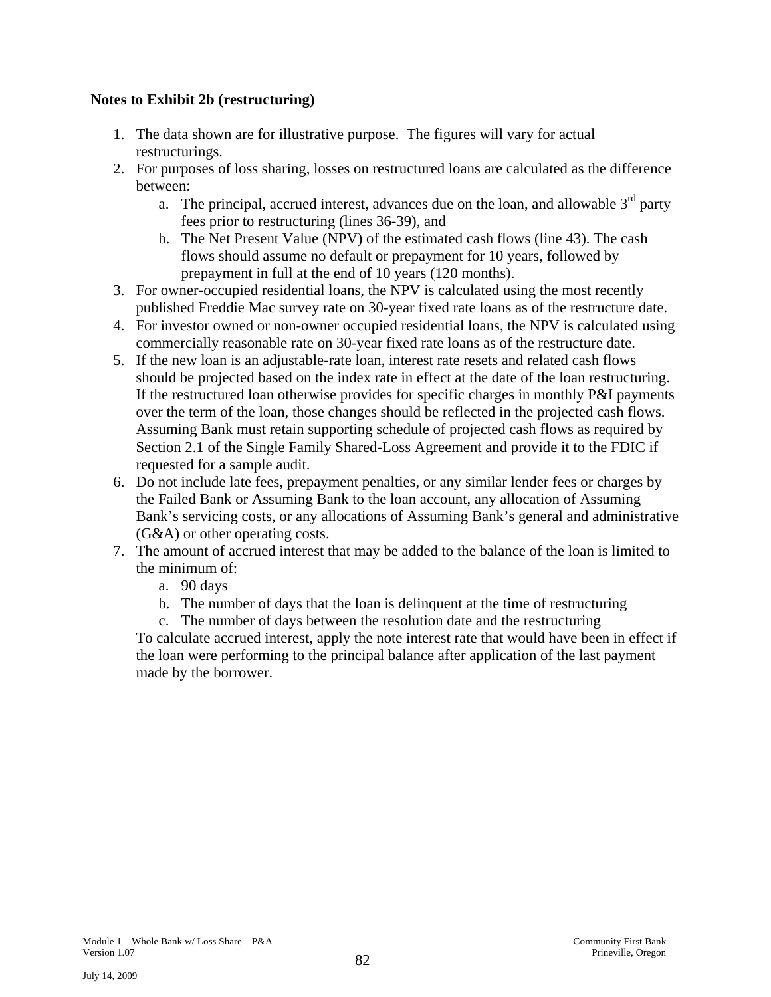## **Notes to Exhibit 2b (restructuring)**

- 1. The data shown are for illustrative purpose. The figures will vary for actual restructurings.
- 2. For purposes of loss sharing, losses on restructured loans are calculated as the difference between:
	- a. The principal, accrued interest, advances due on the loan, and allowable  $3<sup>rd</sup>$  party fees prior to restructuring (lines 36-39), and
	- b. The Net Present Value (NPV) of the estimated cash flows (line 43). The cash flows should assume no default or prepayment for 10 years, followed by prepayment in full at the end of 10 years (120 months).
- 3. For owner-occupied residential loans, the NPV is calculated using the most recently published Freddie Mac survey rate on 30-year fixed rate loans as of the restructure date.
- 4. For investor owned or non-owner occupied residential loans, the NPV is calculated using commercially reasonable rate on 30-year fixed rate loans as of the restructure date.
- 5. If the new loan is an adjustable-rate loan, interest rate resets and related cash flows should be projected based on the index rate in effect at the date of the loan restructuring. If the restructured loan otherwise provides for specific charges in monthly P&I payments over the term of the loan, those changes should be reflected in the projected cash flows. Assuming Bank must retain supporting schedule of projected cash flows as required by Section 2.1 of the Single Family Shared-Loss Agreement and provide it to the FDIC if requested for a sample audit.
- 6. Do not include late fees, prepayment penalties, or any similar lender fees or charges by the Failed Bank or Assuming Bank to the loan account, any allocation of Assuming Bank's servicing costs, or any allocations of Assuming Bank's general and administrative (G&A) or other operating costs.
- 7. The amount of accrued interest that may be added to the balance of the loan is limited to the minimum of:
	- a. 90 days
	- b. The number of days that the loan is delinquent at the time of restructuring

c. The number of days between the resolution date and the restructuring To calculate accrued interest, apply the note interest rate that would have been in effect if the loan were performing to the principal balance after application of the last payment made by the borrower.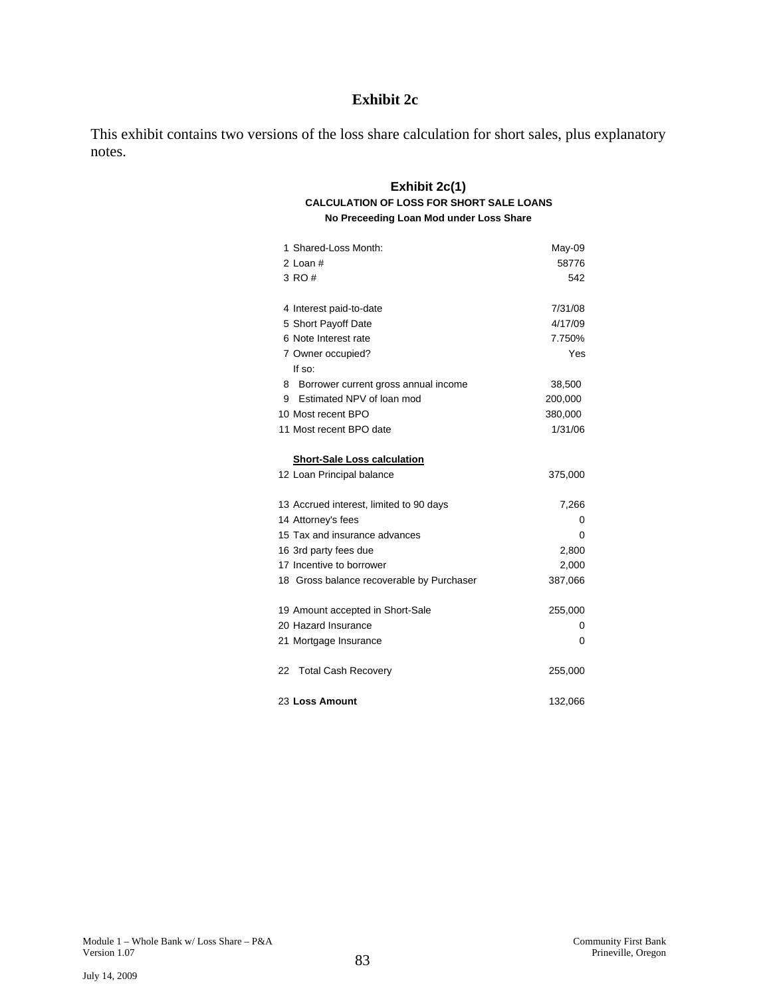## **Exhibit 2c**

This exhibit contains two versions of the loss share calculation for short sales, plus explanatory notes.

#### **Exhibit 2c(1) CALCULATION OF LOSS FOR SHORT SALE LOANS No Preceeding Loan Mod under Loss Share**

| 1 Shared-Loss Month:<br>2 Loan #<br>3 RO #                                                                                                                                                       | May-09<br>58776<br>542                       |
|--------------------------------------------------------------------------------------------------------------------------------------------------------------------------------------------------|----------------------------------------------|
| 4 Interest paid-to-date<br>5 Short Payoff Date                                                                                                                                                   | 7/31/08<br>4/17/09                           |
| 6 Note Interest rate<br>7 Owner occupied?<br>If so:                                                                                                                                              | 7.750%<br>Yes                                |
| Borrower current gross annual income<br>8<br>Estimated NPV of loan mod<br>9<br>10 Most recent BPO<br>11 Most recent BPO date                                                                     | 38,500<br>200,000<br>380,000<br>1/31/06      |
| <b>Short-Sale Loss calculation</b><br>12 Loan Principal balance                                                                                                                                  | 375,000                                      |
| 13 Accrued interest, limited to 90 days<br>14 Attorney's fees<br>15 Tax and insurance advances<br>16 3rd party fees due<br>17 Incentive to borrower<br>18 Gross balance recoverable by Purchaser | 7,266<br>0<br>0<br>2,800<br>2,000<br>387,066 |
| 19 Amount accepted in Short-Sale<br>20 Hazard Insurance<br>21 Mortgage Insurance                                                                                                                 | 255,000<br>0<br>0                            |
| 22 Total Cash Recovery                                                                                                                                                                           | 255,000                                      |
| 23 Loss Amount                                                                                                                                                                                   | 132,066                                      |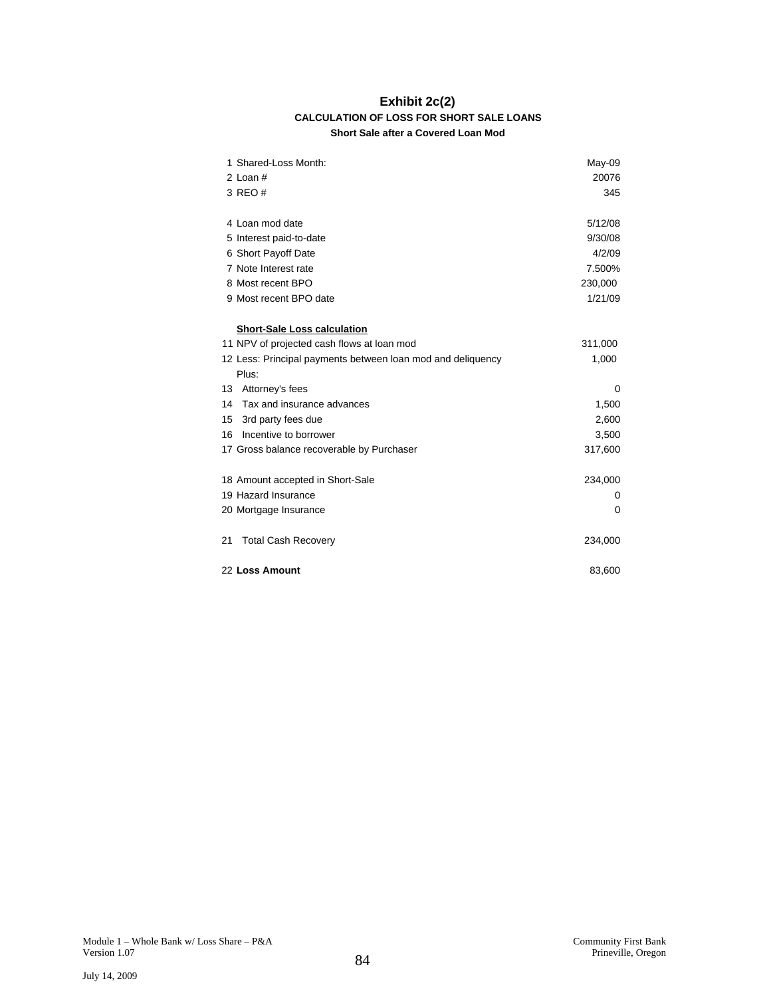### **Exhibit 2c(2) CALCULATION OF LOSS FOR SHORT SALE LOANS Short Sale after a Covered Loan Mod**

| 1 Shared-Loss Month:                                        | May-09  |
|-------------------------------------------------------------|---------|
| 2 Loan $#$                                                  | 20076   |
| 3 REO #                                                     | 345     |
|                                                             |         |
| 4 Loan mod date                                             | 5/12/08 |
| 5 Interest paid-to-date                                     | 9/30/08 |
| 6 Short Payoff Date                                         | 4/2/09  |
| 7 Note Interest rate                                        | 7.500%  |
| 8 Most recent BPO                                           | 230,000 |
| 9 Most recent BPO date                                      | 1/21/09 |
|                                                             |         |
| <b>Short-Sale Loss calculation</b>                          |         |
| 11 NPV of projected cash flows at loan mod                  | 311,000 |
| 12 Less: Principal payments between loan mod and deliquency | 1,000   |
| Plus:                                                       |         |
| Attorney's fees<br>13                                       | 0       |
| Tax and insurance advances<br>14                            | 1,500   |
| 15<br>3rd party fees due                                    | 2,600   |
| Incentive to borrower<br>16                                 | 3,500   |
| 17 Gross balance recoverable by Purchaser                   | 317,600 |
|                                                             |         |
| 18 Amount accepted in Short-Sale                            | 234,000 |
| 19 Hazard Insurance                                         | 0       |
| 20 Mortgage Insurance                                       | 0       |
|                                                             |         |
| <b>Total Cash Recovery</b><br>21                            | 234,000 |
|                                                             |         |
| 22 Loss Amount                                              | 83,600  |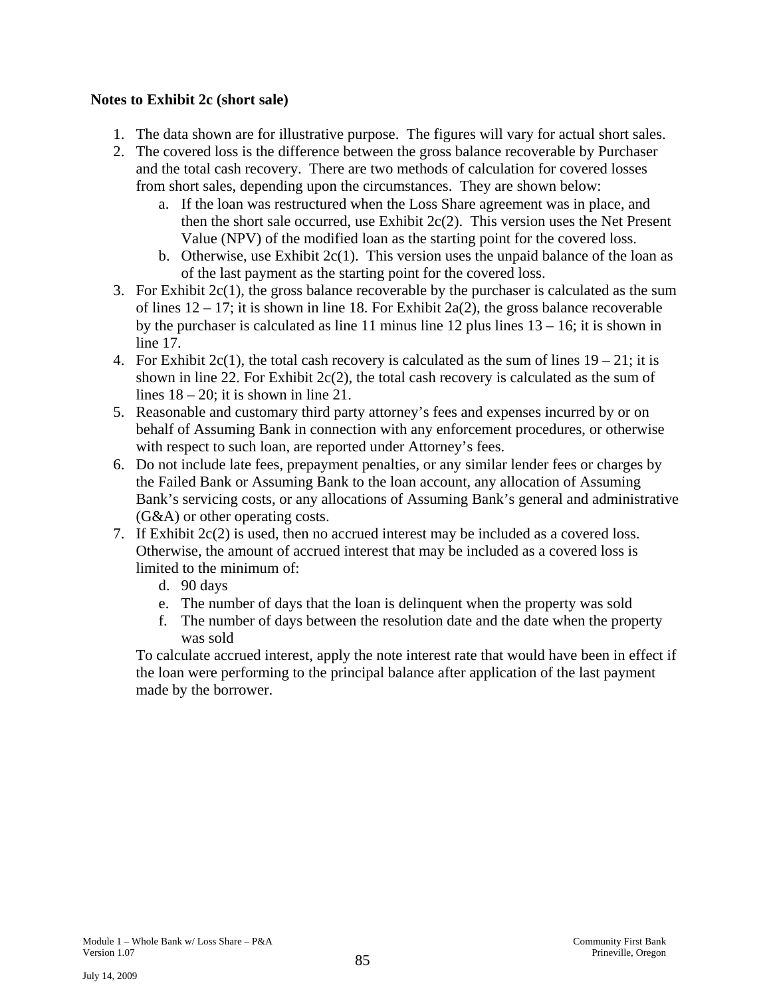## **Notes to Exhibit 2c (short sale)**

- 1. The data shown are for illustrative purpose. The figures will vary for actual short sales.
- 2. The covered loss is the difference between the gross balance recoverable by Purchaser and the total cash recovery. There are two methods of calculation for covered losses from short sales, depending upon the circumstances. They are shown below:
	- a. If the loan was restructured when the Loss Share agreement was in place, and then the short sale occurred, use Exhibit  $2c(2)$ . This version uses the Net Present Value (NPV) of the modified loan as the starting point for the covered loss.
	- b. Otherwise, use Exhibit  $2c(1)$ . This version uses the unpaid balance of the loan as of the last payment as the starting point for the covered loss.
- 3. For Exhibit  $2c(1)$ , the gross balance recoverable by the purchaser is calculated as the sum of lines  $12 - 17$ ; it is shown in line 18. For Exhibit 2a(2), the gross balance recoverable by the purchaser is calculated as line 11 minus line 12 plus lines 13 – 16; it is shown in line 17.
- 4. For Exhibit 2c(1), the total cash recovery is calculated as the sum of lines  $19 21$ ; it is shown in line 22. For Exhibit  $2c(2)$ , the total cash recovery is calculated as the sum of lines  $18 - 20$ ; it is shown in line 21.
- 5. Reasonable and customary third party attorney's fees and expenses incurred by or on behalf of Assuming Bank in connection with any enforcement procedures, or otherwise with respect to such loan, are reported under Attorney's fees.
- 6. Do not include late fees, prepayment penalties, or any similar lender fees or charges by the Failed Bank or Assuming Bank to the loan account, any allocation of Assuming Bank's servicing costs, or any allocations of Assuming Bank's general and administrative (G&A) or other operating costs.
- 7. If Exhibit  $2c(2)$  is used, then no accrued interest may be included as a covered loss. Otherwise, the amount of accrued interest that may be included as a covered loss is limited to the minimum of:
	- d. 90 days
	- e. The number of days that the loan is delinquent when the property was sold
	- f. The number of days between the resolution date and the date when the property was sold

To calculate accrued interest, apply the note interest rate that would have been in effect if the loan were performing to the principal balance after application of the last payment made by the borrower.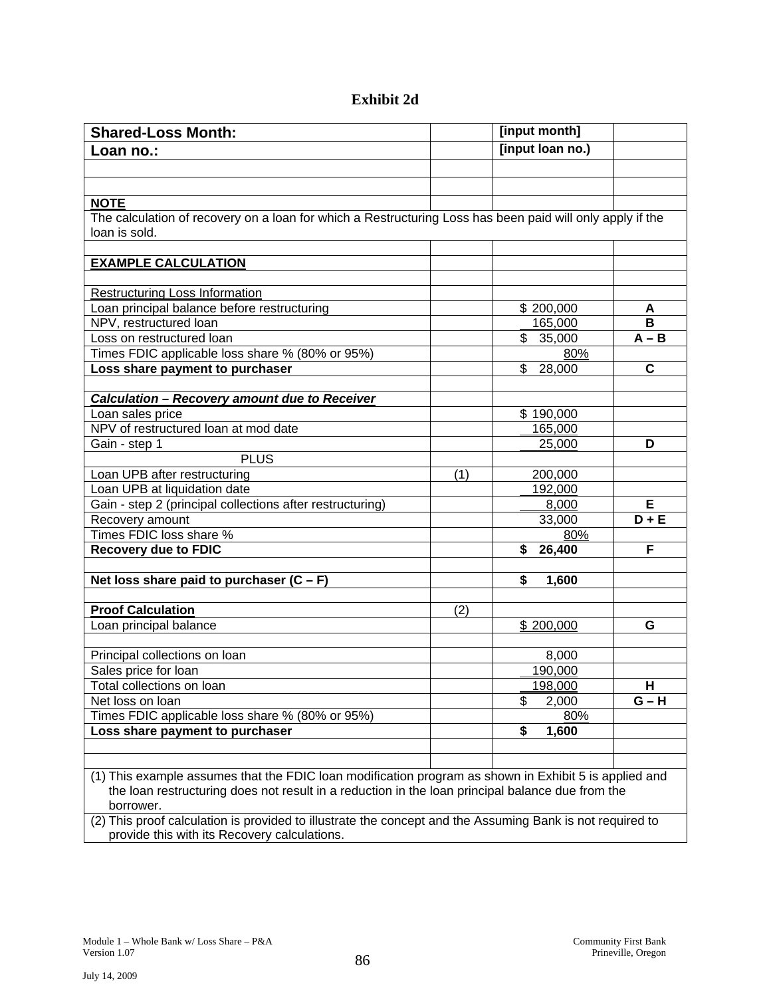# **Exhibit 2d**

| <b>Shared-Loss Month:</b>                                                                                                                                 |     |                  |         |  |
|-----------------------------------------------------------------------------------------------------------------------------------------------------------|-----|------------------|---------|--|
| Loan no.:                                                                                                                                                 |     | [input loan no.) |         |  |
|                                                                                                                                                           |     |                  |         |  |
|                                                                                                                                                           |     |                  |         |  |
| <b>NOTE</b>                                                                                                                                               |     |                  |         |  |
| The calculation of recovery on a loan for which a Restructuring Loss has been paid will only apply if the                                                 |     |                  |         |  |
| loan is sold.                                                                                                                                             |     |                  |         |  |
|                                                                                                                                                           |     |                  |         |  |
| <b>EXAMPLE CALCULATION</b>                                                                                                                                |     |                  |         |  |
|                                                                                                                                                           |     |                  |         |  |
| <b>Restructuring Loss Information</b>                                                                                                                     |     |                  |         |  |
| Loan principal balance before restructuring                                                                                                               |     | \$200,000        | A       |  |
| NPV, restructured loan                                                                                                                                    |     | 165,000          | B       |  |
| Loss on restructured loan                                                                                                                                 |     | \$35,000         | $A - B$ |  |
| Times FDIC applicable loss share % (80% or 95%)                                                                                                           |     | 80%              |         |  |
| Loss share payment to purchaser                                                                                                                           |     | \$28,000         | C       |  |
|                                                                                                                                                           |     |                  |         |  |
| Calculation - Recovery amount due to Receiver                                                                                                             |     |                  |         |  |
| Loan sales price                                                                                                                                          |     | \$190,000        |         |  |
| NPV of restructured loan at mod date                                                                                                                      |     | 165,000          |         |  |
| Gain - step 1                                                                                                                                             |     | 25,000           | D       |  |
| <b>PLUS</b>                                                                                                                                               |     |                  |         |  |
| Loan UPB after restructuring                                                                                                                              | (1) | 200,000          |         |  |
| Loan UPB at liquidation date                                                                                                                              |     | 192,000          | Е       |  |
| Gain - step 2 (principal collections after restructuring)<br>Recovery amount                                                                              |     | 8,000<br>33,000  | $D + E$ |  |
| Times FDIC loss share %                                                                                                                                   |     | 80%              |         |  |
| <b>Recovery due to FDIC</b>                                                                                                                               |     | \$26,400         | F       |  |
|                                                                                                                                                           |     |                  |         |  |
| Net loss share paid to purchaser $(C - F)$                                                                                                                |     | \$<br>1,600      |         |  |
|                                                                                                                                                           |     |                  |         |  |
| <b>Proof Calculation</b>                                                                                                                                  | (2) |                  |         |  |
| Loan principal balance                                                                                                                                    |     | \$200,000        | G       |  |
|                                                                                                                                                           |     |                  |         |  |
| Principal collections on loan                                                                                                                             |     | 8,000            |         |  |
| Sales price for loan                                                                                                                                      |     | 190,000          |         |  |
| Total collections on loan                                                                                                                                 |     | 198,000          | H       |  |
| Net loss on loan                                                                                                                                          |     | \$<br>2,000      | G – H   |  |
| Times FDIC applicable loss share % (80% or 95%)                                                                                                           |     | 80%              |         |  |
| Loss share payment to purchaser                                                                                                                           |     | 1,600<br>\$      |         |  |
|                                                                                                                                                           |     |                  |         |  |
|                                                                                                                                                           |     |                  |         |  |
| (1) This example assumes that the FDIC loan modification program as shown in Exhibit 5 is applied and                                                     |     |                  |         |  |
| the loan restructuring does not result in a reduction in the loan principal balance due from the                                                          |     |                  |         |  |
| borrower.                                                                                                                                                 |     |                  |         |  |
| (2) This proof calculation is provided to illustrate the concept and the Assuming Bank is not required to<br>provide this with its Recovery calculations. |     |                  |         |  |
|                                                                                                                                                           |     |                  |         |  |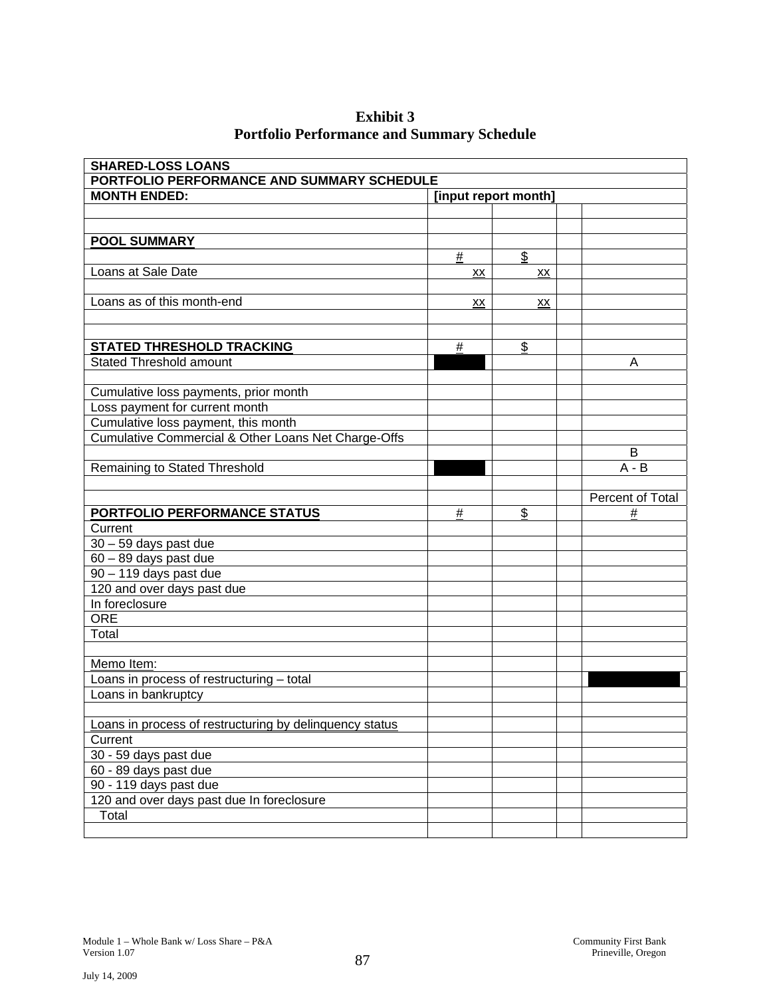| <b>SHARED-LOSS LOANS</b><br>PORTFOLIO PERFORMANCE AND SUMMARY SCHEDULE |                      |    |                  |
|------------------------------------------------------------------------|----------------------|----|------------------|
| <b>MONTH ENDED:</b>                                                    | [input report month] |    |                  |
|                                                                        |                      |    |                  |
|                                                                        |                      |    |                  |
| <b>POOL SUMMARY</b>                                                    |                      |    |                  |
|                                                                        | $\#$                 | \$ |                  |
| Loans at Sale Date                                                     | XX                   | XX |                  |
|                                                                        |                      |    |                  |
| Loans as of this month-end                                             | XX                   | XX |                  |
|                                                                        |                      |    |                  |
| <b>STATED THRESHOLD TRACKING</b>                                       | $\#$                 | \$ |                  |
| <b>Stated Threshold amount</b>                                         |                      |    | A                |
|                                                                        |                      |    |                  |
| Cumulative loss payments, prior month                                  |                      |    |                  |
| Loss payment for current month                                         |                      |    |                  |
| Cumulative loss payment, this month                                    |                      |    |                  |
| Cumulative Commercial & Other Loans Net Charge-Offs                    |                      |    |                  |
|                                                                        |                      |    | B                |
| Remaining to Stated Threshold                                          |                      |    | $A - B$          |
|                                                                        |                      |    |                  |
|                                                                        |                      |    | Percent of Total |
| <b>PORTFOLIO PERFORMANCE STATUS</b>                                    | $\#$                 | \$ | $\#$             |
| Current                                                                |                      |    |                  |
| $30 - 59$ days past due                                                |                      |    |                  |
| $60 - 89$ days past due                                                |                      |    |                  |
| $90 - 119$ days past due                                               |                      |    |                  |
| 120 and over days past due                                             |                      |    |                  |
| In foreclosure                                                         |                      |    |                  |
| <b>ORE</b>                                                             |                      |    |                  |
| Total                                                                  |                      |    |                  |
|                                                                        |                      |    |                  |
| Memo Item:                                                             |                      |    |                  |
| Loans in process of restructuring - total                              |                      |    |                  |
| Loans in bankruptcy                                                    |                      |    |                  |
|                                                                        |                      |    |                  |
| Loans in process of restructuring by delinguency status                |                      |    |                  |
| Current                                                                |                      |    |                  |
| 30 - 59 days past due                                                  |                      |    |                  |
| 60 - 89 days past due                                                  |                      |    |                  |
| 90 - 119 days past due                                                 |                      |    |                  |
|                                                                        |                      |    |                  |
| 120 and over days past due In foreclosure<br>Total                     |                      |    |                  |

**Exhibit 3 Portfolio Performance and Summary Schedule**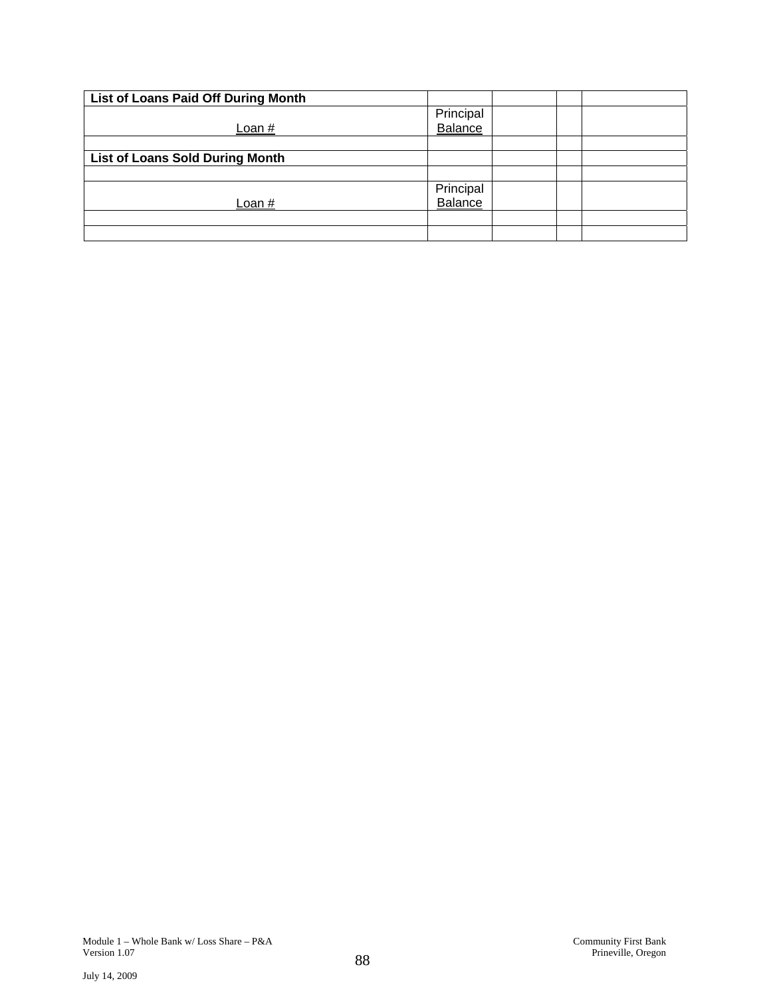| List of Loans Paid Off During Month    |                      |  |  |
|----------------------------------------|----------------------|--|--|
|                                        | Principal            |  |  |
| Loan #                                 | Balance              |  |  |
|                                        |                      |  |  |
| <b>List of Loans Sold During Month</b> |                      |  |  |
|                                        |                      |  |  |
|                                        | Principal<br>Balance |  |  |
| Loan #                                 |                      |  |  |
|                                        |                      |  |  |
|                                        |                      |  |  |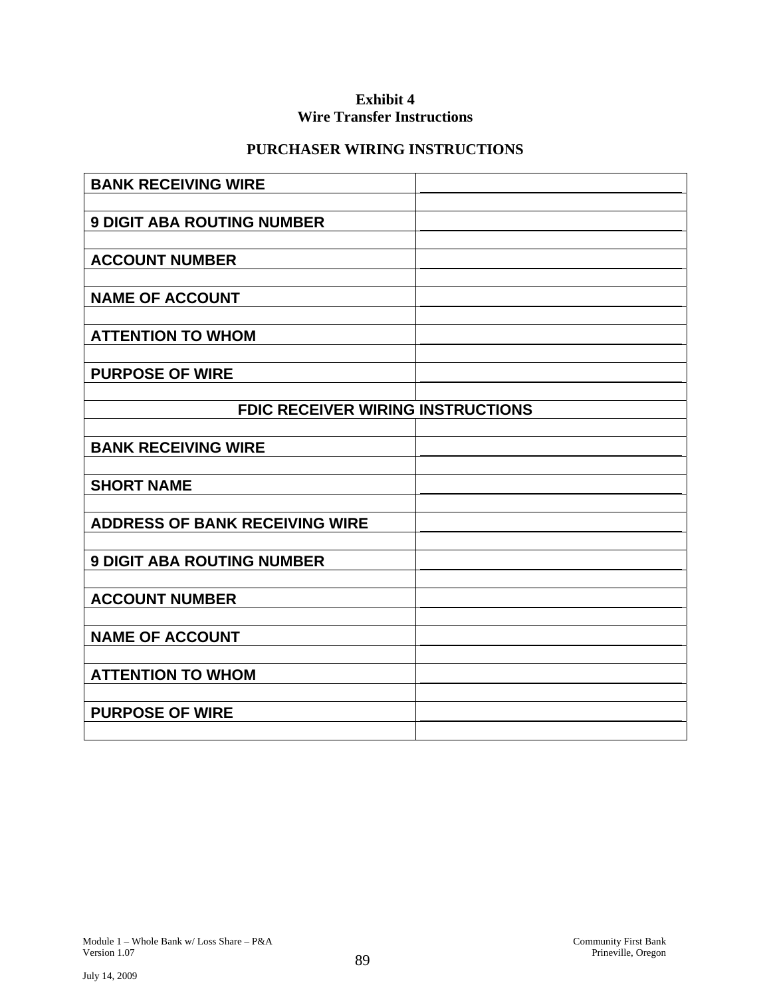## **Exhibit 4 Wire Transfer Instructions**

# **PURCHASER WIRING INSTRUCTIONS**

| <b>BANK RECEIVING WIRE</b>               |  |
|------------------------------------------|--|
|                                          |  |
| <b>9 DIGIT ABA ROUTING NUMBER</b>        |  |
|                                          |  |
| <b>ACCOUNT NUMBER</b>                    |  |
|                                          |  |
| <b>NAME OF ACCOUNT</b>                   |  |
|                                          |  |
| <b>ATTENTION TO WHOM</b>                 |  |
| <b>PURPOSE OF WIRE</b>                   |  |
|                                          |  |
| <b>FDIC RECEIVER WIRING INSTRUCTIONS</b> |  |
|                                          |  |
| <b>BANK RECEIVING WIRE</b>               |  |
|                                          |  |
| <b>SHORT NAME</b>                        |  |
|                                          |  |
| <b>ADDRESS OF BANK RECEIVING WIRE</b>    |  |
|                                          |  |
| <b>9 DIGIT ABA ROUTING NUMBER</b>        |  |
|                                          |  |
| <b>ACCOUNT NUMBER</b>                    |  |
|                                          |  |
| <b>NAME OF ACCOUNT</b>                   |  |
| <b>ATTENTION TO WHOM</b>                 |  |
|                                          |  |
| <b>PURPOSE OF WIRE</b>                   |  |
|                                          |  |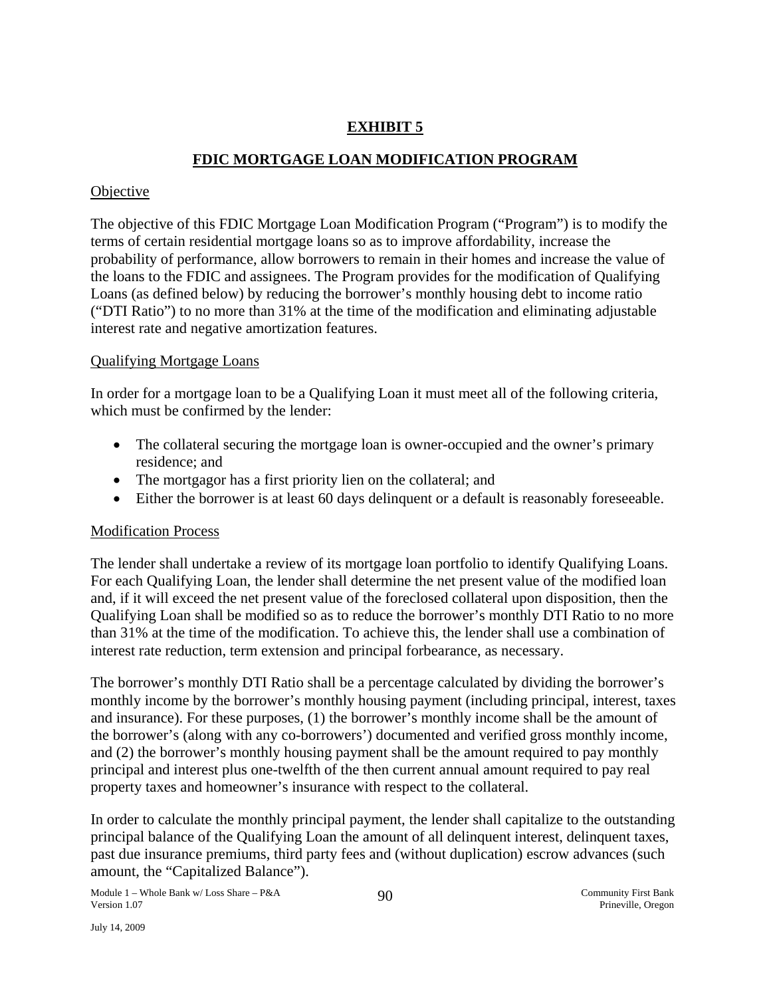# **EXHIBIT 5**

# **FDIC MORTGAGE LOAN MODIFICATION PROGRAM**

## **Objective**

The objective of this FDIC Mortgage Loan Modification Program ("Program") is to modify the terms of certain residential mortgage loans so as to improve affordability, increase the probability of performance, allow borrowers to remain in their homes and increase the value of the loans to the FDIC and assignees. The Program provides for the modification of Qualifying Loans (as defined below) by reducing the borrower's monthly housing debt to income ratio ("DTI Ratio") to no more than 31% at the time of the modification and eliminating adjustable interest rate and negative amortization features.

## Qualifying Mortgage Loans

In order for a mortgage loan to be a Qualifying Loan it must meet all of the following criteria, which must be confirmed by the lender:

- The collateral securing the mortgage loan is owner-occupied and the owner's primary residence; and
- The mortgagor has a first priority lien on the collateral; and
- Either the borrower is at least 60 days delinquent or a default is reasonably foreseeable.

## Modification Process

The lender shall undertake a review of its mortgage loan portfolio to identify Qualifying Loans. For each Qualifying Loan, the lender shall determine the net present value of the modified loan and, if it will exceed the net present value of the foreclosed collateral upon disposition, then the Qualifying Loan shall be modified so as to reduce the borrower's monthly DTI Ratio to no more than 31% at the time of the modification. To achieve this, the lender shall use a combination of interest rate reduction, term extension and principal forbearance, as necessary.

The borrower's monthly DTI Ratio shall be a percentage calculated by dividing the borrower's monthly income by the borrower's monthly housing payment (including principal, interest, taxes and insurance). For these purposes, (1) the borrower's monthly income shall be the amount of the borrower's (along with any co-borrowers') documented and verified gross monthly income, and (2) the borrower's monthly housing payment shall be the amount required to pay monthly principal and interest plus one-twelfth of the then current annual amount required to pay real property taxes and homeowner's insurance with respect to the collateral.

In order to calculate the monthly principal payment, the lender shall capitalize to the outstanding principal balance of the Qualifying Loan the amount of all delinquent interest, delinquent taxes, past due insurance premiums, third party fees and (without duplication) escrow advances (such amount, the "Capitalized Balance").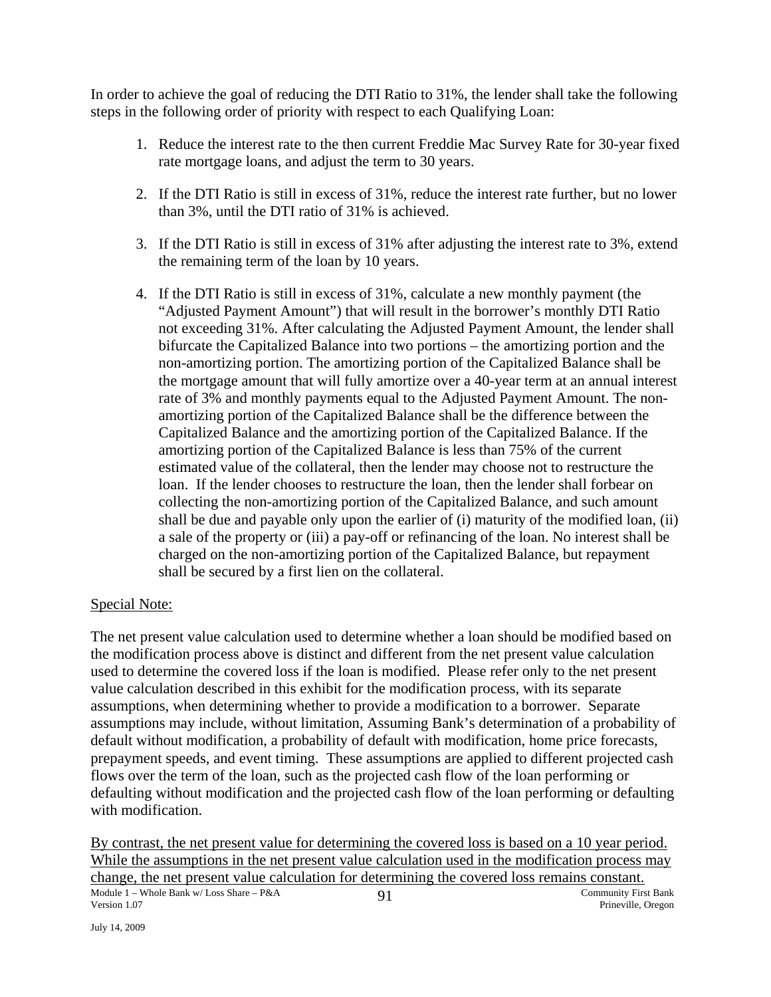In order to achieve the goal of reducing the DTI Ratio to 31%, the lender shall take the following steps in the following order of priority with respect to each Qualifying Loan:

- 1. Reduce the interest rate to the then current Freddie Mac Survey Rate for 30-year fixed rate mortgage loans, and adjust the term to 30 years.
- 2. If the DTI Ratio is still in excess of 31%, reduce the interest rate further, but no lower than 3%, until the DTI ratio of 31% is achieved.
- 3. If the DTI Ratio is still in excess of 31% after adjusting the interest rate to 3%, extend the remaining term of the loan by 10 years.
- 4. If the DTI Ratio is still in excess of 31%, calculate a new monthly payment (the "Adjusted Payment Amount") that will result in the borrower's monthly DTI Ratio not exceeding 31%. After calculating the Adjusted Payment Amount, the lender shall bifurcate the Capitalized Balance into two portions – the amortizing portion and the non-amortizing portion. The amortizing portion of the Capitalized Balance shall be the mortgage amount that will fully amortize over a 40-year term at an annual interest rate of 3% and monthly payments equal to the Adjusted Payment Amount. The nonamortizing portion of the Capitalized Balance shall be the difference between the Capitalized Balance and the amortizing portion of the Capitalized Balance. If the amortizing portion of the Capitalized Balance is less than 75% of the current estimated value of the collateral, then the lender may choose not to restructure the loan. If the lender chooses to restructure the loan, then the lender shall forbear on collecting the non-amortizing portion of the Capitalized Balance, and such amount shall be due and payable only upon the earlier of (i) maturity of the modified loan, (ii) a sale of the property or (iii) a pay-off or refinancing of the loan. No interest shall be charged on the non-amortizing portion of the Capitalized Balance, but repayment shall be secured by a first lien on the collateral.

### Special Note:

The net present value calculation used to determine whether a loan should be modified based on the modification process above is distinct and different from the net present value calculation used to determine the covered loss if the loan is modified. Please refer only to the net present value calculation described in this exhibit for the modification process, with its separate assumptions, when determining whether to provide a modification to a borrower. Separate assumptions may include, without limitation, Assuming Bank's determination of a probability of default without modification, a probability of default with modification, home price forecasts, prepayment speeds, and event timing. These assumptions are applied to different projected cash flows over the term of the loan, such as the projected cash flow of the loan performing or defaulting without modification and the projected cash flow of the loan performing or defaulting with modification.

change, the net present value calculation for determining the covered loss remains constant.<br>Module 1 – Whole Bank w/ Loss Share – P&A 91 Community First Bank Prineville, Oregon By contrast, the net present value for determining the covered loss is based on a 10 year period. While the assumptions in the net present value calculation used in the modification process may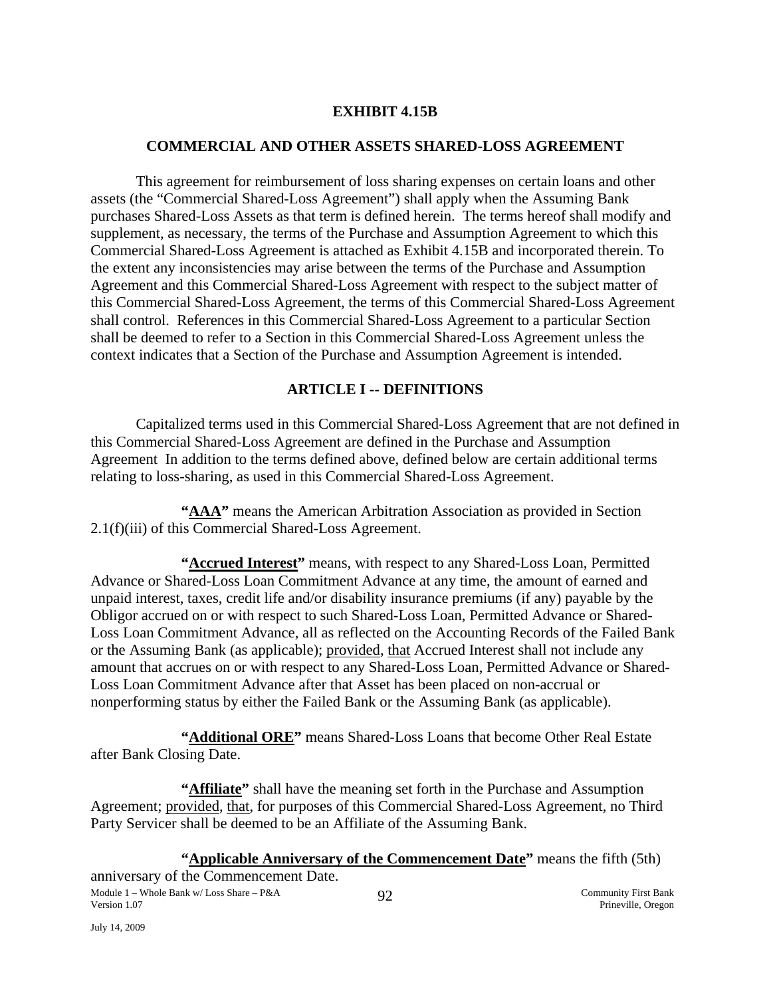### **EXHIBIT 4.15B**

### **COMMERCIAL AND OTHER ASSETS SHARED-LOSS AGREEMENT**

This agreement for reimbursement of loss sharing expenses on certain loans and other assets (the "Commercial Shared-Loss Agreement") shall apply when the Assuming Bank purchases Shared-Loss Assets as that term is defined herein. The terms hereof shall modify and supplement, as necessary, the terms of the Purchase and Assumption Agreement to which this Commercial Shared-Loss Agreement is attached as Exhibit 4.15B and incorporated therein. To the extent any inconsistencies may arise between the terms of the Purchase and Assumption Agreement and this Commercial Shared-Loss Agreement with respect to the subject matter of this Commercial Shared-Loss Agreement, the terms of this Commercial Shared-Loss Agreement shall control. References in this Commercial Shared-Loss Agreement to a particular Section shall be deemed to refer to a Section in this Commercial Shared-Loss Agreement unless the context indicates that a Section of the Purchase and Assumption Agreement is intended.

### **ARTICLE I -- DEFINITIONS**

Capitalized terms used in this Commercial Shared-Loss Agreement that are not defined in this Commercial Shared-Loss Agreement are defined in the Purchase and Assumption Agreement In addition to the terms defined above, defined below are certain additional terms relating to loss-sharing, as used in this Commercial Shared-Loss Agreement.

**"AAA"** means the American Arbitration Association as provided in Section 2.1(f)(iii) of this Commercial Shared-Loss Agreement.

**"Accrued Interest"** means, with respect to any Shared-Loss Loan, Permitted Advance or Shared-Loss Loan Commitment Advance at any time, the amount of earned and unpaid interest, taxes, credit life and/or disability insurance premiums (if any) payable by the Obligor accrued on or with respect to such Shared-Loss Loan, Permitted Advance or Shared-Loss Loan Commitment Advance, all as reflected on the Accounting Records of the Failed Bank or the Assuming Bank (as applicable); provided, that Accrued Interest shall not include any amount that accrues on or with respect to any Shared-Loss Loan, Permitted Advance or Shared-Loss Loan Commitment Advance after that Asset has been placed on non-accrual or nonperforming status by either the Failed Bank or the Assuming Bank (as applicable).

"**Additional ORE**" means Shared-Loss Loans that become Other Real Estate after Bank Closing Date.

"**Affiliate**" shall have the meaning set forth in the Purchase and Assumption Agreement; provided, that, for purposes of this Commercial Shared-Loss Agreement, no Third Party Servicer shall be deemed to be an Affiliate of the Assuming Bank.

**Examplicable Anniversary of the Commencement Date**" means the fifth (5th)

anniversary of the Commencement Date. Module 1 – Whole Bank w/ Loss Share – P&A Community First Bank Prineville, Oregon Community First Bank Prineville, Oregon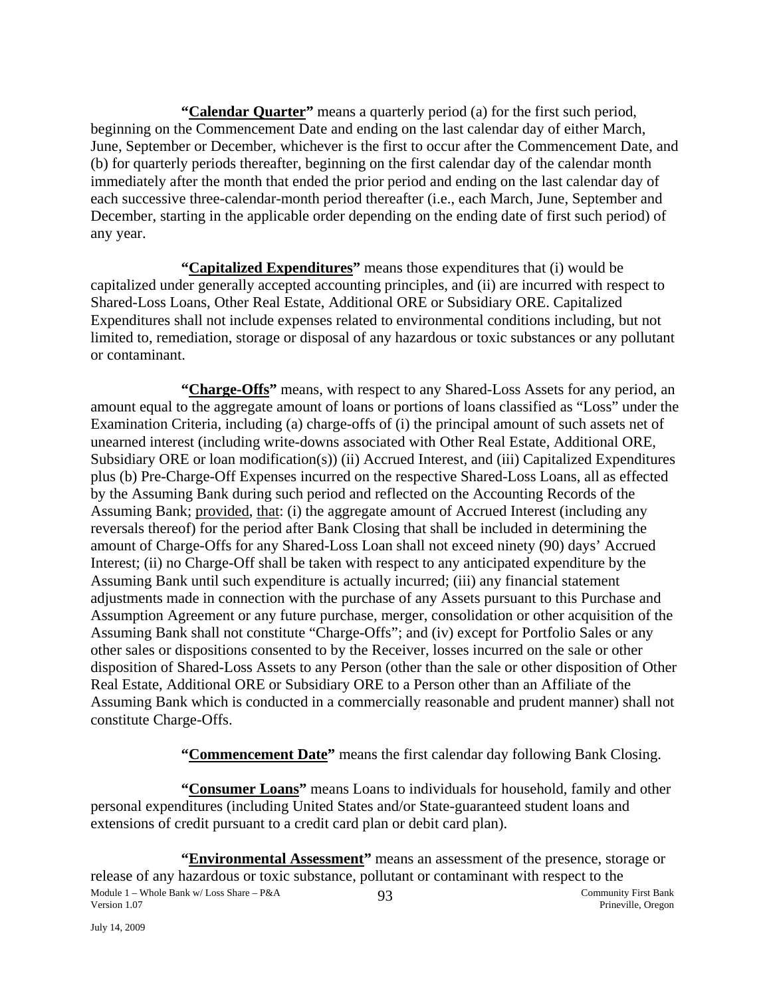**"Calendar Quarter"** means a quarterly period (a) for the first such period, beginning on the Commencement Date and ending on the last calendar day of either March, June, September or December, whichever is the first to occur after the Commencement Date, and (b) for quarterly periods thereafter, beginning on the first calendar day of the calendar month immediately after the month that ended the prior period and ending on the last calendar day of each successive three-calendar-month period thereafter (i.e., each March, June, September and December, starting in the applicable order depending on the ending date of first such period) of any year.

**"Capitalized Expenditures"** means those expenditures that (i) would be capitalized under generally accepted accounting principles, and (ii) are incurred with respect to Shared-Loss Loans, Other Real Estate, Additional ORE or Subsidiary ORE. Capitalized Expenditures shall not include expenses related to environmental conditions including, but not limited to, remediation, storage or disposal of any hazardous or toxic substances or any pollutant or contaminant.

**"Charge-Offs"** means, with respect to any Shared-Loss Assets for any period, an amount equal to the aggregate amount of loans or portions of loans classified as "Loss" under the Examination Criteria, including (a) charge-offs of (i) the principal amount of such assets net of unearned interest (including write-downs associated with Other Real Estate, Additional ORE, Subsidiary ORE or loan modification(s)) (ii) Accrued Interest, and (iii) Capitalized Expenditures plus (b) Pre-Charge-Off Expenses incurred on the respective Shared-Loss Loans, all as effected by the Assuming Bank during such period and reflected on the Accounting Records of the Assuming Bank; provided, that: (i) the aggregate amount of Accrued Interest (including any reversals thereof) for the period after Bank Closing that shall be included in determining the amount of Charge-Offs for any Shared-Loss Loan shall not exceed ninety (90) days' Accrued Interest; (ii) no Charge-Off shall be taken with respect to any anticipated expenditure by the Assuming Bank until such expenditure is actually incurred; (iii) any financial statement adjustments made in connection with the purchase of any Assets pursuant to this Purchase and Assumption Agreement or any future purchase, merger, consolidation or other acquisition of the Assuming Bank shall not constitute "Charge-Offs"; and (iv) except for Portfolio Sales or any other sales or dispositions consented to by the Receiver, losses incurred on the sale or other disposition of Shared-Loss Assets to any Person (other than the sale or other disposition of Other Real Estate, Additional ORE or Subsidiary ORE to a Person other than an Affiliate of the Assuming Bank which is conducted in a commercially reasonable and prudent manner) shall not constitute Charge-Offs.

**"Commencement Date"** means the first calendar day following Bank Closing.

**"Consumer Loans"** means Loans to individuals for household, family and other personal expenditures (including United States and/or State-guaranteed student loans and extensions of credit pursuant to a credit card plan or debit card plan).

**"Environmental Assessment"** means an assessment of the presence, storage or release of any hazardous or toxic substance, pollutant or contaminant with respect to the Module 1 – Whole Bank w/ Loss Share – P&A 3 93 Community First Bank Prineville, Oregon Prineville, Oregon Prineville, Oregon Prineville, Oregon Prineville, Oregon Prineville, Oregon Prineville, Oregon Prineville, Oregon Pr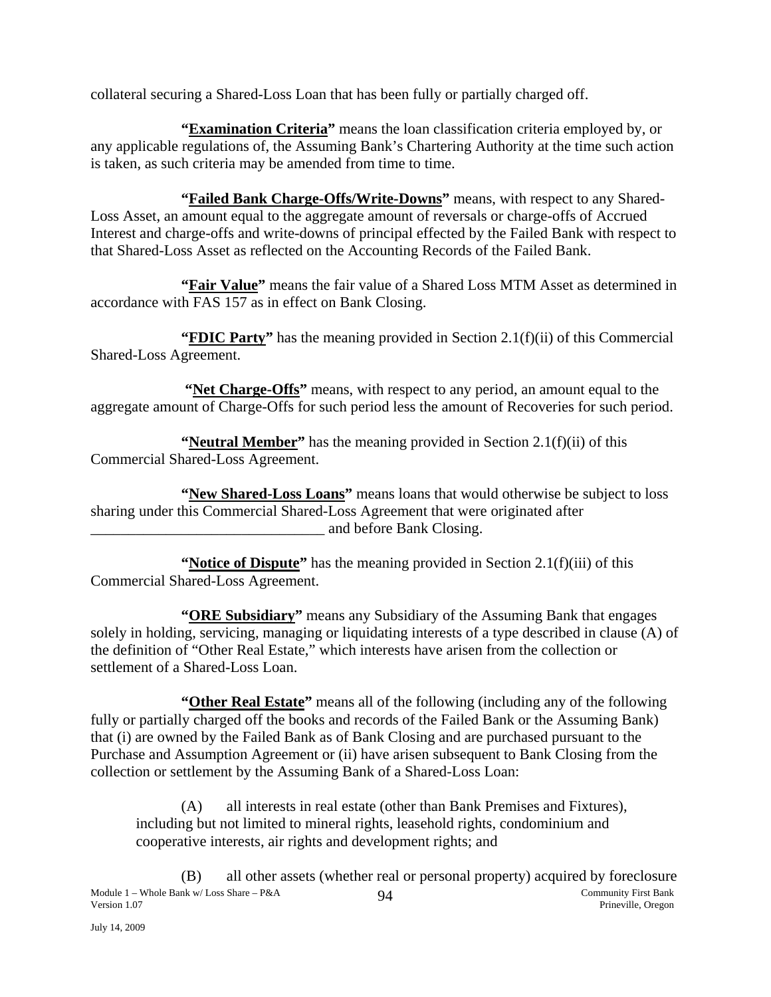collateral securing a Shared-Loss Loan that has been fully or partially charged off.

**"Examination Criteria"** means the loan classification criteria employed by, or any applicable regulations of, the Assuming Bank's Chartering Authority at the time such action is taken, as such criteria may be amended from time to time.

"Failed Bank Charge-Offs/Write-Downs" means, with respect to any Shared-Loss Asset, an amount equal to the aggregate amount of reversals or charge-offs of Accrued Interest and charge-offs and write-downs of principal effected by the Failed Bank with respect to that Shared-Loss Asset as reflected on the Accounting Records of the Failed Bank.

**"Fair Value"** means the fair value of a Shared Loss MTM Asset as determined in accordance with FAS 157 as in effect on Bank Closing.

**"FDIC Party"** has the meaning provided in Section 2.1(f)(ii) of this Commercial Shared-Loss Agreement.

**"Net Charge-Offs"** means, with respect to any period, an amount equal to the aggregate amount of Charge-Offs for such period less the amount of Recoveries for such period.

 Commercial Shared-Loss Agreement. **"Neutral Member"** has the meaning provided in Section 2.1(f)(ii) of this

**"New Shared-Loss Loans"** means loans that would otherwise be subject to loss sharing under this Commercial Shared-Loss Agreement that were originated after and before Bank Closing.

**"Notice of Dispute"** has the meaning provided in Section 2.1(f)(iii) of this Commercial Shared-Loss Agreement.

**"ORE Subsidiary"** means any Subsidiary of the Assuming Bank that engages solely in holding, servicing, managing or liquidating interests of a type described in clause (A) of the definition of "Other Real Estate," which interests have arisen from the collection or settlement of a Shared-Loss Loan.

**"Other Real Estate"** means all of the following (including any of the following fully or partially charged off the books and records of the Failed Bank or the Assuming Bank) that (i) are owned by the Failed Bank as of Bank Closing and are purchased pursuant to the Purchase and Assumption Agreement or (ii) have arisen subsequent to Bank Closing from the collection or settlement by the Assuming Bank of a Shared-Loss Loan:

(A) all interests in real estate (other than Bank Premises and Fixtures), including but not limited to mineral rights, leasehold rights, condominium and cooperative interests, air rights and development rights; and

(B) all other assets (whether real or personal property) acquired by foreclosure Module 1 – Whole Bank w/ Loss Share – P&A 94 Community First Bank Prineville, Oregon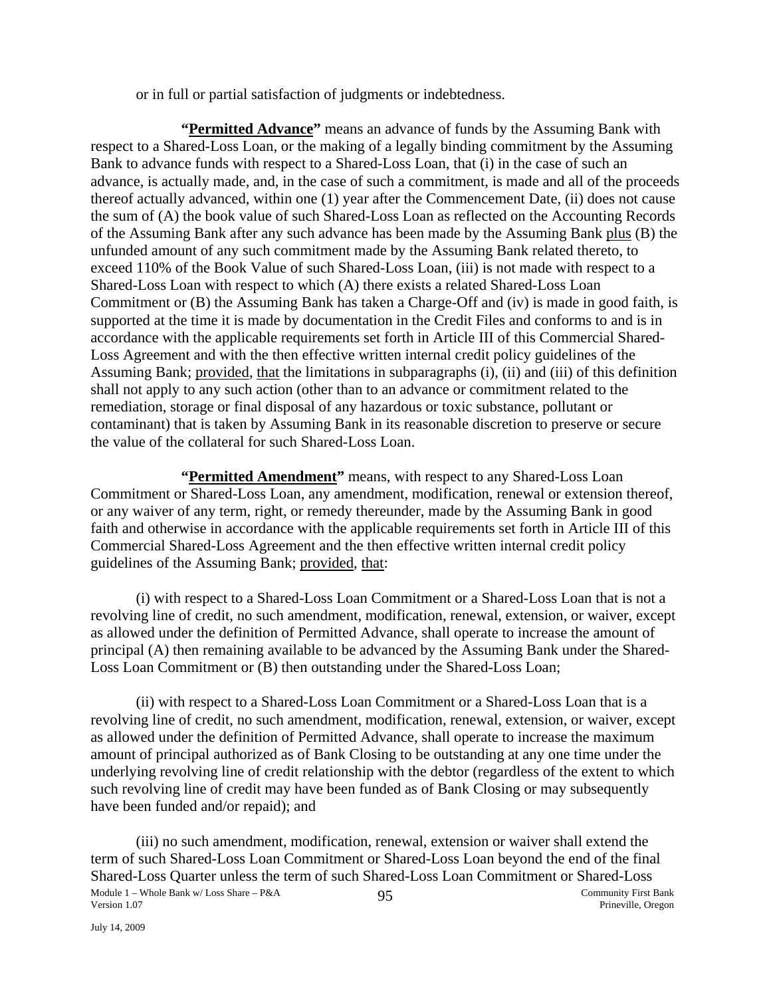or in full or partial satisfaction of judgments or indebtedness.

**"Permitted Advance"** means an advance of funds by the Assuming Bank with respect to a Shared-Loss Loan, or the making of a legally binding commitment by the Assuming Bank to advance funds with respect to a Shared-Loss Loan, that (i) in the case of such an advance, is actually made, and, in the case of such a commitment, is made and all of the proceeds thereof actually advanced, within one (1) year after the Commencement Date, (ii) does not cause the sum of (A) the book value of such Shared-Loss Loan as reflected on the Accounting Records of the Assuming Bank after any such advance has been made by the Assuming Bank plus (B) the unfunded amount of any such commitment made by the Assuming Bank related thereto, to exceed 110% of the Book Value of such Shared-Loss Loan, (iii) is not made with respect to a Shared-Loss Loan with respect to which (A) there exists a related Shared-Loss Loan Commitment or (B) the Assuming Bank has taken a Charge-Off and (iv) is made in good faith, is supported at the time it is made by documentation in the Credit Files and conforms to and is in accordance with the applicable requirements set forth in Article III of this Commercial Shared-Loss Agreement and with the then effective written internal credit policy guidelines of the Assuming Bank; provided, that the limitations in subparagraphs (i), (ii) and (iii) of this definition shall not apply to any such action (other than to an advance or commitment related to the remediation, storage or final disposal of any hazardous or toxic substance, pollutant or contaminant) that is taken by Assuming Bank in its reasonable discretion to preserve or secure the value of the collateral for such Shared-Loss Loan.

**"Permitted Amendment"** means, with respect to any Shared-Loss Loan Commitment or Shared-Loss Loan, any amendment, modification, renewal or extension thereof, or any waiver of any term, right, or remedy thereunder, made by the Assuming Bank in good faith and otherwise in accordance with the applicable requirements set forth in Article III of this Commercial Shared-Loss Agreement and the then effective written internal credit policy guidelines of the Assuming Bank; provided, that:

(i) with respect to a Shared-Loss Loan Commitment or a Shared-Loss Loan that is not a revolving line of credit, no such amendment, modification, renewal, extension, or waiver, except as allowed under the definition of Permitted Advance, shall operate to increase the amount of principal (A) then remaining available to be advanced by the Assuming Bank under the Shared-Loss Loan Commitment or (B) then outstanding under the Shared-Loss Loan;

(ii) with respect to a Shared-Loss Loan Commitment or a Shared-Loss Loan that is a revolving line of credit, no such amendment, modification, renewal, extension, or waiver, except as allowed under the definition of Permitted Advance, shall operate to increase the maximum amount of principal authorized as of Bank Closing to be outstanding at any one time under the underlying revolving line of credit relationship with the debtor (regardless of the extent to which such revolving line of credit may have been funded as of Bank Closing or may subsequently have been funded and/or repaid); and

(iii) no such amendment, modification, renewal, extension or waiver shall extend the term of such Shared-Loss Loan Commitment or Shared-Loss Loan beyond the end of the final Shared-Loss Quarter unless the term of such Shared-Loss Loan Commitment or Shared-Loss Module 1 – Whole Bank w/ Loss Share – P&A 3 (Community First Bank 95 Version 1.07 Prineville, Oregon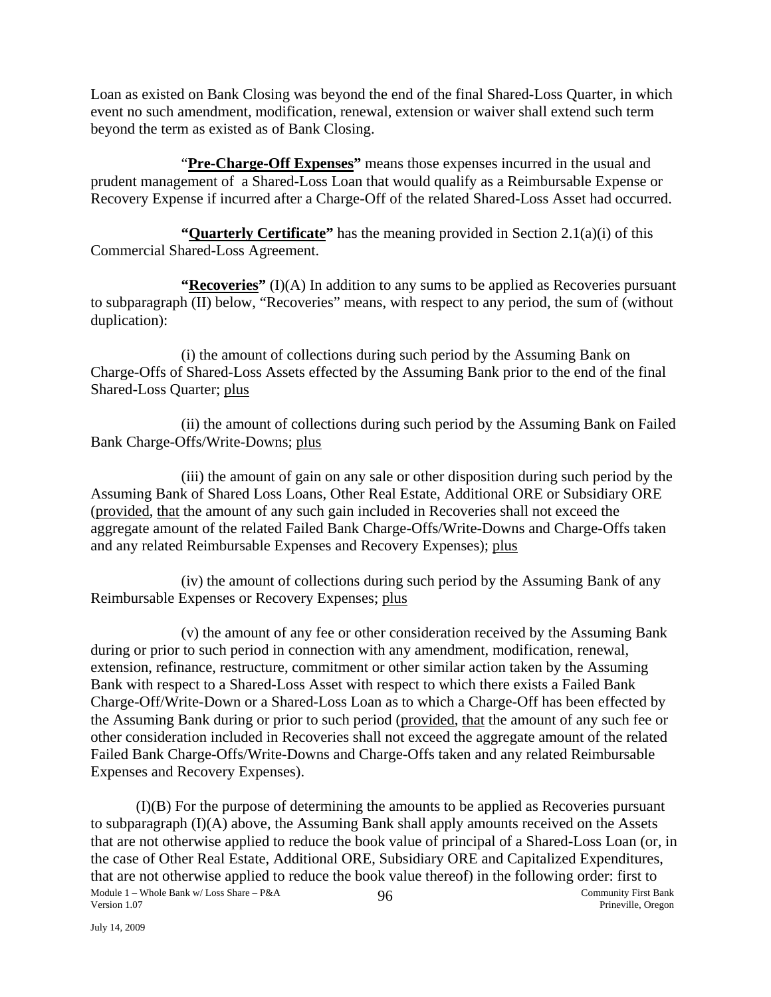Loan as existed on Bank Closing was beyond the end of the final Shared-Loss Quarter, in which event no such amendment, modification, renewal, extension or waiver shall extend such term beyond the term as existed as of Bank Closing.

"**Pre-Charge-Off Expenses"** means those expenses incurred in the usual and prudent management of a Shared-Loss Loan that would qualify as a Reimbursable Expense or Recovery Expense if incurred after a Charge-Off of the related Shared-Loss Asset had occurred.

**"Quarterly Certificate"** has the meaning provided in Section 2.1(a)(i) of this Commercial Shared-Loss Agreement.

**"Recoveries"** (I)(A) In addition to any sums to be applied as Recoveries pursuant to subparagraph (II) below, "Recoveries" means, with respect to any period, the sum of (without duplication):

**Shared-Loss Quarter; plus** (i) the amount of collections during such period by the Assuming Bank on Charge-Offs of Shared-Loss Assets effected by the Assuming Bank prior to the end of the final

(ii) the amount of collections during such period by the Assuming Bank on Failed Bank Charge-Offs/Write-Downs; plus

(iii) the amount of gain on any sale or other disposition during such period by the Assuming Bank of Shared Loss Loans, Other Real Estate, Additional ORE or Subsidiary ORE (provided, that the amount of any such gain included in Recoveries shall not exceed the aggregate amount of the related Failed Bank Charge-Offs/Write-Downs and Charge-Offs taken and any related Reimbursable Expenses and Recovery Expenses); plus

(iv) the amount of collections during such period by the Assuming Bank of any Reimbursable Expenses or Recovery Expenses; plus

(v) the amount of any fee or other consideration received by the Assuming Bank during or prior to such period in connection with any amendment, modification, renewal, extension, refinance, restructure, commitment or other similar action taken by the Assuming Bank with respect to a Shared-Loss Asset with respect to which there exists a Failed Bank Charge-Off/Write-Down or a Shared-Loss Loan as to which a Charge-Off has been effected by the Assuming Bank during or prior to such period (provided, that the amount of any such fee or other consideration included in Recoveries shall not exceed the aggregate amount of the related Failed Bank Charge-Offs/Write-Downs and Charge-Offs taken and any related Reimbursable Expenses and Recovery Expenses).

(I)(B) For the purpose of determining the amounts to be applied as Recoveries pursuant to subparagraph (I)(A) above, the Assuming Bank shall apply amounts received on the Assets that are not otherwise applied to reduce the book value of principal of a Shared-Loss Loan (or, in the case of Other Real Estate, Additional ORE, Subsidiary ORE and Capitalized Expenditures, that are not otherwise applied to reduce the book value thereof) in the following order: first to Module 1 – Whole Bank w/ Loss Share – P&A 96 Version 1.07 Community First Bank Version 1.07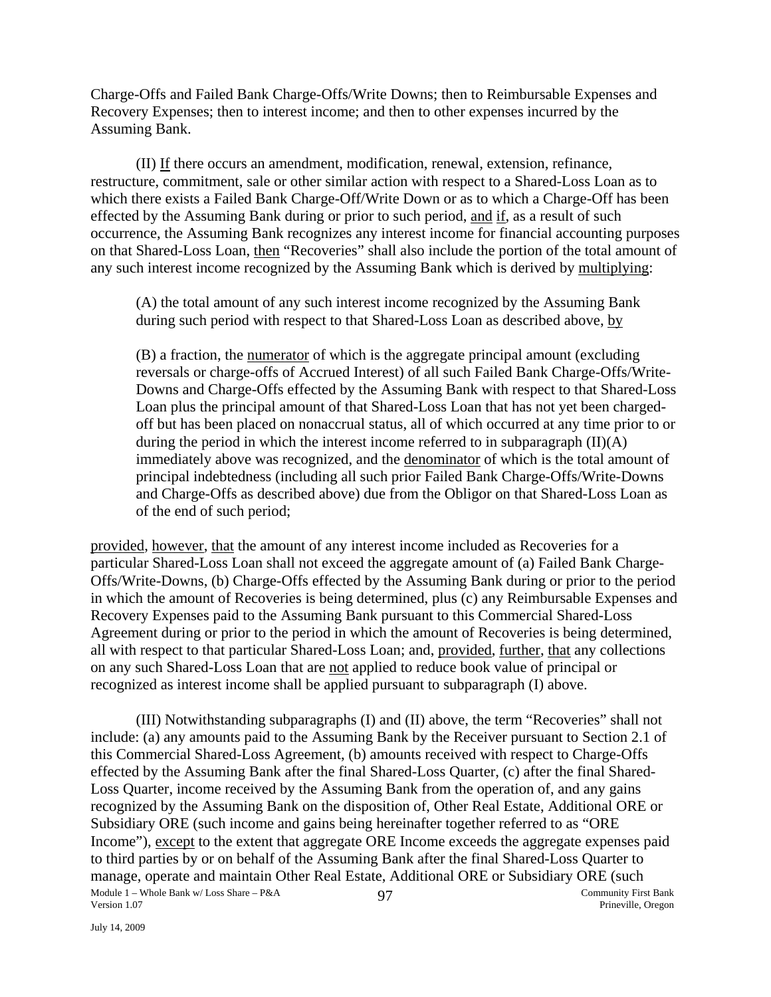Charge-Offs and Failed Bank Charge-Offs/Write Downs; then to Reimbursable Expenses and Recovery Expenses; then to interest income; and then to other expenses incurred by the Assuming Bank.

(II) If there occurs an amendment, modification, renewal, extension, refinance, restructure, commitment, sale or other similar action with respect to a Shared-Loss Loan as to which there exists a Failed Bank Charge-Off/Write Down or as to which a Charge-Off has been effected by the Assuming Bank during or prior to such period, and if, as a result of such occurrence, the Assuming Bank recognizes any interest income for financial accounting purposes on that Shared-Loss Loan, then "Recoveries" shall also include the portion of the total amount of any such interest income recognized by the Assuming Bank which is derived by multiplying:

(A) the total amount of any such interest income recognized by the Assuming Bank during such period with respect to that Shared-Loss Loan as described above, by

(B) a fraction, the numerator of which is the aggregate principal amount (excluding reversals or charge-offs of Accrued Interest) of all such Failed Bank Charge-Offs/Write-Downs and Charge-Offs effected by the Assuming Bank with respect to that Shared-Loss Loan plus the principal amount of that Shared-Loss Loan that has not yet been chargedoff but has been placed on nonaccrual status, all of which occurred at any time prior to or during the period in which the interest income referred to in subparagraph (II)(A) immediately above was recognized, and the denominator of which is the total amount of principal indebtedness (including all such prior Failed Bank Charge-Offs/Write-Downs and Charge-Offs as described above) due from the Obligor on that Shared-Loss Loan as of the end of such period;

provided, however, that the amount of any interest income included as Recoveries for a particular Shared-Loss Loan shall not exceed the aggregate amount of (a) Failed Bank Charge-Offs/Write-Downs, (b) Charge-Offs effected by the Assuming Bank during or prior to the period in which the amount of Recoveries is being determined, plus (c) any Reimbursable Expenses and Recovery Expenses paid to the Assuming Bank pursuant to this Commercial Shared-Loss Agreement during or prior to the period in which the amount of Recoveries is being determined, all with respect to that particular Shared-Loss Loan; and, provided, further, that any collections on any such Shared-Loss Loan that are not applied to reduce book value of principal or recognized as interest income shall be applied pursuant to subparagraph (I) above.

(III) Notwithstanding subparagraphs (I) and (II) above, the term "Recoveries" shall not include: (a) any amounts paid to the Assuming Bank by the Receiver pursuant to Section 2.1 of this Commercial Shared-Loss Agreement, (b) amounts received with respect to Charge-Offs effected by the Assuming Bank after the final Shared-Loss Quarter, (c) after the final Shared-Loss Quarter, income received by the Assuming Bank from the operation of, and any gains recognized by the Assuming Bank on the disposition of, Other Real Estate, Additional ORE or Subsidiary ORE (such income and gains being hereinafter together referred to as "ORE Income"), except to the extent that aggregate ORE Income exceeds the aggregate expenses paid to third parties by or on behalf of the Assuming Bank after the final Shared-Loss Quarter to manage, operate and maintain Other Real Estate, Additional ORE or Subsidiary ORE (such Module 1 – Whole Bank w/ Loss Share – P&A Community First Bank Prineville, Oregon Community First Bank Prineville, Oregon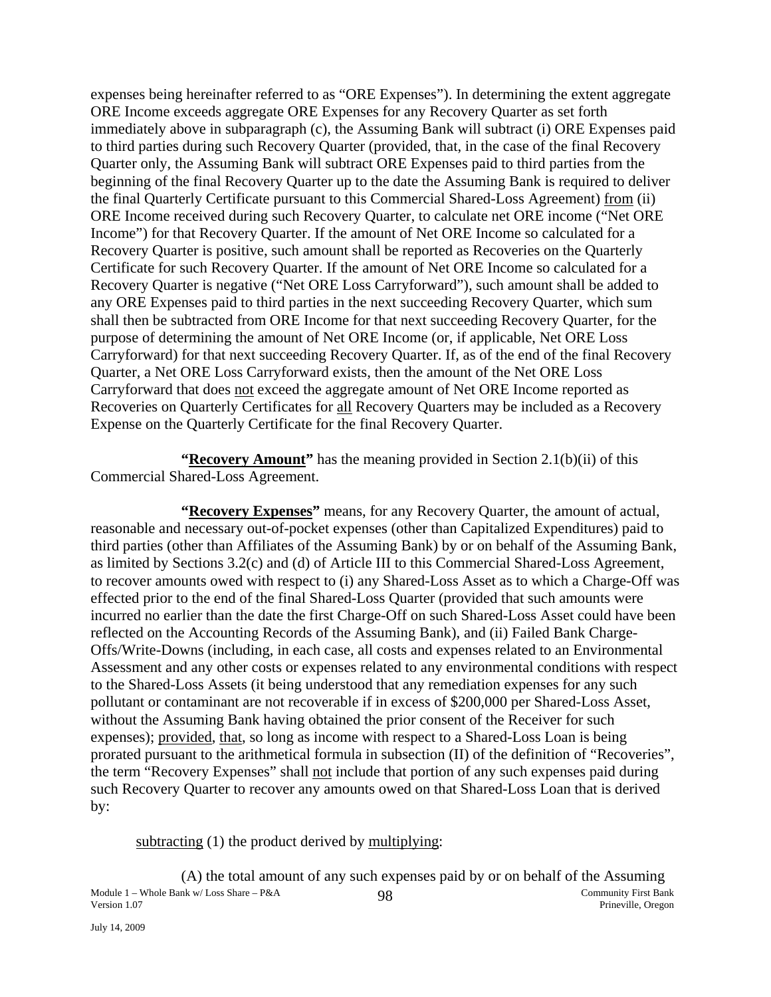expenses being hereinafter referred to as "ORE Expenses"). In determining the extent aggregate ORE Income exceeds aggregate ORE Expenses for any Recovery Quarter as set forth immediately above in subparagraph (c), the Assuming Bank will subtract (i) ORE Expenses paid to third parties during such Recovery Quarter (provided, that, in the case of the final Recovery Quarter only, the Assuming Bank will subtract ORE Expenses paid to third parties from the beginning of the final Recovery Quarter up to the date the Assuming Bank is required to deliver the final Quarterly Certificate pursuant to this Commercial Shared-Loss Agreement) from (ii) ORE Income received during such Recovery Quarter, to calculate net ORE income ("Net ORE Income") for that Recovery Quarter. If the amount of Net ORE Income so calculated for a Recovery Quarter is positive, such amount shall be reported as Recoveries on the Quarterly Certificate for such Recovery Quarter. If the amount of Net ORE Income so calculated for a Recovery Quarter is negative ("Net ORE Loss Carryforward"), such amount shall be added to any ORE Expenses paid to third parties in the next succeeding Recovery Quarter, which sum shall then be subtracted from ORE Income for that next succeeding Recovery Quarter, for the purpose of determining the amount of Net ORE Income (or, if applicable, Net ORE Loss Carryforward) for that next succeeding Recovery Quarter. If, as of the end of the final Recovery Quarter, a Net ORE Loss Carryforward exists, then the amount of the Net ORE Loss Carryforward that does not exceed the aggregate amount of Net ORE Income reported as Recoveries on Quarterly Certificates for all Recovery Quarters may be included as a Recovery Expense on the Quarterly Certificate for the final Recovery Quarter.

**"Recovery Amount"** has the meaning provided in Section 2.1(b)(ii) of this Commercial Shared-Loss Agreement.

**"Recovery Expenses"** means, for any Recovery Quarter, the amount of actual, reasonable and necessary out-of-pocket expenses (other than Capitalized Expenditures) paid to third parties (other than Affiliates of the Assuming Bank) by or on behalf of the Assuming Bank, as limited by Sections 3.2(c) and (d) of Article III to this Commercial Shared-Loss Agreement, to recover amounts owed with respect to (i) any Shared-Loss Asset as to which a Charge-Off was effected prior to the end of the final Shared-Loss Quarter (provided that such amounts were incurred no earlier than the date the first Charge-Off on such Shared-Loss Asset could have been reflected on the Accounting Records of the Assuming Bank), and (ii) Failed Bank Charge-Offs/Write-Downs (including, in each case, all costs and expenses related to an Environmental Assessment and any other costs or expenses related to any environmental conditions with respect to the Shared-Loss Assets (it being understood that any remediation expenses for any such pollutant or contaminant are not recoverable if in excess of \$200,000 per Shared-Loss Asset, without the Assuming Bank having obtained the prior consent of the Receiver for such expenses); provided, that, so long as income with respect to a Shared-Loss Loan is being prorated pursuant to the arithmetical formula in subsection (II) of the definition of "Recoveries", the term "Recovery Expenses" shall not include that portion of any such expenses paid during such Recovery Quarter to recover any amounts owed on that Shared-Loss Loan that is derived by:

subtracting (1) the product derived by multiplying:

(A) the total amount of any such expenses paid by or on behalf of the Assuming Module 1 – Whole Bank w/ Loss Share – P&A 98 Community First Bank Prineville, Oregon Prineville, Oregon Prineville, Oregon Prineville, Oregon Prineville, Oregon Prineville, Oregon Prineville, Oregon Prineville, Oregon Prin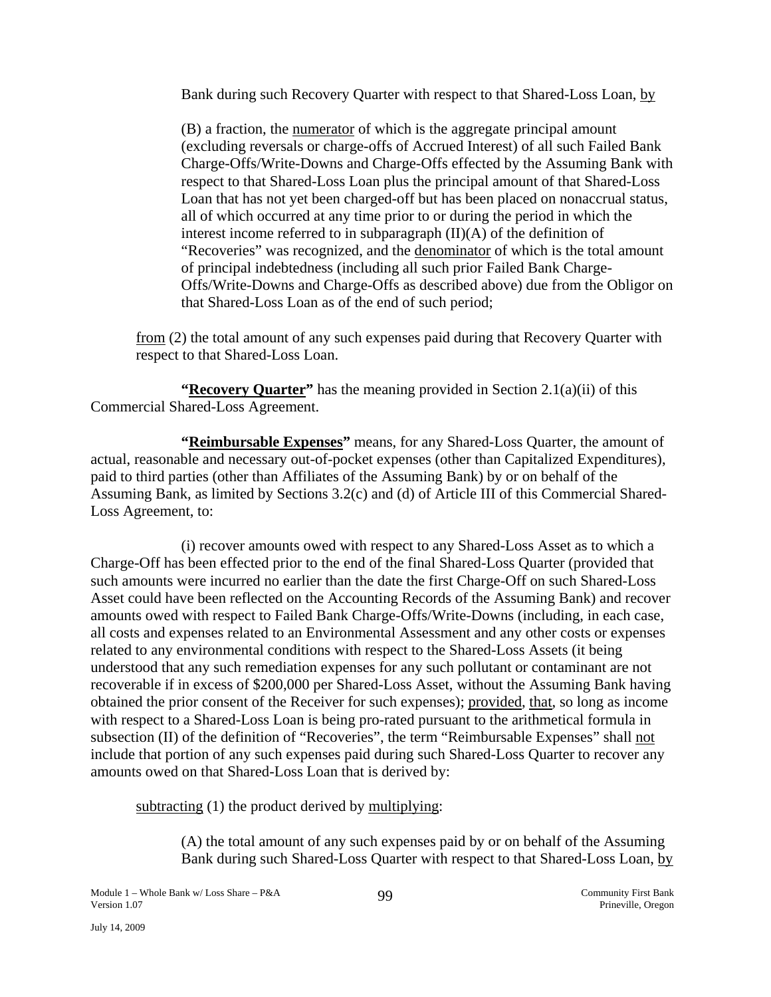Bank during such Recovery Quarter with respect to that Shared-Loss Loan, by

(B) a fraction, the numerator of which is the aggregate principal amount (excluding reversals or charge-offs of Accrued Interest) of all such Failed Bank Charge-Offs/Write-Downs and Charge-Offs effected by the Assuming Bank with respect to that Shared-Loss Loan plus the principal amount of that Shared-Loss Loan that has not yet been charged-off but has been placed on nonaccrual status, all of which occurred at any time prior to or during the period in which the interest income referred to in subparagraph (II)(A) of the definition of "Recoveries" was recognized, and the denominator of which is the total amount of principal indebtedness (including all such prior Failed Bank Charge-Offs/Write-Downs and Charge-Offs as described above) due from the Obligor on that Shared-Loss Loan as of the end of such period;

from (2) the total amount of any such expenses paid during that Recovery Quarter with respect to that Shared-Loss Loan.

**"Recovery Quarter"** has the meaning provided in Section 2.1(a)(ii) of this Commercial Shared-Loss Agreement.

**"Reimbursable Expenses"** means, for any Shared-Loss Quarter, the amount of actual, reasonable and necessary out-of-pocket expenses (other than Capitalized Expenditures), paid to third parties (other than Affiliates of the Assuming Bank) by or on behalf of the Assuming Bank, as limited by Sections 3.2(c) and (d) of Article III of this Commercial Shared-Loss Agreement, to:

(i) recover amounts owed with respect to any Shared-Loss Asset as to which a Charge-Off has been effected prior to the end of the final Shared-Loss Quarter (provided that such amounts were incurred no earlier than the date the first Charge-Off on such Shared-Loss Asset could have been reflected on the Accounting Records of the Assuming Bank) and recover amounts owed with respect to Failed Bank Charge-Offs/Write-Downs (including, in each case, all costs and expenses related to an Environmental Assessment and any other costs or expenses related to any environmental conditions with respect to the Shared-Loss Assets (it being understood that any such remediation expenses for any such pollutant or contaminant are not recoverable if in excess of \$200,000 per Shared-Loss Asset, without the Assuming Bank having obtained the prior consent of the Receiver for such expenses); provided, that, so long as income with respect to a Shared-Loss Loan is being pro-rated pursuant to the arithmetical formula in subsection (II) of the definition of "Recoveries", the term "Reimbursable Expenses" shall not include that portion of any such expenses paid during such Shared-Loss Quarter to recover any amounts owed on that Shared-Loss Loan that is derived by:

subtracting (1) the product derived by multiplying:

(A) the total amount of any such expenses paid by or on behalf of the Assuming Bank during such Shared-Loss Quarter with respect to that Shared-Loss Loan, by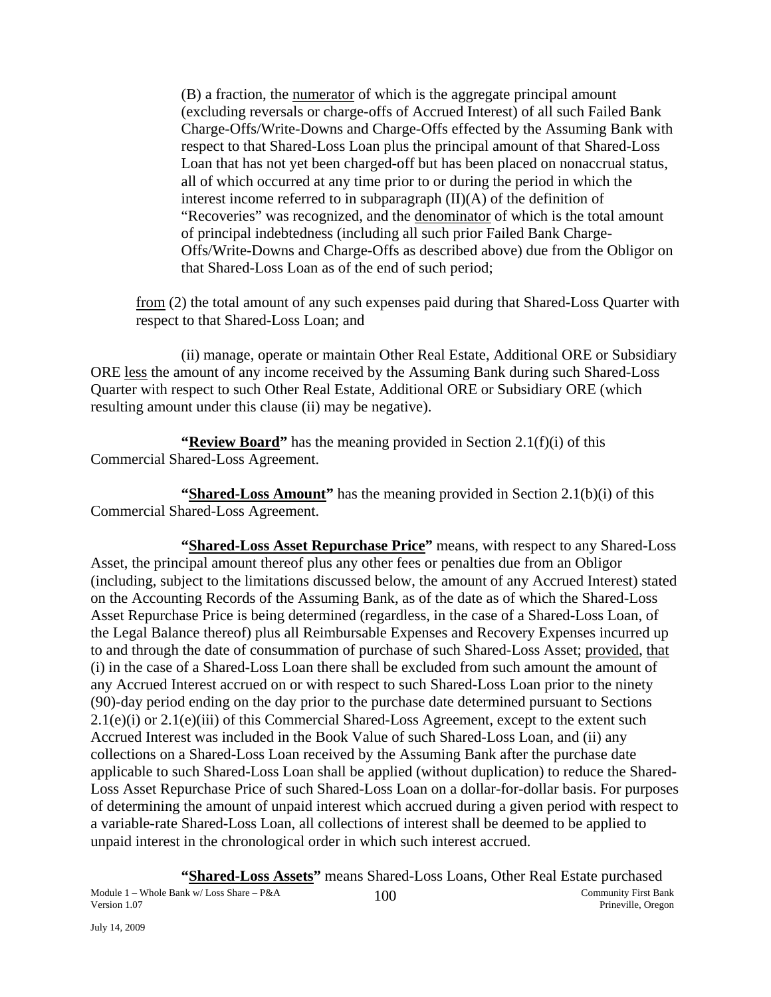(B) a fraction, the numerator of which is the aggregate principal amount (excluding reversals or charge-offs of Accrued Interest) of all such Failed Bank Charge-Offs/Write-Downs and Charge-Offs effected by the Assuming Bank with respect to that Shared-Loss Loan plus the principal amount of that Shared-Loss Loan that has not yet been charged-off but has been placed on nonaccrual status, all of which occurred at any time prior to or during the period in which the interest income referred to in subparagraph  $(II)(A)$  of the definition of "Recoveries" was recognized, and the denominator of which is the total amount of principal indebtedness (including all such prior Failed Bank Charge-Offs/Write-Downs and Charge-Offs as described above) due from the Obligor on that Shared-Loss Loan as of the end of such period;

from (2) the total amount of any such expenses paid during that Shared-Loss Quarter with respect to that Shared-Loss Loan; and

(ii) manage, operate or maintain Other Real Estate, Additional ORE or Subsidiary ORE less the amount of any income received by the Assuming Bank during such Shared-Loss Quarter with respect to such Other Real Estate, Additional ORE or Subsidiary ORE (which resulting amount under this clause (ii) may be negative).

**"Review Board"** has the meaning provided in Section 2.1(f)(i) of this Commercial Shared-Loss Agreement.

**"Shared-Loss Amount"** has the meaning provided in Section 2.1(b)(i) of this Commercial Shared-Loss Agreement.

**"Shared-Loss Asset Repurchase Price"** means, with respect to any Shared-Loss Asset, the principal amount thereof plus any other fees or penalties due from an Obligor (including, subject to the limitations discussed below, the amount of any Accrued Interest) stated on the Accounting Records of the Assuming Bank, as of the date as of which the Shared-Loss Asset Repurchase Price is being determined (regardless, in the case of a Shared-Loss Loan, of the Legal Balance thereof) plus all Reimbursable Expenses and Recovery Expenses incurred up to and through the date of consummation of purchase of such Shared-Loss Asset; provided, that (i) in the case of a Shared-Loss Loan there shall be excluded from such amount the amount of any Accrued Interest accrued on or with respect to such Shared-Loss Loan prior to the ninety (90)-day period ending on the day prior to the purchase date determined pursuant to Sections 2.1(e)(i) or 2.1(e)(iii) of this Commercial Shared-Loss Agreement, except to the extent such Accrued Interest was included in the Book Value of such Shared-Loss Loan, and (ii) any collections on a Shared-Loss Loan received by the Assuming Bank after the purchase date applicable to such Shared-Loss Loan shall be applied (without duplication) to reduce the Shared-Loss Asset Repurchase Price of such Shared-Loss Loan on a dollar-for-dollar basis. For purposes of determining the amount of unpaid interest which accrued during a given period with respect to a variable-rate Shared-Loss Loan, all collections of interest shall be deemed to be applied to unpaid interest in the chronological order in which such interest accrued.

**"Shared-Loss Assets"** means Shared-Loss Loans, Other Real Estate purchased Module 1 – Whole Bank w/ Loss Share – P&A 100 Community First Bank 107 Community First Bank Version 1.07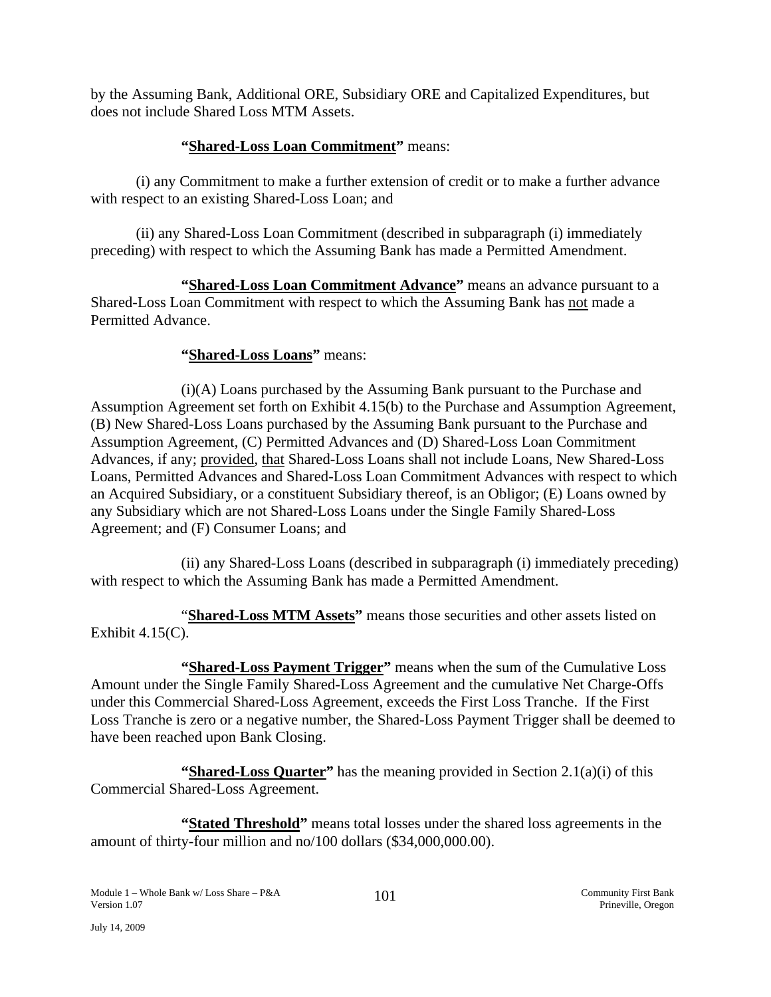by the Assuming Bank, Additional ORE, Subsidiary ORE and Capitalized Expenditures, but does not include Shared Loss MTM Assets.

## **"Shared-Loss Loan Commitment"** means:

(i) any Commitment to make a further extension of credit or to make a further advance with respect to an existing Shared-Loss Loan; and

(ii) any Shared-Loss Loan Commitment (described in subparagraph (i) immediately preceding) with respect to which the Assuming Bank has made a Permitted Amendment.

**"Shared-Loss Loan Commitment Advance"** means an advance pursuant to a Shared-Loss Loan Commitment with respect to which the Assuming Bank has not made a Permitted Advance.

## **"Shared-Loss Loans"** means:

(i)(A) Loans purchased by the Assuming Bank pursuant to the Purchase and Assumption Agreement set forth on Exhibit 4.15(b) to the Purchase and Assumption Agreement, (B) New Shared-Loss Loans purchased by the Assuming Bank pursuant to the Purchase and Assumption Agreement, (C) Permitted Advances and (D) Shared-Loss Loan Commitment Advances, if any; provided, that Shared-Loss Loans shall not include Loans, New Shared-Loss Loans, Permitted Advances and Shared-Loss Loan Commitment Advances with respect to which an Acquired Subsidiary, or a constituent Subsidiary thereof, is an Obligor; (E) Loans owned by any Subsidiary which are not Shared-Loss Loans under the Single Family Shared-Loss Agreement; and (F) Consumer Loans; and

(ii) any Shared-Loss Loans (described in subparagraph (i) immediately preceding) with respect to which the Assuming Bank has made a Permitted Amendment.

"**Shared-Loss MTM Assets"** means those securities and other assets listed on Exhibit  $4.15(C)$ .

**"Shared-Loss Payment Trigger"** means when the sum of the Cumulative Loss Amount under the Single Family Shared-Loss Agreement and the cumulative Net Charge-Offs under this Commercial Shared-Loss Agreement, exceeds the First Loss Tranche. If the First Loss Tranche is zero or a negative number, the Shared-Loss Payment Trigger shall be deemed to have been reached upon Bank Closing.

**"Shared-Loss Quarter"** has the meaning provided in Section 2.1(a)(i) of this Commercial Shared-Loss Agreement.

"Stated Threshold" means total losses under the shared loss agreements in the amount of thirty-four million and no/100 dollars (\$34,000,000.00).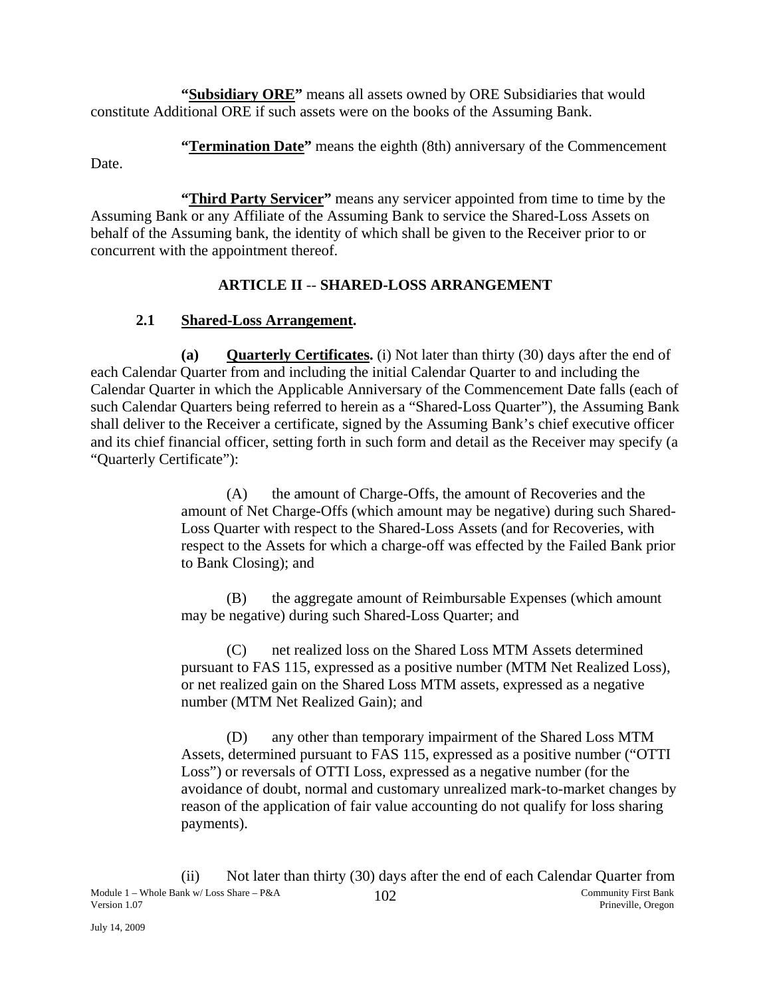**"Subsidiary ORE"** means all assets owned by ORE Subsidiaries that would constitute Additional ORE if such assets were on the books of the Assuming Bank.

**"Termination Date"** means the eighth (8th) anniversary of the Commencement Date.

**"Third Party Servicer"** means any servicer appointed from time to time by the Assuming Bank or any Affiliate of the Assuming Bank to service the Shared-Loss Assets on behalf of the Assuming bank, the identity of which shall be given to the Receiver prior to or concurrent with the appointment thereof.

## **ARTICLE II** -- **SHARED-LOSS ARRANGEMENT**

## **2.1 Shared-Loss Arrangement.**

**(a) Quarterly Certificates.** (i) Not later than thirty (30) days after the end of each Calendar Quarter from and including the initial Calendar Quarter to and including the Calendar Quarter in which the Applicable Anniversary of the Commencement Date falls (each of such Calendar Quarters being referred to herein as a "Shared-Loss Quarter"), the Assuming Bank shall deliver to the Receiver a certificate, signed by the Assuming Bank's chief executive officer and its chief financial officer, setting forth in such form and detail as the Receiver may specify (a "Quarterly Certificate"):

> (A) the amount of Charge-Offs, the amount of Recoveries and the amount of Net Charge-Offs (which amount may be negative) during such Shared-Loss Quarter with respect to the Shared-Loss Assets (and for Recoveries, with respect to the Assets for which a charge-off was effected by the Failed Bank prior to Bank Closing); and

(B) the aggregate amount of Reimbursable Expenses (which amount may be negative) during such Shared-Loss Quarter; and

(C) net realized loss on the Shared Loss MTM Assets determined pursuant to FAS 115, expressed as a positive number (MTM Net Realized Loss), or net realized gain on the Shared Loss MTM assets, expressed as a negative number (MTM Net Realized Gain); and

(D) any other than temporary impairment of the Shared Loss MTM Assets, determined pursuant to FAS 115, expressed as a positive number ("OTTI Loss") or reversals of OTTI Loss, expressed as a negative number (for the avoidance of doubt, normal and customary unrealized mark-to-market changes by reason of the application of fair value accounting do not qualify for loss sharing payments).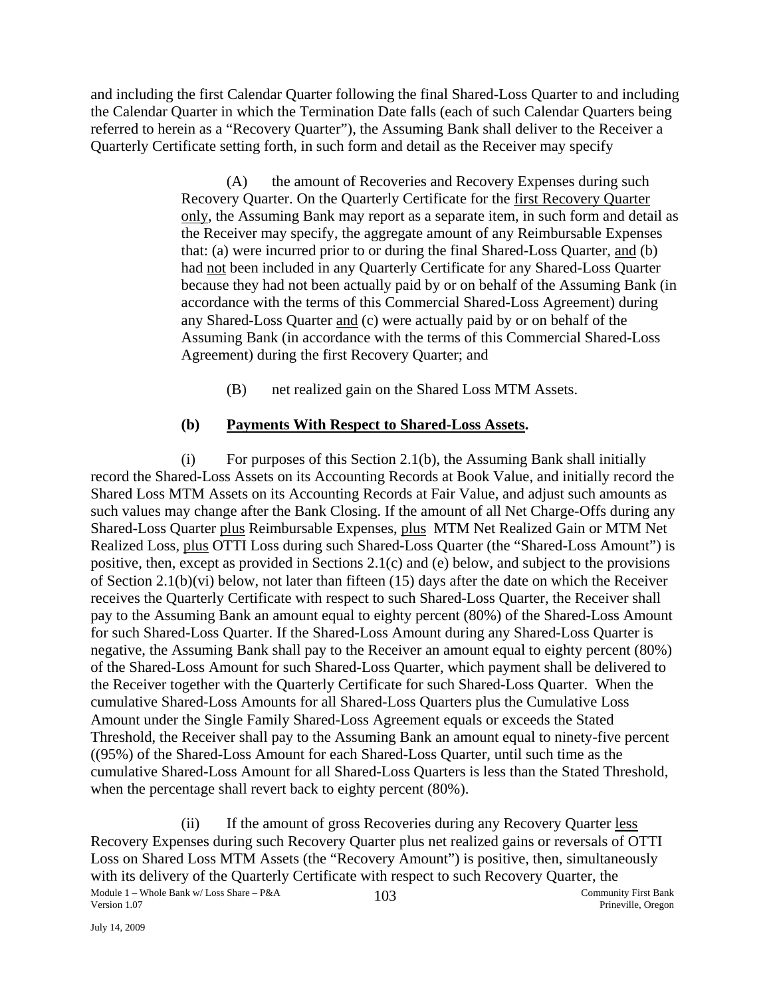and including the first Calendar Quarter following the final Shared-Loss Quarter to and including the Calendar Quarter in which the Termination Date falls (each of such Calendar Quarters being referred to herein as a "Recovery Quarter"), the Assuming Bank shall deliver to the Receiver a Quarterly Certificate setting forth, in such form and detail as the Receiver may specify

> (A) the amount of Recoveries and Recovery Expenses during such Recovery Quarter. On the Quarterly Certificate for the first Recovery Quarter only, the Assuming Bank may report as a separate item, in such form and detail as the Receiver may specify, the aggregate amount of any Reimbursable Expenses that: (a) were incurred prior to or during the final Shared-Loss Quarter, and (b) had not been included in any Quarterly Certificate for any Shared-Loss Quarter because they had not been actually paid by or on behalf of the Assuming Bank (in accordance with the terms of this Commercial Shared-Loss Agreement) during any Shared-Loss Quarter and (c) were actually paid by or on behalf of the Assuming Bank (in accordance with the terms of this Commercial Shared-Loss Agreement) during the first Recovery Quarter; and

(B) net realized gain on the Shared Loss MTM Assets.

### **(b) Payments With Respect to Shared-Loss Assets.**

(i) For purposes of this Section 2.1(b), the Assuming Bank shall initially record the Shared-Loss Assets on its Accounting Records at Book Value, and initially record the Shared Loss MTM Assets on its Accounting Records at Fair Value, and adjust such amounts as such values may change after the Bank Closing. If the amount of all Net Charge-Offs during any Shared-Loss Quarter plus Reimbursable Expenses, plus MTM Net Realized Gain or MTM Net Realized Loss, plus OTTI Loss during such Shared-Loss Quarter (the "Shared-Loss Amount") is positive, then, except as provided in Sections 2.1(c) and (e) below, and subject to the provisions of Section 2.1(b)(vi) below, not later than fifteen (15) days after the date on which the Receiver receives the Quarterly Certificate with respect to such Shared-Loss Quarter, the Receiver shall pay to the Assuming Bank an amount equal to eighty percent (80%) of the Shared-Loss Amount for such Shared-Loss Quarter. If the Shared-Loss Amount during any Shared-Loss Quarter is negative, the Assuming Bank shall pay to the Receiver an amount equal to eighty percent (80%) of the Shared-Loss Amount for such Shared-Loss Quarter, which payment shall be delivered to the Receiver together with the Quarterly Certificate for such Shared-Loss Quarter. When the cumulative Shared-Loss Amounts for all Shared-Loss Quarters plus the Cumulative Loss Amount under the Single Family Shared-Loss Agreement equals or exceeds the Stated Threshold, the Receiver shall pay to the Assuming Bank an amount equal to ninety-five percent ((95%) of the Shared-Loss Amount for each Shared-Loss Quarter, until such time as the cumulative Shared-Loss Amount for all Shared-Loss Quarters is less than the Stated Threshold, when the percentage shall revert back to eighty percent (80%).

(ii) If the amount of gross Recoveries during any Recovery Quarter less Recovery Expenses during such Recovery Quarter plus net realized gains or reversals of OTTI Loss on Shared Loss MTM Assets (the "Recovery Amount") is positive, then, simultaneously with its delivery of the Quarterly Certificate with respect to such Recovery Quarter, the Module 1 – Whole Bank w/ Loss Share – P&A 103 Community First Bank 107 Prineville, Oregon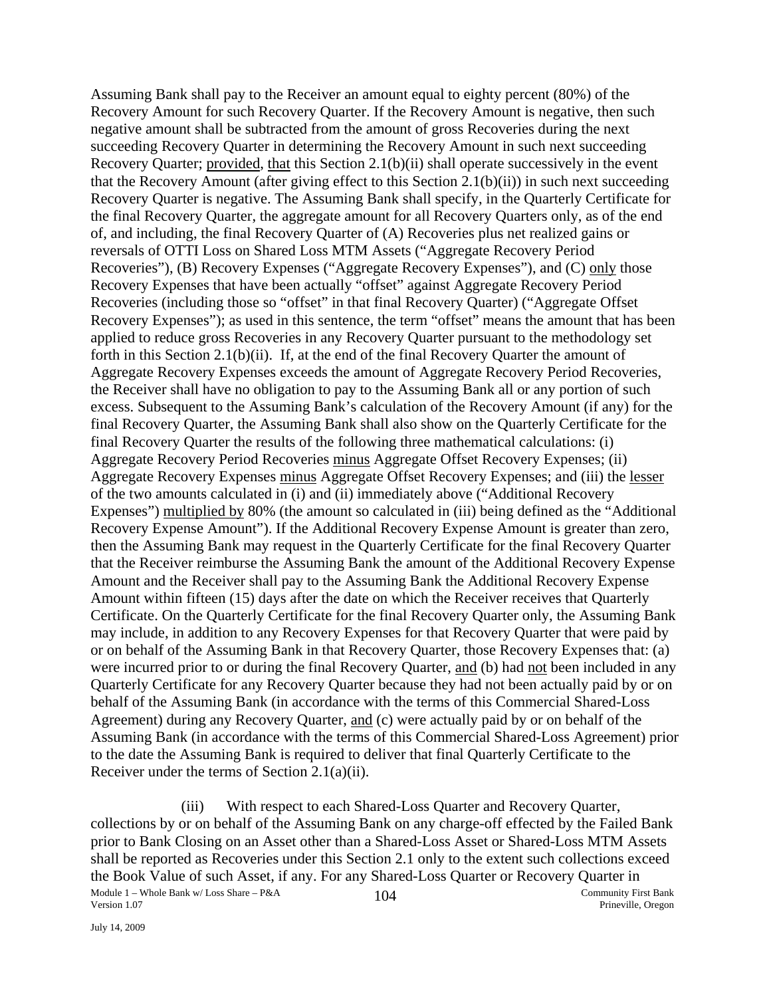Assuming Bank shall pay to the Receiver an amount equal to eighty percent (80%) of the Recovery Amount for such Recovery Quarter. If the Recovery Amount is negative, then such negative amount shall be subtracted from the amount of gross Recoveries during the next succeeding Recovery Quarter in determining the Recovery Amount in such next succeeding Recovery Quarter; provided, that this Section 2.1(b)(ii) shall operate successively in the event that the Recovery Amount (after giving effect to this Section 2.1(b)(ii)) in such next succeeding Recovery Quarter is negative. The Assuming Bank shall specify, in the Quarterly Certificate for the final Recovery Quarter, the aggregate amount for all Recovery Quarters only, as of the end of, and including, the final Recovery Quarter of (A) Recoveries plus net realized gains or reversals of OTTI Loss on Shared Loss MTM Assets ("Aggregate Recovery Period Recoveries"), (B) Recovery Expenses ("Aggregate Recovery Expenses"), and (C) only those Recovery Expenses that have been actually "offset" against Aggregate Recovery Period Recoveries (including those so "offset" in that final Recovery Quarter) ("Aggregate Offset Recovery Expenses"); as used in this sentence, the term "offset" means the amount that has been applied to reduce gross Recoveries in any Recovery Quarter pursuant to the methodology set forth in this Section 2.1(b)(ii). If, at the end of the final Recovery Quarter the amount of Aggregate Recovery Expenses exceeds the amount of Aggregate Recovery Period Recoveries, the Receiver shall have no obligation to pay to the Assuming Bank all or any portion of such excess. Subsequent to the Assuming Bank's calculation of the Recovery Amount (if any) for the final Recovery Quarter, the Assuming Bank shall also show on the Quarterly Certificate for the final Recovery Quarter the results of the following three mathematical calculations: (i) Aggregate Recovery Period Recoveries minus Aggregate Offset Recovery Expenses; (ii) Aggregate Recovery Expenses minus Aggregate Offset Recovery Expenses; and (iii) the lesser of the two amounts calculated in (i) and (ii) immediately above ("Additional Recovery Expenses") multiplied by 80% (the amount so calculated in (iii) being defined as the "Additional Recovery Expense Amount"). If the Additional Recovery Expense Amount is greater than zero, then the Assuming Bank may request in the Quarterly Certificate for the final Recovery Quarter that the Receiver reimburse the Assuming Bank the amount of the Additional Recovery Expense Amount and the Receiver shall pay to the Assuming Bank the Additional Recovery Expense Amount within fifteen (15) days after the date on which the Receiver receives that Quarterly Certificate. On the Quarterly Certificate for the final Recovery Quarter only, the Assuming Bank may include, in addition to any Recovery Expenses for that Recovery Quarter that were paid by or on behalf of the Assuming Bank in that Recovery Quarter, those Recovery Expenses that: (a) were incurred prior to or during the final Recovery Quarter, and (b) had not been included in any Quarterly Certificate for any Recovery Quarter because they had not been actually paid by or on behalf of the Assuming Bank (in accordance with the terms of this Commercial Shared-Loss Agreement) during any Recovery Quarter, and (c) were actually paid by or on behalf of the Assuming Bank (in accordance with the terms of this Commercial Shared-Loss Agreement) prior to the date the Assuming Bank is required to deliver that final Quarterly Certificate to the Receiver under the terms of Section 2.1(a)(ii).

(iii) With respect to each Shared-Loss Quarter and Recovery Quarter, collections by or on behalf of the Assuming Bank on any charge-off effected by the Failed Bank prior to Bank Closing on an Asset other than a Shared-Loss Asset or Shared-Loss MTM Assets shall be reported as Recoveries under this Section 2.1 only to the extent such collections exceed the Book Value of such Asset, if any. For any Shared-Loss Quarter or Recovery Quarter in Module 1 – Whole Bank w/ Loss Share – P&A 104 Community First Bank 107 Community First Bank Version 1.07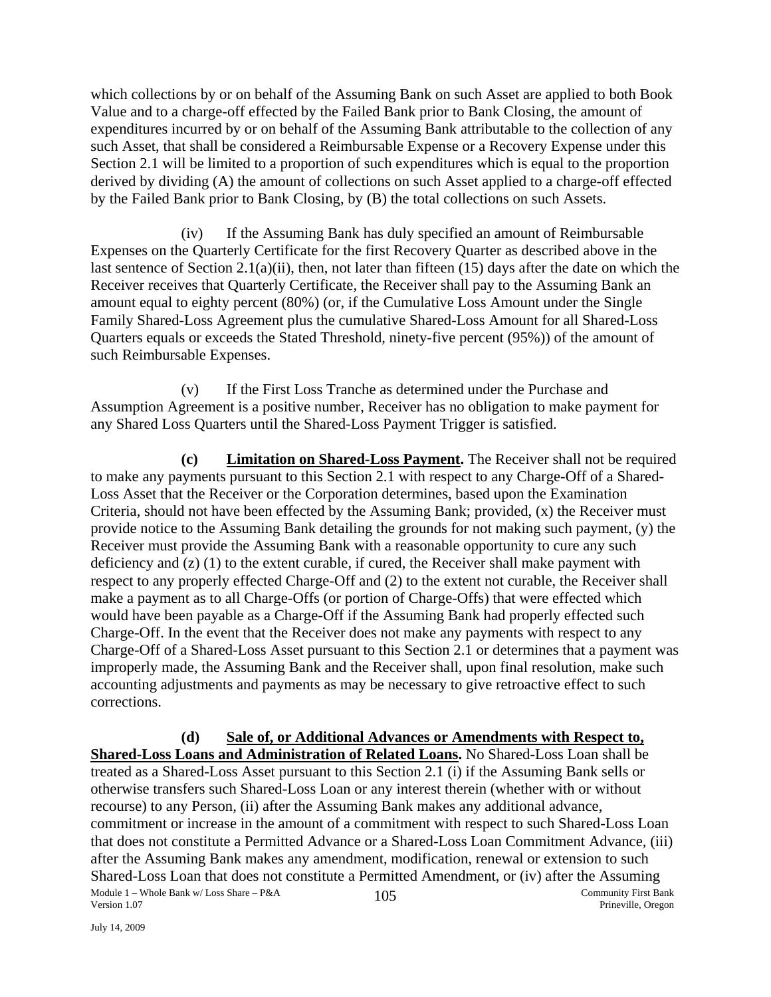which collections by or on behalf of the Assuming Bank on such Asset are applied to both Book Value and to a charge-off effected by the Failed Bank prior to Bank Closing, the amount of expenditures incurred by or on behalf of the Assuming Bank attributable to the collection of any such Asset, that shall be considered a Reimbursable Expense or a Recovery Expense under this Section 2.1 will be limited to a proportion of such expenditures which is equal to the proportion derived by dividing (A) the amount of collections on such Asset applied to a charge-off effected by the Failed Bank prior to Bank Closing, by (B) the total collections on such Assets.

(iv) If the Assuming Bank has duly specified an amount of Reimbursable Expenses on the Quarterly Certificate for the first Recovery Quarter as described above in the last sentence of Section 2.1(a)(ii), then, not later than fifteen (15) days after the date on which the Receiver receives that Quarterly Certificate, the Receiver shall pay to the Assuming Bank an amount equal to eighty percent (80%) (or, if the Cumulative Loss Amount under the Single Family Shared-Loss Agreement plus the cumulative Shared-Loss Amount for all Shared-Loss Quarters equals or exceeds the Stated Threshold, ninety-five percent (95%)) of the amount of such Reimbursable Expenses.

(v) If the First Loss Tranche as determined under the Purchase and Assumption Agreement is a positive number, Receiver has no obligation to make payment for any Shared Loss Quarters until the Shared-Loss Payment Trigger is satisfied.

**(c) Limitation on Shared-Loss Payment.** The Receiver shall not be required to make any payments pursuant to this Section 2.1 with respect to any Charge-Off of a Shared-Loss Asset that the Receiver or the Corporation determines, based upon the Examination Criteria, should not have been effected by the Assuming Bank; provided, (x) the Receiver must provide notice to the Assuming Bank detailing the grounds for not making such payment, (y) the Receiver must provide the Assuming Bank with a reasonable opportunity to cure any such deficiency and (z) (1) to the extent curable, if cured, the Receiver shall make payment with respect to any properly effected Charge-Off and (2) to the extent not curable, the Receiver shall make a payment as to all Charge-Offs (or portion of Charge-Offs) that were effected which would have been payable as a Charge-Off if the Assuming Bank had properly effected such Charge-Off. In the event that the Receiver does not make any payments with respect to any Charge-Off of a Shared-Loss Asset pursuant to this Section 2.1 or determines that a payment was improperly made, the Assuming Bank and the Receiver shall, upon final resolution, make such accounting adjustments and payments as may be necessary to give retroactive effect to such corrections.

**(d) Sale of, or Additional Advances or Amendments with Respect to, Shared-Loss Loans and Administration of Related Loans.** No Shared-Loss Loan shall be treated as a Shared-Loss Asset pursuant to this Section 2.1 (i) if the Assuming Bank sells or otherwise transfers such Shared-Loss Loan or any interest therein (whether with or without recourse) to any Person, (ii) after the Assuming Bank makes any additional advance, commitment or increase in the amount of a commitment with respect to such Shared-Loss Loan that does not constitute a Permitted Advance or a Shared-Loss Loan Commitment Advance, (iii) after the Assuming Bank makes any amendment, modification, renewal or extension to such Shared-Loss Loan that does not constitute a Permitted Amendment, or (iv) after the Assuming Module 1 – Whole Bank w/ Loss Share – P&A 105 Community First Bank 107 Community First Bank Version 1.07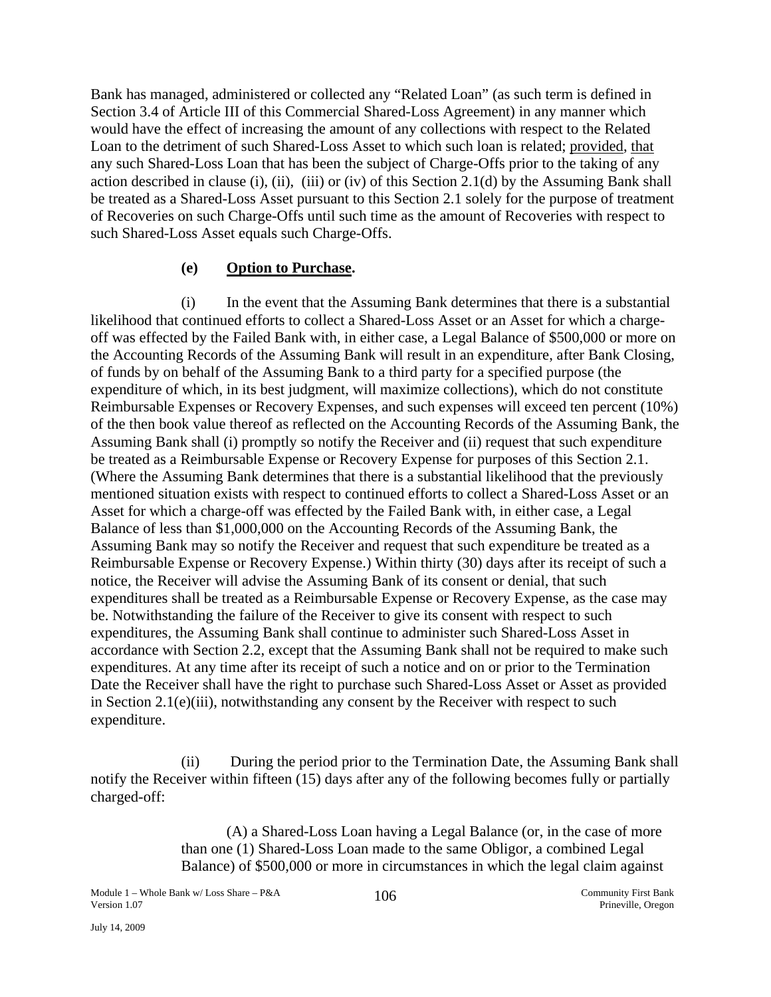Loan to the detriment of such Shared-Loss Asset to which such loan is related; provided, that Bank has managed, administered or collected any "Related Loan" (as such term is defined in Section 3.4 of Article III of this Commercial Shared-Loss Agreement) in any manner which would have the effect of increasing the amount of any collections with respect to the Related any such Shared-Loss Loan that has been the subject of Charge-Offs prior to the taking of any action described in clause (i), (ii), (iii) or (iv) of this Section 2.1(d) by the Assuming Bank shall be treated as a Shared-Loss Asset pursuant to this Section 2.1 solely for the purpose of treatment of Recoveries on such Charge-Offs until such time as the amount of Recoveries with respect to such Shared-Loss Asset equals such Charge-Offs.

#### **(e) Option to Purchase.**

(i) In the event that the Assuming Bank determines that there is a substantial likelihood that continued efforts to collect a Shared-Loss Asset or an Asset for which a chargeoff was effected by the Failed Bank with, in either case, a Legal Balance of \$500,000 or more on the Accounting Records of the Assuming Bank will result in an expenditure, after Bank Closing, of funds by on behalf of the Assuming Bank to a third party for a specified purpose (the expenditure of which, in its best judgment, will maximize collections), which do not constitute Reimbursable Expenses or Recovery Expenses, and such expenses will exceed ten percent (10%) of the then book value thereof as reflected on the Accounting Records of the Assuming Bank, the Assuming Bank shall (i) promptly so notify the Receiver and (ii) request that such expenditure be treated as a Reimbursable Expense or Recovery Expense for purposes of this Section 2.1. (Where the Assuming Bank determines that there is a substantial likelihood that the previously mentioned situation exists with respect to continued efforts to collect a Shared-Loss Asset or an Asset for which a charge-off was effected by the Failed Bank with, in either case, a Legal Balance of less than \$1,000,000 on the Accounting Records of the Assuming Bank, the Assuming Bank may so notify the Receiver and request that such expenditure be treated as a Reimbursable Expense or Recovery Expense.) Within thirty (30) days after its receipt of such a notice, the Receiver will advise the Assuming Bank of its consent or denial, that such expenditures shall be treated as a Reimbursable Expense or Recovery Expense, as the case may be. Notwithstanding the failure of the Receiver to give its consent with respect to such expenditures, the Assuming Bank shall continue to administer such Shared-Loss Asset in accordance with Section 2.2, except that the Assuming Bank shall not be required to make such expenditures. At any time after its receipt of such a notice and on or prior to the Termination Date the Receiver shall have the right to purchase such Shared-Loss Asset or Asset as provided in Section 2.1(e)(iii), notwithstanding any consent by the Receiver with respect to such expenditure.

(ii) During the period prior to the Termination Date, the Assuming Bank shall notify the Receiver within fifteen (15) days after any of the following becomes fully or partially charged-off:

> (A) a Shared-Loss Loan having a Legal Balance (or, in the case of more than one (1) Shared-Loss Loan made to the same Obligor, a combined Legal Balance) of \$500,000 or more in circumstances in which the legal claim against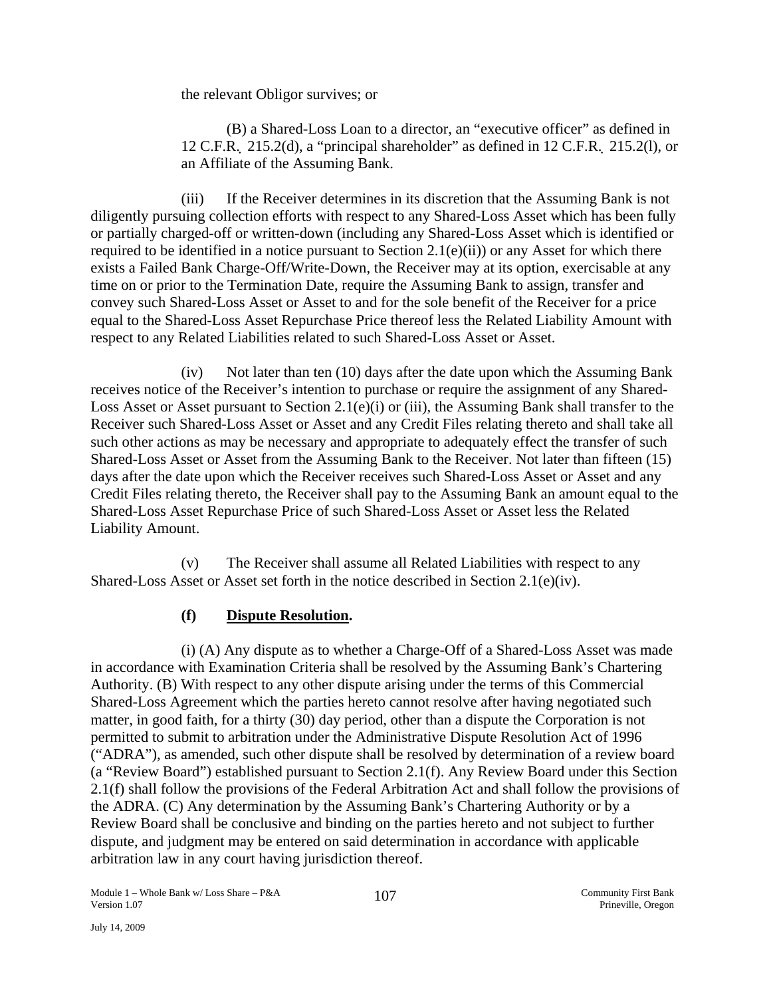the relevant Obligor survives; or

(B) a Shared-Loss Loan to a director, an "executive officer" as defined in 12 C.F.R. 215.2(d), a "principal shareholder" as defined in 12 C.F.R. 215.2(l), or an Affiliate of the Assuming Bank.

(iii) If the Receiver determines in its discretion that the Assuming Bank is not diligently pursuing collection efforts with respect to any Shared-Loss Asset which has been fully or partially charged-off or written-down (including any Shared-Loss Asset which is identified or required to be identified in a notice pursuant to Section 2.1(e)(ii)) or any Asset for which there exists a Failed Bank Charge-Off/Write-Down, the Receiver may at its option, exercisable at any time on or prior to the Termination Date, require the Assuming Bank to assign, transfer and convey such Shared-Loss Asset or Asset to and for the sole benefit of the Receiver for a price equal to the Shared-Loss Asset Repurchase Price thereof less the Related Liability Amount with respect to any Related Liabilities related to such Shared-Loss Asset or Asset.

(iv) Not later than ten (10) days after the date upon which the Assuming Bank receives notice of the Receiver's intention to purchase or require the assignment of any Shared-Loss Asset or Asset pursuant to Section 2.1(e)(i) or (iii), the Assuming Bank shall transfer to the Receiver such Shared-Loss Asset or Asset and any Credit Files relating thereto and shall take all such other actions as may be necessary and appropriate to adequately effect the transfer of such Shared-Loss Asset or Asset from the Assuming Bank to the Receiver. Not later than fifteen (15) days after the date upon which the Receiver receives such Shared-Loss Asset or Asset and any Credit Files relating thereto, the Receiver shall pay to the Assuming Bank an amount equal to the Shared-Loss Asset Repurchase Price of such Shared-Loss Asset or Asset less the Related Liability Amount.

(v) The Receiver shall assume all Related Liabilities with respect to any Shared-Loss Asset or Asset set forth in the notice described in Section 2.1(e)(iv).

### **(f) Dispute Resolution.**

(i) (A) Any dispute as to whether a Charge-Off of a Shared-Loss Asset was made in accordance with Examination Criteria shall be resolved by the Assuming Bank's Chartering Authority. (B) With respect to any other dispute arising under the terms of this Commercial Shared-Loss Agreement which the parties hereto cannot resolve after having negotiated such matter, in good faith, for a thirty (30) day period, other than a dispute the Corporation is not permitted to submit to arbitration under the Administrative Dispute Resolution Act of 1996 ("ADRA"), as amended, such other dispute shall be resolved by determination of a review board (a "Review Board") established pursuant to Section 2.1(f). Any Review Board under this Section 2.1(f) shall follow the provisions of the Federal Arbitration Act and shall follow the provisions of the ADRA. (C) Any determination by the Assuming Bank's Chartering Authority or by a Review Board shall be conclusive and binding on the parties hereto and not subject to further dispute, and judgment may be entered on said determination in accordance with applicable arbitration law in any court having jurisdiction thereof.

Module 1 – Whole Bank w/ Loss Share – P&A 107 Community First Bank 107 Community First Bank 107 Prineville, Oregon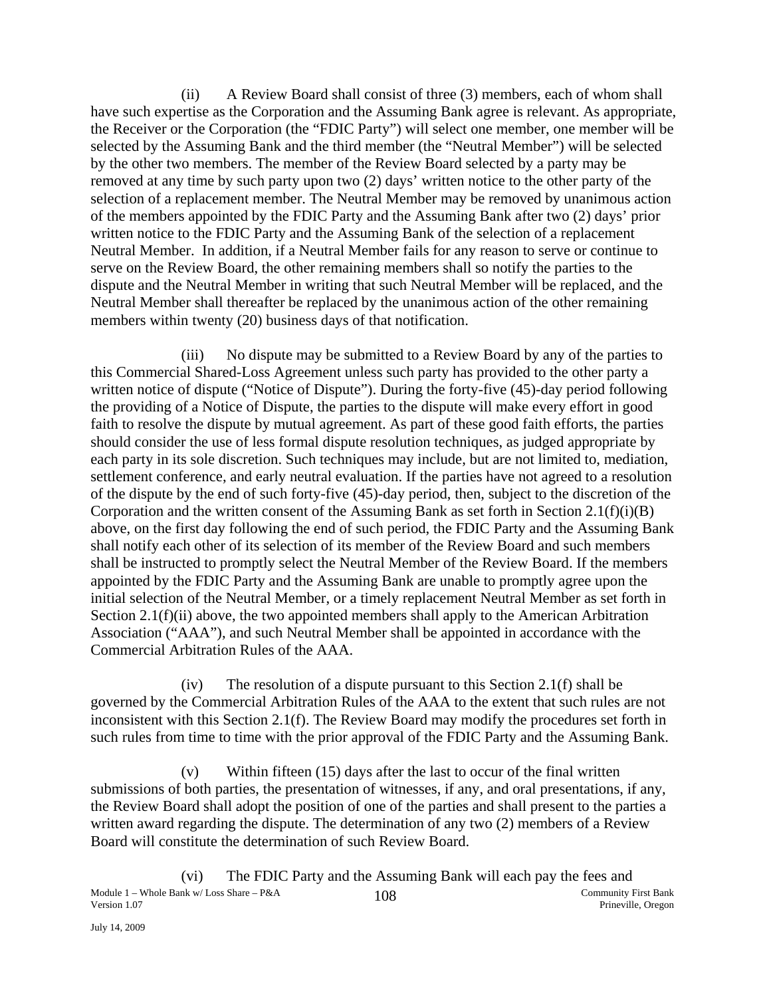(ii) A Review Board shall consist of three (3) members, each of whom shall have such expertise as the Corporation and the Assuming Bank agree is relevant. As appropriate, the Receiver or the Corporation (the "FDIC Party") will select one member, one member will be selected by the Assuming Bank and the third member (the "Neutral Member") will be selected by the other two members. The member of the Review Board selected by a party may be removed at any time by such party upon two (2) days' written notice to the other party of the selection of a replacement member. The Neutral Member may be removed by unanimous action of the members appointed by the FDIC Party and the Assuming Bank after two (2) days' prior written notice to the FDIC Party and the Assuming Bank of the selection of a replacement Neutral Member. In addition, if a Neutral Member fails for any reason to serve or continue to serve on the Review Board, the other remaining members shall so notify the parties to the dispute and the Neutral Member in writing that such Neutral Member will be replaced, and the Neutral Member shall thereafter be replaced by the unanimous action of the other remaining members within twenty (20) business days of that notification.

(iii) No dispute may be submitted to a Review Board by any of the parties to this Commercial Shared-Loss Agreement unless such party has provided to the other party a written notice of dispute ("Notice of Dispute"). During the forty-five (45)-day period following the providing of a Notice of Dispute, the parties to the dispute will make every effort in good faith to resolve the dispute by mutual agreement. As part of these good faith efforts, the parties should consider the use of less formal dispute resolution techniques, as judged appropriate by each party in its sole discretion. Such techniques may include, but are not limited to, mediation, settlement conference, and early neutral evaluation. If the parties have not agreed to a resolution of the dispute by the end of such forty-five (45)-day period, then, subject to the discretion of the Corporation and the written consent of the Assuming Bank as set forth in Section 2.1(f)(i)(B) above, on the first day following the end of such period, the FDIC Party and the Assuming Bank shall notify each other of its selection of its member of the Review Board and such members shall be instructed to promptly select the Neutral Member of the Review Board. If the members appointed by the FDIC Party and the Assuming Bank are unable to promptly agree upon the initial selection of the Neutral Member, or a timely replacement Neutral Member as set forth in Section 2.1(f)(ii) above, the two appointed members shall apply to the American Arbitration Association ("AAA"), and such Neutral Member shall be appointed in accordance with the Commercial Arbitration Rules of the AAA.

(iv) The resolution of a dispute pursuant to this Section 2.1(f) shall be governed by the Commercial Arbitration Rules of the AAA to the extent that such rules are not inconsistent with this Section 2.1(f). The Review Board may modify the procedures set forth in such rules from time to time with the prior approval of the FDIC Party and the Assuming Bank.

(v) Within fifteen (15) days after the last to occur of the final written submissions of both parties, the presentation of witnesses, if any, and oral presentations, if any, the Review Board shall adopt the position of one of the parties and shall present to the parties a written award regarding the dispute. The determination of any two (2) members of a Review Board will constitute the determination of such Review Board.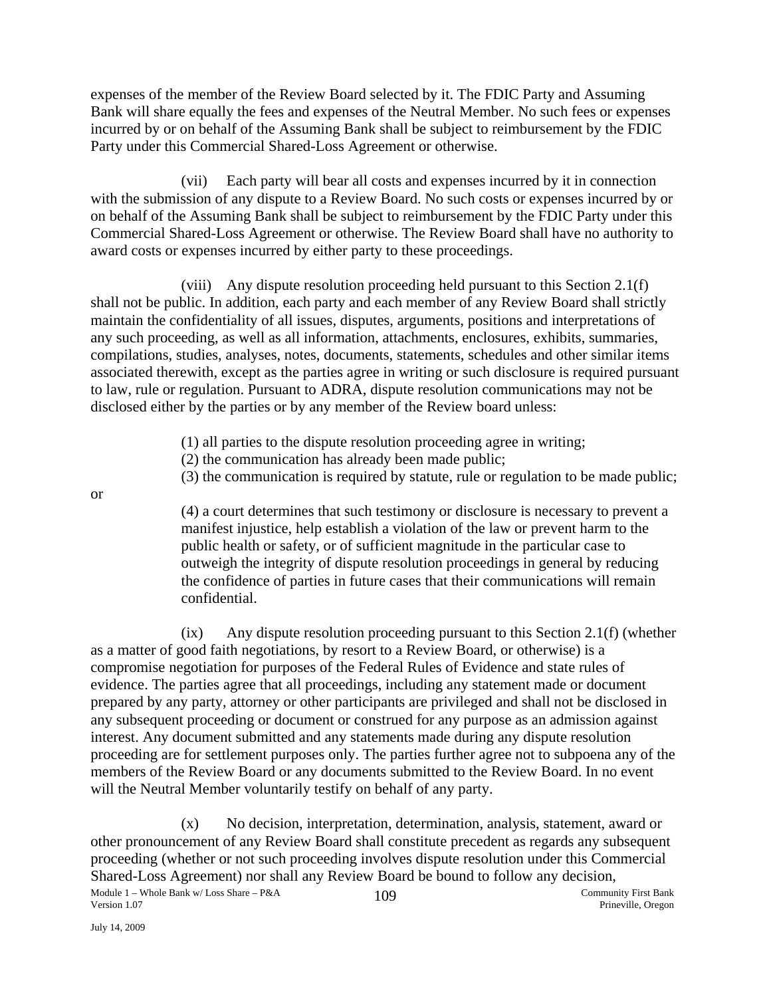expenses of the member of the Review Board selected by it. The FDIC Party and Assuming Bank will share equally the fees and expenses of the Neutral Member. No such fees or expenses incurred by or on behalf of the Assuming Bank shall be subject to reimbursement by the FDIC Party under this Commercial Shared-Loss Agreement or otherwise.

(vii) Each party will bear all costs and expenses incurred by it in connection with the submission of any dispute to a Review Board. No such costs or expenses incurred by or on behalf of the Assuming Bank shall be subject to reimbursement by the FDIC Party under this Commercial Shared-Loss Agreement or otherwise. The Review Board shall have no authority to award costs or expenses incurred by either party to these proceedings.

(viii) Any dispute resolution proceeding held pursuant to this Section 2.1(f) shall not be public. In addition, each party and each member of any Review Board shall strictly maintain the confidentiality of all issues, disputes, arguments, positions and interpretations of any such proceeding, as well as all information, attachments, enclosures, exhibits, summaries, compilations, studies, analyses, notes, documents, statements, schedules and other similar items associated therewith, except as the parties agree in writing or such disclosure is required pursuant to law, rule or regulation. Pursuant to ADRA, dispute resolution communications may not be disclosed either by the parties or by any member of the Review board unless:

- (1) all parties to the dispute resolution proceeding agree in writing;
- (2) the communication has already been made public;
- (3) the communication is required by statute, rule or regulation to be made public;

or

(4) a court determines that such testimony or disclosure is necessary to prevent a manifest injustice, help establish a violation of the law or prevent harm to the public health or safety, or of sufficient magnitude in the particular case to outweigh the integrity of dispute resolution proceedings in general by reducing the confidence of parties in future cases that their communications will remain confidential.

(ix) Any dispute resolution proceeding pursuant to this Section 2.1(f) (whether as a matter of good faith negotiations, by resort to a Review Board, or otherwise) is a compromise negotiation for purposes of the Federal Rules of Evidence and state rules of evidence. The parties agree that all proceedings, including any statement made or document prepared by any party, attorney or other participants are privileged and shall not be disclosed in any subsequent proceeding or document or construed for any purpose as an admission against interest. Any document submitted and any statements made during any dispute resolution proceeding are for settlement purposes only. The parties further agree not to subpoena any of the members of the Review Board or any documents submitted to the Review Board. In no event will the Neutral Member voluntarily testify on behalf of any party.

(x) No decision, interpretation, determination, analysis, statement, award or other pronouncement of any Review Board shall constitute precedent as regards any subsequent proceeding (whether or not such proceeding involves dispute resolution under this Commercial Shared-Loss Agreement) nor shall any Review Board be bound to follow any decision, Module 1 – Whole Bank w/ Loss Share – P&A 109 Community First Bank 107 Community First Bank Version 1.07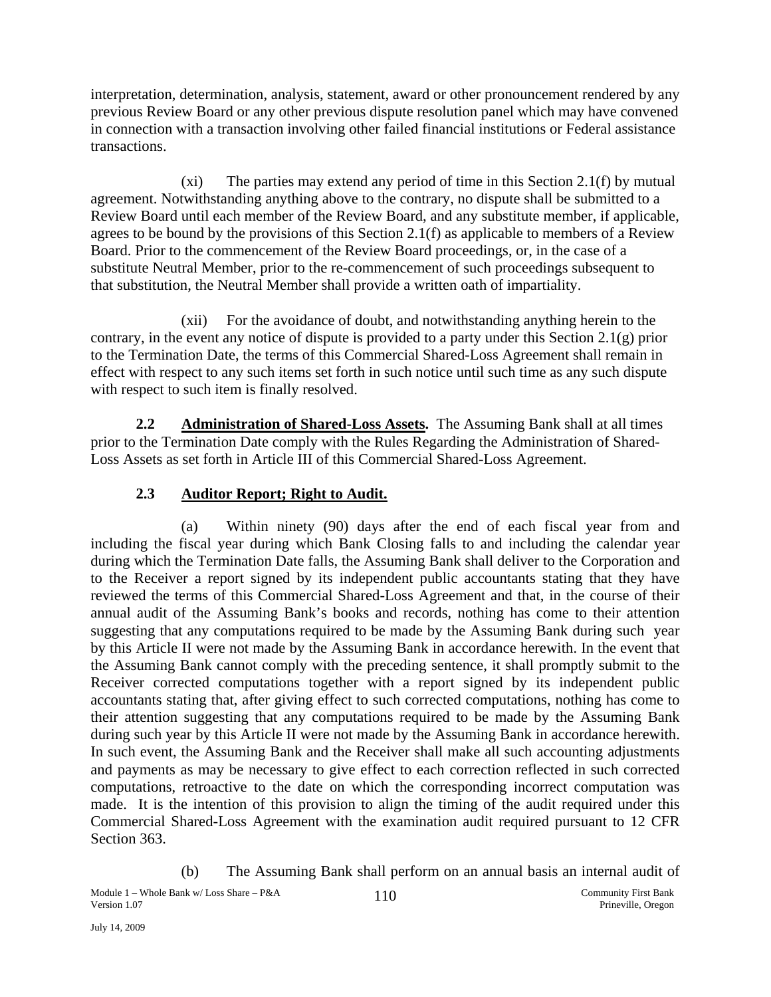interpretation, determination, analysis, statement, award or other pronouncement rendered by any previous Review Board or any other previous dispute resolution panel which may have convened in connection with a transaction involving other failed financial institutions or Federal assistance transactions.

(xi) The parties may extend any period of time in this Section 2.1(f) by mutual agreement. Notwithstanding anything above to the contrary, no dispute shall be submitted to a Review Board until each member of the Review Board, and any substitute member, if applicable, agrees to be bound by the provisions of this Section 2.1(f) as applicable to members of a Review Board. Prior to the commencement of the Review Board proceedings, or, in the case of a substitute Neutral Member, prior to the re-commencement of such proceedings subsequent to that substitution, the Neutral Member shall provide a written oath of impartiality.

(xii) For the avoidance of doubt, and notwithstanding anything herein to the contrary, in the event any notice of dispute is provided to a party under this Section 2.1(g) prior to the Termination Date, the terms of this Commercial Shared-Loss Agreement shall remain in effect with respect to any such items set forth in such notice until such time as any such dispute with respect to such item is finally resolved.

**2.2 Administration of Shared-Loss Assets.** The Assuming Bank shall at all times prior to the Termination Date comply with the Rules Regarding the Administration of Shared-Loss Assets as set forth in Article III of this Commercial Shared-Loss Agreement.

### **2.3 Auditor Report; Right to Audit.**

(a) Within ninety (90) days after the end of each fiscal year from and including the fiscal year during which Bank Closing falls to and including the calendar year during which the Termination Date falls, the Assuming Bank shall deliver to the Corporation and to the Receiver a report signed by its independent public accountants stating that they have reviewed the terms of this Commercial Shared-Loss Agreement and that, in the course of their annual audit of the Assuming Bank's books and records, nothing has come to their attention suggesting that any computations required to be made by the Assuming Bank during such year by this Article II were not made by the Assuming Bank in accordance herewith. In the event that the Assuming Bank cannot comply with the preceding sentence, it shall promptly submit to the Receiver corrected computations together with a report signed by its independent public accountants stating that, after giving effect to such corrected computations, nothing has come to their attention suggesting that any computations required to be made by the Assuming Bank during such year by this Article II were not made by the Assuming Bank in accordance herewith. In such event, the Assuming Bank and the Receiver shall make all such accounting adjustments and payments as may be necessary to give effect to each correction reflected in such corrected computations, retroactive to the date on which the corresponding incorrect computation was made. It is the intention of this provision to align the timing of the audit required under this Commercial Shared-Loss Agreement with the examination audit required pursuant to 12 CFR Section 363.

(b) The Assuming Bank shall perform on an annual basis an internal audit of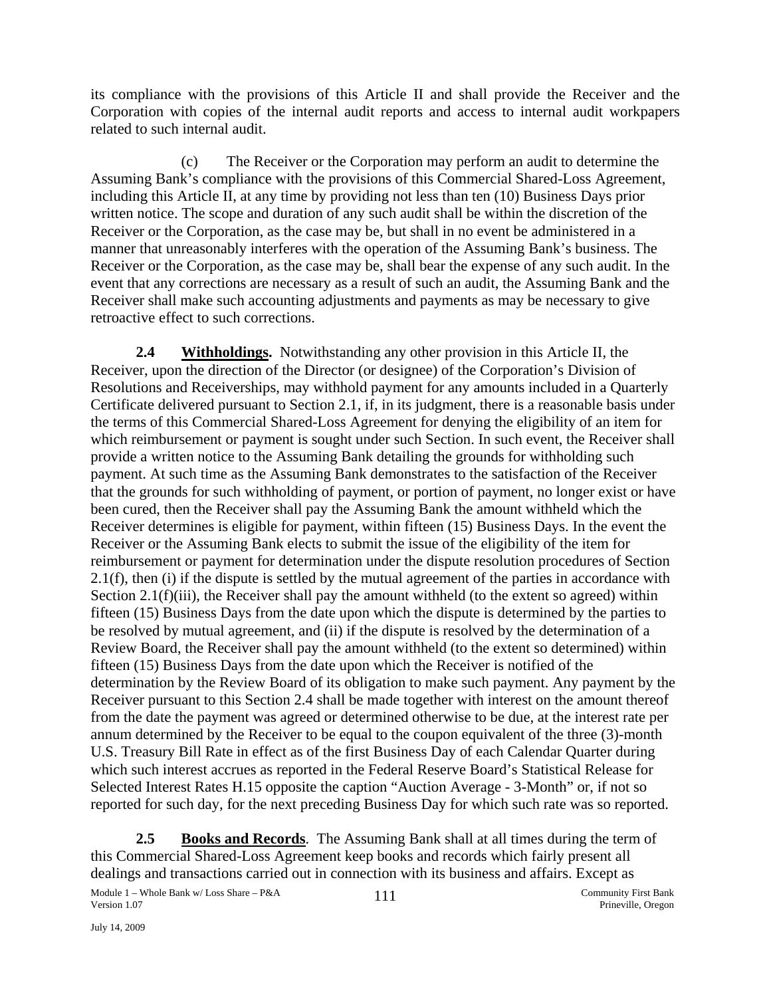its compliance with the provisions of this Article II and shall provide the Receiver and the Corporation with copies of the internal audit reports and access to internal audit workpapers related to such internal audit.

(c) The Receiver or the Corporation may perform an audit to determine the Assuming Bank's compliance with the provisions of this Commercial Shared-Loss Agreement, including this Article II, at any time by providing not less than ten (10) Business Days prior written notice. The scope and duration of any such audit shall be within the discretion of the Receiver or the Corporation, as the case may be, but shall in no event be administered in a manner that unreasonably interferes with the operation of the Assuming Bank's business. The Receiver or the Corporation, as the case may be, shall bear the expense of any such audit. In the event that any corrections are necessary as a result of such an audit, the Assuming Bank and the Receiver shall make such accounting adjustments and payments as may be necessary to give retroactive effect to such corrections.

**2.4 Withholdings.** Notwithstanding any other provision in this Article II, the Receiver, upon the direction of the Director (or designee) of the Corporation's Division of Resolutions and Receiverships, may withhold payment for any amounts included in a Quarterly Certificate delivered pursuant to Section 2.1, if, in its judgment, there is a reasonable basis under the terms of this Commercial Shared-Loss Agreement for denying the eligibility of an item for which reimbursement or payment is sought under such Section. In such event, the Receiver shall provide a written notice to the Assuming Bank detailing the grounds for withholding such payment. At such time as the Assuming Bank demonstrates to the satisfaction of the Receiver that the grounds for such withholding of payment, or portion of payment, no longer exist or have been cured, then the Receiver shall pay the Assuming Bank the amount withheld which the Receiver determines is eligible for payment, within fifteen (15) Business Days. In the event the Receiver or the Assuming Bank elects to submit the issue of the eligibility of the item for reimbursement or payment for determination under the dispute resolution procedures of Section 2.1(f), then (i) if the dispute is settled by the mutual agreement of the parties in accordance with Section 2.1(f)(iii), the Receiver shall pay the amount withheld (to the extent so agreed) within fifteen (15) Business Days from the date upon which the dispute is determined by the parties to be resolved by mutual agreement, and (ii) if the dispute is resolved by the determination of a Review Board, the Receiver shall pay the amount withheld (to the extent so determined) within fifteen (15) Business Days from the date upon which the Receiver is notified of the determination by the Review Board of its obligation to make such payment. Any payment by the Receiver pursuant to this Section 2.4 shall be made together with interest on the amount thereof from the date the payment was agreed or determined otherwise to be due, at the interest rate per annum determined by the Receiver to be equal to the coupon equivalent of the three (3)-month U.S. Treasury Bill Rate in effect as of the first Business Day of each Calendar Quarter during which such interest accrues as reported in the Federal Reserve Board's Statistical Release for Selected Interest Rates H.15 opposite the caption "Auction Average - 3-Month" or, if not so reported for such day, for the next preceding Business Day for which such rate was so reported.

**2.5 Books and Records**. The Assuming Bank shall at all times during the term of this Commercial Shared-Loss Agreement keep books and records which fairly present all dealings and transactions carried out in connection with its business and affairs. Except as Module 1 – Whole Bank w/ Loss Share – P&A 111 Community First Bank 1.07 Prineville, Oregon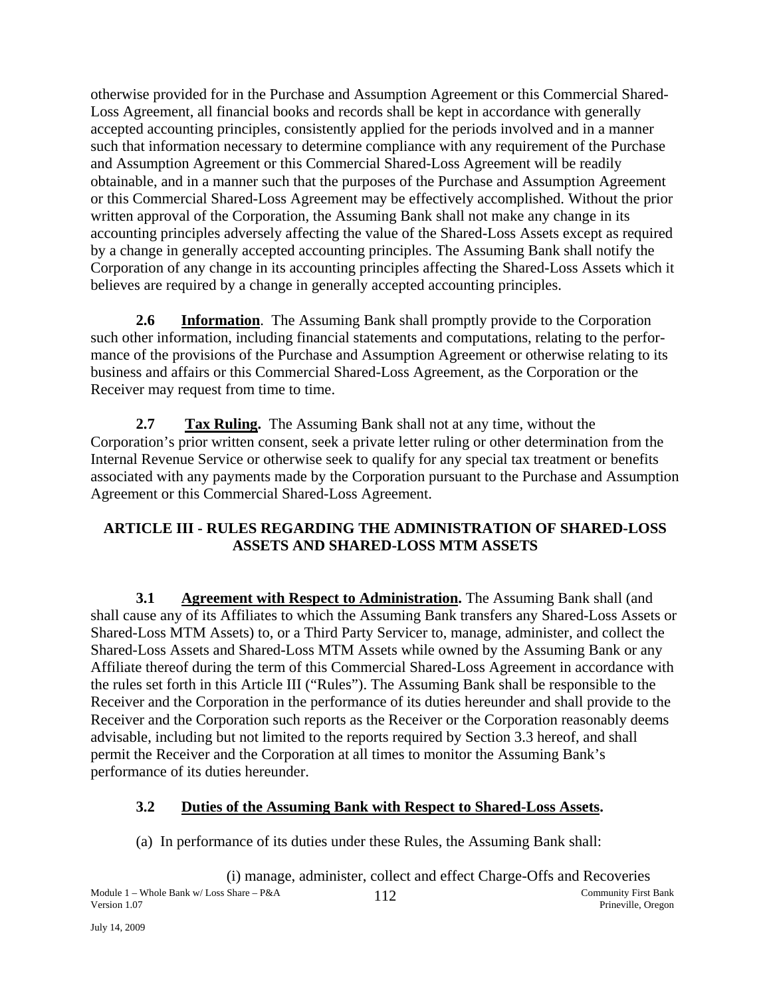otherwise provided for in the Purchase and Assumption Agreement or this Commercial Shared-Loss Agreement, all financial books and records shall be kept in accordance with generally accepted accounting principles, consistently applied for the periods involved and in a manner such that information necessary to determine compliance with any requirement of the Purchase and Assumption Agreement or this Commercial Shared-Loss Agreement will be readily obtainable, and in a manner such that the purposes of the Purchase and Assumption Agreement or this Commercial Shared-Loss Agreement may be effectively accomplished. Without the prior written approval of the Corporation, the Assuming Bank shall not make any change in its accounting principles adversely affecting the value of the Shared-Loss Assets except as required by a change in generally accepted accounting principles. The Assuming Bank shall notify the Corporation of any change in its accounting principles affecting the Shared-Loss Assets which it believes are required by a change in generally accepted accounting principles.

**2.6 Information**. The Assuming Bank shall promptly provide to the Corporation such other information, including financial statements and computations, relating to the performance of the provisions of the Purchase and Assumption Agreement or otherwise relating to its business and affairs or this Commercial Shared-Loss Agreement, as the Corporation or the Receiver may request from time to time.

**2.7 Tax Ruling.** The Assuming Bank shall not at any time, without the Corporation's prior written consent, seek a private letter ruling or other determination from the Internal Revenue Service or otherwise seek to qualify for any special tax treatment or benefits associated with any payments made by the Corporation pursuant to the Purchase and Assumption Agreement or this Commercial Shared-Loss Agreement.

# **ARTICLE III - RULES REGARDING THE ADMINISTRATION OF SHARED-LOSS ASSETS AND SHARED-LOSS MTM ASSETS**

**3.1** Agreement with Respect to Administration. The Assuming Bank shall (and shall cause any of its Affiliates to which the Assuming Bank transfers any Shared-Loss Assets or Shared-Loss MTM Assets) to, or a Third Party Servicer to, manage, administer, and collect the Shared-Loss Assets and Shared-Loss MTM Assets while owned by the Assuming Bank or any Affiliate thereof during the term of this Commercial Shared-Loss Agreement in accordance with the rules set forth in this Article III ("Rules"). The Assuming Bank shall be responsible to the Receiver and the Corporation in the performance of its duties hereunder and shall provide to the Receiver and the Corporation such reports as the Receiver or the Corporation reasonably deems advisable, including but not limited to the reports required by Section 3.3 hereof, and shall permit the Receiver and the Corporation at all times to monitor the Assuming Bank's performance of its duties hereunder.

# **3.2 Duties of the Assuming Bank with Respect to Shared-Loss Assets.**

(a) In performance of its duties under these Rules, the Assuming Bank shall:

|                                                           | (i) manage, administer, collect and effect Charge-Offs and Recoveries |                                                   |
|-----------------------------------------------------------|-----------------------------------------------------------------------|---------------------------------------------------|
| Module 1 – Whole Bank w/ Loss Share – P&A<br>Version 1.07 | 112                                                                   | <b>Community First Bank</b><br>Prineville, Oregon |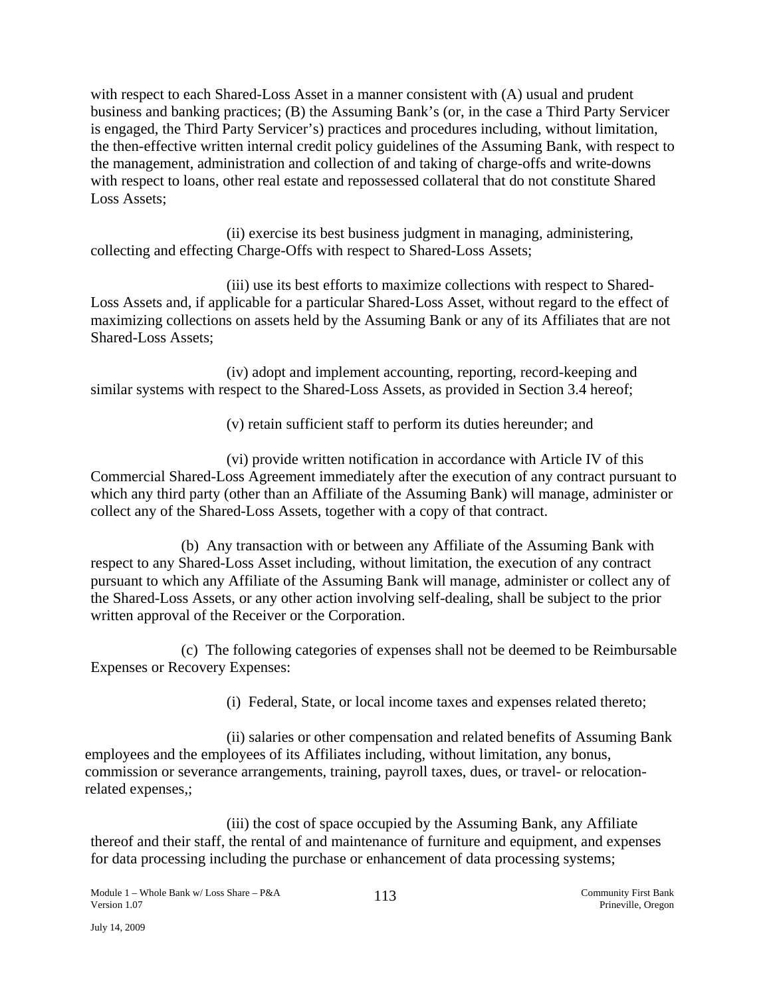with respect to each Shared-Loss Asset in a manner consistent with (A) usual and prudent business and banking practices; (B) the Assuming Bank's (or, in the case a Third Party Servicer is engaged, the Third Party Servicer's) practices and procedures including, without limitation, the then-effective written internal credit policy guidelines of the Assuming Bank, with respect to the management, administration and collection of and taking of charge-offs and write-downs with respect to loans, other real estate and repossessed collateral that do not constitute Shared Loss Assets;

(ii) exercise its best business judgment in managing, administering, collecting and effecting Charge-Offs with respect to Shared-Loss Assets;

(iii) use its best efforts to maximize collections with respect to Shared-Loss Assets and, if applicable for a particular Shared-Loss Asset, without regard to the effect of maximizing collections on assets held by the Assuming Bank or any of its Affiliates that are not Shared-Loss Assets;

(iv) adopt and implement accounting, reporting, record-keeping and similar systems with respect to the Shared-Loss Assets, as provided in Section 3.4 hereof;

(v) retain sufficient staff to perform its duties hereunder; and

(vi) provide written notification in accordance with Article IV of this Commercial Shared-Loss Agreement immediately after the execution of any contract pursuant to which any third party (other than an Affiliate of the Assuming Bank) will manage, administer or collect any of the Shared-Loss Assets, together with a copy of that contract.

(b) Any transaction with or between any Affiliate of the Assuming Bank with respect to any Shared-Loss Asset including, without limitation, the execution of any contract pursuant to which any Affiliate of the Assuming Bank will manage, administer or collect any of the Shared-Loss Assets, or any other action involving self-dealing, shall be subject to the prior written approval of the Receiver or the Corporation.

(c) The following categories of expenses shall not be deemed to be Reimbursable Expenses or Recovery Expenses:

(i) Federal, State, or local income taxes and expenses related thereto;

(ii) salaries or other compensation and related benefits of Assuming Bank employees and the employees of its Affiliates including, without limitation, any bonus, commission or severance arrangements, training, payroll taxes, dues, or travel- or relocationrelated expenses,;

(iii) the cost of space occupied by the Assuming Bank, any Affiliate thereof and their staff, the rental of and maintenance of furniture and equipment, and expenses for data processing including the purchase or enhancement of data processing systems;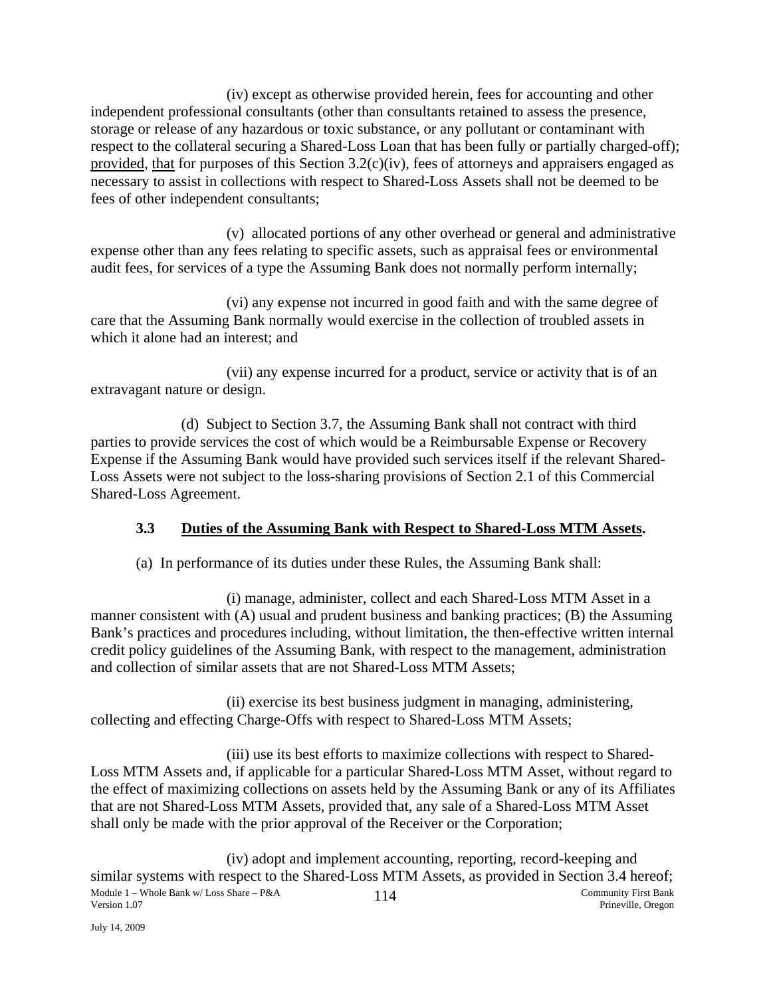(iv) except as otherwise provided herein, fees for accounting and other independent professional consultants (other than consultants retained to assess the presence, storage or release of any hazardous or toxic substance, or any pollutant or contaminant with respect to the collateral securing a Shared-Loss Loan that has been fully or partially charged-off); provided, that for purposes of this Section 3.2(c)(iv), fees of attorneys and appraisers engaged as necessary to assist in collections with respect to Shared-Loss Assets shall not be deemed to be fees of other independent consultants;

(v) allocated portions of any other overhead or general and administrative expense other than any fees relating to specific assets, such as appraisal fees or environmental audit fees, for services of a type the Assuming Bank does not normally perform internally;

(vi) any expense not incurred in good faith and with the same degree of care that the Assuming Bank normally would exercise in the collection of troubled assets in which it alone had an interest; and

(vii) any expense incurred for a product, service or activity that is of an extravagant nature or design.

(d) Subject to Section 3.7, the Assuming Bank shall not contract with third parties to provide services the cost of which would be a Reimbursable Expense or Recovery Expense if the Assuming Bank would have provided such services itself if the relevant Shared-Loss Assets were not subject to the loss-sharing provisions of Section 2.1 of this Commercial Shared-Loss Agreement.

# **3.3 Duties of the Assuming Bank with Respect to Shared-Loss MTM Assets.**

(a) In performance of its duties under these Rules, the Assuming Bank shall:

(i) manage, administer, collect and each Shared-Loss MTM Asset in a manner consistent with (A) usual and prudent business and banking practices; (B) the Assuming Bank's practices and procedures including, without limitation, the then-effective written internal credit policy guidelines of the Assuming Bank, with respect to the management, administration and collection of similar assets that are not Shared-Loss MTM Assets;

(ii) exercise its best business judgment in managing, administering, collecting and effecting Charge-Offs with respect to Shared-Loss MTM Assets;

(iii) use its best efforts to maximize collections with respect to Shared-Loss MTM Assets and, if applicable for a particular Shared-Loss MTM Asset, without regard to the effect of maximizing collections on assets held by the Assuming Bank or any of its Affiliates that are not Shared-Loss MTM Assets, provided that, any sale of a Shared-Loss MTM Asset shall only be made with the prior approval of the Receiver or the Corporation;

(iv) adopt and implement accounting, reporting, record-keeping and similar systems with respect to the Shared-Loss MTM Assets, as provided in Section 3.4 hereof; Module 1 – Whole Bank w/ Loss Share – P&A 114 Community First Bank 1.07 Prineville, Oregon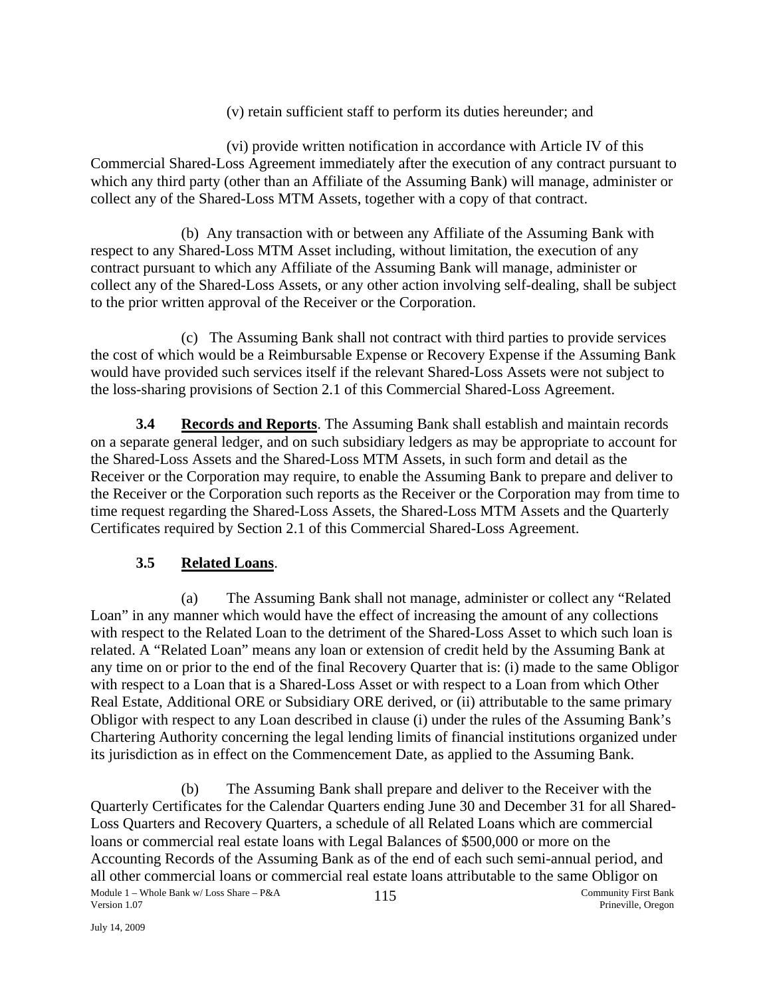(v) retain sufficient staff to perform its duties hereunder; and

(vi) provide written notification in accordance with Article IV of this Commercial Shared-Loss Agreement immediately after the execution of any contract pursuant to which any third party (other than an Affiliate of the Assuming Bank) will manage, administer or collect any of the Shared-Loss MTM Assets, together with a copy of that contract.

(b) Any transaction with or between any Affiliate of the Assuming Bank with respect to any Shared-Loss MTM Asset including, without limitation, the execution of any contract pursuant to which any Affiliate of the Assuming Bank will manage, administer or collect any of the Shared-Loss Assets, or any other action involving self-dealing, shall be subject to the prior written approval of the Receiver or the Corporation.

(c) The Assuming Bank shall not contract with third parties to provide services the cost of which would be a Reimbursable Expense or Recovery Expense if the Assuming Bank would have provided such services itself if the relevant Shared-Loss Assets were not subject to the loss-sharing provisions of Section 2.1 of this Commercial Shared-Loss Agreement.

**3.4 Records and Reports**. The Assuming Bank shall establish and maintain records on a separate general ledger, and on such subsidiary ledgers as may be appropriate to account for the Shared-Loss Assets and the Shared-Loss MTM Assets, in such form and detail as the Receiver or the Corporation may require, to enable the Assuming Bank to prepare and deliver to the Receiver or the Corporation such reports as the Receiver or the Corporation may from time to time request regarding the Shared-Loss Assets, the Shared-Loss MTM Assets and the Quarterly Certificates required by Section 2.1 of this Commercial Shared-Loss Agreement.

### **3.5 Related Loans**.

(a) The Assuming Bank shall not manage, administer or collect any "Related Loan" in any manner which would have the effect of increasing the amount of any collections with respect to the Related Loan to the detriment of the Shared-Loss Asset to which such loan is related. A "Related Loan" means any loan or extension of credit held by the Assuming Bank at any time on or prior to the end of the final Recovery Quarter that is: (i) made to the same Obligor with respect to a Loan that is a Shared-Loss Asset or with respect to a Loan from which Other Real Estate, Additional ORE or Subsidiary ORE derived, or (ii) attributable to the same primary Obligor with respect to any Loan described in clause (i) under the rules of the Assuming Bank's Chartering Authority concerning the legal lending limits of financial institutions organized under its jurisdiction as in effect on the Commencement Date, as applied to the Assuming Bank.

(b) The Assuming Bank shall prepare and deliver to the Receiver with the Quarterly Certificates for the Calendar Quarters ending June 30 and December 31 for all Shared-Loss Quarters and Recovery Quarters, a schedule of all Related Loans which are commercial loans or commercial real estate loans with Legal Balances of \$500,000 or more on the Accounting Records of the Assuming Bank as of the end of each such semi-annual period, and all other commercial loans or commercial real estate loans attributable to the same Obligor on Module 1 – Whole Bank w/ Loss Share – P&A 115 Community First Bank Version 1.07 Prineville, Oregon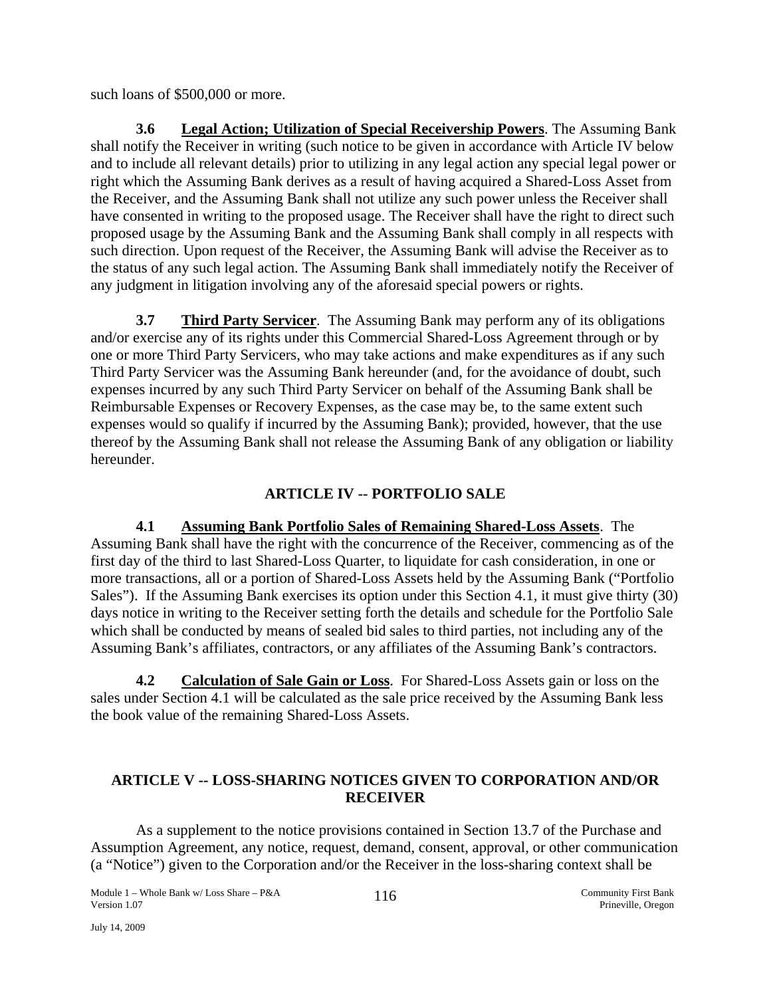such loans of \$500,000 or more.

**3.6 Legal Action; Utilization of Special Receivership Powers**. The Assuming Bank shall notify the Receiver in writing (such notice to be given in accordance with Article IV below and to include all relevant details) prior to utilizing in any legal action any special legal power or right which the Assuming Bank derives as a result of having acquired a Shared-Loss Asset from the Receiver, and the Assuming Bank shall not utilize any such power unless the Receiver shall have consented in writing to the proposed usage. The Receiver shall have the right to direct such proposed usage by the Assuming Bank and the Assuming Bank shall comply in all respects with such direction. Upon request of the Receiver, the Assuming Bank will advise the Receiver as to the status of any such legal action. The Assuming Bank shall immediately notify the Receiver of any judgment in litigation involving any of the aforesaid special powers or rights.

**3.7 Third Party Servicer**. The Assuming Bank may perform any of its obligations and/or exercise any of its rights under this Commercial Shared-Loss Agreement through or by one or more Third Party Servicers, who may take actions and make expenditures as if any such Third Party Servicer was the Assuming Bank hereunder (and, for the avoidance of doubt, such expenses incurred by any such Third Party Servicer on behalf of the Assuming Bank shall be Reimbursable Expenses or Recovery Expenses, as the case may be, to the same extent such expenses would so qualify if incurred by the Assuming Bank); provided, however, that the use thereof by the Assuming Bank shall not release the Assuming Bank of any obligation or liability hereunder.

### **ARTICLE IV -- PORTFOLIO SALE**

**4.1 Assuming Bank Portfolio Sales of Remaining Shared-Loss Assets**. The Assuming Bank shall have the right with the concurrence of the Receiver, commencing as of the first day of the third to last Shared-Loss Quarter, to liquidate for cash consideration, in one or more transactions, all or a portion of Shared-Loss Assets held by the Assuming Bank ("Portfolio Sales"). If the Assuming Bank exercises its option under this Section 4.1, it must give thirty (30) days notice in writing to the Receiver setting forth the details and schedule for the Portfolio Sale which shall be conducted by means of sealed bid sales to third parties, not including any of the Assuming Bank's affiliates, contractors, or any affiliates of the Assuming Bank's contractors.

**4.2 Calculation of Sale Gain or Loss**. For Shared-Loss Assets gain or loss on the sales under Section 4.1 will be calculated as the sale price received by the Assuming Bank less the book value of the remaining Shared-Loss Assets.

### **ARTICLE V -- LOSS-SHARING NOTICES GIVEN TO CORPORATION AND/OR RECEIVER**

As a supplement to the notice provisions contained in Section 13.7 of the Purchase and Assumption Agreement, any notice, request, demand, consent, approval, or other communication (a "Notice") given to the Corporation and/or the Receiver in the loss-sharing context shall be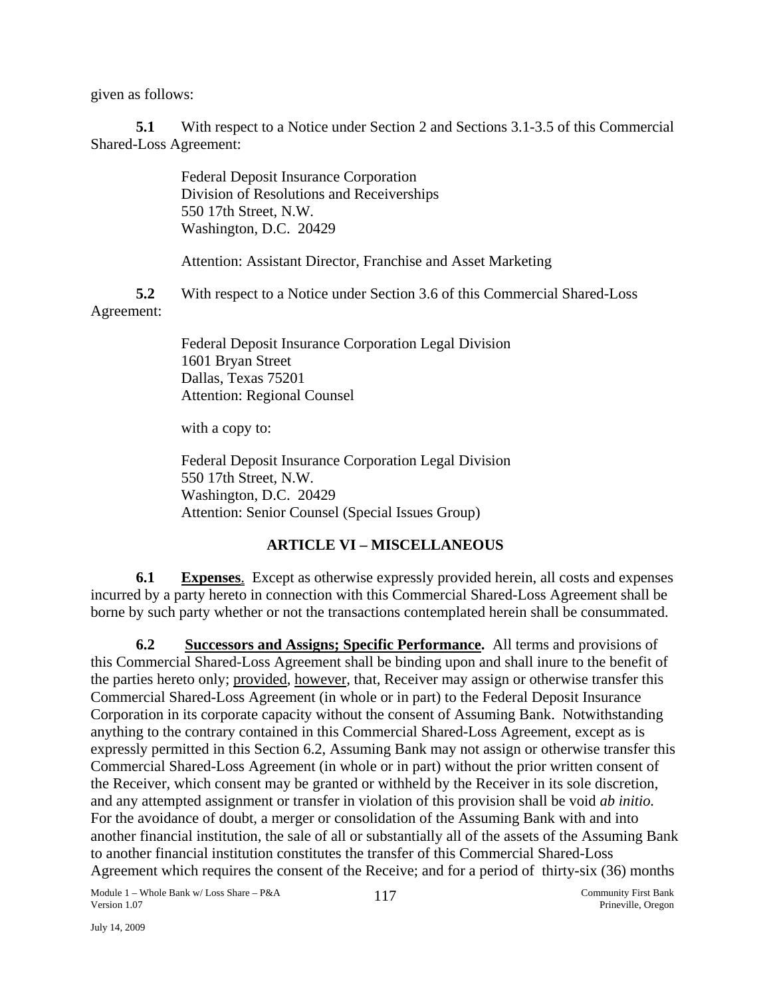given as follows:

**5.1** With respect to a Notice under Section 2 and Sections 3.1-3.5 of this Commercial Shared-Loss Agreement:

> Federal Deposit Insurance Corporation Division of Resolutions and Receiverships 550 17th Street, N.W. Washington, D.C. 20429

Attention: Assistant Director, Franchise and Asset Marketing

**5.2** With respect to a Notice under Section 3.6 of this Commercial Shared-Loss Agreement:

> Federal Deposit Insurance Corporation Legal Division 1601 Bryan Street Dallas, Texas 75201 Attention: Regional Counsel

with a copy to:

Federal Deposit Insurance Corporation Legal Division 550 17th Street, N.W. Washington, D.C. 20429 Attention: Senior Counsel (Special Issues Group)

### **ARTICLE VI – MISCELLANEOUS**

**6.1** Expenses. Except as otherwise expressly provided herein, all costs and expenses incurred by a party hereto in connection with this Commercial Shared-Loss Agreement shall be borne by such party whether or not the transactions contemplated herein shall be consummated.

**6.2 Successors and Assigns; Specific Performance.** All terms and provisions of this Commercial Shared-Loss Agreement shall be binding upon and shall inure to the benefit of the parties hereto only; provided, however, that, Receiver may assign or otherwise transfer this Commercial Shared-Loss Agreement (in whole or in part) to the Federal Deposit Insurance Corporation in its corporate capacity without the consent of Assuming Bank. Notwithstanding anything to the contrary contained in this Commercial Shared-Loss Agreement, except as is expressly permitted in this Section 6.2, Assuming Bank may not assign or otherwise transfer this Commercial Shared-Loss Agreement (in whole or in part) without the prior written consent of the Receiver, which consent may be granted or withheld by the Receiver in its sole discretion, and any attempted assignment or transfer in violation of this provision shall be void *ab initio.*  For the avoidance of doubt, a merger or consolidation of the Assuming Bank with and into another financial institution, the sale of all or substantially all of the assets of the Assuming Bank to another financial institution constitutes the transfer of this Commercial Shared-Loss Agreement which requires the consent of the Receive; and for a period of thirty-six (36) months

Module 1 – Whole Bank w/ Loss Share – P&A 117 Community First Bank Prineville, Oregon Prineville, Oregon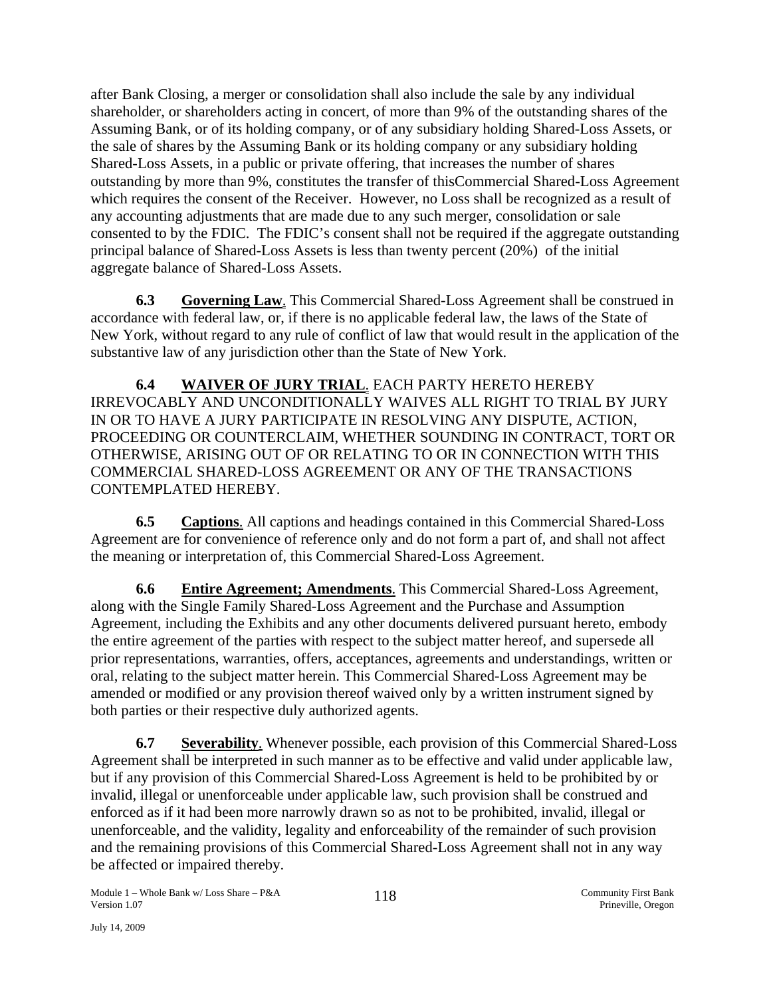after Bank Closing, a merger or consolidation shall also include the sale by any individual shareholder, or shareholders acting in concert, of more than 9% of the outstanding shares of the Assuming Bank, or of its holding company, or of any subsidiary holding Shared-Loss Assets, or the sale of shares by the Assuming Bank or its holding company or any subsidiary holding Shared-Loss Assets, in a public or private offering, that increases the number of shares outstanding by more than 9%, constitutes the transfer of thisCommercial Shared-Loss Agreement which requires the consent of the Receiver. However, no Loss shall be recognized as a result of any accounting adjustments that are made due to any such merger, consolidation or sale consented to by the FDIC. The FDIC's consent shall not be required if the aggregate outstanding principal balance of Shared-Loss Assets is less than twenty percent (20%) of the initial aggregate balance of Shared-Loss Assets.

**6.3 Governing Law**. This Commercial Shared-Loss Agreement shall be construed in accordance with federal law, or, if there is no applicable federal law, the laws of the State of New York, without regard to any rule of conflict of law that would result in the application of the substantive law of any jurisdiction other than the State of New York.

**6.4 WAIVER OF JURY TRIAL**. EACH PARTY HERETO HEREBY IRREVOCABLY AND UNCONDITIONALLY WAIVES ALL RIGHT TO TRIAL BY JURY IN OR TO HAVE A JURY PARTICIPATE IN RESOLVING ANY DISPUTE, ACTION, PROCEEDING OR COUNTERCLAIM, WHETHER SOUNDING IN CONTRACT, TORT OR OTHERWISE, ARISING OUT OF OR RELATING TO OR IN CONNECTION WITH THIS COMMERCIAL SHARED-LOSS AGREEMENT OR ANY OF THE TRANSACTIONS CONTEMPLATED HEREBY.

**6.5 Captions**. All captions and headings contained in this Commercial Shared-Loss Agreement are for convenience of reference only and do not form a part of, and shall not affect the meaning or interpretation of, this Commercial Shared-Loss Agreement.

**6.6 Entire Agreement; Amendments**. This Commercial Shared-Loss Agreement, along with the Single Family Shared-Loss Agreement and the Purchase and Assumption Agreement, including the Exhibits and any other documents delivered pursuant hereto, embody the entire agreement of the parties with respect to the subject matter hereof, and supersede all prior representations, warranties, offers, acceptances, agreements and understandings, written or oral, relating to the subject matter herein. This Commercial Shared-Loss Agreement may be amended or modified or any provision thereof waived only by a written instrument signed by both parties or their respective duly authorized agents.

**6.7 Severability**. Whenever possible, each provision of this Commercial Shared-Loss Agreement shall be interpreted in such manner as to be effective and valid under applicable law, but if any provision of this Commercial Shared-Loss Agreement is held to be prohibited by or invalid, illegal or unenforceable under applicable law, such provision shall be construed and enforced as if it had been more narrowly drawn so as not to be prohibited, invalid, illegal or unenforceable, and the validity, legality and enforceability of the remainder of such provision and the remaining provisions of this Commercial Shared-Loss Agreement shall not in any way be affected or impaired thereby.